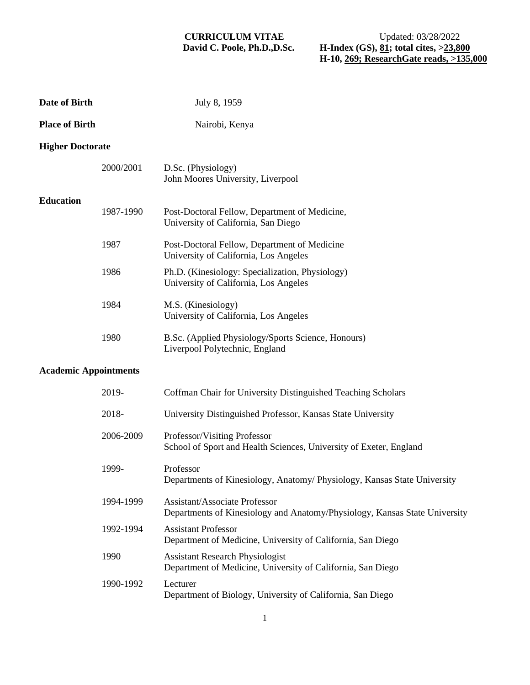| Date of Birth                |           | July 8, 1959                                                                                                |
|------------------------------|-----------|-------------------------------------------------------------------------------------------------------------|
| <b>Place of Birth</b>        |           | Nairobi, Kenya                                                                                              |
| <b>Higher Doctorate</b>      |           |                                                                                                             |
|                              | 2000/2001 | D.Sc. (Physiology)<br>John Moores University, Liverpool                                                     |
| <b>Education</b>             | 1987-1990 | Post-Doctoral Fellow, Department of Medicine,<br>University of California, San Diego                        |
|                              | 1987      | Post-Doctoral Fellow, Department of Medicine<br>University of California, Los Angeles                       |
|                              | 1986      | Ph.D. (Kinesiology: Specialization, Physiology)<br>University of California, Los Angeles                    |
|                              | 1984      | M.S. (Kinesiology)<br>University of California, Los Angeles                                                 |
|                              | 1980      | B.Sc. (Applied Physiology/Sports Science, Honours)<br>Liverpool Polytechnic, England                        |
| <b>Academic Appointments</b> |           |                                                                                                             |
|                              | 2019-     | Coffman Chair for University Distinguished Teaching Scholars                                                |
|                              | 2018-     | University Distinguished Professor, Kansas State University                                                 |
|                              | 2006-2009 | Professor/Visiting Professor<br>School of Sport and Health Sciences, University of Exeter, England          |
|                              | 1999-     | Professor<br>Departments of Kinesiology, Anatomy/ Physiology, Kansas State University                       |
|                              | 1994-1999 | Assistant/Associate Professor<br>Departments of Kinesiology and Anatomy/Physiology, Kansas State University |
|                              | 1992-1994 | <b>Assistant Professor</b><br>Department of Medicine, University of California, San Diego                   |
|                              | 1990      | <b>Assistant Research Physiologist</b><br>Department of Medicine, University of California, San Diego       |
|                              | 1990-1992 | Lecturer<br>Department of Biology, University of California, San Diego                                      |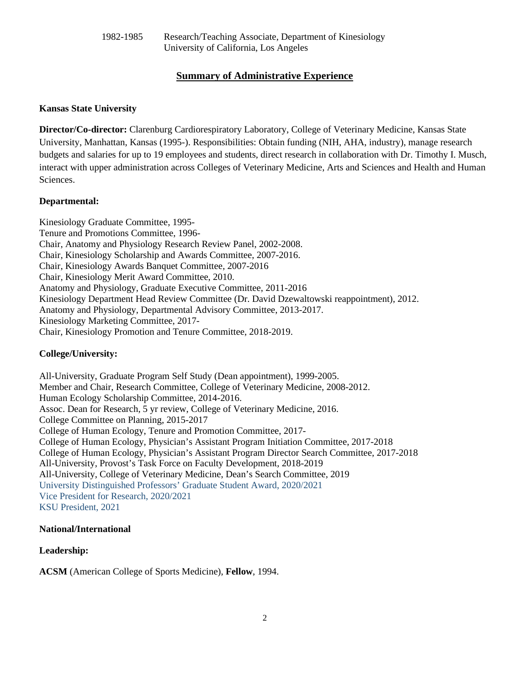# **Summary of Administrative Experience**

# **Kansas State University**

**Director/Co-director:** Clarenburg Cardiorespiratory Laboratory, College of Veterinary Medicine, Kansas State University, Manhattan, Kansas (1995-). Responsibilities: Obtain funding (NIH, AHA, industry), manage research budgets and salaries for up to 19 employees and students, direct research in collaboration with Dr. Timothy I. Musch, interact with upper administration across Colleges of Veterinary Medicine, Arts and Sciences and Health and Human Sciences.

# **Departmental:**

Kinesiology Graduate Committee, 1995- Tenure and Promotions Committee, 1996- Chair, Anatomy and Physiology Research Review Panel, 2002-2008. Chair, Kinesiology Scholarship and Awards Committee, 2007-2016. Chair, Kinesiology Awards Banquet Committee, 2007-2016 Chair, Kinesiology Merit Award Committee, 2010. Anatomy and Physiology, Graduate Executive Committee, 2011-2016 Kinesiology Department Head Review Committee (Dr. David Dzewaltowski reappointment), 2012. Anatomy and Physiology, Departmental Advisory Committee, 2013-2017. Kinesiology Marketing Committee, 2017- Chair, Kinesiology Promotion and Tenure Committee, 2018-2019.

# **College/University:**

All-University, Graduate Program Self Study (Dean appointment), 1999-2005. Member and Chair, Research Committee, College of Veterinary Medicine, 2008-2012. Human Ecology Scholarship Committee, 2014-2016. Assoc. Dean for Research, 5 yr review, College of Veterinary Medicine, 2016. College Committee on Planning, 2015-2017 College of Human Ecology, Tenure and Promotion Committee, 2017- College of Human Ecology, Physician's Assistant Program Initiation Committee, 2017-2018 College of Human Ecology, Physician's Assistant Program Director Search Committee, 2017-2018 All-University, Provost's Task Force on Faculty Development, 2018-2019 All-University, College of Veterinary Medicine, Dean's Search Committee, 2019 University Distinguished Professors' Graduate Student Award, 2020/2021 Vice President for Research, 2020/2021 KSU President, 2021

# **National/International**

# **Leadership:**

**ACSM** (American College of Sports Medicine), **Fellow**, 1994.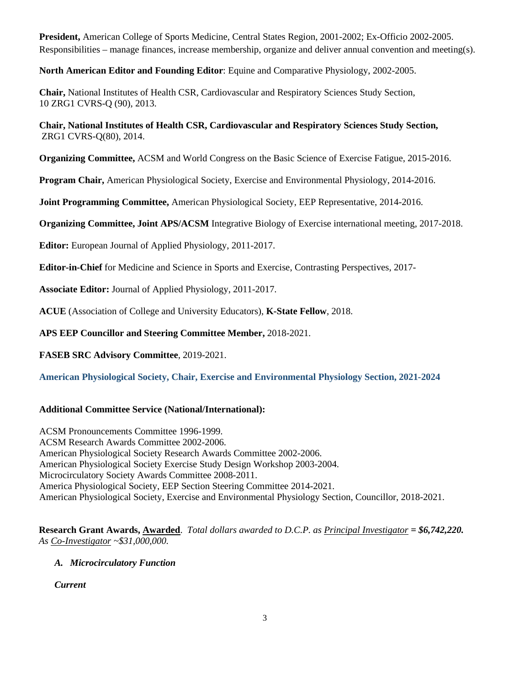**President,** American College of Sports Medicine, Central States Region, 2001-2002; Ex-Officio 2002-2005. Responsibilities – manage finances, increase membership, organize and deliver annual convention and meeting(s).

**North American Editor and Founding Editor**: Equine and Comparative Physiology, 2002-2005.

**Chair,** National Institutes of Health CSR, Cardiovascular and Respiratory Sciences Study Section, 10 ZRG1 CVRS-Q (90), 2013.

**Chair, National Institutes of Health CSR, Cardiovascular and Respiratory Sciences Study Section,** ZRG1 CVRS-Q(80), 2014.

**Organizing Committee,** ACSM and World Congress on the Basic Science of Exercise Fatigue, 2015-2016.

**Program Chair,** American Physiological Society, Exercise and Environmental Physiology, 2014-2016.

**Joint Programming Committee,** American Physiological Society, EEP Representative, 2014-2016.

**Organizing Committee, Joint APS/ACSM** Integrative Biology of Exercise international meeting, 2017-2018.

**Editor:** European Journal of Applied Physiology, 2011-2017.

**Editor-in-Chief** for Medicine and Science in Sports and Exercise, Contrasting Perspectives, 2017-

**Associate Editor:** Journal of Applied Physiology, 2011-2017.

**ACUE** (Association of College and University Educators), **K-State Fellow**, 2018.

**APS EEP Councillor and Steering Committee Member,** 2018-2021.

**FASEB SRC Advisory Committee**, 2019-2021.

**American Physiological Society, Chair, Exercise and Environmental Physiology Section, 2021-2024** 

# **Additional Committee Service (National/International):**

ACSM Pronouncements Committee 1996-1999. ACSM Research Awards Committee 2002-2006. American Physiological Society Research Awards Committee 2002-2006. American Physiological Society Exercise Study Design Workshop 2003-2004. Microcirculatory Society Awards Committee 2008-2011. America Physiological Society, EEP Section Steering Committee 2014-2021. American Physiological Society, Exercise and Environmental Physiology Section, Councillor, 2018-2021.

**Research Grant Awards, Awarded**. *Total dollars awarded to D.C.P. as Principal Investigator = \$6,742,220. As Co-Investigator ~\$31,000,000.*

# *A. Microcirculatory Function*

*Current*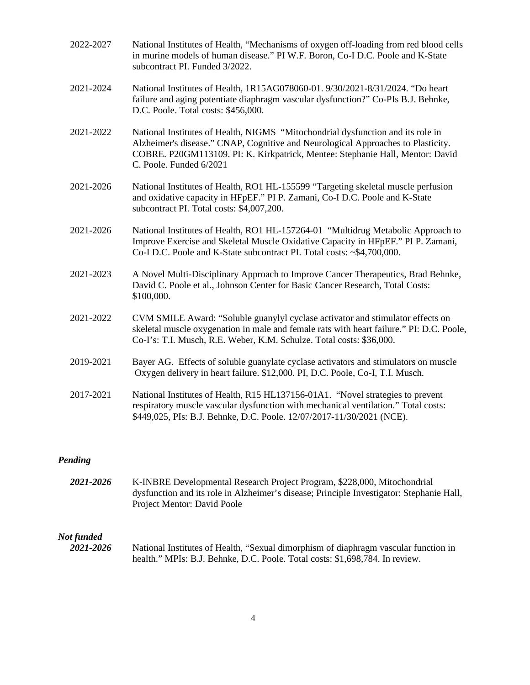| 2022-2027 | National Institutes of Health, "Mechanisms of oxygen off-loading from red blood cells<br>in murine models of human disease." PI W.F. Boron, Co-I D.C. Poole and K-State<br>subcontract PI. Funded 3/2022.                                                                       |
|-----------|---------------------------------------------------------------------------------------------------------------------------------------------------------------------------------------------------------------------------------------------------------------------------------|
| 2021-2024 | National Institutes of Health, 1R15AG078060-01. 9/30/2021-8/31/2024. "Do heart<br>failure and aging potentiate diaphragm vascular dysfunction?" Co-PIs B.J. Behnke,<br>D.C. Poole. Total costs: \$456,000.                                                                      |
| 2021-2022 | National Institutes of Health, NIGMS "Mitochondrial dysfunction and its role in<br>Alzheimer's disease." CNAP, Cognitive and Neurological Approaches to Plasticity.<br>COBRE. P20GM113109. PI: K. Kirkpatrick, Mentee: Stephanie Hall, Mentor: David<br>C. Poole. Funded 6/2021 |
| 2021-2026 | National Institutes of Health, RO1 HL-155599 "Targeting skeletal muscle perfusion<br>and oxidative capacity in HFpEF." PI P. Zamani, Co-I D.C. Poole and K-State<br>subcontract PI. Total costs: \$4,007,200.                                                                   |
| 2021-2026 | National Institutes of Health, RO1 HL-157264-01 "Multidrug Metabolic Approach to<br>Improve Exercise and Skeletal Muscle Oxidative Capacity in HFpEF." PI P. Zamani,<br>Co-I D.C. Poole and K-State subcontract PI. Total costs: ~\$4,700,000.                                  |
| 2021-2023 | A Novel Multi-Disciplinary Approach to Improve Cancer Therapeutics, Brad Behnke,<br>David C. Poole et al., Johnson Center for Basic Cancer Research, Total Costs:<br>\$100,000.                                                                                                 |
| 2021-2022 | CVM SMILE Award: "Soluble guanylyl cyclase activator and stimulator effects on<br>skeletal muscle oxygenation in male and female rats with heart failure." PI: D.C. Poole,<br>Co-I's: T.I. Musch, R.E. Weber, K.M. Schulze. Total costs: \$36,000.                              |
| 2019-2021 | Bayer AG. Effects of soluble guanylate cyclase activators and stimulators on muscle<br>Oxygen delivery in heart failure. \$12,000. PI, D.C. Poole, Co-I, T.I. Musch.                                                                                                            |
| 2017-2021 | National Institutes of Health, R15 HL137156-01A1. "Novel strategies to prevent<br>respiratory muscle vascular dysfunction with mechanical ventilation." Total costs:<br>\$449,025, PIs: B.J. Behnke, D.C. Poole. 12/07/2017-11/30/2021 (NCE).                                   |

# *Pending*

*2021-2026* K-INBRE Developmental Research Project Program, \$228,000, Mitochondrial dysfunction and its role in Alzheimer's disease; Principle Investigator: Stephanie Hall, Project Mentor: David Poole

# *Not funded*

National Institutes of Health, "Sexual dimorphism of diaphragm vascular function in health." MPIs: B.J. Behnke, D.C. Poole. Total costs: \$1,698,784. In review.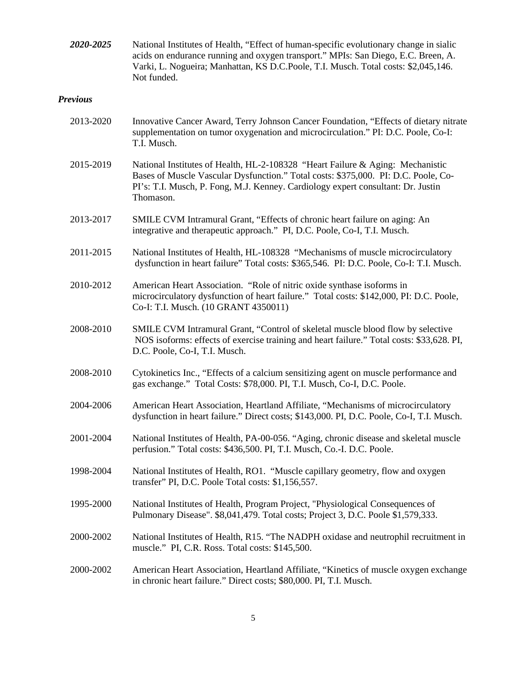| 2020-2025       | National Institutes of Health, "Effect of human-specific evolutionary change in sialic<br>acids on endurance running and oxygen transport." MPIs: San Diego, E.C. Breen, A.<br>Varki, L. Nogueira; Manhattan, KS D.C.Poole, T.I. Musch. Total costs: \$2,045,146.<br>Not funded. |
|-----------------|----------------------------------------------------------------------------------------------------------------------------------------------------------------------------------------------------------------------------------------------------------------------------------|
| <b>Previous</b> |                                                                                                                                                                                                                                                                                  |
| 2013-2020       | Innovative Cancer Award, Terry Johnson Cancer Foundation, "Effects of dietary nitrate<br>supplementation on tumor oxygenation and microcirculation." PI: D.C. Poole, Co-I:<br>T.I. Musch.                                                                                        |
| 2015-2019       | National Institutes of Health, HL-2-108328 "Heart Failure & Aging: Mechanistic<br>Bases of Muscle Vascular Dysfunction." Total costs: \$375,000. PI: D.C. Poole, Co-<br>PI's: T.I. Musch, P. Fong, M.J. Kenney. Cardiology expert consultant: Dr. Justin<br>Thomason.            |
| 2013-2017       | SMILE CVM Intramural Grant, "Effects of chronic heart failure on aging: An<br>integrative and therapeutic approach." PI, D.C. Poole, Co-I, T.I. Musch.                                                                                                                           |
| 2011-2015       | National Institutes of Health, HL-108328 "Mechanisms of muscle microcirculatory<br>dysfunction in heart failure" Total costs: \$365,546. PI: D.C. Poole, Co-I: T.I. Musch.                                                                                                       |
| 2010-2012       | American Heart Association. "Role of nitric oxide synthase isoforms in<br>microcirculatory dysfunction of heart failure." Total costs: \$142,000, PI: D.C. Poole,<br>Co-I: T.I. Musch. (10 GRANT 4350011)                                                                        |
| 2008-2010       | SMILE CVM Intramural Grant, "Control of skeletal muscle blood flow by selective<br>NOS isoforms: effects of exercise training and heart failure." Total costs: \$33,628. PI,<br>D.C. Poole, Co-I, T.I. Musch.                                                                    |
| 2008-2010       | Cytokinetics Inc., "Effects of a calcium sensitizing agent on muscle performance and<br>gas exchange." Total Costs: \$78,000. PI, T.I. Musch, Co-I, D.C. Poole.                                                                                                                  |
| 2004-2006       | American Heart Association, Heartland Affiliate, "Mechanisms of microcirculatory<br>dysfunction in heart failure." Direct costs; \$143,000. PI, D.C. Poole, Co-I, T.I. Musch.                                                                                                    |
| 2001-2004       | National Institutes of Health, PA-00-056. "Aging, chronic disease and skeletal muscle<br>perfusion." Total costs: \$436,500. PI, T.I. Musch, Co.-I. D.C. Poole.                                                                                                                  |
| 1998-2004       | National Institutes of Health, RO1. "Muscle capillary geometry, flow and oxygen<br>transfer" PI, D.C. Poole Total costs: \$1,156,557.                                                                                                                                            |
| 1995-2000       | National Institutes of Health, Program Project, "Physiological Consequences of<br>Pulmonary Disease". \$8,041,479. Total costs; Project 3, D.C. Poole \$1,579,333.                                                                                                               |
| 2000-2002       | National Institutes of Health, R15. "The NADPH oxidase and neutrophil recruitment in<br>muscle." PI, C.R. Ross. Total costs: \$145,500.                                                                                                                                          |
| 2000-2002       | American Heart Association, Heartland Affiliate, "Kinetics of muscle oxygen exchange<br>in chronic heart failure." Direct costs; \$80,000. PI, T.I. Musch.                                                                                                                       |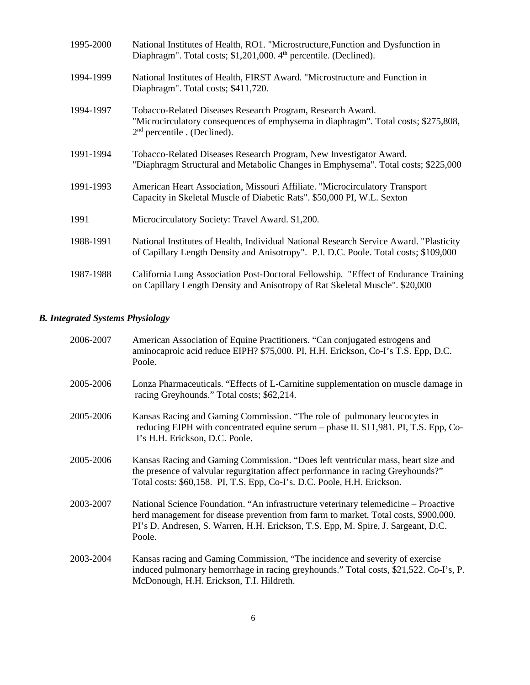| 1995-2000 | National Institutes of Health, RO1. "Microstructure, Function and Dysfunction in<br>Diaphragm". Total costs; \$1,201,000. 4 <sup>th</sup> percentile. (Declined).                  |
|-----------|------------------------------------------------------------------------------------------------------------------------------------------------------------------------------------|
| 1994-1999 | National Institutes of Health, FIRST Award. "Microstructure and Function in<br>Diaphragm". Total costs; \$411,720.                                                                 |
| 1994-1997 | Tobacco-Related Diseases Research Program, Research Award.<br>"Microcirculatory consequences of emphysema in diaphragm". Total costs; \$275,808,<br>$2nd$ percentile . (Declined). |
| 1991-1994 | Tobacco-Related Diseases Research Program, New Investigator Award.<br>"Diaphragm Structural and Metabolic Changes in Emphysema". Total costs; \$225,000                            |
| 1991-1993 | American Heart Association, Missouri Affiliate. "Microcirculatory Transport<br>Capacity in Skeletal Muscle of Diabetic Rats". \$50,000 PI, W.L. Sexton                             |
| 1991      | Microcirculatory Society: Travel Award. \$1,200.                                                                                                                                   |
| 1988-1991 | National Institutes of Health, Individual National Research Service Award. "Plasticity<br>of Capillary Length Density and Anisotropy". P.I. D.C. Poole. Total costs; \$109,000     |
| 1987-1988 | California Lung Association Post-Doctoral Fellowship. "Effect of Endurance Training<br>on Capillary Length Density and Anisotropy of Rat Skeletal Muscle". \$20,000                |

# *B. Integrated Systems Physiology*

| 2006-2007 | American Association of Equine Practitioners. "Can conjugated estrogens and<br>aminocaproic acid reduce EIPH? \$75,000. PI, H.H. Erickson, Co-I's T.S. Epp, D.C.<br>Poole.                                                                                                |
|-----------|---------------------------------------------------------------------------------------------------------------------------------------------------------------------------------------------------------------------------------------------------------------------------|
| 2005-2006 | Lonza Pharmaceuticals. "Effects of L-Carnitine supplementation on muscle damage in<br>racing Greyhounds." Total costs; \$62,214.                                                                                                                                          |
| 2005-2006 | Kansas Racing and Gaming Commission. "The role of pulmonary leucocytes in<br>reducing EIPH with concentrated equine serum – phase II. \$11,981. PI, T.S. Epp, Co-<br>I's H.H. Erickson, D.C. Poole.                                                                       |
| 2005-2006 | Kansas Racing and Gaming Commission. "Does left ventricular mass, heart size and<br>the presence of valvular regurgitation affect performance in racing Greyhounds?"<br>Total costs: \$60,158. PI, T.S. Epp, Co-I's. D.C. Poole, H.H. Erickson.                           |
| 2003-2007 | National Science Foundation. "An infrastructure veterinary telemedicine – Proactive<br>herd management for disease prevention from farm to market. Total costs, \$900,000.<br>PI's D. Andresen, S. Warren, H.H. Erickson, T.S. Epp, M. Spire, J. Sargeant, D.C.<br>Poole. |
| 2003-2004 | Kansas racing and Gaming Commission, "The incidence and severity of exercise"<br>induced pulmonary hemorrhage in racing greyhounds." Total costs, \$21,522. Co-I's, P.<br>McDonough, H.H. Erickson, T.I. Hildreth.                                                        |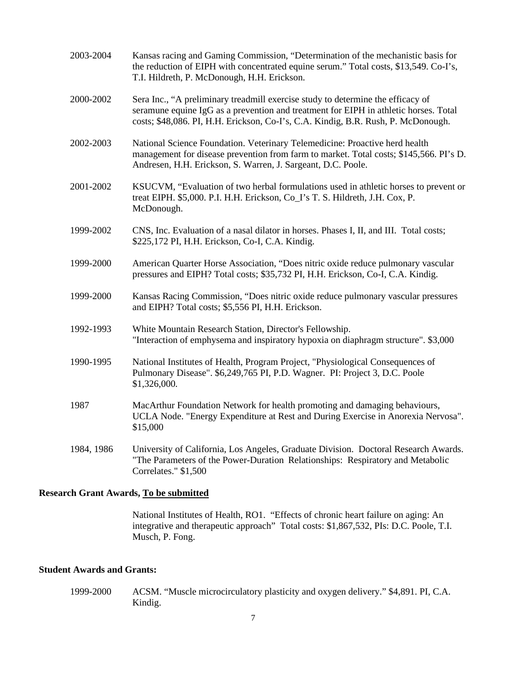| 2003-2004  | Kansas racing and Gaming Commission, "Determination of the mechanistic basis for<br>the reduction of EIPH with concentrated equine serum." Total costs, \$13,549. Co-I's,<br>T.I. Hildreth, P. McDonough, H.H. Erickson.                                     |
|------------|--------------------------------------------------------------------------------------------------------------------------------------------------------------------------------------------------------------------------------------------------------------|
| 2000-2002  | Sera Inc., "A preliminary treadmill exercise study to determine the efficacy of<br>seramune equine IgG as a prevention and treatment for EIPH in athletic horses. Total<br>costs; \$48,086. PI, H.H. Erickson, Co-I's, C.A. Kindig, B.R. Rush, P. McDonough. |
| 2002-2003  | National Science Foundation. Veterinary Telemedicine: Proactive herd health<br>management for disease prevention from farm to market. Total costs; \$145,566. PI's D.<br>Andresen, H.H. Erickson, S. Warren, J. Sargeant, D.C. Poole.                        |
| 2001-2002  | KSUCVM, "Evaluation of two herbal formulations used in athletic horses to prevent or<br>treat EIPH. \$5,000. P.I. H.H. Erickson, Co_I's T. S. Hildreth, J.H. Cox, P.<br>McDonough.                                                                           |
| 1999-2002  | CNS, Inc. Evaluation of a nasal dilator in horses. Phases I, II, and III. Total costs;<br>\$225,172 PI, H.H. Erickson, Co-I, C.A. Kindig.                                                                                                                    |
| 1999-2000  | American Quarter Horse Association, "Does nitric oxide reduce pulmonary vascular<br>pressures and EIPH? Total costs; \$35,732 PI, H.H. Erickson, Co-I, C.A. Kindig.                                                                                          |
| 1999-2000  | Kansas Racing Commission, "Does nitric oxide reduce pulmonary vascular pressures<br>and EIPH? Total costs; \$5,556 PI, H.H. Erickson.                                                                                                                        |
| 1992-1993  | White Mountain Research Station, Director's Fellowship.<br>"Interaction of emphysema and inspiratory hypoxia on diaphragm structure". \$3,000                                                                                                                |
| 1990-1995  | National Institutes of Health, Program Project, "Physiological Consequences of<br>Pulmonary Disease". \$6,249,765 PI, P.D. Wagner. PI: Project 3, D.C. Poole<br>\$1,326,000.                                                                                 |
| 1987       | MacArthur Foundation Network for health promoting and damaging behaviours,<br>UCLA Node. "Energy Expenditure at Rest and During Exercise in Anorexia Nervosa".<br>\$15,000                                                                                   |
| 1984, 1986 | University of California, Los Angeles, Graduate Division. Doctoral Research Awards.<br>"The Parameters of the Power-Duration Relationships: Respiratory and Metabolic<br>Correlates." \$1,500                                                                |

# **Research Grant Awards, To be submitted**

 National Institutes of Health, RO1. "Effects of chronic heart failure on aging: An integrative and therapeutic approach" Total costs: \$1,867,532, PIs: D.C. Poole, T.I. Musch, P. Fong.

# **Student Awards and Grants:**

 1999-2000 ACSM. "Muscle microcirculatory plasticity and oxygen delivery." \$4,891. PI, C.A. Kindig.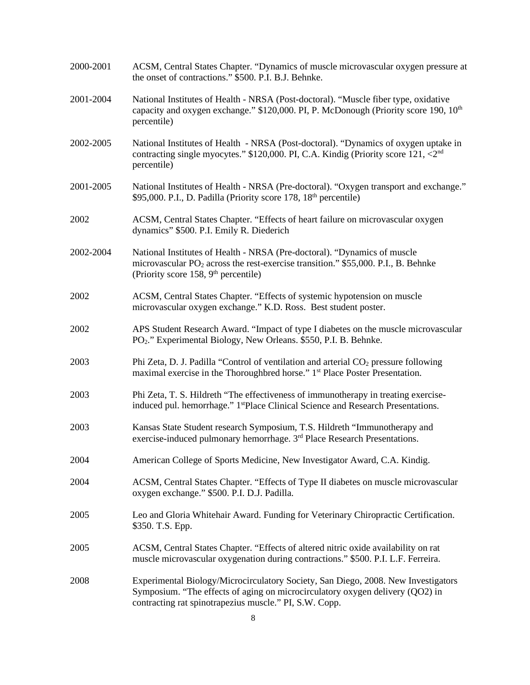| 2000-2001 | ACSM, Central States Chapter. "Dynamics of muscle microvascular oxygen pressure at<br>the onset of contractions." \$500. P.I. B.J. Behnke.                                                                                    |
|-----------|-------------------------------------------------------------------------------------------------------------------------------------------------------------------------------------------------------------------------------|
| 2001-2004 | National Institutes of Health - NRSA (Post-doctoral). "Muscle fiber type, oxidative<br>capacity and oxygen exchange." \$120,000. PI, P. McDonough (Priority score 190, 10 <sup>th</sup><br>percentile)                        |
| 2002-2005 | National Institutes of Health - NRSA (Post-doctoral). "Dynamics of oxygen uptake in<br>contracting single myocytes." \$120,000. PI, C.A. Kindig (Priority score 121, <2nd<br>percentile)                                      |
| 2001-2005 | National Institutes of Health - NRSA (Pre-doctoral). "Oxygen transport and exchange."<br>\$95,000. P.I., D. Padilla (Priority score 178, 18 <sup>th</sup> percentile)                                                         |
| 2002      | ACSM, Central States Chapter. "Effects of heart failure on microvascular oxygen<br>dynamics" \$500. P.I. Emily R. Diederich                                                                                                   |
| 2002-2004 | National Institutes of Health - NRSA (Pre-doctoral). "Dynamics of muscle<br>microvascular PO <sub>2</sub> across the rest-exercise transition." \$55,000. P.I., B. Behnke<br>(Priority score 158, 9 <sup>th</sup> percentile) |
| 2002      | ACSM, Central States Chapter. "Effects of systemic hypotension on muscle<br>microvascular oxygen exchange." K.D. Ross. Best student poster.                                                                                   |
| 2002      | APS Student Research Award. "Impact of type I diabetes on the muscle microvascular<br>PO <sub>2</sub> ." Experimental Biology, New Orleans. \$550, P.I. B. Behnke.                                                            |
| 2003      | Phi Zeta, D. J. Padilla "Control of ventilation and arterial CO <sub>2</sub> pressure following<br>maximal exercise in the Thoroughbred horse." 1 <sup>st</sup> Place Poster Presentation.                                    |
| 2003      | Phi Zeta, T. S. Hildreth "The effectiveness of immunotherapy in treating exercise-<br>induced pul. hemorrhage." 1stPlace Clinical Science and Research Presentations.                                                         |
| 2003      | Kansas State Student research Symposium, T.S. Hildreth "Immunotherapy and<br>exercise-induced pulmonary hemorrhage. 3 <sup>rd</sup> Place Research Presentations.                                                             |
| 2004      | American College of Sports Medicine, New Investigator Award, C.A. Kindig.                                                                                                                                                     |
| 2004      | ACSM, Central States Chapter. "Effects of Type II diabetes on muscle microvascular<br>oxygen exchange." \$500. P.I. D.J. Padilla.                                                                                             |
| 2005      | Leo and Gloria Whitehair Award. Funding for Veterinary Chiropractic Certification.<br>\$350. T.S. Epp.                                                                                                                        |
| 2005      | ACSM, Central States Chapter. "Effects of altered nitric oxide availability on rat<br>muscle microvascular oxygenation during contractions." \$500. P.I. L.F. Ferreira.                                                       |
| 2008      | Experimental Biology/Microcirculatory Society, San Diego, 2008. New Investigators<br>Symposium. "The effects of aging on microcirculatory oxygen delivery (QO2) in<br>contracting rat spinotrapezius muscle." PI, S.W. Copp.  |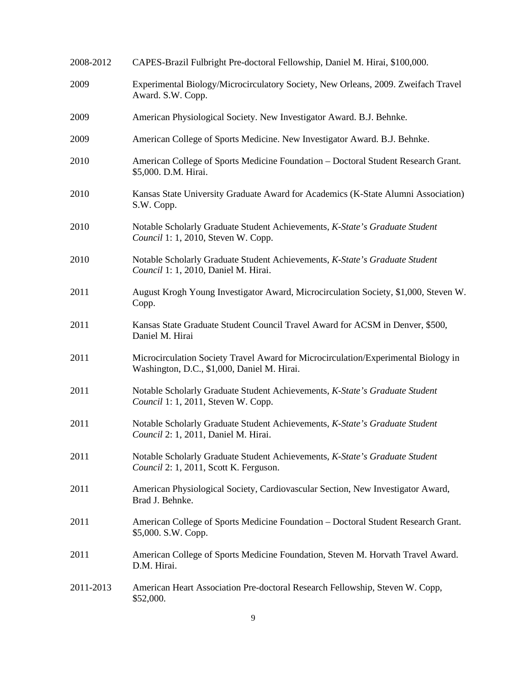| 2008-2012 | CAPES-Brazil Fulbright Pre-doctoral Fellowship, Daniel M. Hirai, \$100,000.                                                       |
|-----------|-----------------------------------------------------------------------------------------------------------------------------------|
| 2009      | Experimental Biology/Microcirculatory Society, New Orleans, 2009. Zweifach Travel<br>Award. S.W. Copp.                            |
| 2009      | American Physiological Society. New Investigator Award. B.J. Behnke.                                                              |
| 2009      | American College of Sports Medicine. New Investigator Award. B.J. Behnke.                                                         |
| 2010      | American College of Sports Medicine Foundation – Doctoral Student Research Grant.<br>\$5,000. D.M. Hirai.                         |
| 2010      | Kansas State University Graduate Award for Academics (K-State Alumni Association)<br>S.W. Copp.                                   |
| 2010      | Notable Scholarly Graduate Student Achievements, K-State's Graduate Student<br>Council 1: 1, 2010, Steven W. Copp.                |
| 2010      | Notable Scholarly Graduate Student Achievements, K-State's Graduate Student<br>Council 1: 1, 2010, Daniel M. Hirai.               |
| 2011      | August Krogh Young Investigator Award, Microcirculation Society, \$1,000, Steven W.<br>Copp.                                      |
| 2011      | Kansas State Graduate Student Council Travel Award for ACSM in Denver, \$500,<br>Daniel M. Hirai                                  |
| 2011      | Microcirculation Society Travel Award for Microcirculation/Experimental Biology in<br>Washington, D.C., \$1,000, Daniel M. Hirai. |
| 2011      | Notable Scholarly Graduate Student Achievements, K-State's Graduate Student<br>Council 1: 1, 2011, Steven W. Copp.                |
| 2011      | Notable Scholarly Graduate Student Achievements, K-State's Graduate Student<br>Council 2: 1, 2011, Daniel M. Hirai.               |
| 2011      | Notable Scholarly Graduate Student Achievements, K-State's Graduate Student<br>Council 2: 1, 2011, Scott K. Ferguson.             |
| 2011      | American Physiological Society, Cardiovascular Section, New Investigator Award,<br>Brad J. Behnke.                                |
| 2011      | American College of Sports Medicine Foundation - Doctoral Student Research Grant.<br>\$5,000. S.W. Copp.                          |
| 2011      | American College of Sports Medicine Foundation, Steven M. Horvath Travel Award.<br>D.M. Hirai.                                    |
| 2011-2013 | American Heart Association Pre-doctoral Research Fellowship, Steven W. Copp,<br>\$52,000.                                         |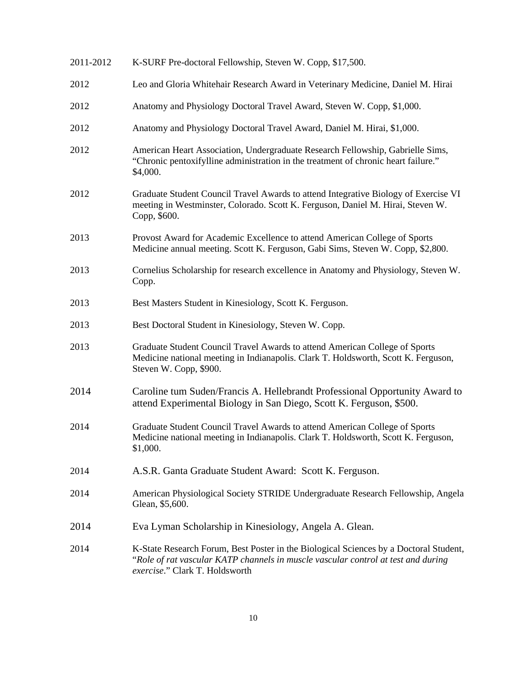| 2011-2012 | K-SURF Pre-doctoral Fellowship, Steven W. Copp, \$17,500.                                                                                                                                                    |
|-----------|--------------------------------------------------------------------------------------------------------------------------------------------------------------------------------------------------------------|
| 2012      | Leo and Gloria Whitehair Research Award in Veterinary Medicine, Daniel M. Hirai                                                                                                                              |
| 2012      | Anatomy and Physiology Doctoral Travel Award, Steven W. Copp, \$1,000.                                                                                                                                       |
| 2012      | Anatomy and Physiology Doctoral Travel Award, Daniel M. Hirai, \$1,000.                                                                                                                                      |
| 2012      | American Heart Association, Undergraduate Research Fellowship, Gabrielle Sims,<br>"Chronic pentoxifylline administration in the treatment of chronic heart failure."<br>\$4,000.                             |
| 2012      | Graduate Student Council Travel Awards to attend Integrative Biology of Exercise VI<br>meeting in Westminster, Colorado. Scott K. Ferguson, Daniel M. Hirai, Steven W.<br>Copp, \$600.                       |
| 2013      | Provost Award for Academic Excellence to attend American College of Sports<br>Medicine annual meeting. Scott K. Ferguson, Gabi Sims, Steven W. Copp, \$2,800.                                                |
| 2013      | Cornelius Scholarship for research excellence in Anatomy and Physiology, Steven W.<br>Copp.                                                                                                                  |
| 2013      | Best Masters Student in Kinesiology, Scott K. Ferguson.                                                                                                                                                      |
| 2013      | Best Doctoral Student in Kinesiology, Steven W. Copp.                                                                                                                                                        |
| 2013      | Graduate Student Council Travel Awards to attend American College of Sports<br>Medicine national meeting in Indianapolis. Clark T. Holdsworth, Scott K. Ferguson,<br>Steven W. Copp, \$900.                  |
| 2014      | Caroline tum Suden/Francis A. Hellebrandt Professional Opportunity Award to<br>attend Experimental Biology in San Diego, Scott K. Ferguson, \$500.                                                           |
| 2014      | Graduate Student Council Travel Awards to attend American College of Sports<br>Medicine national meeting in Indianapolis. Clark T. Holdsworth, Scott K. Ferguson,<br>\$1,000.                                |
| 2014      | A.S.R. Ganta Graduate Student Award: Scott K. Ferguson.                                                                                                                                                      |
| 2014      | American Physiological Society STRIDE Undergraduate Research Fellowship, Angela<br>Glean, \$5,600.                                                                                                           |
| 2014      | Eva Lyman Scholarship in Kinesiology, Angela A. Glean.                                                                                                                                                       |
| 2014      | K-State Research Forum, Best Poster in the Biological Sciences by a Doctoral Student,<br>"Role of rat vascular KATP channels in muscle vascular control at test and during<br>exercise." Clark T. Holdsworth |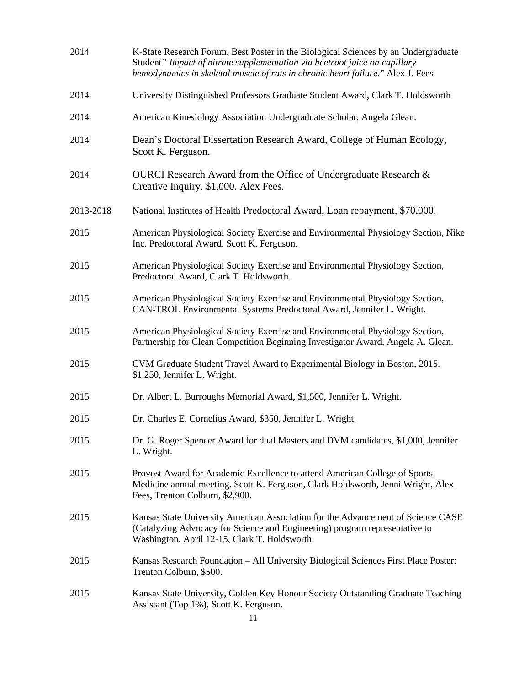| 2014      | K-State Research Forum, Best Poster in the Biological Sciences by an Undergraduate<br>Student" Impact of nitrate supplementation via beetroot juice on capillary<br>hemodynamics in skeletal muscle of rats in chronic heart failure." Alex J. Fees |
|-----------|-----------------------------------------------------------------------------------------------------------------------------------------------------------------------------------------------------------------------------------------------------|
| 2014      | University Distinguished Professors Graduate Student Award, Clark T. Holdsworth                                                                                                                                                                     |
| 2014      | American Kinesiology Association Undergraduate Scholar, Angela Glean.                                                                                                                                                                               |
| 2014      | Dean's Doctoral Dissertation Research Award, College of Human Ecology,<br>Scott K. Ferguson.                                                                                                                                                        |
| 2014      | OURCI Research Award from the Office of Undergraduate Research &<br>Creative Inquiry. \$1,000. Alex Fees.                                                                                                                                           |
| 2013-2018 | National Institutes of Health Predoctoral Award, Loan repayment, \$70,000.                                                                                                                                                                          |
| 2015      | American Physiological Society Exercise and Environmental Physiology Section, Nike<br>Inc. Predoctoral Award, Scott K. Ferguson.                                                                                                                    |
| 2015      | American Physiological Society Exercise and Environmental Physiology Section,<br>Predoctoral Award, Clark T. Holdsworth.                                                                                                                            |
| 2015      | American Physiological Society Exercise and Environmental Physiology Section,<br>CAN-TROL Environmental Systems Predoctoral Award, Jennifer L. Wright.                                                                                              |
| 2015      | American Physiological Society Exercise and Environmental Physiology Section,<br>Partnership for Clean Competition Beginning Investigator Award, Angela A. Glean.                                                                                   |
| 2015      | CVM Graduate Student Travel Award to Experimental Biology in Boston, 2015.<br>\$1,250, Jennifer L. Wright.                                                                                                                                          |
| 2015      | Dr. Albert L. Burroughs Memorial Award, \$1,500, Jennifer L. Wright.                                                                                                                                                                                |
| 2015      | Dr. Charles E. Cornelius Award, \$350, Jennifer L. Wright.                                                                                                                                                                                          |
| 2015      | Dr. G. Roger Spencer Award for dual Masters and DVM candidates, \$1,000, Jennifer<br>L. Wright.                                                                                                                                                     |
| 2015      | Provost Award for Academic Excellence to attend American College of Sports<br>Medicine annual meeting. Scott K. Ferguson, Clark Holdsworth, Jenni Wright, Alex<br>Fees, Trenton Colburn, \$2,900.                                                   |
| 2015      | Kansas State University American Association for the Advancement of Science CASE<br>(Catalyzing Advocacy for Science and Engineering) program representative to<br>Washington, April 12-15, Clark T. Holdsworth.                                    |
| 2015      | Kansas Research Foundation – All University Biological Sciences First Place Poster:<br>Trenton Colburn, \$500.                                                                                                                                      |
| 2015      | Kansas State University, Golden Key Honour Society Outstanding Graduate Teaching<br>Assistant (Top 1%), Scott K. Ferguson.                                                                                                                          |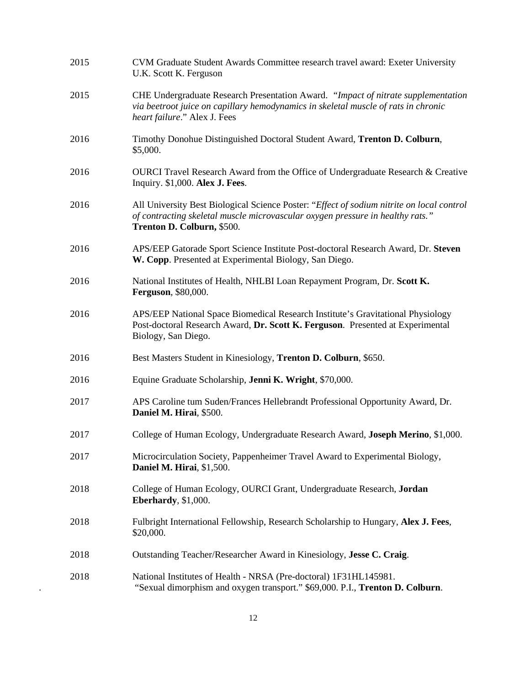| 2015 | CVM Graduate Student Awards Committee research travel award: Exeter University<br>U.K. Scott K. Ferguson                                                                                                  |
|------|-----------------------------------------------------------------------------------------------------------------------------------------------------------------------------------------------------------|
| 2015 | CHE Undergraduate Research Presentation Award. "Impact of nitrate supplementation<br>via beetroot juice on capillary hemodynamics in skeletal muscle of rats in chronic<br>heart failure." Alex J. Fees   |
| 2016 | Timothy Donohue Distinguished Doctoral Student Award, Trenton D. Colburn,<br>\$5,000.                                                                                                                     |
| 2016 | OURCI Travel Research Award from the Office of Undergraduate Research & Creative<br>Inquiry. \$1,000. Alex J. Fees.                                                                                       |
| 2016 | All University Best Biological Science Poster: "Effect of sodium nitrite on local control<br>of contracting skeletal muscle microvascular oxygen pressure in healthy rats."<br>Trenton D. Colburn, \$500. |
| 2016 | APS/EEP Gatorade Sport Science Institute Post-doctoral Research Award, Dr. Steven<br>W. Copp. Presented at Experimental Biology, San Diego.                                                               |
| 2016 | National Institutes of Health, NHLBI Loan Repayment Program, Dr. Scott K.<br><b>Ferguson</b> , \$80,000.                                                                                                  |
| 2016 | APS/EEP National Space Biomedical Research Institute's Gravitational Physiology<br>Post-doctoral Research Award, Dr. Scott K. Ferguson. Presented at Experimental<br>Biology, San Diego.                  |
| 2016 | Best Masters Student in Kinesiology, Trenton D. Colburn, \$650.                                                                                                                                           |
| 2016 | Equine Graduate Scholarship, Jenni K. Wright, \$70,000.                                                                                                                                                   |
| 2017 | APS Caroline tum Suden/Frances Hellebrandt Professional Opportunity Award, Dr.<br>Daniel M. Hirai, \$500.                                                                                                 |
| 2017 | College of Human Ecology, Undergraduate Research Award, Joseph Merino, \$1,000.                                                                                                                           |
| 2017 | Microcirculation Society, Pappenheimer Travel Award to Experimental Biology,<br>Daniel M. Hirai, \$1,500.                                                                                                 |
| 2018 | College of Human Ecology, OURCI Grant, Undergraduate Research, Jordan<br>Eberhardy, \$1,000.                                                                                                              |
| 2018 | Fulbright International Fellowship, Research Scholarship to Hungary, Alex J. Fees,<br>\$20,000.                                                                                                           |
| 2018 | Outstanding Teacher/Researcher Award in Kinesiology, Jesse C. Craig.                                                                                                                                      |
| 2018 | National Institutes of Health - NRSA (Pre-doctoral) 1F31HL145981.<br>"Sexual dimorphism and oxygen transport." \$69,000. P.I., Trenton D. Colburn.                                                        |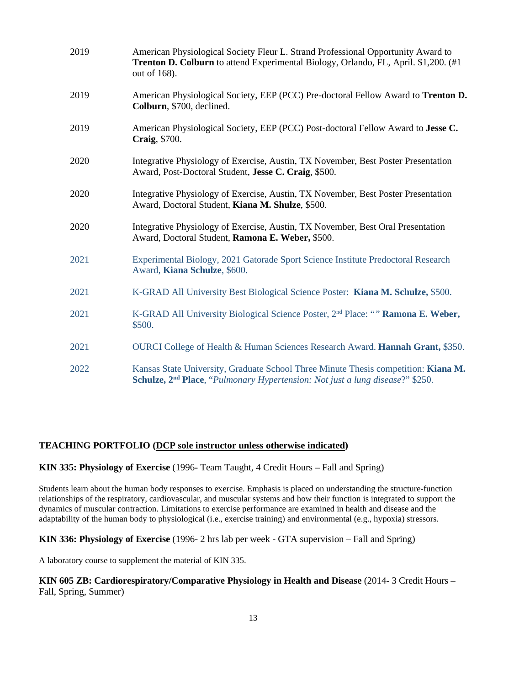| 2019 | American Physiological Society Fleur L. Strand Professional Opportunity Award to<br>Trenton D. Colburn to attend Experimental Biology, Orlando, FL, April. \$1,200. (#1<br>out of 168). |
|------|-----------------------------------------------------------------------------------------------------------------------------------------------------------------------------------------|
| 2019 | American Physiological Society, EEP (PCC) Pre-doctoral Fellow Award to Trenton D.<br>Colburn, \$700, declined.                                                                          |
| 2019 | American Physiological Society, EEP (PCC) Post-doctoral Fellow Award to Jesse C.<br>Craig, \$700.                                                                                       |
| 2020 | Integrative Physiology of Exercise, Austin, TX November, Best Poster Presentation<br>Award, Post-Doctoral Student, Jesse C. Craig, \$500.                                               |
| 2020 | Integrative Physiology of Exercise, Austin, TX November, Best Poster Presentation<br>Award, Doctoral Student, Kiana M. Shulze, \$500.                                                   |
| 2020 | Integrative Physiology of Exercise, Austin, TX November, Best Oral Presentation<br>Award, Doctoral Student, Ramona E. Weber, \$500.                                                     |
| 2021 | Experimental Biology, 2021 Gatorade Sport Science Institute Predoctoral Research<br>Award, Kiana Schulze, \$600.                                                                        |
| 2021 | K-GRAD All University Best Biological Science Poster: Kiana M. Schulze, \$500.                                                                                                          |
| 2021 | K-GRAD All University Biological Science Poster, 2 <sup>nd</sup> Place: "" Ramona E. Weber,<br>\$500.                                                                                   |
| 2021 | OURCI College of Health & Human Sciences Research Award. Hannah Grant, \$350.                                                                                                           |
| 2022 | Kansas State University, Graduate School Three Minute Thesis competition: Kiana M.<br>Schulze, 2 <sup>nd</sup> Place, "Pulmonary Hypertension: Not just a lung disease?" \$250.         |

# **TEACHING PORTFOLIO (DCP sole instructor unless otherwise indicated)**

### **KIN 335: Physiology of Exercise** (1996- Team Taught, 4 Credit Hours – Fall and Spring)

Students learn about the human body responses to exercise. Emphasis is placed on understanding the structure-function relationships of the respiratory, cardiovascular, and muscular systems and how their function is integrated to support the dynamics of muscular contraction. Limitations to exercise performance are examined in health and disease and the adaptability of the human body to physiological (i.e., exercise training) and environmental (e.g., hypoxia) stressors.

# **KIN 336: Physiology of Exercise** (1996- 2 hrs lab per week - GTA supervision – Fall and Spring)

A laboratory course to supplement the material of KIN 335.

# **KIN 605 ZB: Cardiorespiratory/Comparative Physiology in Health and Disease** (2014- 3 Credit Hours – Fall, Spring, Summer)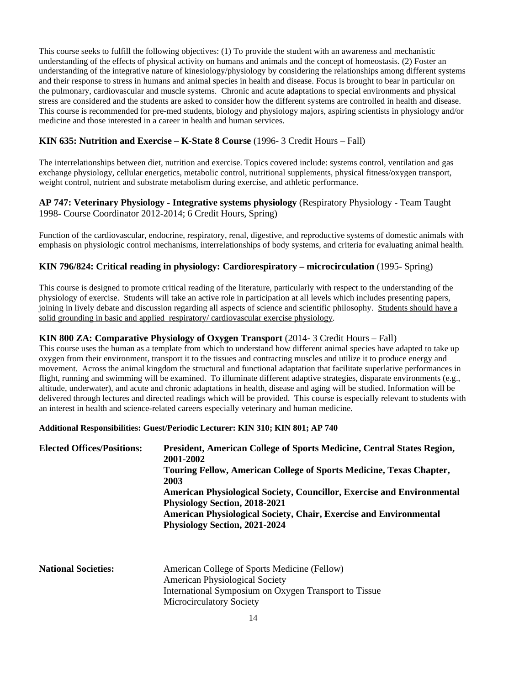This course seeks to fulfill the following objectives: (1) To provide the student with an awareness and mechanistic understanding of the effects of physical activity on humans and animals and the concept of homeostasis. (2) Foster an understanding of the integrative nature of kinesiology/physiology by considering the relationships among different systems and their response to stress in humans and animal species in health and disease. Focus is brought to bear in particular on the pulmonary, cardiovascular and muscle systems. Chronic and acute adaptations to special environments and physical stress are considered and the students are asked to consider how the different systems are controlled in health and disease. This course is recommended for pre-med students, biology and physiology majors, aspiring scientists in physiology and/or medicine and those interested in a career in health and human services.

# **KIN 635: Nutrition and Exercise – K-State 8 Course** (1996- 3 Credit Hours – Fall)

The interrelationships between diet, nutrition and exercise. Topics covered include: systems control, ventilation and gas exchange physiology, cellular energetics, metabolic control, nutritional supplements, physical fitness/oxygen transport, weight control, nutrient and substrate metabolism during exercise, and athletic performance.

# **AP 747: Veterinary Physiology - Integrative systems physiology** (Respiratory Physiology - Team Taught 1998- Course Coordinator 2012-2014; 6 Credit Hours, Spring)

Function of the cardiovascular, endocrine, respiratory, renal, digestive, and reproductive systems of domestic animals with emphasis on physiologic control mechanisms, interrelationships of body systems, and criteria for evaluating animal health.

# **KIN 796/824: Critical reading in physiology: Cardiorespiratory – microcirculation** (1995- Spring)

This course is designed to promote critical reading of the literature, particularly with respect to the understanding of the physiology of exercise. Students will take an active role in participation at all levels which includes presenting papers, joining in lively debate and discussion regarding all aspects of science and scientific philosophy. Students should have a solid grounding in basic and applied respiratory/ cardiovascular exercise physiology.

# **KIN 800 ZA: Comparative Physiology of Oxygen Transport** (2014- 3 Credit Hours – Fall)

This course uses the human as a template from which to understand how different animal species have adapted to take up oxygen from their environment, transport it to the tissues and contracting muscles and utilize it to produce energy and movement. Across the animal kingdom the structural and functional adaptation that facilitate superlative performances in flight, running and swimming will be examined. To illuminate different adaptive strategies, disparate environments (e.g., altitude, underwater), and acute and chronic adaptations in health, disease and aging will be studied. Information will be delivered through lectures and directed readings which will be provided. This course is especially relevant to students with an interest in health and science-related careers especially veterinary and human medicine.

#### **Additional Responsibilities: Guest/Periodic Lecturer: KIN 310; KIN 801; AP 740**

| <b>Elected Offices/Positions:</b> | President, American College of Sports Medicine, Central States Region,<br>2001-2002<br><b>Touring Fellow, American College of Sports Medicine, Texas Chapter,</b><br>2003<br>American Physiological Society, Councillor, Exercise and Environmental<br>Physiology Section, 2018-2021<br>American Physiological Society, Chair, Exercise and Environmental<br><b>Physiology Section, 2021-2024</b> |
|-----------------------------------|---------------------------------------------------------------------------------------------------------------------------------------------------------------------------------------------------------------------------------------------------------------------------------------------------------------------------------------------------------------------------------------------------|
| <b>National Societies:</b>        | American College of Sports Medicine (Fellow)<br><b>American Physiological Society</b><br>International Symposium on Oxygen Transport to Tissue                                                                                                                                                                                                                                                    |

Microcirculatory Society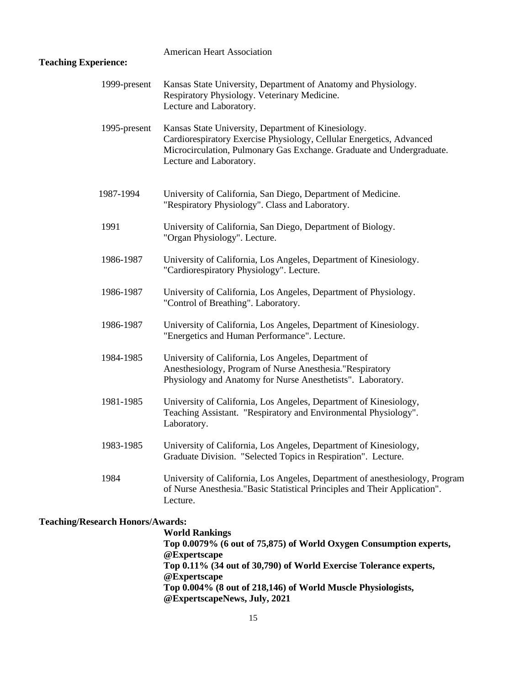# American Heart Association **Teaching Experience:** 1999-present Kansas State University, Department of Anatomy and Physiology. Respiratory Physiology. Veterinary Medicine. Lecture and Laboratory. 1995-present Kansas State University, Department of Kinesiology. Cardiorespiratory Exercise Physiology, Cellular Energetics, Advanced Microcirculation, Pulmonary Gas Exchange. Graduate and Undergraduate. Lecture and Laboratory. 1987-1994 University of California, San Diego, Department of Medicine. "Respiratory Physiology". Class and Laboratory. 1991 University of California, San Diego, Department of Biology. "Organ Physiology". Lecture. 1986-1987 University of California, Los Angeles, Department of Kinesiology. "Cardiorespiratory Physiology". Lecture. 1986-1987 University of California, Los Angeles, Department of Physiology. "Control of Breathing". Laboratory. 1986-1987 University of California, Los Angeles, Department of Kinesiology. "Energetics and Human Performance". Lecture. 1984-1985 University of California, Los Angeles, Department of Anesthesiology, Program of Nurse Anesthesia."Respiratory Physiology and Anatomy for Nurse Anesthetists". Laboratory. 1981-1985 University of California, Los Angeles, Department of Kinesiology, Teaching Assistant. "Respiratory and Environmental Physiology". Laboratory. 1983-1985 University of California, Los Angeles, Department of Kinesiology, Graduate Division. "Selected Topics in Respiration". Lecture. 1984 University of California, Los Angeles, Department of anesthesiology, Program of Nurse Anesthesia."Basic Statistical Principles and Their Application". Lecture.

# **Teaching/Research Honors/Awards:**

 **World Rankings Top 0.0079% (6 out of 75,875) of World Oxygen Consumption experts, @Expertscape Top 0.11% (34 out of 30,790) of World Exercise Tolerance experts, @Expertscape Top 0.004% (8 out of 218,146) of World Muscle Physiologists, @ExpertscapeNews, July, 2021**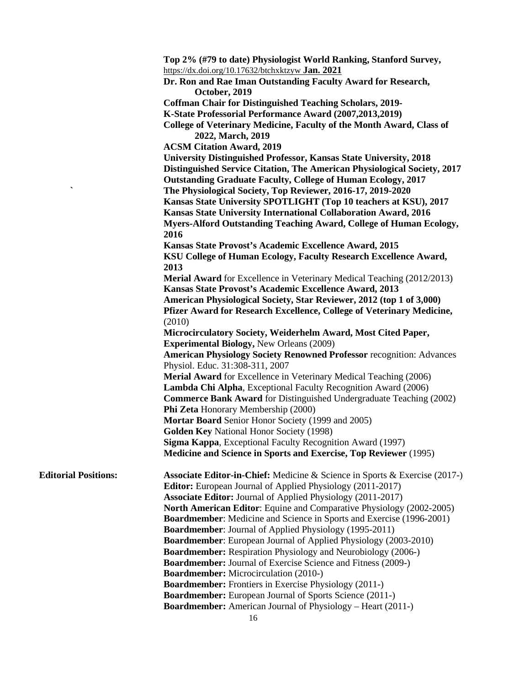|                             | Top 2% (#79 to date) Physiologist World Ranking, Stanford Survey,                                                               |
|-----------------------------|---------------------------------------------------------------------------------------------------------------------------------|
|                             | https://dx.doi.org/10.17632/btchxktzyw Jan. $2021$                                                                              |
|                             | Dr. Ron and Rae Iman Outstanding Faculty Award for Research,                                                                    |
|                             | October, 2019                                                                                                                   |
|                             | <b>Coffman Chair for Distinguished Teaching Scholars, 2019-</b>                                                                 |
|                             | K-State Professorial Performance Award (2007,2013,2019)                                                                         |
|                             | College of Veterinary Medicine, Faculty of the Month Award, Class of                                                            |
|                             | 2022, March, 2019                                                                                                               |
|                             | <b>ACSM Citation Award, 2019</b>                                                                                                |
|                             | University Distinguished Professor, Kansas State University, 2018                                                               |
|                             | Distinguished Service Citation, The American Physiological Society, 2017                                                        |
| $\hat{\phantom{a}}$         | <b>Outstanding Graduate Faculty, College of Human Ecology, 2017</b>                                                             |
|                             | The Physiological Society, Top Reviewer, 2016-17, 2019-2020<br>Kansas State University SPOTLIGHT (Top 10 teachers at KSU), 2017 |
|                             | Kansas State University International Collaboration Award, 2016                                                                 |
|                             | Myers-Alford Outstanding Teaching Award, College of Human Ecology,                                                              |
|                             | 2016                                                                                                                            |
|                             | Kansas State Provost's Academic Excellence Award, 2015                                                                          |
|                             | KSU College of Human Ecology, Faculty Research Excellence Award,                                                                |
|                             | 2013                                                                                                                            |
|                             | <b>Merial Award</b> for Excellence in Veterinary Medical Teaching (2012/2013)                                                   |
|                             | Kansas State Provost's Academic Excellence Award, 2013                                                                          |
|                             | American Physiological Society, Star Reviewer, 2012 (top 1 of 3,000)                                                            |
|                             | Pfizer Award for Research Excellence, College of Veterinary Medicine,                                                           |
|                             | (2010)                                                                                                                          |
|                             | Microcirculatory Society, Weiderhelm Award, Most Cited Paper,                                                                   |
|                             | <b>Experimental Biology, New Orleans (2009)</b>                                                                                 |
|                             | <b>American Physiology Society Renowned Professor recognition: Advances</b>                                                     |
|                             | Physiol. Educ. 31:308-311, 2007                                                                                                 |
|                             | Merial Award for Excellence in Veterinary Medical Teaching (2006)                                                               |
|                             | Lambda Chi Alpha, Exceptional Faculty Recognition Award (2006)                                                                  |
|                             | <b>Commerce Bank Award</b> for Distinguished Undergraduate Teaching (2002)<br>Phi Zeta Honorary Membership (2000)               |
|                             | Mortar Board Senior Honor Society (1999 and 2005)                                                                               |
|                             | <b>Golden Key National Honor Society (1998)</b>                                                                                 |
|                             | Sigma Kappa, Exceptional Faculty Recognition Award (1997)                                                                       |
|                             | <b>Medicine and Science in Sports and Exercise, Top Reviewer (1995)</b>                                                         |
|                             |                                                                                                                                 |
| <b>Editorial Positions:</b> | Associate Editor-in-Chief: Medicine & Science in Sports & Exercise (2017-)                                                      |
|                             | <b>Editor:</b> European Journal of Applied Physiology (2011-2017)                                                               |
|                             | <b>Associate Editor:</b> Journal of Applied Physiology (2011-2017)                                                              |
|                             | <b>North American Editor:</b> Equine and Comparative Physiology (2002-2005)                                                     |
|                             | <b>Boardmember:</b> Medicine and Science in Sports and Exercise (1996-2001)                                                     |
|                             | <b>Boardmember:</b> Journal of Applied Physiology (1995-2011)                                                                   |
|                             | <b>Boardmember:</b> European Journal of Applied Physiology (2003-2010)                                                          |
|                             | <b>Boardmember:</b> Respiration Physiology and Neurobiology (2006-)                                                             |
|                             | <b>Boardmember:</b> Journal of Exercise Science and Fitness (2009-)                                                             |
|                             | <b>Boardmember:</b> Microcirculation (2010-)                                                                                    |
|                             | <b>Boardmember:</b> Frontiers in Exercise Physiology (2011-)                                                                    |
|                             | Boardmember: European Journal of Sports Science (2011-)<br><b>Boardmember:</b> American Journal of Physiology - Heart (2011-)   |
|                             |                                                                                                                                 |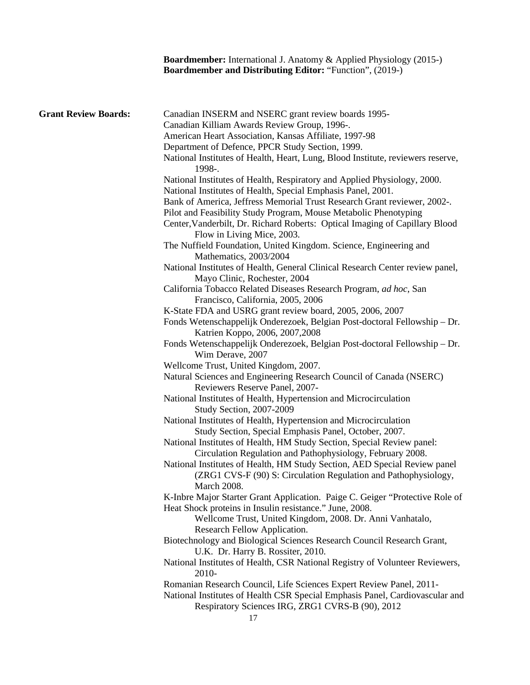|                             | <b>Boardmember:</b> International J. Anatomy & Applied Physiology (2015-)<br><b>Boardmember and Distributing Editor: "Function", (2019-)</b>                       |
|-----------------------------|--------------------------------------------------------------------------------------------------------------------------------------------------------------------|
| <b>Grant Review Boards:</b> | Canadian INSERM and NSERC grant review boards 1995-                                                                                                                |
|                             | Canadian Killiam Awards Review Group, 1996-.                                                                                                                       |
|                             | American Heart Association, Kansas Affiliate, 1997-98                                                                                                              |
|                             | Department of Defence, PPCR Study Section, 1999.                                                                                                                   |
|                             | National Institutes of Health, Heart, Lung, Blood Institute, reviewers reserve,<br>1998-.                                                                          |
|                             | National Institutes of Health, Respiratory and Applied Physiology, 2000.                                                                                           |
|                             | National Institutes of Health, Special Emphasis Panel, 2001.                                                                                                       |
|                             | Bank of America, Jeffress Memorial Trust Research Grant reviewer, 2002-.                                                                                           |
|                             | Pilot and Feasibility Study Program, Mouse Metabolic Phenotyping                                                                                                   |
|                             | Center, Vanderbilt, Dr. Richard Roberts: Optical Imaging of Capillary Blood<br>Flow in Living Mice, 2003.                                                          |
|                             | The Nuffield Foundation, United Kingdom. Science, Engineering and                                                                                                  |
|                             | Mathematics, 2003/2004                                                                                                                                             |
|                             | National Institutes of Health, General Clinical Research Center review panel,                                                                                      |
|                             | Mayo Clinic, Rochester, 2004                                                                                                                                       |
|                             | California Tobacco Related Diseases Research Program, ad hoc, San                                                                                                  |
|                             | Francisco, California, 2005, 2006                                                                                                                                  |
|                             | K-State FDA and USRG grant review board, 2005, 2006, 2007                                                                                                          |
|                             | Fonds Wetenschappelijk Onderezoek, Belgian Post-doctoral Fellowship - Dr.<br>Katrien Koppo, 2006, 2007, 2008                                                       |
|                             | Fonds Wetenschappelijk Onderezoek, Belgian Post-doctoral Fellowship - Dr.<br>Wim Derave, 2007                                                                      |
|                             | Wellcome Trust, United Kingdom, 2007.                                                                                                                              |
|                             | Natural Sciences and Engineering Research Council of Canada (NSERC)<br>Reviewers Reserve Panel, 2007-                                                              |
|                             | National Institutes of Health, Hypertension and Microcirculation<br>Study Section, 2007-2009                                                                       |
|                             | National Institutes of Health, Hypertension and Microcirculation                                                                                                   |
|                             | Study Section, Special Emphasis Panel, October, 2007.                                                                                                              |
|                             | National Institutes of Health, HM Study Section, Special Review panel:                                                                                             |
|                             | Circulation Regulation and Pathophysiology, February 2008.                                                                                                         |
|                             | National Institutes of Health, HM Study Section, AED Special Review panel<br>(ZRG1 CVS-F (90) S: Circulation Regulation and Pathophysiology,<br><b>March 2008.</b> |
|                             | K-Inbre Major Starter Grant Application. Paige C. Geiger "Protective Role of                                                                                       |
|                             | Heat Shock proteins in Insulin resistance." June, 2008.<br>Wellcome Trust, United Kingdom, 2008. Dr. Anni Vanhatalo,                                               |
|                             | Research Fellow Application.                                                                                                                                       |
|                             | Biotechnology and Biological Sciences Research Council Research Grant,                                                                                             |
|                             | U.K. Dr. Harry B. Rossiter, 2010.                                                                                                                                  |
|                             | National Institutes of Health, CSR National Registry of Volunteer Reviewers,<br>2010-                                                                              |
|                             | Romanian Research Council, Life Sciences Expert Review Panel, 2011-                                                                                                |
|                             | National Institutes of Health CSR Special Emphasis Panel, Cardiovascular and<br>Respiratory Sciences IRG, ZRG1 CVRS-B (90), 2012                                   |
|                             | 17                                                                                                                                                                 |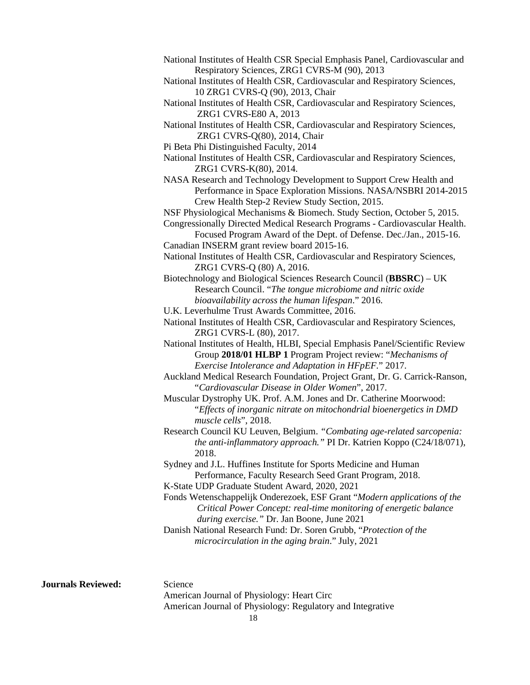| National Institutes of Health CSR Special Emphasis Panel, Cardiovascular and |  |
|------------------------------------------------------------------------------|--|
| Respiratory Sciences, ZRG1 CVRS-M (90), 2013                                 |  |

National Institutes of Health CSR, Cardiovascular and Respiratory Sciences, 10 ZRG1 CVRS-Q (90), 2013, Chair

National Institutes of Health CSR, Cardiovascular and Respiratory Sciences, ZRG1 CVRS-E80 A, 2013

National Institutes of Health CSR, Cardiovascular and Respiratory Sciences, ZRG1 CVRS-Q(80), 2014, Chair

Pi Beta Phi Distinguished Faculty, 2014

National Institutes of Health CSR, Cardiovascular and Respiratory Sciences, ZRG1 CVRS-K(80), 2014.

NASA Research and Technology Development to Support Crew Health and Performance in Space Exploration Missions. NASA/NSBRI 2014-2015 Crew Health Step-2 Review Study Section, 2015.

 NSF Physiological Mechanisms & Biomech. Study Section, October 5, 2015. Congressionally Directed Medical Research Programs - Cardiovascular Health.

Focused Program Award of the Dept. of Defense. Dec./Jan., 2015-16. Canadian INSERM grant review board 2015-16.

National Institutes of Health CSR, Cardiovascular and Respiratory Sciences, ZRG1 CVRS-Q (80) A, 2016.

Biotechnology and Biological Sciences Research Council (**BBSRC**) – UK Research Council. "*The tongue microbiome and nitric oxide bioavailability across the human lifespan*." 2016.

U.K. Leverhulme Trust Awards Committee, 2016.

National Institutes of Health CSR, Cardiovascular and Respiratory Sciences, ZRG1 CVRS-L (80), 2017.

 National Institutes of Health, HLBI, Special Emphasis Panel/Scientific Review Group **2018/01 HLBP 1** Program Project review: "*Mechanisms of Exercise Intolerance and Adaptation in HFpEF.*" 2017.

 Auckland Medical Research Foundation, Project Grant, Dr. G. Carrick-Ranson, "*Cardiovascular Disease in Older Women*", 2017.

 Muscular Dystrophy UK. Prof. A.M. Jones and Dr. Catherine Moorwood: "*Effects of inorganic nitrate on mitochondrial bioenergetics in DMD muscle cells*", 2018.

 Research Council KU Leuven, Belgium. *"Combating age-related sarcopenia: the anti-inflammatory approach."* PI Dr. Katrien Koppo (C24/18/071), 2018.

Sydney and J.L. Huffines Institute for Sports Medicine and Human Performance, Faculty Research Seed Grant Program, 2018.

K-State UDP Graduate Student Award, 2020, 2021

 Fonds Wetenschappelijk Onderezoek, ESF Grant "*Modern applications of the Critical Power Concept: real-time monitoring of energetic balance during exercise."* Dr. Jan Boone, June 2021

 Danish National Research Fund: Dr. Soren Grubb, "*Protection of the microcirculation in the aging brain*." July, 2021

**Journals Reviewed:** Science

 American Journal of Physiology: Heart Circ American Journal of Physiology: Regulatory and Integrative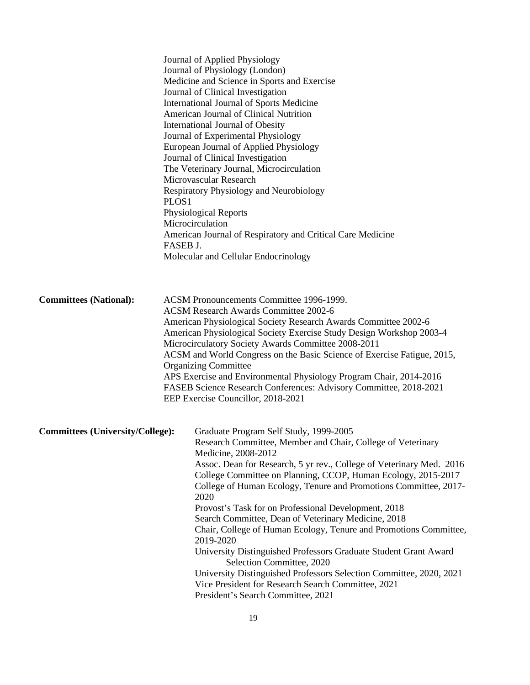|                                         | Journal of Applied Physiology<br>Journal of Physiology (London)<br>Journal of Clinical Investigation<br>International Journal of Obesity<br>Journal of Experimental Physiology<br>Journal of Clinical Investigation<br>Microvascular Research<br>PLOS1<br>Physiological Reports<br>Microcirculation<br>FASEB J. | Medicine and Science in Sports and Exercise<br>International Journal of Sports Medicine<br>American Journal of Clinical Nutrition<br>European Journal of Applied Physiology<br>The Veterinary Journal, Microcirculation<br>Respiratory Physiology and Neurobiology<br>American Journal of Respiratory and Critical Care Medicine<br>Molecular and Cellular Endocrinology                                                                                                                                                                                                                                                                                                                                                                                                                          |  |
|-----------------------------------------|-----------------------------------------------------------------------------------------------------------------------------------------------------------------------------------------------------------------------------------------------------------------------------------------------------------------|---------------------------------------------------------------------------------------------------------------------------------------------------------------------------------------------------------------------------------------------------------------------------------------------------------------------------------------------------------------------------------------------------------------------------------------------------------------------------------------------------------------------------------------------------------------------------------------------------------------------------------------------------------------------------------------------------------------------------------------------------------------------------------------------------|--|
| <b>Committees (National):</b>           | <b>Organizing Committee</b>                                                                                                                                                                                                                                                                                     | ACSM Pronouncements Committee 1996-1999.<br><b>ACSM Research Awards Committee 2002-6</b><br>American Physiological Society Research Awards Committee 2002-6<br>American Physiological Society Exercise Study Design Workshop 2003-4<br>Microcirculatory Society Awards Committee 2008-2011<br>ACSM and World Congress on the Basic Science of Exercise Fatigue, 2015,<br>APS Exercise and Environmental Physiology Program Chair, 2014-2016                                                                                                                                                                                                                                                                                                                                                       |  |
|                                         | FASEB Science Research Conferences: Advisory Committee, 2018-2021<br>EEP Exercise Councillor, 2018-2021                                                                                                                                                                                                         |                                                                                                                                                                                                                                                                                                                                                                                                                                                                                                                                                                                                                                                                                                                                                                                                   |  |
| <b>Committees (University/College):</b> | 2020<br>2019-2020                                                                                                                                                                                                                                                                                               | Graduate Program Self Study, 1999-2005<br>Research Committee, Member and Chair, College of Veterinary<br>Medicine, 2008-2012<br>Assoc. Dean for Research, 5 yr rev., College of Veterinary Med. 2016<br>College Committee on Planning, CCOP, Human Ecology, 2015-2017<br>College of Human Ecology, Tenure and Promotions Committee, 2017-<br>Provost's Task for on Professional Development, 2018<br>Search Committee, Dean of Veterinary Medicine, 2018<br>Chair, College of Human Ecology, Tenure and Promotions Committee,<br>University Distinguished Professors Graduate Student Grant Award<br>Selection Committee, 2020<br>University Distinguished Professors Selection Committee, 2020, 2021<br>Vice President for Research Search Committee, 2021<br>President's Search Committee, 2021 |  |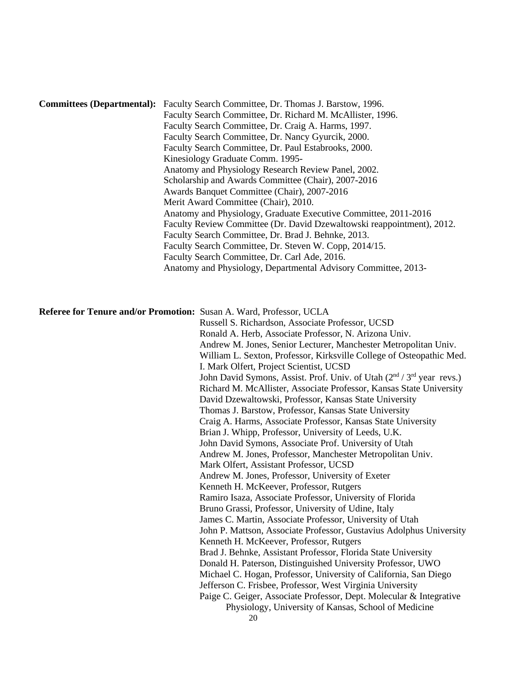| <b>Committees (Departmental):</b> Faculty Search Committee, Dr. Thomas J. Barstow, 1996. |
|------------------------------------------------------------------------------------------|
| Faculty Search Committee, Dr. Richard M. McAllister, 1996.                               |
| Faculty Search Committee, Dr. Craig A. Harms, 1997.                                      |
| Faculty Search Committee, Dr. Nancy Gyurcik, 2000.                                       |
| Faculty Search Committee, Dr. Paul Estabrooks, 2000.                                     |
| Kinesiology Graduate Comm. 1995-                                                         |
| Anatomy and Physiology Research Review Panel, 2002.                                      |
| Scholarship and Awards Committee (Chair), 2007-2016                                      |
| Awards Banquet Committee (Chair), 2007-2016                                              |
| Merit Award Committee (Chair), 2010.                                                     |
| Anatomy and Physiology, Graduate Executive Committee, 2011-2016                          |
| Faculty Review Committee (Dr. David Dzewaltowski reappointment), 2012.                   |
| Faculty Search Committee, Dr. Brad J. Behnke, 2013.                                      |
| Faculty Search Committee, Dr. Steven W. Copp, 2014/15.                                   |
| Faculty Search Committee, Dr. Carl Ade, 2016.                                            |
| Anatomy and Physiology, Departmental Advisory Committee, 2013-                           |

#### **Referee for Tenure and/or Promotion:** Susan A. Ward, Professor, UCLA

 Russell S. Richardson, Associate Professor, UCSD Ronald A. Herb, Associate Professor, N. Arizona Univ. Andrew M. Jones, Senior Lecturer, Manchester Metropolitan Univ. William L. Sexton, Professor, Kirksville College of Osteopathic Med. I. Mark Olfert, Project Scientist, UCSD John David Symons, Assist. Prof. Univ. of Utah  $(2<sup>nd</sup> / 3<sup>rd</sup>$  year revs.) Richard M. McAllister, Associate Professor, Kansas State University David Dzewaltowski, Professor, Kansas State University Thomas J. Barstow, Professor, Kansas State University Craig A. Harms, Associate Professor, Kansas State University Brian J. Whipp, Professor, University of Leeds, U.K. John David Symons, Associate Prof. University of Utah Andrew M. Jones, Professor, Manchester Metropolitan Univ. Mark Olfert, Assistant Professor, UCSD Andrew M. Jones, Professor, University of Exeter Kenneth H. McKeever, Professor, Rutgers Ramiro Isaza, Associate Professor, University of Florida Bruno Grassi, Professor, University of Udine, Italy James C. Martin, Associate Professor, University of Utah John P. Mattson, Associate Professor, Gustavius Adolphus University Kenneth H. McKeever, Professor, Rutgers Brad J. Behnke, Assistant Professor, Florida State University Donald H. Paterson, Distinguished University Professor, UWO Michael C. Hogan, Professor, University of California, San Diego Jefferson C. Frisbee, Professor, West Virginia University Paige C. Geiger, Associate Professor, Dept. Molecular & Integrative Physiology, University of Kansas, School of Medicine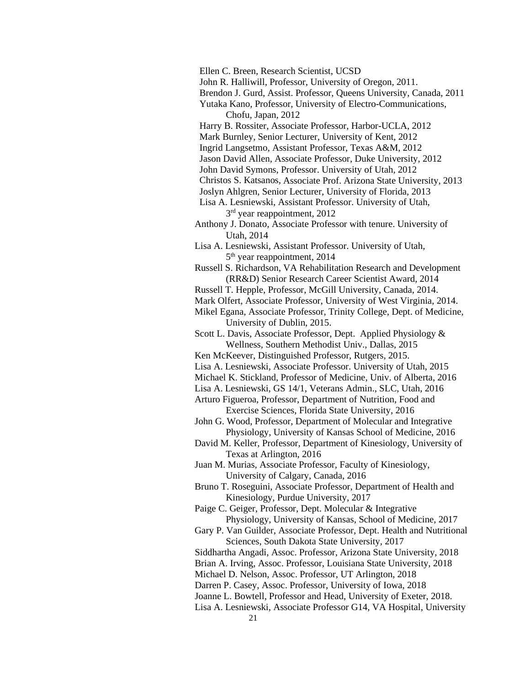Ellen C. Breen, Research Scientist, UCSD

John R. Halliwill, Professor, University of Oregon, 2011.

Brendon J. Gurd, Assist. Professor, Queens University, Canada, 2011

 Yutaka Kano, Professor, University of Electro-Communications, Chofu, Japan, 2012

Harry B. Rossiter, Associate Professor, Harbor-UCLA, 2012

Mark Burnley, Senior Lecturer, University of Kent, 2012

Ingrid Langsetmo, Assistant Professor, Texas A&M, 2012

Jason David Allen, Associate Professor, Duke University, 2012

John David Symons, Professor. University of Utah, 2012

Christos S. Katsanos, Associate Prof. Arizona State University, 2013

Joslyn Ahlgren, Senior Lecturer, University of Florida, 2013

 Lisa A. Lesniewski, Assistant Professor. University of Utah,  $3<sup>rd</sup>$  year reappointment, 2012

 Anthony J. Donato, Associate Professor with tenure. University of Utah, 2014

 Lisa A. Lesniewski, Assistant Professor. University of Utah, 5th year reappointment, 2014

 Russell S. Richardson, VA Rehabilitation Research and Development (RR&D) Senior Research Career Scientist Award, 2014

Russell T. Hepple, Professor, McGill University, Canada, 2014.

Mark Olfert, Associate Professor, University of West Virginia, 2014.

Mikel Egana, Associate Professor, Trinity College, Dept. of Medicine, University of Dublin, 2015.

Scott L. Davis, Associate Professor, Dept. Applied Physiology & Wellness, Southern Methodist Univ., Dallas, 2015

Ken McKeever, Distinguished Professor, Rutgers, 2015.

Lisa A. Lesniewski, Associate Professor. University of Utah, 2015

Michael K. Stickland, Professor of Medicine, Univ. of Alberta, 2016

Lisa A. Lesniewski, GS 14/1, Veterans Admin., SLC, Utah, 2016

Arturo Figueroa, Professor, Department of Nutrition, Food and Exercise Sciences, Florida State University, 2016

John G. Wood, Professor, Department of Molecular and Integrative Physiology, University of Kansas School of Medicine, 2016

David M. Keller, Professor, Department of Kinesiology, University of Texas at Arlington, 2016

 Juan M. Murias, Associate Professor, Faculty of Kinesiology, University of Calgary, Canada, 2016

 Bruno T. Roseguini, Associate Professor, Department of Health and Kinesiology, Purdue University, 2017

 Paige C. Geiger, Professor, Dept. Molecular & Integrative Physiology, University of Kansas, School of Medicine, 2017

 Gary P. Van Guilder, Associate Professor, Dept. Health and Nutritional Sciences, South Dakota State University, 2017

Siddhartha Angadi, Assoc. Professor, Arizona State University, 2018

Brian A. Irving, Assoc. Professor, Louisiana State University, 2018

Michael D. Nelson, Assoc. Professor, UT Arlington, 2018

Darren P. Casey, Assoc. Professor, University of Iowa, 2018

Joanne L. Bowtell, Professor and Head, University of Exeter, 2018.

Lisa A. Lesniewski, Associate Professor G14, VA Hospital, University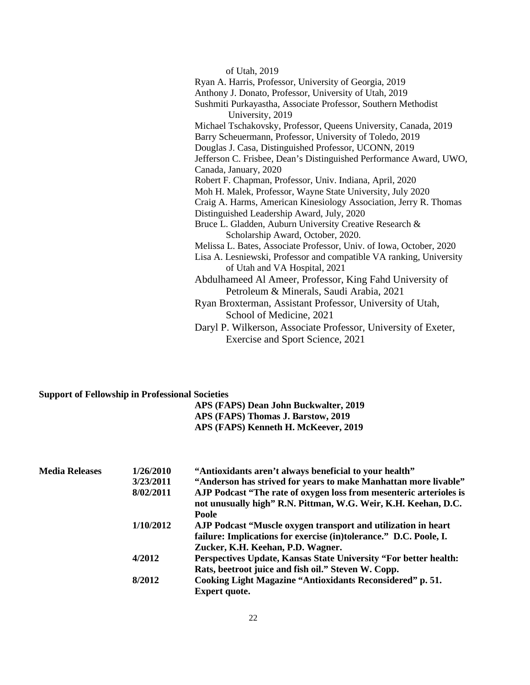| of Utah, 2019                                                       |
|---------------------------------------------------------------------|
| Ryan A. Harris, Professor, University of Georgia, 2019              |
| Anthony J. Donato, Professor, University of Utah, 2019              |
| Sushmiti Purkayastha, Associate Professor, Southern Methodist       |
| University, 2019                                                    |
| Michael Tschakovsky, Professor, Queens University, Canada, 2019     |
| Barry Scheuermann, Professor, University of Toledo, 2019            |
| Douglas J. Casa, Distinguished Professor, UCONN, 2019               |
| Jefferson C. Frisbee, Dean's Distinguished Performance Award, UWO,  |
| Canada, January, 2020                                               |
| Robert F. Chapman, Professor, Univ. Indiana, April, 2020            |
| Moh H. Malek, Professor, Wayne State University, July 2020          |
| Craig A. Harms, American Kinesiology Association, Jerry R. Thomas   |
| Distinguished Leadership Award, July, 2020                          |
| Bruce L. Gladden, Auburn University Creative Research &             |
| Scholarship Award, October, 2020.                                   |
| Melissa L. Bates, Associate Professor, Univ. of Iowa, October, 2020 |
| Lisa A. Lesniewski, Professor and compatible VA ranking, University |
| of Utah and VA Hospital, 2021                                       |
| Abdulhameed Al Ameer, Professor, King Fahd University of            |
| Petroleum & Minerals, Saudi Arabia, 2021                            |
| Ryan Broxterman, Assistant Professor, University of Utah,           |
| School of Medicine, 2021                                            |
| Daryl P. Wilkerson, Associate Professor, University of Exeter,      |
| Exercise and Sport Science, 2021                                    |
|                                                                     |

# **Support of Fellowship in Professional Societies**

| APS (FAPS) Dean John Buckwalter, 2019 |
|---------------------------------------|
| APS (FAPS) Thomas J. Barstow, 2019    |
| APS (FAPS) Kenneth H. McKeever, 2019  |

| <b>Media Releases</b> | 1/26/2010 | "Antioxidants aren't always beneficial to your health"                                                                               |
|-----------------------|-----------|--------------------------------------------------------------------------------------------------------------------------------------|
|                       | 3/23/2011 | "Anderson has strived for years to make Manhattan more livable"                                                                      |
|                       | 8/02/2011 | AJP Podcast "The rate of oxygen loss from mesenteric arterioles is<br>not unusually high" R.N. Pittman, W.G. Weir, K.H. Keehan, D.C. |
|                       |           | Poole                                                                                                                                |
|                       | 1/10/2012 | AJP Podcast "Muscle oxygen transport and utilization in heart                                                                        |
|                       |           | failure: Implications for exercise (in)tolerance." D.C. Poole, I.                                                                    |
|                       |           | Zucker, K.H. Keehan, P.D. Wagner.                                                                                                    |
|                       | 4/2012    | Perspectives Update, Kansas State University "For better health:                                                                     |
|                       |           | Rats, beetroot juice and fish oil." Steven W. Copp.                                                                                  |
|                       | 8/2012    | Cooking Light Magazine "Antioxidants Reconsidered" p. 51.                                                                            |
|                       |           | <b>Expert quote.</b>                                                                                                                 |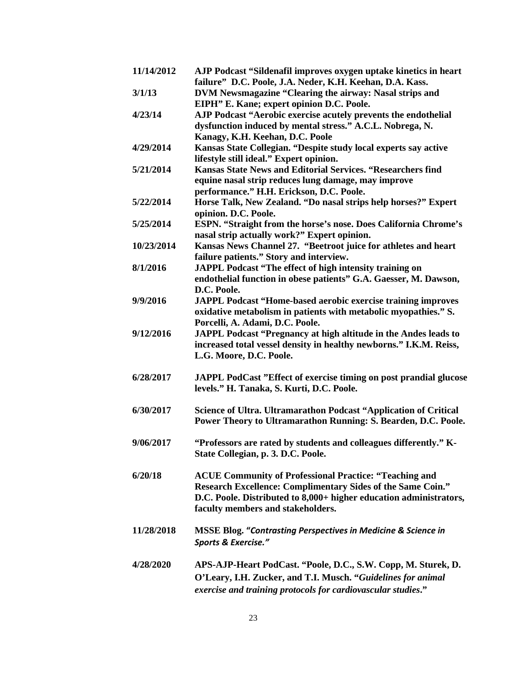| 11/14/2012 | AJP Podcast "Sildenafil improves oxygen uptake kinetics in heart<br>failure" D.C. Poole, J.A. Neder, K.H. Keehan, D.A. Kass. |
|------------|------------------------------------------------------------------------------------------------------------------------------|
| 3/1/13     | DVM Newsmagazine "Clearing the airway: Nasal strips and                                                                      |
| 4/23/14    | EIPH" E. Kane; expert opinion D.C. Poole.<br>AJP Podcast "Aerobic exercise acutely prevents the endothelial                  |
|            | dysfunction induced by mental stress." A.C.L. Nobrega, N.                                                                    |
|            | Kanagy, K.H. Keehan, D.C. Poole                                                                                              |
| 4/29/2014  | Kansas State Collegian. "Despite study local experts say active                                                              |
|            | lifestyle still ideal." Expert opinion.                                                                                      |
| 5/21/2014  | Kansas State News and Editorial Services. "Researchers find                                                                  |
|            | equine nasal strip reduces lung damage, may improve                                                                          |
|            | performance." H.H. Erickson, D.C. Poole.                                                                                     |
| 5/22/2014  | Horse Talk, New Zealand. "Do nasal strips help horses?" Expert                                                               |
|            | opinion. D.C. Poole.                                                                                                         |
| 5/25/2014  | ESPN. "Straight from the horse's nose. Does California Chrome's                                                              |
|            | nasal strip actually work?" Expert opinion.                                                                                  |
| 10/23/2014 | Kansas News Channel 27. "Beetroot juice for athletes and heart                                                               |
|            | failure patients." Story and interview.                                                                                      |
| 8/1/2016   | JAPPL Podcast "The effect of high intensity training on                                                                      |
|            | endothelial function in obese patients" G.A. Gaesser, M. Dawson,                                                             |
|            | D.C. Poole.                                                                                                                  |
| 9/9/2016   | <b>JAPPL Podcast "Home-based aerobic exercise training improves</b>                                                          |
|            | oxidative metabolism in patients with metabolic myopathies." S.                                                              |
|            | Porcelli, A. Adami, D.C. Poole.                                                                                              |
| 9/12/2016  | JAPPL Podcast "Pregnancy at high altitude in the Andes leads to                                                              |
|            | increased total vessel density in healthy newborns." I.K.M. Reiss,                                                           |
|            | L.G. Moore, D.C. Poole.                                                                                                      |
|            |                                                                                                                              |
| 6/28/2017  | JAPPL PodCast "Effect of exercise timing on post prandial glucose                                                            |
|            | levels." H. Tanaka, S. Kurti, D.C. Poole.                                                                                    |
|            |                                                                                                                              |
| 6/30/2017  | Science of Ultra. Ultramarathon Podcast "Application of Critical                                                             |
|            | Power Theory to Ultramarathon Running: S. Bearden, D.C. Poole.                                                               |
|            |                                                                                                                              |
| 9/06/2017  | "Professors are rated by students and colleagues differently." K-                                                            |
|            | State Collegian, p. 3. D.C. Poole.                                                                                           |
|            |                                                                                                                              |
| 6/20/18    | <b>ACUE Community of Professional Practice: "Teaching and</b>                                                                |
|            | <b>Research Excellence: Complimentary Sides of the Same Coin."</b>                                                           |
|            | D.C. Poole. Distributed to 8,000+ higher education administrators,                                                           |
|            | faculty members and stakeholders.                                                                                            |
|            |                                                                                                                              |
| 11/28/2018 | <b>MSSE Blog. "Contrasting Perspectives in Medicine &amp; Science in</b>                                                     |
|            | Sports & Exercise."                                                                                                          |
|            |                                                                                                                              |
| 4/28/2020  | APS-AJP-Heart PodCast. "Poole, D.C., S.W. Copp, M. Sturek, D.                                                                |
|            | O'Leary, I.H. Zucker, and T.I. Musch. "Guidelines for animal                                                                 |
|            | exercise and training protocols for cardiovascular studies."                                                                 |
|            |                                                                                                                              |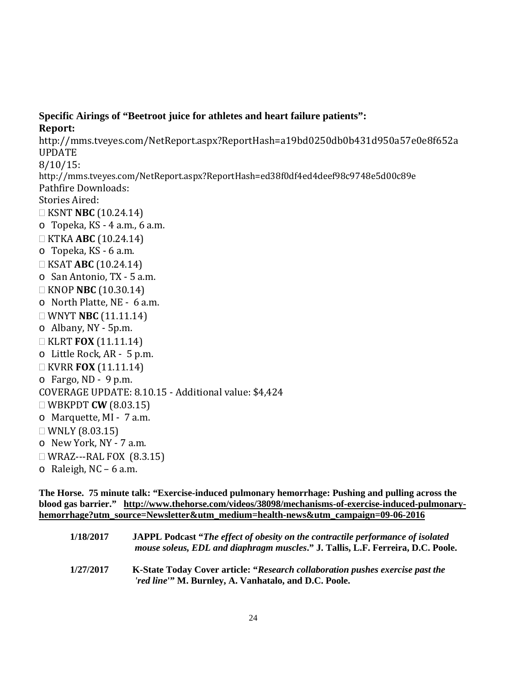**Specific Airings of "Beetroot juice for athletes and heart failure patients": Report:** http://mms.tveyes.com/NetReport.aspx?ReportHash=a19bd0250db0b431d950a57e0e8f652a UPDATE 8/10/15: http://mms.tveyes.com/NetReport.aspx?ReportHash=ed38f0df4ed4deef98c9748e5d00c89e Pathfire Downloads: Stories Aired: KSNT **NBC** (10.24.14) o Topeka, KS - 4 a.m., 6 a.m. KTKA **ABC** (10.24.14) o Topeka, KS - 6 a.m. KSAT **ABC** (10.24.14) o San Antonio, TX - 5 a.m. KNOP **NBC** (10.30.14) o North Platte, NE - 6 a.m. WNYT **NBC** (11.11.14) o Albany, NY - 5p.m. KLRT **FOX** (11.11.14) o Little Rock, AR - 5 p.m. KVRR **FOX** (11.11.14) o Fargo, ND - 9 p.m. COVERAGE UPDATE: 8.10.15 - Additional value: \$4,424 WBKPDT **CW** (8.03.15) o Marquette, MI - 7 a.m.  $\Box$  WNLY (8.03.15) o New York, NY - 7 a.m.  $\Box$  WRAZ---RAL FOX (8.3.15)

 $\circ$  Raleigh, NC – 6 a.m.

**The Horse. 75 minute talk: "Exercise-induced pulmonary hemorrhage: Pushing and pulling across the blood gas barrier." http://www.thehorse.com/videos/38098/mechanisms-of-exercise-induced-pulmonaryhemorrhage?utm\_source=Newsletter&utm\_medium=health-news&utm\_campaign=09-06-2016**

| 1/18/2017 | <b>JAPPL Podcast "The effect of obesity on the contractile performance of isolated</b><br>mouse soleus, EDL and diaphragm muscles." J. Tallis, L.F. Ferreira, D.C. Poole. |
|-----------|---------------------------------------------------------------------------------------------------------------------------------------------------------------------------|
| 1/27/2017 | K-State Today Cover article: "Research collaboration pushes exercise past the<br><i>'red line</i> " M. Burnley, A. Vanhatalo, and D.C. Poole.                             |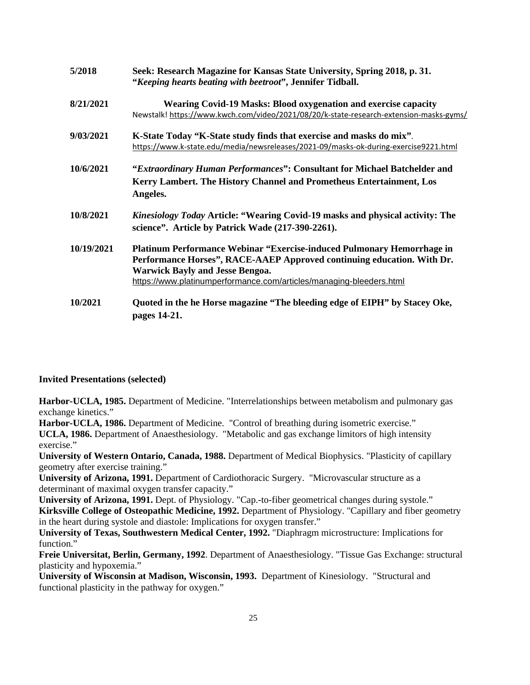| 5/2018     | Seek: Research Magazine for Kansas State University, Spring 2018, p. 31.<br>"Keeping hearts beating with beetroot", Jennifer Tidball.                                                                                                                             |
|------------|-------------------------------------------------------------------------------------------------------------------------------------------------------------------------------------------------------------------------------------------------------------------|
| 8/21/2021  | <b>Wearing Covid-19 Masks: Blood oxygenation and exercise capacity</b><br>Newstalk! https://www.kwch.com/video/2021/08/20/k-state-research-extension-masks-gyms/                                                                                                  |
| 9/03/2021  | K-State Today "K-State study finds that exercise and masks do mix".<br>https://www.k-state.edu/media/newsreleases/2021-09/masks-ok-during-exercise9221.html                                                                                                       |
| 10/6/2021  | "Extraordinary Human Performances": Consultant for Michael Batchelder and<br>Kerry Lambert. The History Channel and Prometheus Entertainment, Los<br>Angeles.                                                                                                     |
| 10/8/2021  | Kinesiology Today Article: "Wearing Covid-19 masks and physical activity: The<br>science". Article by Patrick Wade (217-390-2261).                                                                                                                                |
| 10/19/2021 | Platinum Performance Webinar "Exercise-induced Pulmonary Hemorrhage in<br>Performance Horses", RACE-AAEP Approved continuing education. With Dr.<br><b>Warwick Bayly and Jesse Bengoa.</b><br>https://www.platinumperformance.com/articles/managing-bleeders.html |
| 10/2021    | Quoted in the he Horse magazine "The bleeding edge of EIPH" by Stacey Oke,<br>pages 14-21.                                                                                                                                                                        |

#### **Invited Presentations (selected)**

**Harbor-UCLA, 1985.** Department of Medicine. "Interrelationships between metabolism and pulmonary gas exchange kinetics."

**Harbor-UCLA, 1986.** Department of Medicine. "Control of breathing during isometric exercise." **UCLA, 1986.** Department of Anaesthesiology. "Metabolic and gas exchange limitors of high intensity exercise."

**University of Western Ontario, Canada, 1988.** Department of Medical Biophysics. "Plasticity of capillary geometry after exercise training."

**University of Arizona, 1991.** Department of Cardiothoracic Surgery. "Microvascular structure as a determinant of maximal oxygen transfer capacity."

**University of Arizona, 1991.** Dept. of Physiology. "Cap.-to-fiber geometrical changes during systole." **Kirksville College of Osteopathic Medicine, 1992.** Department of Physiology. "Capillary and fiber geometry in the heart during systole and diastole: Implications for oxygen transfer."

**University of Texas, Southwestern Medical Center, 1992.** "Diaphragm microstructure: Implications for function."

**Freie Universitat, Berlin, Germany, 1992**. Department of Anaesthesiology. "Tissue Gas Exchange: structural plasticity and hypoxemia."

**University of Wisconsin at Madison, Wisconsin, 1993.** Department of Kinesiology. "Structural and functional plasticity in the pathway for oxygen."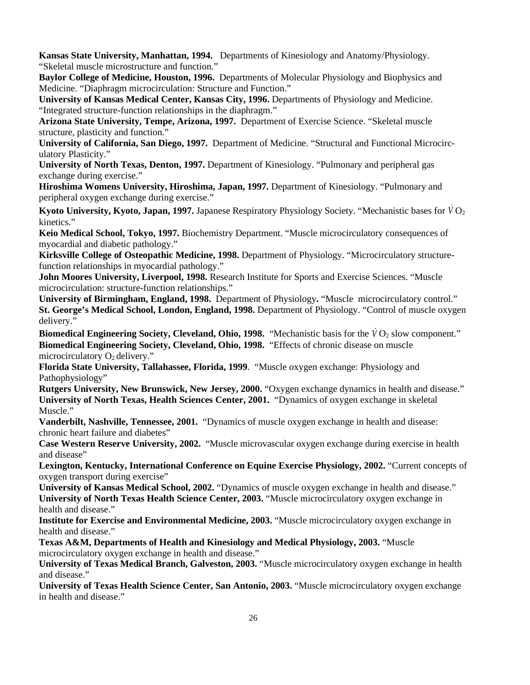**Kansas State University, Manhattan, 1994.** Departments of Kinesiology and Anatomy/Physiology. "Skeletal muscle microstructure and function."

**Baylor College of Medicine, Houston, 1996.** Departments of Molecular Physiology and Biophysics and Medicine. "Diaphragm microcirculation: Structure and Function."

**University of Kansas Medical Center, Kansas City, 1996.** Departments of Physiology and Medicine. "Integrated structure-function relationships in the diaphragm."

**Arizona State University, Tempe, Arizona, 1997.** Department of Exercise Science. "Skeletal muscle structure, plasticity and function."

**University of California, San Diego, 1997.** Department of Medicine. "Structural and Functional Microcirculatory Plasticity."

**University of North Texas, Denton, 1997.** Department of Kinesiology. "Pulmonary and peripheral gas exchange during exercise."

**Hiroshima Womens University, Hiroshima, Japan, 1997.** Department of Kinesiology. "Pulmonary and peripheral oxygen exchange during exercise."

**Kyoto University, Kyoto, Japan, 1997.** Japanese Respiratory Physiology Society. "Mechanistic bases for  $\dot{V}O_2$ kinetics."

**Keio Medical School, Tokyo, 1997.** Biochemistry Department. "Muscle microcirculatory consequences of myocardial and diabetic pathology."

**Kirksville College of Osteopathic Medicine, 1998.** Department of Physiology. "Microcirculatory structurefunction relationships in myocardial pathology."

**John Moores University, Liverpool, 1998.** Research Institute for Sports and Exercise Sciences. "Muscle microcirculation: structure-function relationships."

**University of Birmingham, England, 1998.** Department of Physiology**.** "Muscle microcirculatory control." **St. George's Medical School, London, England, 1998.** Department of Physiology. "Control of muscle oxygen delivery."

**Biomedical Engineering Society, Cleveland, Ohio, 1998.** "Mechanistic basis for the  $\dot{V}O_2$  slow component." **Biomedical Engineering Society, Cleveland, Ohio, 1998.** "Effects of chronic disease on muscle microcirculatory  $O_2$  delivery."

**Florida State University, Tallahassee, Florida, 1999**. "Muscle oxygen exchange: Physiology and Pathophysiology"

**Rutgers University, New Brunswick, New Jersey, 2000.** "Oxygen exchange dynamics in health and disease." **University of North Texas, Health Sciences Center, 2001.** "Dynamics of oxygen exchange in skeletal Muscle."

**Vanderbilt, Nashville, Tennessee, 2001.** "Dynamics of muscle oxygen exchange in health and disease: chronic heart failure and diabetes"

**Case Western Reserve University, 2002.** "Muscle microvascular oxygen exchange during exercise in health and disease"

**Lexington, Kentucky, International Conference on Equine Exercise Physiology, 2002.** "Current concepts of oxygen transport during exercise"

**University of Kansas Medical School, 2002.** "Dynamics of muscle oxygen exchange in health and disease." **University of North Texas Health Science Center, 2003.** "Muscle microcirculatory oxygen exchange in health and disease."

**Institute for Exercise and Environmental Medicine, 2003.** "Muscle microcirculatory oxygen exchange in health and disease."

**Texas A&M, Departments of Health and Kinesiology and Medical Physiology, 2003.** "Muscle microcirculatory oxygen exchange in health and disease."

**University of Texas Medical Branch, Galveston, 2003.** "Muscle microcirculatory oxygen exchange in health and disease."

**University of Texas Health Science Center, San Antonio, 2003.** "Muscle microcirculatory oxygen exchange in health and disease."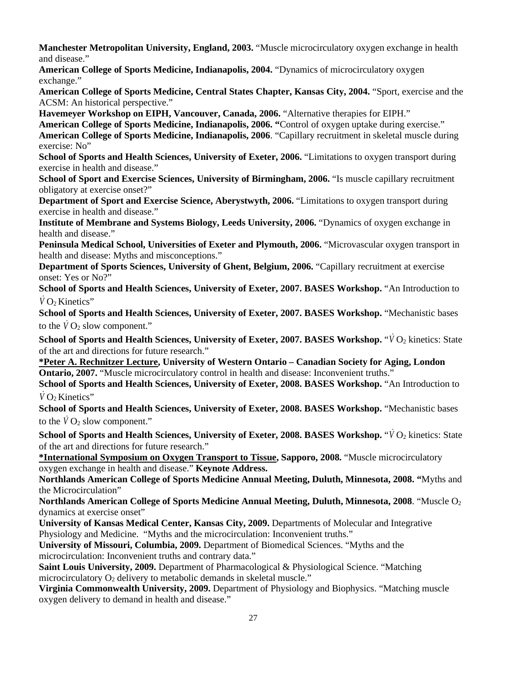**Manchester Metropolitan University, England, 2003.** "Muscle microcirculatory oxygen exchange in health and disease."

**American College of Sports Medicine, Indianapolis, 2004.** "Dynamics of microcirculatory oxygen exchange."

**American College of Sports Medicine, Central States Chapter, Kansas City, 2004.** "Sport, exercise and the ACSM: An historical perspective."

**Havemeyer Workshop on EIPH, Vancouver, Canada, 2006.** "Alternative therapies for EIPH."

**American College of Sports Medicine, Indianapolis, 2006. "**Control of oxygen uptake during exercise." **American College of Sports Medicine, Indianapolis, 2006**. "Capillary recruitment in skeletal muscle during exercise: No"

**School of Sports and Health Sciences, University of Exeter, 2006.** "Limitations to oxygen transport during exercise in health and disease."

**School of Sport and Exercise Sciences, University of Birmingham, 2006.** "Is muscle capillary recruitment obligatory at exercise onset?"

**Department of Sport and Exercise Science, Aberystwyth, 2006.** "Limitations to oxygen transport during exercise in health and disease."

**Institute of Membrane and Systems Biology, Leeds University, 2006. "Dynamics of oxygen exchange in** health and disease."

**Peninsula Medical School, Universities of Exeter and Plymouth, 2006.** "Microvascular oxygen transport in health and disease: Myths and misconceptions."

**Department of Sports Sciences, University of Ghent, Belgium, 2006.** "Capillary recruitment at exercise onset: Yes or No?"

**School of Sports and Health Sciences, University of Exeter, 2007. BASES Workshop.** "An Introduction to *V* O<sub>2</sub> Kinetics"

**School of Sports and Health Sciences, University of Exeter, 2007. BASES Workshop.** "Mechanistic bases to the  $\dot{V}O_2$  slow component."

**School of Sports and Health Sciences, University of Exeter, 2007. BASES Workshop. "***V* **O<sub>2</sub> kinetics: State** of the art and directions for future research."

**\*Peter A. Rechnitzer Lecture, University of Western Ontario – Canadian Society for Aging, London Ontario, 2007.** "Muscle microcirculatory control in health and disease: Inconvenient truths."

**School of Sports and Health Sciences, University of Exeter, 2008. BASES Workshop.** "An Introduction to *V* O<sub>2</sub> Kinetics"

**School of Sports and Health Sciences, University of Exeter, 2008. BASES Workshop.** "Mechanistic bases to the  $V O_2$  slow component."

**School of Sports and Health Sciences, University of Exeter, 2008. BASES Workshop. "***V* **O<sub>2</sub> kinetics: State** of the art and directions for future research."

**\*International Symposium on Oxygen Transport to Tissue, Sapporo, 2008.** "Muscle microcirculatory oxygen exchange in health and disease." **Keynote Address.**

**Northlands American College of Sports Medicine Annual Meeting, Duluth, Minnesota, 2008. "**Myths and the Microcirculation"

**Northlands American College of Sports Medicine Annual Meeting, Duluth, Minnesota, 2008**. "Muscle O2 dynamics at exercise onset"

**University of Kansas Medical Center, Kansas City, 2009.** Departments of Molecular and Integrative Physiology and Medicine. "Myths and the microcirculation: Inconvenient truths."

**University of Missouri, Columbia, 2009.** Department of Biomedical Sciences. "Myths and the microcirculation: Inconvenient truths and contrary data."

**Saint Louis University, 2009.** Department of Pharmacological & Physiological Science. "Matching microcirculatory  $O_2$  delivery to metabolic demands in skeletal muscle."

**Virginia Commonwealth University, 2009.** Department of Physiology and Biophysics. "Matching muscle oxygen delivery to demand in health and disease."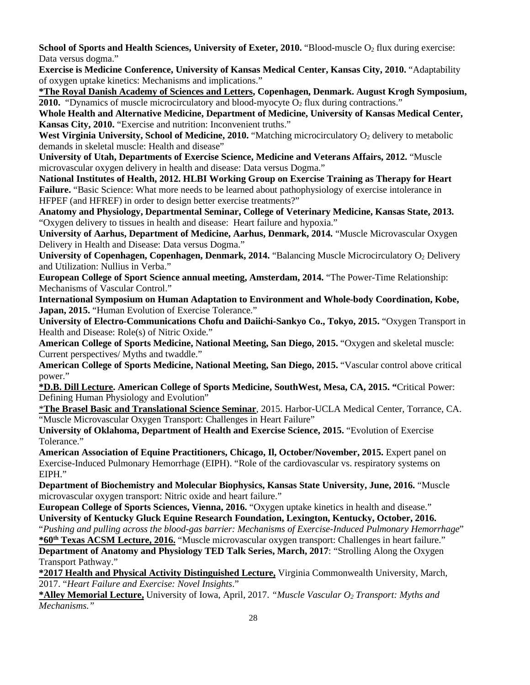**School of Sports and Health Sciences, University of Exeter, 2010.** "Blood-muscle O<sub>2</sub> flux during exercise: Data versus dogma."

**Exercise is Medicine Conference, University of Kansas Medical Center, Kansas City, 2010.** "Adaptability of oxygen uptake kinetics: Mechanisms and implications."

**\*The Royal Danish Academy of Sciences and Letters, Copenhagen, Denmark. August Krogh Symposium, 2010.** "Dynamics of muscle microcirculatory and blood-myocyte  $O<sub>2</sub>$  flux during contractions."

**Whole Health and Alternative Medicine, Department of Medicine, University of Kansas Medical Center, Kansas City, 2010.** "Exercise and nutrition: Inconvenient truths."

**West Virginia University, School of Medicine, 2010.** "Matching microcirculatory O<sub>2</sub> delivery to metabolic demands in skeletal muscle: Health and disease"

**University of Utah, Departments of Exercise Science, Medicine and Veterans Affairs, 2012.** "Muscle microvascular oxygen delivery in health and disease: Data versus Dogma."

**National Institutes of Health, 2012. HLBI Working Group on Exercise Training as Therapy for Heart**  Failure. "Basic Science: What more needs to be learned about pathophysiology of exercise intolerance in HFPEF (and HFREF) in order to design better exercise treatments?"

**Anatomy and Physiology, Departmental Seminar, College of Veterinary Medicine, Kansas State, 2013.**  "Oxygen delivery to tissues in health and disease: Heart failure and hypoxia."

**University of Aarhus, Department of Medicine, Aarhus, Denmark, 2014.** "Muscle Microvascular Oxygen Delivery in Health and Disease: Data versus Dogma."

**University of Copenhagen, Copenhagen, Denmark, 2014.** "Balancing Muscle Microcirculatory O2 Delivery and Utilization: Nullius in Verba."

**European College of Sport Science annual meeting, Amsterdam, 2014.** "The Power-Time Relationship: Mechanisms of Vascular Control."

**International Symposium on Human Adaptation to Environment and Whole-body Coordination, Kobe, Japan, 2015.** "Human Evolution of Exercise Tolerance."

**University of Electro-Communications Chofu and Daiichi-Sankyo Co., Tokyo, 2015.** "Oxygen Transport in Health and Disease: Role(s) of Nitric Oxide."

**American College of Sports Medicine, National Meeting, San Diego, 2015.** "Oxygen and skeletal muscle: Current perspectives/ Myths and twaddle."

**American College of Sports Medicine, National Meeting, San Diego, 2015.** "Vascular control above critical power."

**\*D.B. Dill Lecture. American College of Sports Medicine, SouthWest, Mesa, CA, 2015. "**Critical Power: Defining Human Physiology and Evolution"

\***The Brasel Basic and Translational Science Seminar**, 2015. Harbor-UCLA Medical Center, Torrance, CA. "Muscle Microvascular Oxygen Transport: Challenges in Heart Failure"

**University of Oklahoma, Department of Health and Exercise Science, 2015.** "Evolution of Exercise Tolerance."

**American Association of Equine Practitioners, Chicago, Il, October/November, 2015.** Expert panel on Exercise-Induced Pulmonary Hemorrhage (EIPH). "Role of the cardiovascular vs. respiratory systems on EIPH."

**Department of Biochemistry and Molecular Biophysics, Kansas State University, June, 2016.** "Muscle microvascular oxygen transport: Nitric oxide and heart failure."

**European College of Sports Sciences, Vienna, 2016.** "Oxygen uptake kinetics in health and disease." **University of Kentucky Gluck Equine Research Foundation, Lexington, Kentucky, October, 2016.**

"*Pushing and pulling across the blood-gas barrier: Mechanisms of Exercise-Induced Pulmonary Hemorrhage*" **\*60th Texas ACSM Lecture, 2016.** "Muscle microvascular oxygen transport: Challenges in heart failure."

**Department of Anatomy and Physiology TED Talk Series, March, 2017**: "Strolling Along the Oxygen Transport Pathway."

**\*2017 Health and Physical Activity Distinguished Lecture,** Virginia Commonwealth University, March, 2017. "*Heart Failure and Exercise: Novel Insights*."

**\*Alley Memorial Lecture,** University of Iowa, April, 2017. *"Muscle Vascular O2 Transport: Myths and Mechanisms."*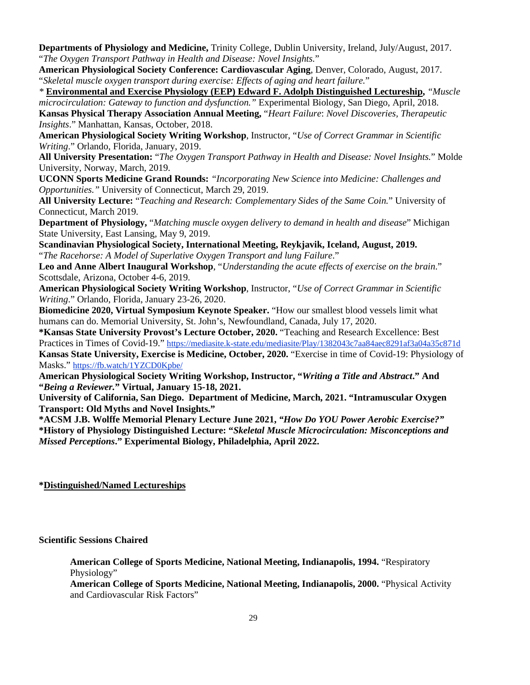**Departments of Physiology and Medicine,** Trinity College, Dublin University, Ireland, July/August, 2017. "*The Oxygen Transport Pathway in Health and Disease: Novel Insights.*"

**American Physiological Society Conference: Cardiovascular Aging**, Denver, Colorado, August, 2017. "*Skeletal muscle oxygen transport during exercise: Effects of aging and heart failure.*"

*\** **Environmental and Exercise Physiology (EEP) Edward F. Adolph Distinguished Lectureship,** *"Muscle microcirculation: Gateway to function and dysfunction."* Experimental Biology, San Diego, April, 2018. **Kansas Physical Therapy Association Annual Meeting,** "*Heart Failure*: *Novel Discoveries, Therapeutic Insights*." Manhattan, Kansas, October, 2018.

**American Physiological Society Writing Workshop**, Instructor, "*Use of Correct Grammar in Scientific Writing*." Orlando, Florida, January, 2019.

**All University Presentation:** "*The Oxygen Transport Pathway in Health and Disease: Novel Insights.*" Molde University, Norway, March, 2019.

**UCONN Sports Medicine Grand Rounds:** *"Incorporating New Science into Medicine: Challenges and Opportunities."* University of Connecticut, March 29, 2019.

**All University Lecture:** "*Teaching and Research: Complementary Sides of the Same Coin.*" University of Connecticut, March 2019.

**Department of Physiology,** "*Matching muscle oxygen delivery to demand in health and disease*" Michigan State University, East Lansing, May 9, 2019.

**Scandinavian Physiological Society, International Meeting, Reykjavik, Iceland, August, 2019.**  "*The Racehorse: A Model of Superlative Oxygen Transport and lung Failure*."

**Leo and Anne Albert Inaugural Workshop**, "*Understanding the acute effects of exercise on the brain*." Scottsdale, Arizona, October 4-6, 2019.

**American Physiological Society Writing Workshop**, Instructor, "*Use of Correct Grammar in Scientific Writing*." Orlando, Florida, January 23-26, 2020.

**Biomedicine 2020, Virtual Symposium Keynote Speaker.** "How our smallest blood vessels limit what humans can do. Memorial University, St. John's, Newfoundland, Canada, July 17, 2020.

**\*Kansas State University Provost's Lecture October, 2020.** "Teaching and Research Excellence: Best Practices in Times of Covid-19." https://mediasite.k-state.edu/mediasite/Play/1382043c7aa84aec8291af3a04a35c871d **Kansas State University, Exercise is Medicine, October, 2020.** "Exercise in time of Covid-19: Physiology of Masks." https://fb.watch/1YZCD0Kpbe/

**American Physiological Society Writing Workshop, Instructor, "***Writing a Title and Abstract***." And "***Being a Reviewer.***" Virtual, January 15-18, 2021.**

**University of California, San Diego. Department of Medicine, March, 2021. "Intramuscular Oxygen Transport: Old Myths and Novel Insights."**

**\*ACSM J.B. Wolffe Memorial Plenary Lecture June 2021,** *"How Do YOU Power Aerobic Exercise?"* **\*History of Physiology Distinguished Lecture: "***Skeletal Muscle Microcirculation: Misconceptions and Missed Perceptions***." Experimental Biology, Philadelphia, April 2022.** 

# **\*Distinguished/Named Lectureships**

**Scientific Sessions Chaired**

**American College of Sports Medicine, National Meeting, Indianapolis, 1994.** "Respiratory Physiology"

**American College of Sports Medicine, National Meeting, Indianapolis, 2000.** "Physical Activity and Cardiovascular Risk Factors"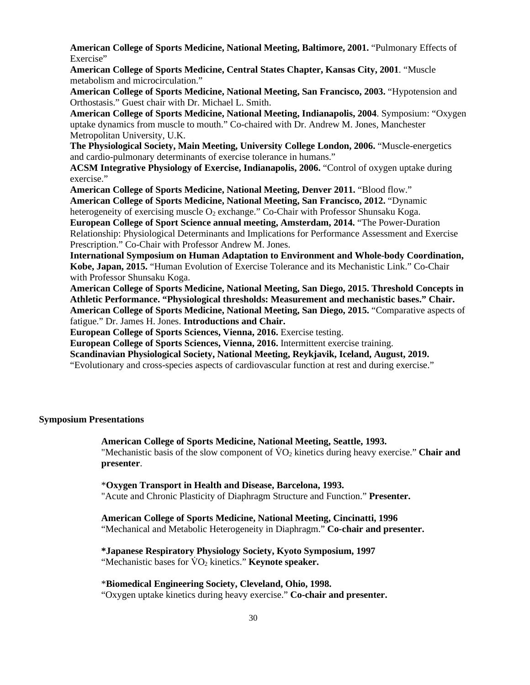**American College of Sports Medicine, National Meeting, Baltimore, 2001.** "Pulmonary Effects of Exercise"

**American College of Sports Medicine, Central States Chapter, Kansas City, 2001**. "Muscle metabolism and microcirculation."

**American College of Sports Medicine, National Meeting, San Francisco, 2003.** "Hypotension and Orthostasis." Guest chair with Dr. Michael L. Smith.

**American College of Sports Medicine, National Meeting, Indianapolis, 2004**. Symposium: "Oxygen uptake dynamics from muscle to mouth." Co-chaired with Dr. Andrew M. Jones, Manchester Metropolitan University, U.K.

**The Physiological Society, Main Meeting, University College London, 2006.** "Muscle-energetics and cardio-pulmonary determinants of exercise tolerance in humans."

**ACSM Integrative Physiology of Exercise, Indianapolis, 2006.** "Control of oxygen uptake during exercise."

**American College of Sports Medicine, National Meeting, Denver 2011.** "Blood flow."

**American College of Sports Medicine, National Meeting, San Francisco, 2012.** "Dynamic heterogeneity of exercising muscle  $O<sub>2</sub>$  exchange." Co-Chair with Professor Shunsaku Koga.

**European College of Sport Science annual meeting, Amsterdam, 2014.** "The Power-Duration Relationship: Physiological Determinants and Implications for Performance Assessment and Exercise Prescription." Co-Chair with Professor Andrew M. Jones.

**International Symposium on Human Adaptation to Environment and Whole-body Coordination, Kobe, Japan, 2015.** "Human Evolution of Exercise Tolerance and its Mechanistic Link." Co-Chair with Professor Shunsaku Koga.

**American College of Sports Medicine, National Meeting, San Diego, 2015. Threshold Concepts in Athletic Performance. "Physiological thresholds: Measurement and mechanistic bases." Chair. American College of Sports Medicine, National Meeting, San Diego, 2015.** "Comparative aspects of fatigue." Dr. James H. Jones. **Introductions and Chair.**

**European College of Sports Sciences, Vienna, 2016.** Exercise testing.

**European College of Sports Sciences, Vienna, 2016.** Intermittent exercise training.

**Scandinavian Physiological Society, National Meeting, Reykjavik, Iceland, August, 2019.** 

"Evolutionary and cross-species aspects of cardiovascular function at rest and during exercise."

#### **Symposium Presentations**

 **American College of Sports Medicine, National Meeting, Seattle, 1993.** 

"Mechanistic basis of the slow component of  $\overline{VO}_2$  kinetics during heavy exercise." **Chair and presenter**.

#### \***Oxygen Transport in Health and Disease, Barcelona, 1993.**

"Acute and Chronic Plasticity of Diaphragm Structure and Function." **Presenter.**

#### **American College of Sports Medicine, National Meeting, Cincinatti, 1996**

"Mechanical and Metabolic Heterogeneity in Diaphragm." **Co-chair and presenter.**

#### **\*Japanese Respiratory Physiology Society, Kyoto Symposium, 1997**

"Mechanistic bases for  $\text{VO}_2$  kinetics." **Keynote speaker.** 

#### \***Biomedical Engineering Society, Cleveland, Ohio, 1998.**

"Oxygen uptake kinetics during heavy exercise." **Co-chair and presenter.**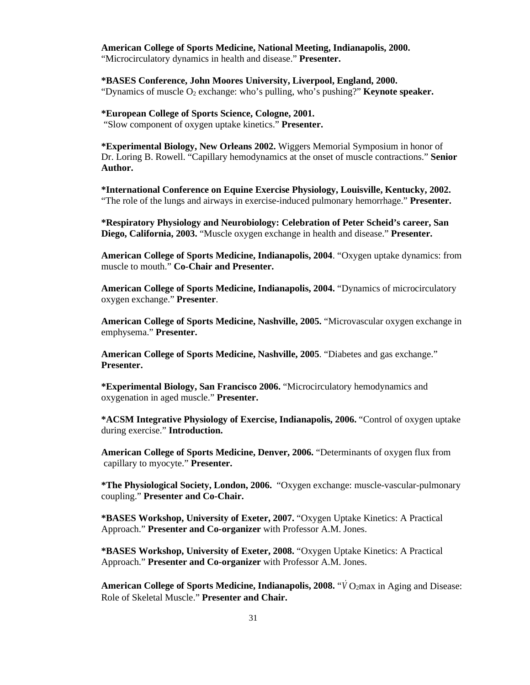# **American College of Sports Medicine, National Meeting, Indianapolis, 2000.**

"Microcirculatory dynamics in health and disease." **Presenter.**

 **\*BASES Conference, John Moores University, Liverpool, England, 2000.** "Dynamics of muscle O2 exchange: who's pulling, who's pushing?" **Keynote speaker.**

#### **\*European College of Sports Science, Cologne, 2001.** "Slow component of oxygen uptake kinetics." **Presenter.**

 **\*Experimental Biology, New Orleans 2002.** Wiggers Memorial Symposium in honor of Dr. Loring B. Rowell. "Capillary hemodynamics at the onset of muscle contractions." **Senior Author.**

**\*International Conference on Equine Exercise Physiology, Louisville, Kentucky, 2002.** "The role of the lungs and airways in exercise-induced pulmonary hemorrhage." **Presenter.**

**\*Respiratory Physiology and Neurobiology: Celebration of Peter Scheid's career, San Diego, California, 2003.** "Muscle oxygen exchange in health and disease." **Presenter.**

**American College of Sports Medicine, Indianapolis, 2004**. "Oxygen uptake dynamics: from muscle to mouth." **Co-Chair and Presenter.**

**American College of Sports Medicine, Indianapolis, 2004.** "Dynamics of microcirculatory oxygen exchange." **Presenter**.

**American College of Sports Medicine, Nashville, 2005.** "Microvascular oxygen exchange in emphysema." **Presenter.**

 **American College of Sports Medicine, Nashville, 2005**. "Diabetes and gas exchange." **Presenter.**

**\*Experimental Biology, San Francisco 2006.** "Microcirculatory hemodynamics and oxygenation in aged muscle." **Presenter.**

**\*ACSM Integrative Physiology of Exercise, Indianapolis, 2006.** "Control of oxygen uptake during exercise." **Introduction.**

**American College of Sports Medicine, Denver, 2006.** "Determinants of oxygen flux from capillary to myocyte." **Presenter.**

**\*The Physiological Society, London, 2006.** "Oxygen exchange: muscle-vascular-pulmonary coupling." **Presenter and Co-Chair.**

**\*BASES Workshop, University of Exeter, 2007.** "Oxygen Uptake Kinetics: A Practical Approach." **Presenter and Co-organizer** with Professor A.M. Jones.

**\*BASES Workshop, University of Exeter, 2008.** "Oxygen Uptake Kinetics: A Practical Approach." **Presenter and Co-organizer** with Professor A.M. Jones.

American College of Sports Medicine, Indianapolis, 2008. "*V* O<sub>2</sub>max in Aging and Disease: Role of Skeletal Muscle." **Presenter and Chair.**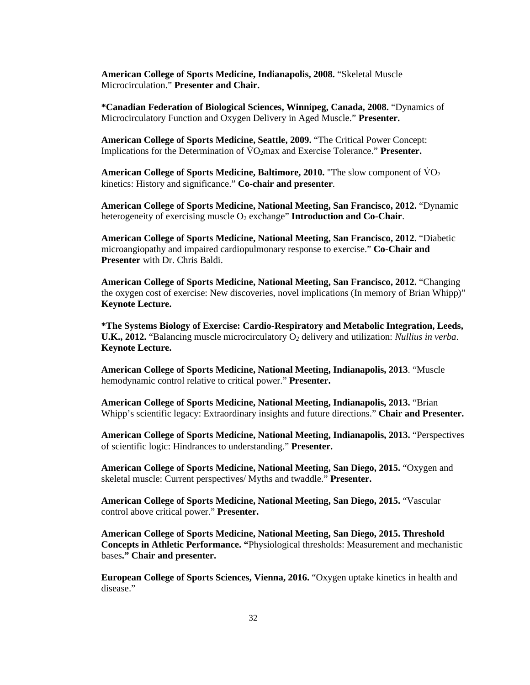**American College of Sports Medicine, Indianapolis, 2008.** "Skeletal Muscle Microcirculation." **Presenter and Chair.**

**\*Canadian Federation of Biological Sciences, Winnipeg, Canada, 2008.** "Dynamics of Microcirculatory Function and Oxygen Delivery in Aged Muscle." **Presenter.**

**American College of Sports Medicine, Seattle, 2009.** "The Critical Power Concept: Implications for the Determination of  $\overline{VQ_2}$  max and Exercise Tolerance." **Presenter.** 

**American College of Sports Medicine, Baltimore, 2010.** "The slow component of  $\text{VO}_2$ kinetics: History and significance." **Co-chair and presenter**.

**American College of Sports Medicine, National Meeting, San Francisco, 2012.** "Dynamic heterogeneity of exercising muscle O2 exchange" **Introduction and Co-Chair**.

**American College of Sports Medicine, National Meeting, San Francisco, 2012.** "Diabetic microangiopathy and impaired cardiopulmonary response to exercise." **Co-Chair and Presenter** with Dr. Chris Baldi.

**American College of Sports Medicine, National Meeting, San Francisco, 2012.** "Changing the oxygen cost of exercise: New discoveries, novel implications (In memory of Brian Whipp)" **Keynote Lecture.**

**\*The Systems Biology of Exercise: Cardio-Respiratory and Metabolic Integration, Leeds, U.K., 2012.** "Balancing muscle microcirculatory O*<sup>2</sup>* delivery and utilization: *Nullius in verba*. **Keynote Lecture.**

**American College of Sports Medicine, National Meeting, Indianapolis, 2013**. "Muscle hemodynamic control relative to critical power." **Presenter.**

**American College of Sports Medicine, National Meeting, Indianapolis, 2013.** "Brian Whipp's scientific legacy: Extraordinary insights and future directions." **Chair and Presenter.**

**American College of Sports Medicine, National Meeting, Indianapolis, 2013.** "Perspectives of scientific logic: Hindrances to understanding." **Presenter.**

**American College of Sports Medicine, National Meeting, San Diego, 2015.** "Oxygen and skeletal muscle: Current perspectives/ Myths and twaddle." **Presenter.**

**American College of Sports Medicine, National Meeting, San Diego, 2015.** "Vascular control above critical power." **Presenter.**

**American College of Sports Medicine, National Meeting, San Diego, 2015. Threshold Concepts in Athletic Performance. "**Physiological thresholds: Measurement and mechanistic bases**." Chair and presenter.**

**European College of Sports Sciences, Vienna, 2016.** "Oxygen uptake kinetics in health and disease."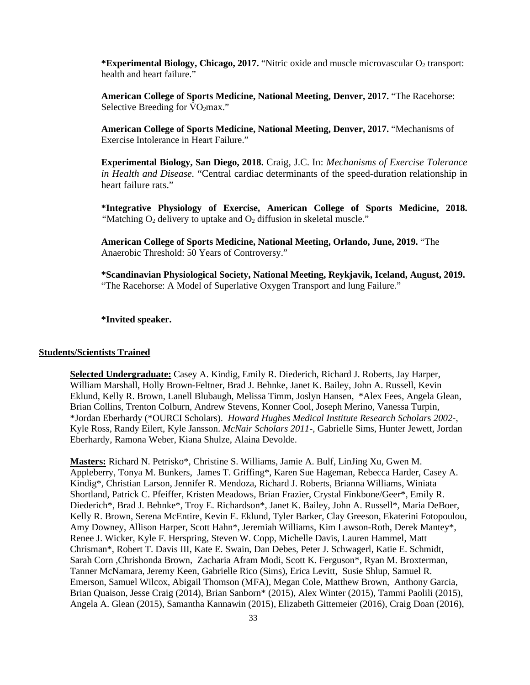\***Experimental Biology, Chicago, 2017.** "Nitric oxide and muscle microvascular O<sub>2</sub> transport: health and heart failure."

**American College of Sports Medicine, National Meeting, Denver, 2017.** "The Racehorse: Selective Breeding for  $\text{VO}_2$ max."

**American College of Sports Medicine, National Meeting, Denver, 2017.** "Mechanisms of Exercise Intolerance in Heart Failure."

**Experimental Biology, San Diego, 2018.** Craig, J.C. In: *Mechanisms of Exercise Tolerance in Health and Disease.* "Central cardiac determinants of the speed-duration relationship in heart failure rats."

**\*Integrative Physiology of Exercise, American College of Sports Medicine, 2018.**  "Matching O<sub>2</sub> delivery to uptake and O<sub>2</sub> diffusion in skeletal muscle."

**American College of Sports Medicine, National Meeting, Orlando, June, 2019.** "The Anaerobic Threshold: 50 Years of Controversy."

**\*Scandinavian Physiological Society, National Meeting, Reykjavik, Iceland, August, 2019.**  "The Racehorse: A Model of Superlative Oxygen Transport and lung Failure."

**\*Invited speaker.**

#### **Students/Scientists Trained**

**Selected Undergraduate:** Casey A. Kindig, Emily R. Diederich, Richard J. Roberts, Jay Harper, William Marshall, Holly Brown-Feltner, Brad J. Behnke, Janet K. Bailey, John A. Russell, Kevin Eklund, Kelly R. Brown, Lanell Blubaugh, Melissa Timm, Joslyn Hansen, \*Alex Fees, Angela Glean, Brian Collins, Trenton Colburn, Andrew Stevens, Konner Cool, Joseph Merino, Vanessa Turpin, \*Jordan Eberhardy (\*OURCI Scholars). *Howard Hughes Medical Institute Research Scholar*s *2002-*, Kyle Ross, Randy Eilert, Kyle Jansson. *McNair Scholars 2011-,* Gabrielle Sims, Hunter Jewett, Jordan Eberhardy, Ramona Weber, Kiana Shulze, Alaina Devolde.

**Masters:** Richard N. Petrisko\*, Christine S. Williams, Jamie A. Bulf, LinJing Xu, Gwen M. Appleberry, Tonya M. Bunkers, James T. Griffing\*, Karen Sue Hageman, Rebecca Harder, Casey A. Kindig\*, Christian Larson, Jennifer R. Mendoza, Richard J. Roberts, Brianna Williams, Winiata Shortland, Patrick C. Pfeiffer, Kristen Meadows, Brian Frazier, Crystal Finkbone/Geer\*, Emily R. Diederich\*, Brad J. Behnke\*, Troy E. Richardson\*, Janet K. Bailey, John A. Russell\*, Maria DeBoer, Kelly R. Brown, Serena McEntire, Kevin E. Eklund, Tyler Barker, Clay Greeson, Ekaterini Fotopoulou, Amy Downey, Allison Harper, Scott Hahn\*, Jeremiah Williams, Kim Lawson-Roth, Derek Mantey\*, Renee J. Wicker, Kyle F. Herspring, Steven W. Copp, Michelle Davis, Lauren Hammel, Matt Chrisman\*, Robert T. Davis III, Kate E. Swain, Dan Debes, Peter J. Schwagerl, Katie E. Schmidt, Sarah Corn ,Chrishonda Brown, Zacharia Afram Modi, Scott K. Ferguson\*, Ryan M. Broxterman, Tanner McNamara, Jeremy Keen, Gabrielle Rico (Sims), Erica Levitt, Susie Shlup, Samuel R. Emerson, Samuel Wilcox, Abigail Thomson (MFA), Megan Cole, Matthew Brown, Anthony Garcia, Brian Quaison, Jesse Craig (2014), Brian Sanborn\* (2015), Alex Winter (2015), Tammi Paolili (2015), Angela A. Glean (2015), Samantha Kannawin (2015), Elizabeth Gittemeier (2016), Craig Doan (2016),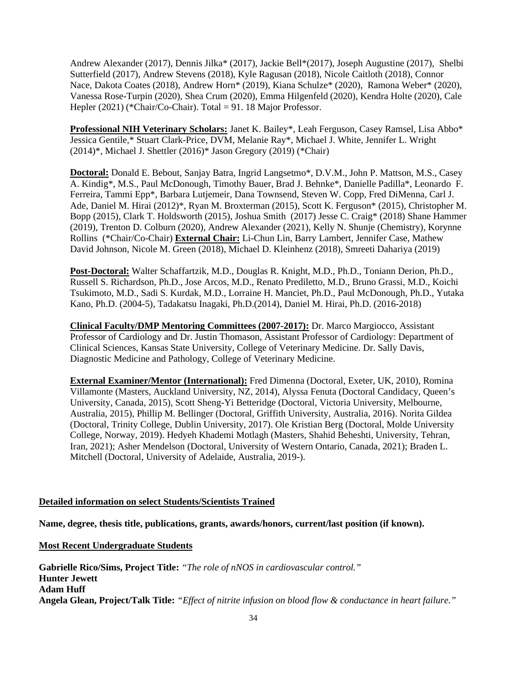Andrew Alexander (2017), Dennis Jilka\* (2017), Jackie Bell\*(2017), Joseph Augustine (2017), Shelbi Sutterfield (2017), Andrew Stevens (2018), Kyle Ragusan (2018), Nicole Caitloth (2018), Connor Nace, Dakota Coates (2018), Andrew Horn\* (2019), Kiana Schulze\* (2020), Ramona Weber\* (2020), Vanessa Rose-Turpin (2020), Shea Crum (2020), Emma Hilgenfeld (2020), Kendra Holte (2020), Cale Hepler (2021) (\*Chair/Co-Chair). Total = 91. 18 Major Professor.

**Professional NIH Veterinary Scholars:** Janet K. Bailey\*, Leah Ferguson, Casey Ramsel, Lisa Abbo\* Jessica Gentile,\* Stuart Clark-Price, DVM, Melanie Ray\*, Michael J. White, Jennifer L. Wright (2014)\*, Michael J. Shettler (2016)\* Jason Gregory (2019) (\*Chair)

**Doctoral:** Donald E. Bebout, Sanjay Batra, Ingrid Langsetmo\*, D.V.M., John P. Mattson, M.S., Casey A. Kindig\*, M.S., Paul McDonough, Timothy Bauer, Brad J. Behnke\*, Danielle Padilla\*, Leonardo F. Ferreira, Tammi Epp\*, Barbara Lutjemeir, Dana Townsend, Steven W. Copp, Fred DiMenna, Carl J. Ade, Daniel M. Hirai (2012)\*, Ryan M. Broxterman (2015), Scott K. Ferguson\* (2015), Christopher M. Bopp (2015), Clark T. Holdsworth (2015), Joshua Smith (2017) Jesse C. Craig\* (2018) Shane Hammer (2019), Trenton D. Colburn (2020), Andrew Alexander (2021), Kelly N. Shunje (Chemistry), Korynne Rollins (\*Chair/Co-Chair) **External Chair:** Li-Chun Lin, Barry Lambert, Jennifer Case, Mathew David Johnson, Nicole M. Green (2018), Michael D. Kleinhenz (2018), Smreeti Dahariya (2019)

**Post-Doctoral:** Walter Schaffartzik, M.D., Douglas R. Knight, M.D., Ph.D., Toniann Derion, Ph.D., Russell S. Richardson, Ph.D., Jose Arcos, M.D., Renato Prediletto, M.D., Bruno Grassi, M.D., Koichi Tsukimoto, M.D., Sadi S. Kurdak, M.D., Lorraine H. Manciet, Ph.D., Paul McDonough, Ph.D., Yutaka Kano, Ph.D. (2004-5), Tadakatsu Inagaki, Ph.D.(2014), Daniel M. Hirai, Ph.D. (2016-2018)

**Clinical Faculty/DMP Mentoring Committees (2007-2017):** Dr. Marco Margiocco, Assistant Professor of Cardiology and Dr. Justin Thomason, Assistant Professor of Cardiology: Department of Clinical Sciences, Kansas State University, College of Veterinary Medicine. Dr. Sally Davis, Diagnostic Medicine and Pathology, College of Veterinary Medicine.

**External Examiner/Mentor (International):** Fred Dimenna (Doctoral, Exeter, UK, 2010), Romina Villamonte (Masters, Auckland University, NZ, 2014), Alyssa Fenuta (Doctoral Candidacy, Queen's University, Canada, 2015), Scott Sheng-Yi Betteridge (Doctoral, Victoria University, Melbourne, Australia, 2015), Phillip M. Bellinger (Doctoral, Griffith University, Australia, 2016). Norita Gildea (Doctoral, Trinity College, Dublin University, 2017). Ole Kristian Berg (Doctoral, Molde University College, Norway, 2019). Hedyeh Khademi Motlagh (Masters, Shahid Beheshti, University, Tehran, Iran, 2021); Asher Mendelson (Doctoral, University of Western Ontario, Canada, 2021); Braden L. Mitchell (Doctoral, University of Adelaide, Australia, 2019-).

# **Detailed information on select Students/Scientists Trained**

**Name, degree, thesis title, publications, grants, awards/honors, current/last position (if known).**

**Most Recent Undergraduate Students**

**Gabrielle Rico/Sims, Project Title:** *"The role of nNOS in cardiovascular control."*  **Hunter Jewett Adam Huff Angela Glean, Project/Talk Title:** *"Effect of nitrite infusion on blood flow & conductance in heart failure."*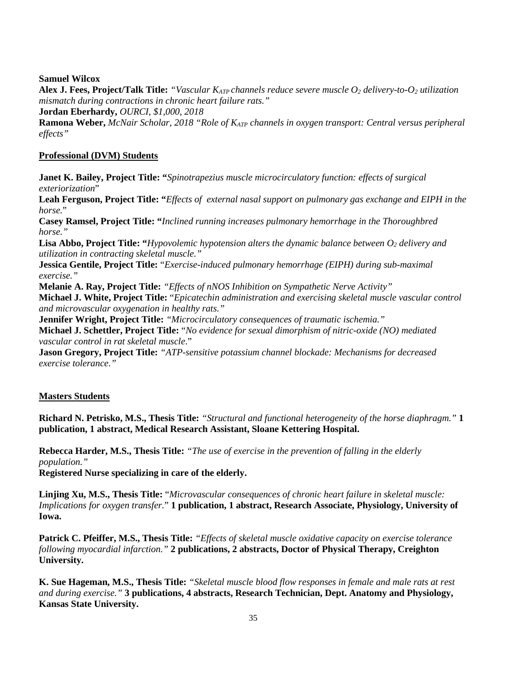**Samuel Wilcox**

**Alex J. Fees, Project/Talk Title:** *"Vascular KATP channels reduce severe muscle O2 delivery-to-O2 utilization mismatch during contractions in chronic heart failure rats."* 

**Jordan Eberhardy,** *OURCI, \$1,000, 2018* 

**Ramona Weber,** *McNair Scholar, 2018 "Role of KATP channels in oxygen transport: Central versus peripheral effects"*

# **Professional (DVM) Students**

**Janet K. Bailey, Project Title: "***Spinotrapezius muscle microcirculatory function: effects of surgical exteriorization*"

**Leah Ferguson, Project Title: "***Effects of external nasal support on pulmonary gas exchange and EIPH in the horse.*"

**Casey Ramsel, Project Title: "***Inclined running increases pulmonary hemorrhage in the Thoroughbred horse."*

**Lisa Abbo, Project Title: "***Hypovolemic hypotension alters the dynamic balance between*  $O_2$  *delivery and utilization in contracting skeletal muscle."*

**Jessica Gentile, Project Title:** "*Exercise-induced pulmonary hemorrhage (EIPH) during sub-maximal exercise."*

**Melanie A. Ray, Project Title:** *"Effects of nNOS Inhibition on Sympathetic Nerve Activity"*

**Michael J. White, Project Title:** "*Epicatechin administration and exercising skeletal muscle vascular control and microvascular oxygenation in healthy rats."*

**Jennifer Wright, Project Title:** *"Microcirculatory consequences of traumatic ischemia."*

**Michael J. Schettler, Project Title:** "*No evidence for sexual dimorphism of nitric-oxide (NO) mediated vascular control in rat skeletal muscle*."

**Jason Gregory, Project Title:** *"ATP-sensitive potassium channel blockade: Mechanisms for decreased exercise tolerance."* 

# **Masters Students**

**Richard N. Petrisko, M.S., Thesis Title:** *"Structural and functional heterogeneity of the horse diaphragm."* **1 publication, 1 abstract, Medical Research Assistant, Sloane Kettering Hospital.**

**Rebecca Harder, M.S., Thesis Title:** *"The use of exercise in the prevention of falling in the elderly population."*

**Registered Nurse specializing in care of the elderly.**

**Linjing Xu, M.S., Thesis Title:** "*Microvascular consequences of chronic heart failure in skeletal muscle: Implications for oxygen transfer.*" **1 publication, 1 abstract, Research Associate, Physiology, University of Iowa.**

**Patrick C. Pfeiffer, M.S., Thesis Title:** *"Effects of skeletal muscle oxidative capacity on exercise tolerance following myocardial infarction."* **2 publications, 2 abstracts, Doctor of Physical Therapy, Creighton University.** 

**K. Sue Hageman, M.S., Thesis Title:** *"Skeletal muscle blood flow responses in female and male rats at rest and during exercise."* **3 publications, 4 abstracts, Research Technician, Dept. Anatomy and Physiology, Kansas State University.**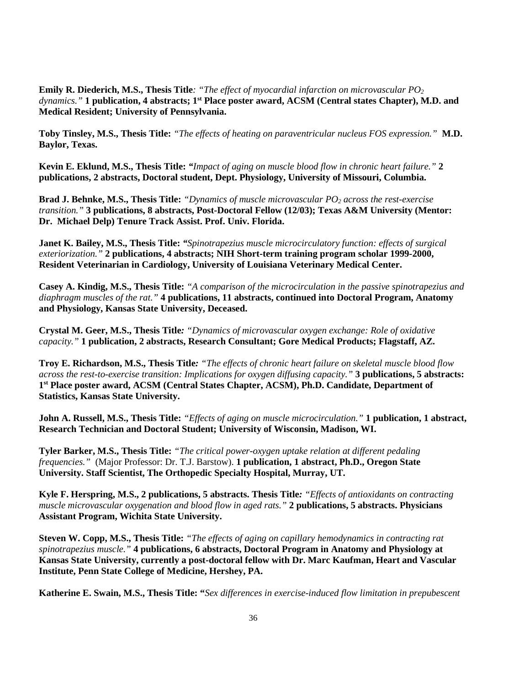**Emily R. Diederich, M.S., Thesis Title***: "The effect of myocardial infarction on microvascular PO2 dynamics."* **1 publication, 4 abstracts; 1st Place poster award, ACSM (Central states Chapter), M.D. and Medical Resident; University of Pennsylvania.**

**Toby Tinsley, M.S., Thesis Title:** *"The effects of heating on paraventricular nucleus FOS expression."* **M.D. Baylor, Texas.** 

**Kevin E. Eklund, M.S., Thesis Title:** *"Impact of aging on muscle blood flow in chronic heart failure."* **2 publications, 2 abstracts, Doctoral student, Dept. Physiology, University of Missouri, Columbia.** 

**Brad J. Behnke, M.S., Thesis Title:** *"Dynamics of muscle microvascular PO<sub>2</sub> across the rest-exercise transition."* **3 publications, 8 abstracts, Post-Doctoral Fellow (12/03); Texas A&M University (Mentor: Dr. Michael Delp) Tenure Track Assist. Prof. Univ. Florida.** 

**Janet K. Bailey, M.S., Thesis Title:** *"Spinotrapezius muscle microcirculatory function: effects of surgical exteriorization."* **2 publications, 4 abstracts; NIH Short-term training program scholar 1999-2000, Resident Veterinarian in Cardiology, University of Louisiana Veterinary Medical Center.**

**Casey A. Kindig, M.S., Thesis Title:** *"A comparison of the microcirculation in the passive spinotrapezius and diaphragm muscles of the rat."* **4 publications, 11 abstracts, continued into Doctoral Program, Anatomy and Physiology, Kansas State University, Deceased.** 

**Crystal M. Geer, M.S., Thesis Title***: "Dynamics of microvascular oxygen exchange: Role of oxidative capacity."* **1 publication, 2 abstracts, Research Consultant; Gore Medical Products; Flagstaff, AZ.**

**Troy E. Richardson, M.S., Thesis Title***: "The effects of chronic heart failure on skeletal muscle blood flow across the rest-to-exercise transition: Implications for oxygen diffusing capacity."* **3 publications, 5 abstracts: 1st Place poster award, ACSM (Central States Chapter, ACSM), Ph.D. Candidate, Department of Statistics, Kansas State University.** 

**John A. Russell, M.S., Thesis Title:** *"Effects of aging on muscle microcirculation."* **1 publication, 1 abstract, Research Technician and Doctoral Student; University of Wisconsin, Madison, WI.**

**Tyler Barker, M.S., Thesis Title:** *"The critical power-oxygen uptake relation at different pedaling frequencies."* (Major Professor: Dr. T.J. Barstow). **1 publication, 1 abstract, Ph.D., Oregon State University. Staff Scientist, The Orthopedic Specialty Hospital, Murray, UT.** 

**Kyle F. Herspring, M.S., 2 publications, 5 abstracts. Thesis Title***: "Effects of antioxidants on contracting muscle microvascular oxygenation and blood flow in aged rats."* **2 publications, 5 abstracts. Physicians Assistant Program, Wichita State University.** 

**Steven W. Copp, M.S., Thesis Title:** *"The effects of aging on capillary hemodynamics in contracting rat spinotrapezius muscle."* **4 publications, 6 abstracts, Doctoral Program in Anatomy and Physiology at Kansas State University, currently a post-doctoral fellow with Dr. Marc Kaufman, Heart and Vascular Institute, Penn State College of Medicine, Hershey, PA.**

**Katherine E. Swain, M.S., Thesis Title: "***Sex differences in exercise-induced flow limitation in prepubescent*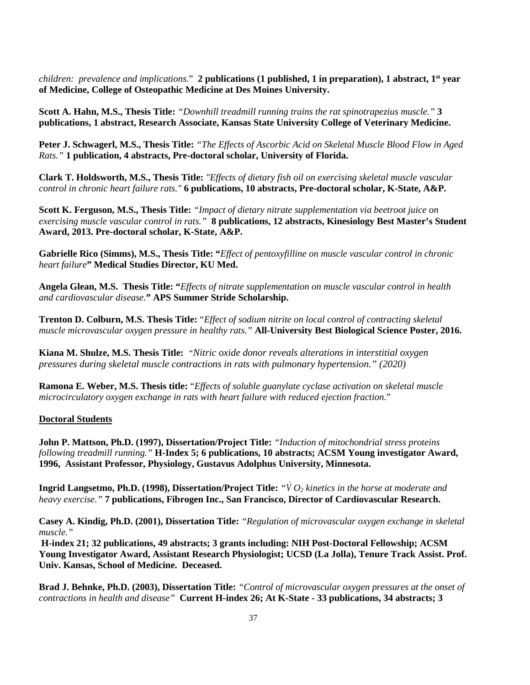*children: prevalence and implications.*" **2 publications (1 published, 1 in preparation), 1 abstract, 1<sup>st</sup> year of Medicine, College of Osteopathic Medicine at Des Moines University.**

**Scott A. Hahn, M.S., Thesis Title:** *"Downhill treadmill running trains the rat spinotrapezius muscle."* **3 publications, 1 abstract, Research Associate, Kansas State University College of Veterinary Medicine.**

**Peter J. Schwagerl, M.S., Thesis Title:** *"The Effects of Ascorbic Acid on Skeletal Muscle Blood Flow in Aged Rats."* **1 publication, 4 abstracts, Pre-doctoral scholar, University of Florida.** 

**Clark T. Holdsworth, M.S., Thesis Title:** *"Effects of dietary fish oil on exercising skeletal muscle vascular control in chronic heart failure rats."* **6 publications, 10 abstracts, Pre-doctoral scholar, K-State, A&P.** 

**Scott K. Ferguson, M.S., Thesis Title:** *"Impact of dietary nitrate supplementation via beetroot juice on exercising muscle vascular control in rats."* **8 publications, 12 abstracts, Kinesiology Best Master's Student Award, 2013. Pre-doctoral scholar, K-State, A&P.**

**Gabrielle Rico (Simms), M.S., Thesis Title: "***Effect of pentoxyfilline on muscle vascular control in chronic heart failure***" Medical Studies Director, KU Med.**

**Angela Glean, M.S. Thesis Title: "***Effects of nitrate supplementation on muscle vascular control in health and cardiovascular disease.***" APS Summer Stride Scholarship.**

**Trenton D. Colburn, M.S. Thesis Title:** "*Effect of sodium nitrite on local control of contracting skeletal muscle microvascular oxygen pressure in healthy rats."* **All-University Best Biological Science Poster, 2016.** 

**Kiana M. Shulze, M.S. Thesis Title:** *"Nitric oxide donor reveals alterations in interstitial oxygen pressures during skeletal muscle contractions in rats with pulmonary hypertension." (2020)*

**Ramona E. Weber, M.S. Thesis title:** "*Effects of soluble guanylate cyclase activation on skeletal muscle microcirculatory oxygen exchange in rats with heart failure with reduced ejection fraction*."

### **Doctoral Students**

**John P. Mattson, Ph.D. (1997), Dissertation/Project Title:** *"Induction of mitochondrial stress proteins following treadmill running."* **H-Index 5; 6 publications, 10 abstracts; ACSM Young investigator Award, 1996, Assistant Professor, Physiology, Gustavus Adolphus University, Minnesota.**

**Ingrid Langsetmo, Ph.D. (1998), Dissertation/Project Title:**  $\forall$  *O*<sub>2</sub> *kinetics in the horse at moderate and heavy exercise."* **7 publications, Fibrogen Inc., San Francisco, Director of Cardiovascular Research.**

**Casey A. Kindig, Ph.D. (2001), Dissertation Title:** *"Regulation of microvascular oxygen exchange in skeletal muscle."* 

**H-index 21; 32 publications, 49 abstracts; 3 grants including: NIH Post-Doctoral Fellowship; ACSM Young Investigator Award, Assistant Research Physiologist; UCSD (La Jolla), Tenure Track Assist. Prof. Univ. Kansas, School of Medicine. Deceased.**

**Brad J. Behnke, Ph.D. (2003), Dissertation Title:** *"Control of microvascular oxygen pressures at the onset of contractions in health and disease"* **Current H-index 26; At K-State - 33 publications, 34 abstracts; 3**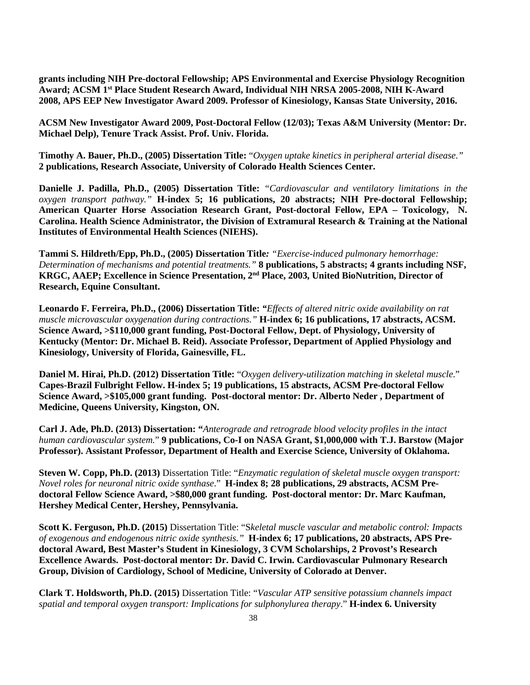**grants including NIH Pre-doctoral Fellowship; APS Environmental and Exercise Physiology Recognition Award; ACSM 1st Place Student Research Award, Individual NIH NRSA 2005-2008, NIH K-Award 2008, APS EEP New Investigator Award 2009. Professor of Kinesiology, Kansas State University, 2016.** 

**ACSM New Investigator Award 2009, Post-Doctoral Fellow (12/03); Texas A&M University (Mentor: Dr. Michael Delp), Tenure Track Assist. Prof. Univ. Florida.**

**Timothy A. Bauer, Ph.D., (2005) Dissertation Title:** "*Oxygen uptake kinetics in peripheral arterial disease."* **2 publications, Research Associate, University of Colorado Health Sciences Center.**

**Danielle J. Padilla, Ph.D., (2005) Dissertation Title:** *"Cardiovascular and ventilatory limitations in the oxygen transport pathway."* **H-index 5; 16 publications, 20 abstracts; NIH Pre-doctoral Fellowship; American Quarter Horse Association Research Grant, Post-doctoral Fellow, EPA – Toxicology, N. Carolina. Health Science Administrator, the Division of Extramural Research & Training at the National Institutes of Environmental Health Sciences (NIEHS).**

**Tammi S. Hildreth/Epp, Ph.D., (2005) Dissertation Title***: "Exercise-induced pulmonary hemorrhage: Determination of mechanisms and potential treatments."* **8 publications, 5 abstracts; 4 grants including NSF, KRGC, AAEP; Excellence in Science Presentation, 2nd Place, 2003, United BioNutrition, Director of Research, Equine Consultant.**

**Leonardo F. Ferreira, Ph.D., (2006) Dissertation Title:** *"Effects of altered nitric oxide availability on rat muscle microvascular oxygenation during contractions."* **H-index 6; 16 publications, 17 abstracts, ACSM. Science Award, >\$110,000 grant funding, Post-Doctoral Fellow, Dept. of Physiology, University of Kentucky (Mentor: Dr. Michael B. Reid). Associate Professor, Department of Applied Physiology and Kinesiology, University of Florida, Gainesville, FL.** 

**Daniel M. Hirai, Ph.D. (2012) Dissertation Title:** "*Oxygen delivery-utilization matching in skeletal muscle*." **Capes-Brazil Fulbright Fellow. H-index 5; 19 publications, 15 abstracts, ACSM Pre-doctoral Fellow Science Award, >\$105,000 grant funding. Post-doctoral mentor: Dr. Alberto Neder , Department of Medicine, Queens University, Kingston, ON.**

**Carl J. Ade, Ph.D. (2013) Dissertation: "***Anterograde and retrograde blood velocity profiles in the intact human cardiovascular system.*" **9 publications, Co-I on NASA Grant, \$1,000,000 with T.J. Barstow (Major Professor). Assistant Professor, Department of Health and Exercise Science, University of Oklahoma.** 

**Steven W. Copp, Ph.D. (2013)** Dissertation Title: "*Enzymatic regulation of skeletal muscle oxygen transport: Novel roles for neuronal nitric oxide synthase*." **H-index 8; 28 publications, 29 abstracts, ACSM Predoctoral Fellow Science Award, >\$80,000 grant funding. Post-doctoral mentor: Dr. Marc Kaufman, Hershey Medical Center, Hershey, Pennsylvania.**

**Scott K. Ferguson, Ph.D. (2015)** Dissertation Title: "S*keletal muscle vascular and metabolic control: Impacts of exogenous and endogenous nitric oxide synthesis."* **H-index 6; 17 publications, 20 abstracts, APS Predoctoral Award, Best Master's Student in Kinesiology, 3 CVM Scholarships, 2 Provost's Research Excellence Awards. Post-doctoral mentor: Dr. David C. Irwin. Cardiovascular Pulmonary Research Group, Division of Cardiology, School of Medicine, University of Colorado at Denver.** 

**Clark T. Holdsworth, Ph.D. (2015)** Dissertation Title: "*Vascular ATP sensitive potassium channels impact spatial and temporal oxygen transport: Implications for sulphonylurea therapy*." **H-index 6. University**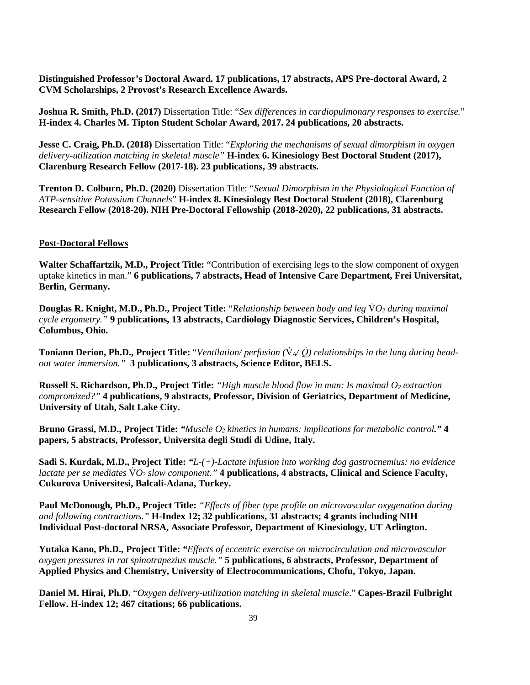**Distinguished Professor's Doctoral Award. 17 publications, 17 abstracts, APS Pre-doctoral Award, 2 CVM Scholarships, 2 Provost's Research Excellence Awards.**

**Joshua R. Smith, Ph.D. (2017)** Dissertation Title: "*Sex differences in cardiopulmonary responses to exercise.*" **H-index 4. Charles M. Tipton Student Scholar Award, 2017. 24 publications, 20 abstracts.** 

**Jesse C. Craig, Ph.D. (2018)** Dissertation Title: "*Exploring the mechanisms of sexual dimorphism in oxygen delivery-utilization matching in skeletal muscle"* **H-index 6. Kinesiology Best Doctoral Student (2017), Clarenburg Research Fellow (2017-18). 23 publications, 39 abstracts.** 

**Trenton D. Colburn, Ph.D. (2020)** Dissertation Title: "*Sexual Dimorphism in the Physiological Function of ATP-sensitive Potassium Channels*" **H-index 8. Kinesiology Best Doctoral Student (2018), Clarenburg Research Fellow (2018-20). NIH Pre-Doctoral Fellowship (2018-2020), 22 publications, 31 abstracts.** 

## **Post-Doctoral Fellows**

**Walter Schaffartzik, M.D., Project Title:** "Contribution of exercising legs to the slow component of oxygen uptake kinetics in man." **6 publications, 7 abstracts, Head of Intensive Care Department, Frei Universitat, Berlin, Germany.** 

**Douglas R. Knight, M.D., Ph.D., Project Title:** "*Relationship between body and leg*  $\dot{V}O_2$  during maximal *cycle ergometry."* **9 publications, 13 abstracts, Cardiology Diagnostic Services, Children's Hospital, Columbus, Ohio.** 

**Toniann Derion, Ph.D., Project Title:** "Ventilation/perfusion  $(\nabla_{A}/\nabla)$  relationships in the lung during head*out water immersion."* **3 publications, 3 abstracts, Science Editor, BELS.** 

**Russell S. Richardson, Ph.D., Project Title:** *"High muscle blood flow in man: Is maximal O<sub>2</sub> extraction compromized?"* **4 publications, 9 abstracts, Professor, Division of Geriatrics, Department of Medicine, University of Utah, Salt Lake City.** 

**Bruno Grassi, M.D., Project Title:** *"Muscle O2 kinetics in humans: implications for metabolic control."* **4 papers, 5 abstracts, Professor, Universita degli Studi di Udine, Italy.**

**Sadi S. Kurdak, M.D., Project Title:** *"L-(+)-Lactate infusion into working dog gastrocnemius: no evidence lactate per se mediates*  $\dot{V}O_2$  *slow component.*" **4 publications, 4 abstracts, Clinical and Science Faculty, Cukurova Universitesi, Balcali-Adana, Turkey.** 

**Paul McDonough, Ph.D., Project Title:** *"Effects of fiber type profile on microvascular oxygenation during and following contractions."* **H-Index 12; 32 publications, 31 abstracts; 4 grants including NIH Individual Post-doctoral NRSA, Associate Professor, Department of Kinesiology, UT Arlington.**

**Yutaka Kano, Ph.D., Project Title:** *"Effects of eccentric exercise on microcirculation and microvascular oxygen pressures in rat spinotrapezius muscle."* **5 publications, 6 abstracts, Professor, Department of Applied Physics and Chemistry, University of Electrocommunications, Chofu, Tokyo, Japan.** 

**Daniel M. Hirai, Ph.D.** "*Oxygen delivery-utilization matching in skeletal muscle*." **Capes-Brazil Fulbright Fellow. H-index 12; 467 citations; 66 publications.**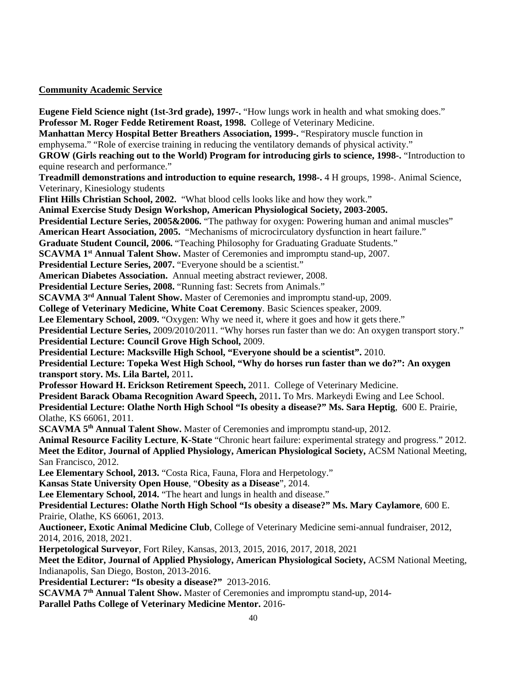## **Community Academic Service**

**Eugene Field Science night (1st-3rd grade), 1997-.** "How lungs work in health and what smoking does." **Professor M. Roger Fedde Retirement Roast, 1998.** College of Veterinary Medicine. **Manhattan Mercy Hospital Better Breathers Association, 1999-.** "Respiratory muscle function in emphysema." "Role of exercise training in reducing the ventilatory demands of physical activity." **GROW (Girls reaching out to the World) Program for introducing girls to science, 1998-.** "Introduction to equine research and performance." **Treadmill demonstrations and introduction to equine research, 1998-.** 4 H groups, 1998-. Animal Science, Veterinary, Kinesiology students **Flint Hills Christian School, 2002.** "What blood cells looks like and how they work." **Animal Exercise Study Design Workshop, American Physiological Society, 2003-2005. Presidential Lecture Series, 2005&2006.** "The pathway for oxygen: Powering human and animal muscles" **American Heart Association, 2005.** "Mechanisms of microcirculatory dysfunction in heart failure." **Graduate Student Council, 2006.** "Teaching Philosophy for Graduating Graduate Students." **SCAVMA 1<sup>st</sup> Annual Talent Show.** Master of Ceremonies and impromptu stand-up, 2007. **Presidential Lecture Series, 2007. "Everyone should be a scientist." American Diabetes Association.** Annual meeting abstract reviewer, 2008. **Presidential Lecture Series, 2008. "Running fast: Secrets from Animals." SCAVMA 3<sup>rd</sup> Annual Talent Show.** Master of Ceremonies and impromptu stand-up, 2009. **College of Veterinary Medicine, White Coat Ceremony**. Basic Sciences speaker, 2009. Lee Elementary School, 2009. "Oxygen: Why we need it, where it goes and how it gets there." **Presidential Lecture Series, 2009/2010/2011. "Why horses run faster than we do: An oxygen transport story." Presidential Lecture: Council Grove High School,** 2009. **Presidential Lecture: Macksville High School, "Everyone should be a scientist".** 2010. **Presidential Lecture: Topeka West High School, "Why do horses run faster than we do?": An oxygen transport story. Ms. Lila Bartel,** 2011**. Professor Howard H. Erickson Retirement Speech,** 2011. College of Veterinary Medicine. **President Barack Obama Recognition Award Speech,** 2011**.** To Mrs. Markeydi Ewing and Lee School. **Presidential Lecture: Olathe North High School "Is obesity a disease?" Ms. Sara Heptig**, 600 E. Prairie, Olathe, KS 66061, 2011. **SCAVMA 5th Annual Talent Show.** Master of Ceremonies and impromptu stand-up, 2012. **Animal Resource Facility Lecture**, **K-State** "Chronic heart failure: experimental strategy and progress." 2012. **Meet the Editor, Journal of Applied Physiology, American Physiological Society,** ACSM National Meeting, San Francisco, 2012. **Lee Elementary School, 2013.** "Costa Rica, Fauna, Flora and Herpetology." **Kansas State University Open House**, "**Obesity as a Disease**", 2014. Lee Elementary School, 2014. "The heart and lungs in health and disease." **Presidential Lectures: Olathe North High School "Is obesity a disease?" Ms. Mary Caylamore**, 600 E. Prairie, Olathe, KS 66061, 2013. **Auctioneer, Exotic Animal Medicine Club**, College of Veterinary Medicine semi-annual fundraiser, 2012, 2014, 2016, 2018, 2021. **Herpetological Surveyor**, Fort Riley, Kansas, 2013, 2015, 2016, 2017, 2018, 2021 **Meet the Editor, Journal of Applied Physiology, American Physiological Society,** ACSM National Meeting, Indianapolis, San Diego, Boston, 2013-2016. **Presidential Lecturer: "Is obesity a disease?"** 2013-2016. **SCAVMA 7th Annual Talent Show.** Master of Ceremonies and impromptu stand-up, 2014-

**Parallel Paths College of Veterinary Medicine Mentor.** 2016-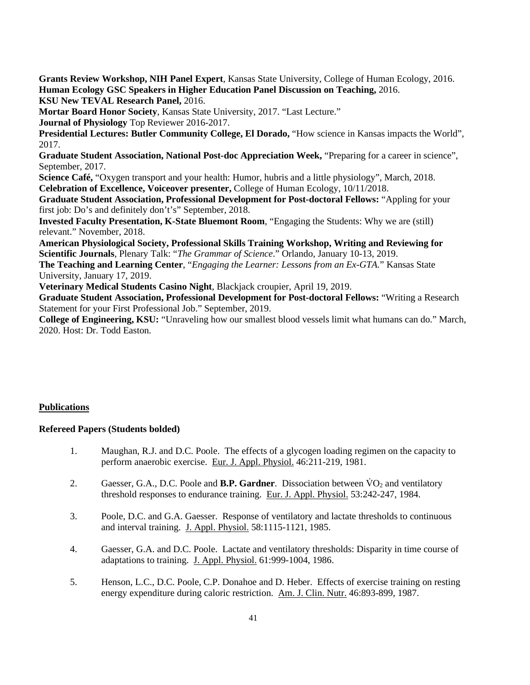**Grants Review Workshop, NIH Panel Expert**, Kansas State University, College of Human Ecology, 2016. **Human Ecology GSC Speakers in Higher Education Panel Discussion on Teaching,** 2016.

**KSU New TEVAL Research Panel,** 2016.

**Mortar Board Honor Society**, Kansas State University, 2017. "Last Lecture."

**Journal of Physiology** Top Reviewer 2016-2017.

Presidential Lectures: Butler Community College, El Dorado, "How science in Kansas impacts the World", 2017.

**Graduate Student Association, National Post-doc Appreciation Week,** "Preparing for a career in science", September, 2017.

**Science Café,** "Oxygen transport and your health: Humor, hubris and a little physiology", March, 2018. **Celebration of Excellence, Voiceover presenter,** College of Human Ecology, 10/11/2018.

**Graduate Student Association, Professional Development for Post-doctoral Fellows:** "Appling for your first job: Do's and definitely don't's" September, 2018.

**Invested Faculty Presentation, K-State Bluemont Room**, "Engaging the Students: Why we are (still) relevant." November, 2018.

**American Physiological Society, Professional Skills Training Workshop, Writing and Reviewing for Scientific Journals**, Plenary Talk: "*The Grammar of Science*." Orlando, January 10-13, 2019.

**The Teaching and Learning Center**, "*Engaging the Learner: Lessons from an Ex-GTA.*" Kansas State University, January 17, 2019.

**Veterinary Medical Students Casino Night**, Blackjack croupier, April 19, 2019.

**Graduate Student Association, Professional Development for Post-doctoral Fellows:** "Writing a Research Statement for your First Professional Job." September, 2019.

**College of Engineering, KSU:** "Unraveling how our smallest blood vessels limit what humans can do." March, 2020. Host: Dr. Todd Easton.

# **Publications**

# **Refereed Papers (Students bolded)**

- 1. Maughan, R.J. and D.C. Poole. The effects of a glycogen loading regimen on the capacity to perform anaerobic exercise. Eur. J. Appl. Physiol. 46:211-219, 1981.
- 2. Gaesser, G.A., D.C. Poole and **B.P. Gardner**. Dissociation between  $VO<sub>2</sub>$  and ventilatory threshold responses to endurance training. Eur. J. Appl. Physiol. 53:242-247, 1984.
- 3. Poole, D.C. and G.A. Gaesser. Response of ventilatory and lactate thresholds to continuous and interval training. J. Appl. Physiol. 58:1115-1121, 1985.
- 4. Gaesser, G.A. and D.C. Poole. Lactate and ventilatory thresholds: Disparity in time course of adaptations to training. J. Appl. Physiol. 61:999-1004, 1986.
- 5. Henson, L.C., D.C. Poole, C.P. Donahoe and D. Heber. Effects of exercise training on resting energy expenditure during caloric restriction. Am. J. Clin. Nutr. 46:893-899, 1987.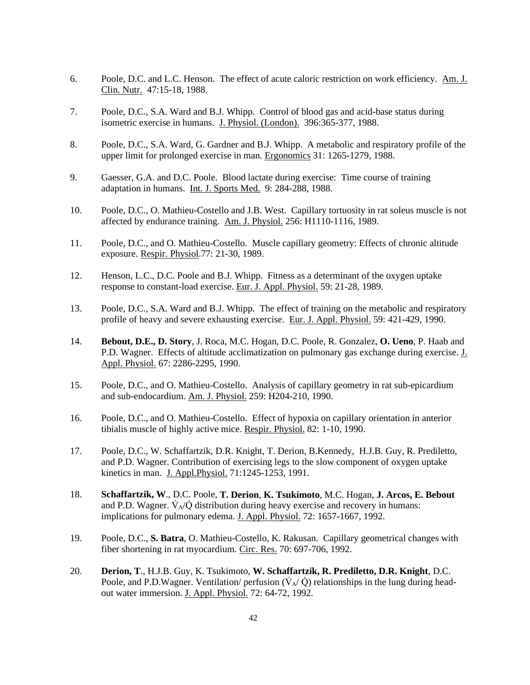- 6. Poole, D.C. and L.C. Henson. The effect of acute caloric restriction on work efficiency. Am. J. Clin. Nutr. 47:15-18, 1988.
- 7. Poole, D.C., S.A. Ward and B.J. Whipp. Control of blood gas and acid-base status during isometric exercise in humans. J. Physiol. (London). 396:365-377, 1988.
- 8. Poole, D.C., S.A. Ward, G. Gardner and B.J. Whipp. A metabolic and respiratory profile of the upper limit for prolonged exercise in man. Ergonomics 31: 1265-1279, 1988.
- 9. Gaesser, G.A. and D.C. Poole. Blood lactate during exercise: Time course of training adaptation in humans. Int. J. Sports Med. 9: 284-288, 1988.
- 10. Poole, D.C., O. Mathieu-Costello and J.B. West. Capillary tortuosity in rat soleus muscle is not affected by endurance training. Am. J. Physiol. 256: H1110-1116, 1989.
- 11. Poole, D.C., and O. Mathieu-Costello. Muscle capillary geometry: Effects of chronic altitude exposure. Respir. Physiol.77: 21-30, 1989.
- 12. Henson, L.C., D.C. Poole and B.J. Whipp. Fitness as a determinant of the oxygen uptake response to constant-load exercise. Eur. J. Appl. Physiol. 59: 21-28, 1989.
- 13. Poole, D.C., S.A. Ward and B.J. Whipp. The effect of training on the metabolic and respiratory profile of heavy and severe exhausting exercise. Eur. J. Appl. Physiol. 59: 421-429, 1990.
- 14. **Bebout, D.E., D. Story**, J. Roca, M.C. Hogan, D.C. Poole, R. Gonzalez, **O. Ueno**, P. Haab and P.D. Wagner. Effects of altitude acclimatization on pulmonary gas exchange during exercise. J. Appl. Physiol. 67: 2286-2295, 1990.
- 15. Poole, D.C., and O. Mathieu-Costello. Analysis of capillary geometry in rat sub-epicardium and sub-endocardium. Am. J. Physiol. 259: H204-210, 1990.
- 16. Poole, D.C., and O. Mathieu-Costello. Effect of hypoxia on capillary orientation in anterior tibialis muscle of highly active mice. Respir. Physiol. 82: 1-10, 1990.
- 17. Poole, D.C., W. Schaffartzik, D.R. Knight, T. Derion, B.Kennedy, H.J.B. Guy, R. Prediletto, and P.D. Wagner. Contribution of exercising legs to the slow component of oxygen uptake kinetics in man. J. Appl.Physiol. 71:1245-1253, 1991.
- 18. **Schaffartzik, W**., D.C. Poole, **T. Derion**, **K. Tsukimoto**, M.C. Hogan, **J. Arcos, E. Bebout** and P.D. Wagner.  $\dot{V}_{A}/\dot{Q}$  distribution during heavy exercise and recovery in humans: implications for pulmonary edema. J. Appl. Physiol. 72: 1657-1667, 1992.
- 19. Poole, D.C., **S. Batra**, O. Mathieu-Costello, K. Rakusan. Capillary geometrical changes with fiber shortening in rat myocardium. Circ. Res. 70: 697-706, 1992.
- 20. **Derion, T**., H.J.B. Guy, K. Tsukimoto, **W. Schaffartzik, R. Prediletto, D.R. Knight**, D.C. Poole, and P.D.Wagner. Ventilation/ perfusion  $(\dot{V}_{A}/\dot{Q})$  relationships in the lung during headout water immersion. J. Appl. Physiol. 72: 64-72, 1992.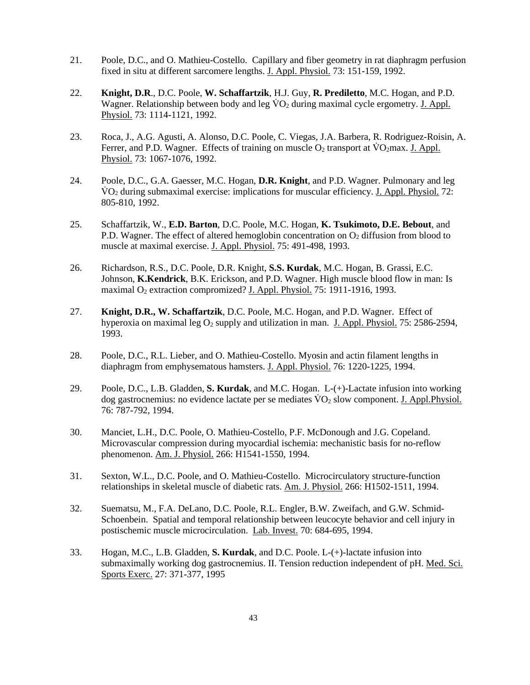- 21. Poole, D.C., and O. Mathieu-Costello. Capillary and fiber geometry in rat diaphragm perfusion fixed in situ at different sarcomere lengths. J. Appl. Physiol. 73: 151-159, 1992.
- 22. **Knight, D.R**., D.C. Poole, **W. Schaffartzik**, H.J. Guy, **R. Prediletto**, M.C. Hogan, and P.D. Wagner. Relationship between body and leg  $\rm\dot{V}O_2$  during maximal cycle ergometry. J. Appl. Physiol. 73: 1114-1121, 1992.
- 23. Roca, J., A.G. Agusti, A. Alonso, D.C. Poole, C. Viegas, J.A. Barbera, R. Rodriguez-Roisin, A. Ferrer, and P.D. Wagner. Effects of training on muscle  $O_2$  transport at  $\rm \ddot{V}O_2$  max. J. Appl. Physiol. 73: 1067-1076, 1992.
- 24. Poole, D.C., G.A. Gaesser, M.C. Hogan, **D.R. Knight**, and P.D. Wagner. Pulmonary and leg  $VO<sub>2</sub>$  during submaximal exercise: implications for muscular efficiency. J. Appl. Physiol. 72: 805-810, 1992.
- 25. Schaffartzik, W., **E.D. Barton**, D.C. Poole, M.C. Hogan, **K. Tsukimoto, D.E. Bebout**, and P.D. Wagner. The effect of altered hemoglobin concentration on  $O<sub>2</sub>$  diffusion from blood to muscle at maximal exercise. J. Appl. Physiol. 75: 491-498, 1993.
- 26. Richardson, R.S., D.C. Poole, D.R. Knight, **S.S. Kurdak**, M.C. Hogan, B. Grassi, E.C. Johnson, **K.Kendrick**, B.K. Erickson, and P.D. Wagner. High muscle blood flow in man: Is maximal O<sub>2</sub> extraction compromized? J. Appl. Physiol. 75: 1911-1916, 1993.
- 27. **Knight, D.R., W. Schaffartzik**, D.C. Poole, M.C. Hogan, and P.D. Wagner. Effect of hyperoxia on maximal leg  $O_2$  supply and utilization in man. J. Appl. Physiol. 75: 2586-2594, 1993.
- 28. Poole, D.C., R.L. Lieber, and O. Mathieu-Costello. Myosin and actin filament lengths in diaphragm from emphysematous hamsters. J. Appl. Physiol. 76: 1220-1225, 1994.
- 29. Poole, D.C., L.B. Gladden, **S. Kurdak**, and M.C. Hogan. L-(+)-Lactate infusion into working dog gastrocnemius: no evidence lactate per se mediates  $\rm \ddot{V}O_{2}$  slow component. J. Appl. Physiol. 76: 787-792, 1994.
- 30. Manciet, L.H., D.C. Poole, O. Mathieu-Costello, P.F. McDonough and J.G. Copeland. Microvascular compression during myocardial ischemia: mechanistic basis for no-reflow phenomenon. Am. J. Physiol. 266: H1541-1550, 1994.
- 31. Sexton, W.L., D.C. Poole, and O. Mathieu-Costello. Microcirculatory structure-function relationships in skeletal muscle of diabetic rats. Am. J. Physiol. 266: H1502-1511, 1994.
- 32. Suematsu, M., F.A. DeLano, D.C. Poole, R.L. Engler, B.W. Zweifach, and G.W. Schmid-Schoenbein. Spatial and temporal relationship between leucocyte behavior and cell injury in postischemic muscle microcirculation. Lab. Invest. 70: 684-695, 1994.
- 33. Hogan, M.C., L.B. Gladden, **S. Kurdak**, and D.C. Poole. L-(+)-lactate infusion into submaximally working dog gastrocnemius. II. Tension reduction independent of pH. Med. Sci. Sports Exerc. 27: 371-377, 1995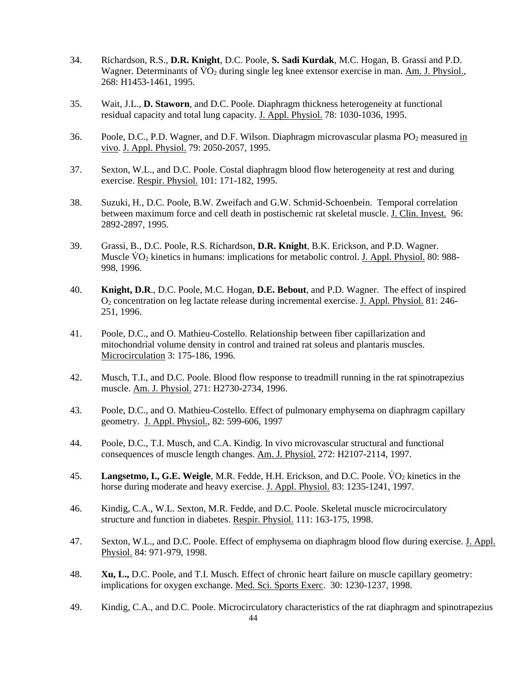- 34. Richardson, R.S., **D.R. Knight**, D.C. Poole, **S. Sadi Kurdak**, M.C. Hogan, B. Grassi and P.D. Wagner. Determinants of  $\text{VO}_2$  during single leg knee extensor exercise in man. Am. J. Physiol., 268: H1453-1461, 1995.
- 35. Wait, J.L., **D. Staworn**, and D.C. Poole. Diaphragm thickness heterogeneity at functional residual capacity and total lung capacity. J. Appl. Physiol. 78: 1030-1036, 1995.
- 36. Poole, D.C., P.D. Wagner, and D.F. Wilson. Diaphragm microvascular plasma PO2 measured in vivo. J. Appl. Physiol. 79: 2050-2057, 1995.
- 37. Sexton, W.L., and D.C. Poole. Costal diaphragm blood flow heterogeneity at rest and during exercise. Respir. Physiol. 101: 171-182, 1995.
- 38. Suzuki, H., D.C. Poole, B.W. Zweifach and G.W. Schmid-Schoenbein. Temporal correlation between maximum force and cell death in postischemic rat skeletal muscle. J. Clin. Invest. 96: 2892-2897, 1995.
- 39. Grassi, B., D.C. Poole, R.S. Richardson, **D.R. Knight**, B.K. Erickson, and P.D. Wagner. Muscle  $\rm\dot{VO}_2$  kinetics in humans: implications for metabolic control. J. Appl. Physiol. 80: 988-998, 1996.
- 40. **Knight, D.R**., D.C. Poole, M.C. Hogan, **D.E. Bebout**, and P.D. Wagner. The effect of inspired O2 concentration on leg lactate release during incremental exercise. J. Appl. Physiol. 81: 246- 251, 1996.
- 41. Poole, D.C., and O. Mathieu-Costello. Relationship between fiber capillarization and mitochondrial volume density in control and trained rat soleus and plantaris muscles. Microcirculation 3: 175-186, 1996.
- 42. Musch, T.I., and D.C. Poole. Blood flow response to treadmill running in the rat spinotrapezius muscle. Am. J. Physiol. 271: H2730-2734, 1996.
- 43. Poole, D.C., and O. Mathieu-Costello. Effect of pulmonary emphysema on diaphragm capillary geometry. J. Appl. Physiol., 82: 599-606, 1997
- 44. Poole, D.C., T.I. Musch, and C.A. Kindig. In vivo microvascular structural and functional consequences of muscle length changes. Am. J. Physiol. 272: H2107-2114, 1997.
- 45. **Langsetmo, I., G.E. Weigle**, M.R. Fedde, H.H. Erickson, and D.C. Poole. VO<sub>2</sub> kinetics in the horse during moderate and heavy exercise. J. Appl. Physiol. 83: 1235-1241, 1997.
- 46. Kindig, C.A., W.L. Sexton, M.R. Fedde, and D.C. Poole. Skeletal muscle microcirculatory structure and function in diabetes. Respir. Physiol. 111: 163-175, 1998.
- 47. Sexton, W.L., and D.C. Poole. Effect of emphysema on diaphragm blood flow during exercise. J. Appl. Physiol. 84: 971-979, 1998.
- 48. **Xu, L.,** D.C. Poole, and T.I. Musch. Effect of chronic heart failure on muscle capillary geometry: implications for oxygen exchange. Med. Sci. Sports Exerc. 30: 1230-1237, 1998.
- 49. Kindig, C.A., and D.C. Poole. Microcirculatory characteristics of the rat diaphragm and spinotrapezius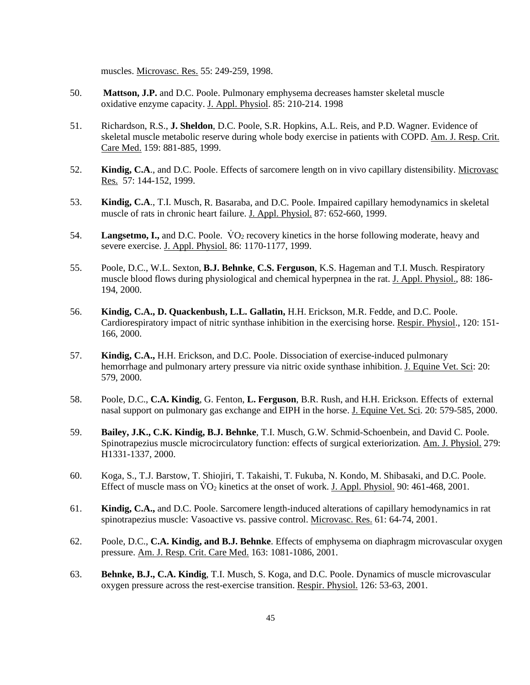muscles. Microvasc. Res. 55: 249-259, 1998.

- 50. **Mattson, J.P.** and D.C. Poole. Pulmonary emphysema decreases hamster skeletal muscle oxidative enzyme capacity. J. Appl. Physiol. 85: 210-214. 1998
- 51. Richardson, R.S., **J. Sheldon**, D.C. Poole, S.R. Hopkins, A.L. Reis, and P.D. Wagner. Evidence of skeletal muscle metabolic reserve during whole body exercise in patients with COPD. Am. J. Resp. Crit. Care Med. 159: 881-885, 1999.
- 52. **Kindig, C.A**., and D.C. Poole. Effects of sarcomere length on in vivo capillary distensibility. Microvasc Res. 57: 144-152, 1999.
- 53. **Kindig, C.A**., T.I. Musch, R. Basaraba, and D.C. Poole. Impaired capillary hemodynamics in skeletal muscle of rats in chronic heart failure. J. Appl. Physiol. 87: 652-660, 1999.
- 54. **Langsetmo, I.,** and D.C. Poole. VO<sub>2</sub> recovery kinetics in the horse following moderate, heavy and severe exercise. J. Appl. Physiol. 86: 1170-1177, 1999.
- 55. Poole, D.C., W.L. Sexton, **B.J. Behnke**, **C.S. Ferguson**, K.S. Hageman and T.I. Musch. Respiratory muscle blood flows during physiological and chemical hyperpnea in the rat. J. Appl. Physiol., 88: 186- 194, 2000.
- 56. **Kindig, C.A., D. Quackenbush, L.L. Gallatin,** H.H. Erickson, M.R. Fedde, and D.C. Poole. Cardiorespiratory impact of nitric synthase inhibition in the exercising horse. Respir. Physiol., 120: 151- 166, 2000.
- 57. **Kindig, C.A.,** H.H. Erickson, and D.C. Poole. Dissociation of exercise-induced pulmonary hemorrhage and pulmonary artery pressure via nitric oxide synthase inhibition. J. Equine Vet. Sci: 20: 579, 2000.
- 58. Poole, D.C., **C.A. Kindig**, G. Fenton, **L. Ferguson**, B.R. Rush, and H.H. Erickson. Effects of external nasal support on pulmonary gas exchange and EIPH in the horse. J. Equine Vet. Sci. 20: 579-585, 2000.
- 59. **Bailey, J.K., C.K. Kindig, B.J. Behnke**, T.I. Musch, G.W. Schmid-Schoenbein, and David C. Poole. Spinotrapezius muscle microcirculatory function: effects of surgical exteriorization. Am. J. Physiol. 279: H1331-1337, 2000.
- 60. Koga, S., T.J. Barstow, T. Shiojiri, T. Takaishi, T. Fukuba, N. Kondo, M. Shibasaki, and D.C. Poole. Effect of muscle mass on  $\rm \ddot{V}O_2$  kinetics at the onset of work. J. Appl. Physiol. 90: 461-468, 2001.
- 61. **Kindig, C.A.,** and D.C. Poole. Sarcomere length-induced alterations of capillary hemodynamics in rat spinotrapezius muscle: Vasoactive vs. passive control. Microvasc. Res. 61: 64-74, 2001.
- 62. Poole, D.C., **C.A. Kindig, and B.J. Behnke**. Effects of emphysema on diaphragm microvascular oxygen pressure. Am. J. Resp. Crit. Care Med. 163: 1081-1086, 2001.
- 63. **Behnke, B.J., C.A. Kindig**, T.I. Musch, S. Koga, and D.C. Poole. Dynamics of muscle microvascular oxygen pressure across the rest-exercise transition. Respir. Physiol. 126: 53-63, 2001.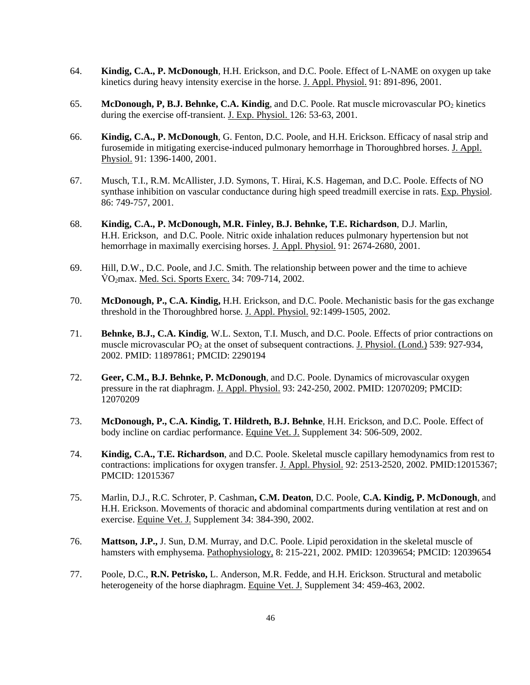- 64. **Kindig, C.A., P. McDonough**, H.H. Erickson, and D.C. Poole. Effect of L-NAME on oxygen up take kinetics during heavy intensity exercise in the horse. J. Appl. Physiol. 91: 891-896, 2001.
- 65. **McDonough, P, B.J. Behnke, C.A. Kindig**, and D.C. Poole. Rat muscle microvascular PO<sub>2</sub> kinetics during the exercise off-transient. J. Exp. Physiol. 126: 53-63, 2001.
- 66. **Kindig, C.A., P. McDonough**, G. Fenton, D.C. Poole, and H.H. Erickson. Efficacy of nasal strip and furosemide in mitigating exercise-induced pulmonary hemorrhage in Thoroughbred horses. J. Appl. Physiol. 91: 1396-1400, 2001.
- 67. Musch, T.I., R.M. McAllister, J.D. Symons, T. Hirai, K.S. Hageman, and D.C. Poole. Effects of NO synthase inhibition on vascular conductance during high speed treadmill exercise in rats. Exp. Physiol. 86: 749-757, 2001.
- 68. **Kindig, C.A., P. McDonough, M.R. Finley, B.J. Behnke, T.E. Richardson**, D.J. Marlin, H.H. Erickson, and D.C. Poole. Nitric oxide inhalation reduces pulmonary hypertension but not hemorrhage in maximally exercising horses. J. Appl. Physiol. 91: 2674-2680, 2001.
- 69. Hill, D.W., D.C. Poole, and J.C. Smith. The relationship between power and the time to achieve V̇ O2max. Med. Sci. Sports Exerc. 34: 709-714, 2002.
- 70. **McDonough, P., C.A. Kindig,** H.H. Erickson, and D.C. Poole. Mechanistic basis for the gas exchange threshold in the Thoroughbred horse. J. Appl. Physiol. 92:1499-1505, 2002.
- 71. **Behnke, B.J., C.A. Kindig**, W.L. Sexton, T.I. Musch, and D.C. Poole. Effects of prior contractions on muscle microvascular  $PO<sub>2</sub>$  at the onset of subsequent contractions. J. Physiol. (Lond.) 539: 927-934, 2002. PMID: 11897861; PMCID: 2290194
- 72. **Geer, C.M., B.J. Behnke, P. McDonough**, and D.C. Poole. Dynamics of microvascular oxygen pressure in the rat diaphragm. J. Appl. Physiol. 93: 242-250, 2002. PMID: 12070209; PMCID: 12070209
- 73. **McDonough, P., C.A. Kindig, T. Hildreth, B.J. Behnke**, H.H. Erickson, and D.C. Poole. Effect of body incline on cardiac performance. Equine Vet. J. Supplement 34: 506-509, 2002.
- 74. **Kindig, C.A., T.E. Richardson**, and D.C. Poole. Skeletal muscle capillary hemodynamics from rest to contractions: implications for oxygen transfer. J. Appl. Physiol. 92: 2513-2520, 2002. PMID:12015367; PMCID: 12015367
- 75. Marlin, D.J., R.C. Schroter, P. Cashman**, C.M. Deaton**, D.C. Poole, **C.A. Kindig, P. McDonough**, and H.H. Erickson. Movements of thoracic and abdominal compartments during ventilation at rest and on exercise. Equine Vet. J. Supplement 34: 384-390, 2002.
- 76. **Mattson, J.P.,** J. Sun, D.M. Murray, and D.C. Poole. Lipid peroxidation in the skeletal muscle of hamsters with emphysema. Pathophysiology, 8: 215-221, 2002. PMID: 12039654; PMCID: 12039654
- 77. Poole, D.C., **R.N. Petrisko,** L. Anderson, M.R. Fedde, and H.H. Erickson. Structural and metabolic heterogeneity of the horse diaphragm. Equine Vet. J. Supplement 34: 459-463, 2002.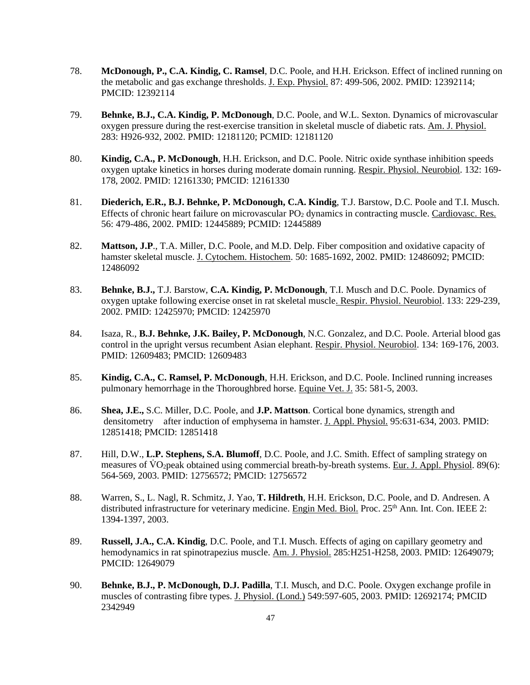- 78. **McDonough, P., C.A. Kindig, C. Ramsel**, D.C. Poole, and H.H. Erickson. Effect of inclined running on the metabolic and gas exchange thresholds. J. Exp. Physiol. 87: 499-506, 2002. PMID: 12392114; PMCID: 12392114
- 79. **Behnke, B.J., C.A. Kindig, P. McDonough**, D.C. Poole, and W.L. Sexton. Dynamics of microvascular oxygen pressure during the rest-exercise transition in skeletal muscle of diabetic rats. Am. J. Physiol. 283: H926-932, 2002. PMID: 12181120; PCMID: 12181120
- 80. **Kindig, C.A., P. McDonough**, H.H. Erickson, and D.C. Poole. Nitric oxide synthase inhibition speeds oxygen uptake kinetics in horses during moderate domain running. Respir. Physiol. Neurobiol. 132: 169- 178, 2002. PMID: 12161330; PMCID: 12161330
- 81. **Diederich, E.R., B.J. Behnke, P. McDonough, C.A. Kindig**, T.J. Barstow, D.C. Poole and T.I. Musch. Effects of chronic heart failure on microvascular PO<sub>2</sub> dynamics in contracting muscle. Cardiovasc. Res. 56: 479-486, 2002. PMID: 12445889; PCMID: 12445889
- 82. **Mattson, J.P**., T.A. Miller, D.C. Poole, and M.D. Delp. Fiber composition and oxidative capacity of hamster skeletal muscle. J. Cytochem. Histochem. 50: 1685-1692, 2002. PMID: 12486092; PMCID: 12486092
- 83. **Behnke, B.J.,** T.J. Barstow, **C.A. Kindig, P. McDonough**, T.I. Musch and D.C. Poole. Dynamics of oxygen uptake following exercise onset in rat skeletal muscle. Respir. Physiol. Neurobiol. 133: 229-239, 2002. PMID: 12425970; PMCID: 12425970
- 84. Isaza, R., **B.J. Behnke, J.K. Bailey, P. McDonough**, N.C. Gonzalez, and D.C. Poole. Arterial blood gas control in the upright versus recumbent Asian elephant. Respir. Physiol. Neurobiol. 134: 169-176, 2003. PMID: 12609483; PMCID: 12609483
- 85. **Kindig, C.A., C. Ramsel, P. McDonough**, H.H. Erickson, and D.C. Poole. Inclined running increases pulmonary hemorrhage in the Thoroughbred horse. Equine Vet. J. 35: 581-5, 2003.
- 86. **Shea, J.E.,** S.C. Miller, D.C. Poole, and **J.P. Mattson**. Cortical bone dynamics, strength and densitometry after induction of emphysema in hamster. J. Appl. Physiol. 95:631-634, 2003. PMID: 12851418; PMCID: 12851418
- 87. Hill, D.W., **L.P. Stephens, S.A. Blumoff**, D.C. Poole, and J.C. Smith. Effect of sampling strategy on measures of VO<sub>2</sub>peak obtained using commercial breath-by-breath systems. Eur. J. Appl. Physiol. 89(6): 564-569, 2003. PMID: 12756572; PMCID: 12756572
- 88. Warren, S., L. Nagl, R. Schmitz, J. Yao, **T. Hildreth**, H.H. Erickson, D.C. Poole, and D. Andresen. A distributed infrastructure for veterinary medicine. Engin Med. Biol. Proc. 25<sup>th</sup> Ann. Int. Con. IEEE 2: 1394-1397, 2003.
- 89. **Russell, J.A., C.A. Kindig**, D.C. Poole, and T.I. Musch. Effects of aging on capillary geometry and hemodynamics in rat spinotrapezius muscle. Am. J. Physiol. 285:H251-H258, 2003. PMID: 12649079; PMCID: 12649079
- 90. **Behnke, B.J., P. McDonough, D.J. Padilla**, T.I. Musch, and D.C. Poole. Oxygen exchange profile in muscles of contrasting fibre types. J. Physiol. (Lond.) 549:597-605, 2003. PMID: 12692174; PMCID 2342949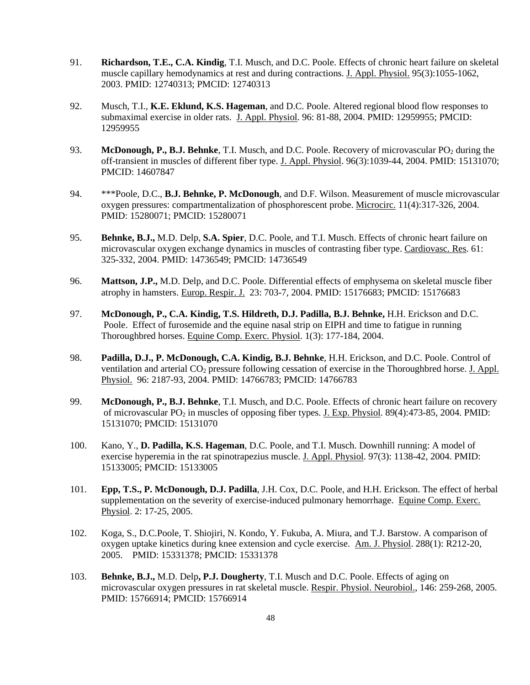- 91. **Richardson, T.E., C.A. Kindig**, T.I. Musch, and D.C. Poole. Effects of chronic heart failure on skeletal muscle capillary hemodynamics at rest and during contractions. J. Appl. Physiol. 95(3):1055-1062, 2003. PMID: 12740313; PMCID: 12740313
- 92. Musch, T.I., **K.E. Eklund, K.S. Hageman**, and D.C. Poole. Altered regional blood flow responses to submaximal exercise in older rats. J. Appl. Physiol. 96: 81-88, 2004. PMID: 12959955; PMCID: 12959955
- 93. **McDonough, P., B.J. Behnke**, T.I. Musch, and D.C. Poole. Recovery of microvascular PO<sub>2</sub> during the off-transient in muscles of different fiber type. J. Appl. Physiol. 96(3):1039-44, 2004. PMID: 15131070; PMCID: 14607847
- 94. \*\*\*Poole, D.C., **B.J. Behnke, P. McDonough**, and D.F. Wilson. Measurement of muscle microvascular oxygen pressures: compartmentalization of phosphorescent probe. Microcirc. 11(4):317-326, 2004. PMID: 15280071; PMCID: 15280071
- 95. **Behnke, B.J.,** M.D. Delp, **S.A. Spier**, D.C. Poole, and T.I. Musch. Effects of chronic heart failure on microvascular oxygen exchange dynamics in muscles of contrasting fiber type. Cardiovasc. Res. 61: 325-332, 2004. PMID: 14736549; PMCID: 14736549
- 96. **Mattson, J.P.,** M.D. Delp, and D.C. Poole. Differential effects of emphysema on skeletal muscle fiber atrophy in hamsters. Europ. Respir. J. 23: 703-7, 2004. PMID: 15176683; PMCID: 15176683
- 97. **McDonough, P., C.A. Kindig, T.S. Hildreth, D.J. Padilla, B.J. Behnke,** H.H. Erickson and D.C. Poole. Effect of furosemide and the equine nasal strip on EIPH and time to fatigue in running Thoroughbred horses. Equine Comp. Exerc. Physiol. 1(3): 177-184, 2004.
- 98. **Padilla, D.J., P. McDonough, C.A. Kindig, B.J. Behnke**, H.H. Erickson, and D.C. Poole. Control of ventilation and arterial CO<sub>2</sub> pressure following cessation of exercise in the Thoroughbred horse. J. Appl. Physiol. 96: 2187-93, 2004. PMID: 14766783; PMCID: 14766783
- 99. **McDonough, P., B.J. Behnke**, T.I. Musch, and D.C. Poole. Effects of chronic heart failure on recovery of microvascular PO2 in muscles of opposing fiber types. J. Exp. Physiol. 89(4):473-85, 2004. PMID: 15131070; PMCID: 15131070
- 100. Kano, Y., **D. Padilla, K.S. Hageman**, D.C. Poole, and T.I. Musch. Downhill running: A model of exercise hyperemia in the rat spinotrapezius muscle. J. Appl. Physiol. 97(3): 1138-42, 2004. PMID: 15133005; PMCID: 15133005
- 101. **Epp, T.S., P. McDonough, D.J. Padilla**, J.H. Cox, D.C. Poole, and H.H. Erickson. The effect of herbal supplementation on the severity of exercise-induced pulmonary hemorrhage. Equine Comp. Exerc. Physiol. 2: 17-25, 2005.
- 102. Koga, S., D.C.Poole, T. Shiojiri, N. Kondo, Y. Fukuba, A. Miura, and T.J. Barstow. A comparison of oxygen uptake kinetics during knee extension and cycle exercise. Am. J. Physiol. 288(1): R212-20, 2005. PMID: 15331378; PMCID: 15331378
- 103. **Behnke, B.J.,** M.D. Delp**, P.J. Dougherty**, T.I. Musch and D.C. Poole. Effects of aging on microvascular oxygen pressures in rat skeletal muscle. Respir. Physiol. Neurobiol., 146: 259-268, 2005. PMID: 15766914; PMCID: 15766914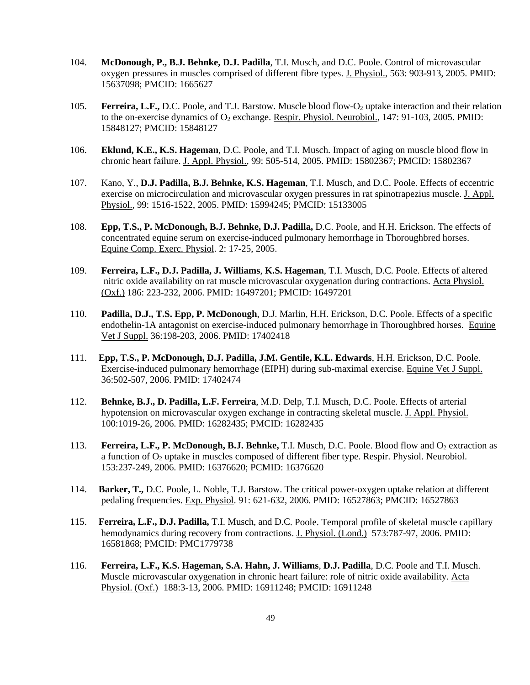- 104. **McDonough, P., B.J. Behnke, D.J. Padilla**, T.I. Musch, and D.C. Poole. Control of microvascular oxygen pressures in muscles comprised of different fibre types. J. Physiol., 563: 903-913, 2005. PMID: 15637098; PMCID: 1665627
- 105. **Ferreira, L.F.,** D.C. Poole, and T.J. Barstow. Muscle blood flow-O<sub>2</sub> uptake interaction and their relation to the on-exercise dynamics of  $O_2$  exchange. Respir. Physiol. Neurobiol., 147: 91-103, 2005. PMID: 15848127; PMCID: 15848127
- 106. **Eklund, K.E., K.S. Hageman**, D.C. Poole, and T.I. Musch. Impact of aging on muscle blood flow in chronic heart failure. J. Appl. Physiol., 99: 505-514, 2005. PMID: 15802367; PMCID: 15802367
- 107. Kano, Y., **D.J. Padilla, B.J. Behnke, K.S. Hageman**, T.I. Musch, and D.C. Poole. Effects of eccentric exercise on microcirculation and microvascular oxygen pressures in rat spinotrapezius muscle. J. Appl. Physiol., 99: 1516-1522, 2005. PMID: 15994245; PMCID: 15133005
- 108. **Epp, T.S., P. McDonough, B.J. Behnke, D.J. Padilla,** D.C. Poole, and H.H. Erickson. The effects of concentrated equine serum on exercise-induced pulmonary hemorrhage in Thoroughbred horses. Equine Comp. Exerc. Physiol. 2: 17-25, 2005.
- 109. **Ferreira, L.F., D.J. Padilla, J. Williams**, **K.S. Hageman**, T.I. Musch, D.C. Poole. Effects of altered nitric oxide availability on rat muscle microvascular oxygenation during contractions. Acta Physiol. (Oxf.) 186: 223-232, 2006. PMID: 16497201; PMCID: 16497201
- 110. **Padilla, D.J., T.S. Epp, P. McDonough**, D.J. Marlin, H.H. Erickson, D.C. Poole. Effects of a specific endothelin-1A antagonist on exercise-induced pulmonary hemorrhage in Thoroughbred horses. Equine Vet J Suppl. 36:198-203, 2006. PMID: 17402418
- 111. **Epp, T.S., P. McDonough, D.J. Padilla, J.M. Gentile, K.L. Edwards**, H.H. Erickson, D.C. Poole. Exercise-induced pulmonary hemorrhage (EIPH) during sub-maximal exercise. Equine Vet J Suppl. 36:502-507, 2006. PMID: 17402474
- 112. **Behnke, B.J., D. Padilla, L.F. Ferreira**, M.D. Delp, T.I. Musch, D.C. Poole. Effects of arterial hypotension on microvascular oxygen exchange in contracting skeletal muscle. J. Appl. Physiol. 100:1019-26, 2006. PMID: 16282435; PMCID: 16282435
- 113. **Ferreira, L.F., P. McDonough, B.J. Behnke,** T.I. Musch, D.C. Poole. Blood flow and O<sub>2</sub> extraction as a function of O<sub>2</sub> uptake in muscles composed of different fiber type. Respir. Physiol. Neurobiol. 153:237-249, 2006. PMID: 16376620; PCMID: 16376620
- 114. **Barker, T.,** D.C. Poole, L. Noble, T.J. Barstow. The critical power-oxygen uptake relation at different pedaling frequencies. Exp. Physiol. 91: 621-632, 2006. PMID: 16527863; PMCID: 16527863
- 115. **Ferreira, L.F., D.J. Padilla,** T.I. Musch, and D.C. Poole. Temporal profile of skeletal muscle capillary hemodynamics during recovery from contractions. J. Physiol. (Lond.) 573:787-97, 2006. PMID: 16581868; PMCID: PMC1779738
- 116. **Ferreira, L.F., K.S. Hageman, S.A. Hahn, J. Williams**, **D.J. Padilla**, D.C. Poole and T.I. Musch. Muscle microvascular oxygenation in chronic heart failure: role of nitric oxide availability. Acta Physiol. (Oxf.) 188:3-13, 2006. PMID: 16911248; PMCID: 16911248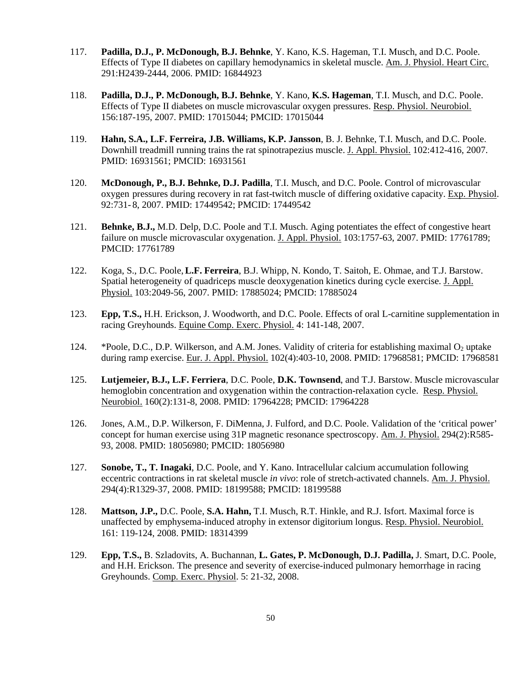- 117. **Padilla, D.J., P. McDonough, B.J. Behnke**, Y. Kano, K.S. Hageman, T.I. Musch, and D.C. Poole. Effects of Type II diabetes on capillary hemodynamics in skeletal muscle. Am. J. Physiol. Heart Circ. 291:H2439-2444, 2006. PMID: 16844923
- 118. **Padilla, D.J., P. McDonough, B.J. Behnke**, Y. Kano, **K.S. Hageman**, T.I. Musch, and D.C. Poole. Effects of Type II diabetes on muscle microvascular oxygen pressures. Resp. Physiol. Neurobiol. 156:187-195, 2007. PMID: 17015044; PMCID: 17015044
- 119. **Hahn, S.A., L.F. Ferreira, J.B. Williams, K.P. Jansson**, B. J. Behnke, T.I. Musch, and D.C. Poole. Downhill treadmill running trains the rat spinotrapezius muscle. J. Appl. Physiol. 102:412-416, 2007. PMID: 16931561; PMCID: 16931561
- 120. **McDonough, P., B.J. Behnke, D.J. Padilla**, T.I. Musch, and D.C. Poole. Control of microvascular oxygen pressures during recovery in rat fast-twitch muscle of differing oxidative capacity. Exp. Physiol. 92:731- 8, 2007. PMID: 17449542; PMCID: 17449542
- 121. **Behnke, B.J.,** M.D. Delp, D.C. Poole and T.I. Musch. Aging potentiates the effect of congestive heart failure on muscle microvascular oxygenation. J. Appl. Physiol. 103:1757-63, 2007. PMID: 17761789; PMCID: 17761789
- 122. Koga, S., D.C. Poole,**L.F. Ferreira**, B.J. Whipp, N. Kondo, T. Saitoh, E. Ohmae, and T.J. Barstow. Spatial heterogeneity of quadriceps muscle deoxygenation kinetics during cycle exercise. J. Appl. Physiol. 103:2049-56, 2007. PMID: 17885024; PMCID: 17885024
- 123. **Epp, T.S.,** H.H. Erickson, J. Woodworth, and D.C. Poole. Effects of oral L-carnitine supplementation in racing Greyhounds. Equine Comp. Exerc. Physiol. 4: 141-148, 2007.
- 124. \*Poole, D.C., D.P. Wilkerson, and A.M. Jones. Validity of criteria for establishing maximal  $O_2$  uptake during ramp exercise. Eur. J. Appl. Physiol. 102(4):403-10, 2008. PMID: 17968581; PMCID: 17968581
- 125. **Lutjemeier, B.J., L.F. Ferriera**, D.C. Poole, **D.K. Townsend**, and T.J. Barstow. Muscle microvascular hemoglobin concentration and oxygenation within the contraction-relaxation cycle. Resp. Physiol. Neurobiol. 160(2):131-8, 2008. PMID: 17964228; PMCID: 17964228
- 126. Jones, A.M., D.P. Wilkerson, F. DiMenna, J. Fulford, and D.C. Poole. Validation of the 'critical power' concept for human exercise using 31P magnetic resonance spectroscopy. Am. J. Physiol. 294(2):R585- 93, 2008. PMID: 18056980; PMCID: 18056980
- 127. **Sonobe, T., T. Inagaki**, D.C. Poole, and Y. Kano. Intracellular calcium accumulation following eccentric contractions in rat skeletal muscle *in vivo*: role of stretch-activated channels. Am. J. Physiol. 294(4):R1329-37, 2008. PMID: 18199588; PMCID: 18199588
- 128. **Mattson, J.P.,** D.C. Poole, **S.A. Hahn,** T.I. Musch, R.T. Hinkle, and R.J. Isfort. Maximal force is unaffected by emphysema-induced atrophy in extensor digitorium longus. Resp. Physiol. Neurobiol. 161: 119-124, 2008. PMID: 18314399
- 129. **Epp, T.S.,** B. Szladovits, A. Buchannan, **L. Gates, P. McDonough, D.J. Padilla,** J. Smart, D.C. Poole, and H.H. Erickson. The presence and severity of exercise-induced pulmonary hemorrhage in racing Greyhounds. Comp. Exerc. Physiol. 5: 21-32, 2008.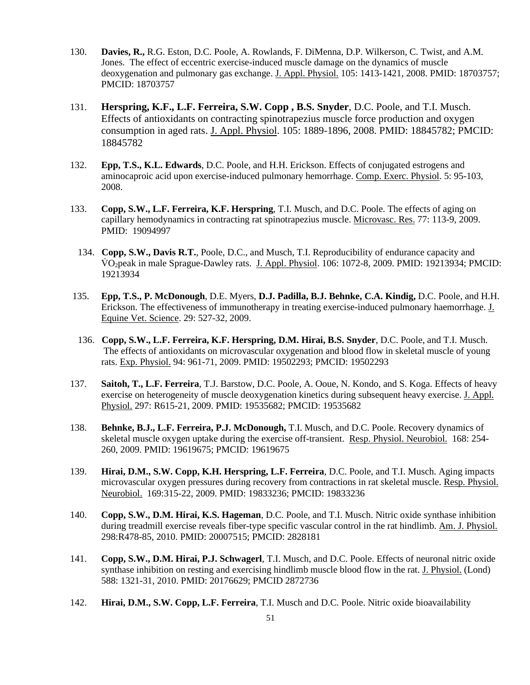- 130. **Davies, R.,** R.G. Eston, D.C. Poole, A. Rowlands, F. DiMenna, D.P. Wilkerson, C. Twist, and A.M. Jones. The effect of eccentric exercise-induced muscle damage on the dynamics of muscle deoxygenation and pulmonary gas exchange. J. Appl. Physiol. 105: 1413-1421, 2008. PMID: 18703757; PMCID: 18703757
- 131. **Herspring, K.F., L.F. Ferreira, S.W. Copp , B.S. Snyder**, D.C. Poole, and T.I. Musch. Effects of antioxidants on contracting spinotrapezius muscle force production and oxygen consumption in aged rats. J. Appl. Physiol. 105: 1889-1896, 2008. PMID: 18845782; PMCID: 18845782
- 132. **Epp, T.S., K.L. Edwards**, D.C. Poole, and H.H. Erickson. Effects of conjugated estrogens and aminocaproic acid upon exercise-induced pulmonary hemorrhage. Comp. Exerc. Physiol. 5: 95-103, 2008.
- 133. **Copp, S.W., L.F. Ferreira, K.F. Herspring**, T.I. Musch, and D.C. Poole. The effects of aging on capillary hemodynamics in contracting rat spinotrapezius muscle. Microvasc. Res. 77: 113-9, 2009. PMID: 19094997
- 134. **Copp, S.W., Davis R.T.**, Poole, D.C., and Musch, T.I. Reproducibility of endurance capacity and V̇ O2peak in male Sprague-Dawley rats. J. Appl. Physiol. 106: 1072-8, 2009. PMID: 19213934; PMCID: 19213934
- 135. **Epp, T.S., P. McDonough**, D.E. Myers, **D.J. Padilla, B.J. Behnke, C.A. Kindig,** D.C. Poole, and H.H. Erickson. The effectiveness of immunotherapy in treating exercise-induced pulmonary haemorrhage. J. Equine Vet. Science. 29: 527-32, 2009.
- 136. **Copp, S.W., L.F. Ferreira, K.F. Herspring, D.M. Hirai, B.S. Snyder**, D.C. Poole, and T.I. Musch. The effects of antioxidants on microvascular oxygenation and blood flow in skeletal muscle of young rats. Exp. Physiol. 94: 961-71, 2009. PMID: 19502293; PMCID: 19502293
- 137. **Saitoh, T., L.F. Ferreira**, T.J. Barstow, D.C. Poole, A. Ooue, N. Kondo, and S. Koga. Effects of heavy exercise on heterogeneity of muscle deoxygenation kinetics during subsequent heavy exercise. J. Appl. Physiol. 297: R615-21, 2009. PMID: 19535682; PMCID: 19535682
- 138. **Behnke, B.J., L.F. Ferreira, P.J. McDonough,** T.I. Musch, and D.C. Poole. Recovery dynamics of skeletal muscle oxygen uptake during the exercise off-transient. Resp. Physiol. Neurobiol. 168: 254- 260, 2009. PMID: 19619675; PMCID: 19619675
- 139. **Hirai, D.M., S.W. Copp, K.H. Herspring, L.F. Ferreira**, D.C. Poole, and T.I. Musch. Aging impacts microvascular oxygen pressures during recovery from contractions in rat skeletal muscle. Resp. Physiol. Neurobiol. 169:315-22, 2009. PMID: 19833236; PMCID: 19833236
- 140. **Copp, S.W., D.M. Hirai, K.S. Hageman**, D.C. Poole, and T.I. Musch. Nitric oxide synthase inhibition during treadmill exercise reveals fiber-type specific vascular control in the rat hindlimb. Am. J. Physiol. 298:R478-85, 2010. PMID: 20007515; PMCID: 2828181
- 141. **Copp, S.W., D.M. Hirai, P.J. Schwagerl**, T.I. Musch, and D.C. Poole. Effects of neuronal nitric oxide synthase inhibition on resting and exercising hindlimb muscle blood flow in the rat. J. Physiol. (Lond) 588: 1321-31, 2010. PMID: 20176629; PMCID 2872736
- 142. **Hirai, D.M., S.W. Copp, L.F. Ferreira**, T.I. Musch and D.C. Poole. Nitric oxide bioavailability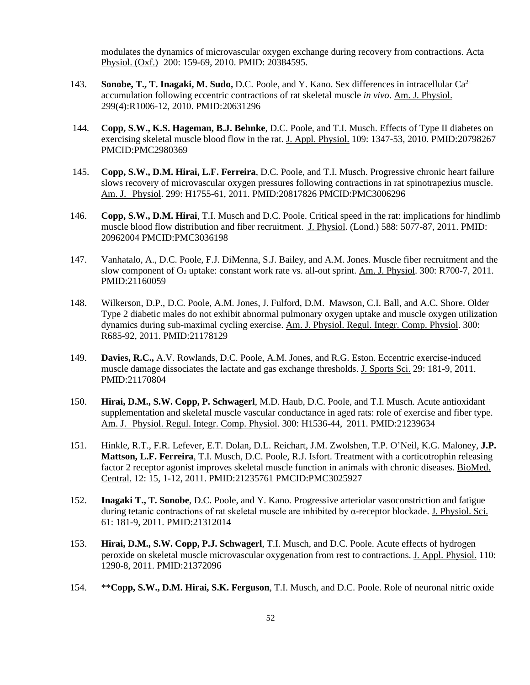modulates the dynamics of microvascular oxygen exchange during recovery from contractions. Acta Physiol. (Oxf.) 200: 159-69, 2010. PMID: 20384595.

- 143. **Sonobe, T., T. Inagaki, M. Sudo, D.C.** Poole, and Y. Kano. Sex differences in intracellular Ca<sup>2+</sup> accumulation following eccentric contractions of rat skeletal muscle *in vivo*. Am. J. Physiol. 299(4):R1006-12, 2010. PMID:20631296
- 144. **Copp, S.W., K.S. Hageman, B.J. Behnke**, D.C. Poole, and T.I. Musch. Effects of Type II diabetes on exercising skeletal muscle blood flow in the rat. J. Appl. Physiol. 109: 1347-53, 2010. PMID:20798267 PMCID:PMC2980369
- 145. **Copp, S.W., D.M. Hirai, L.F. Ferreira**, D.C. Poole, and T.I. Musch. Progressive chronic heart failure slows recovery of microvascular oxygen pressures following contractions in rat spinotrapezius muscle. Am. J. Physiol. 299: H1755-61, 2011. PMID:20817826 PMCID:PMC3006296
- 146. **Copp, S.W., D.M. Hirai**, T.I. Musch and D.C. Poole. Critical speed in the rat: implications for hindlimb muscle blood flow distribution and fiber recruitment. J. Physiol. (Lond.) 588: 5077-87, 2011. PMID: 20962004 PMCID:PMC3036198
- 147. Vanhatalo, A., D.C. Poole, F.J. DiMenna, S.J. Bailey, and A.M. Jones. Muscle fiber recruitment and the slow component of O<sub>2</sub> uptake: constant work rate vs. all-out sprint. Am. J. Physiol. 300: R700-7, 2011. PMID:21160059
- 148. Wilkerson, D.P., D.C. Poole, A.M. Jones, J. Fulford, D.M. Mawson, C.I. Ball, and A.C. Shore. Older Type 2 diabetic males do not exhibit abnormal pulmonary oxygen uptake and muscle oxygen utilization dynamics during sub-maximal cycling exercise. Am. J. Physiol. Regul. Integr. Comp. Physiol. 300: R685-92, 2011. PMID:21178129
- 149. **Davies, R.C.,** A.V. Rowlands, D.C. Poole, A.M. Jones, and R.G. Eston. Eccentric exercise-induced muscle damage dissociates the lactate and gas exchange thresholds. J. Sports Sci. 29: 181-9, 2011. PMID:21170804
- 150. **Hirai, D.M., S.W. Copp, P. Schwagerl**, M.D. Haub, D.C. Poole, and T.I. Musch. Acute antioxidant supplementation and skeletal muscle vascular conductance in aged rats: role of exercise and fiber type. Am. J. Physiol. Regul. Integr. Comp. Physiol. 300: H1536-44, 2011. PMID:21239634
- 151. Hinkle, R.T., F.R. Lefever, E.T. Dolan, D.L. Reichart, J.M. Zwolshen, T.P. O'Neil, K.G. Maloney, **J.P. Mattson, L.F. Ferreira**, T.I. Musch, D.C. Poole, R.J. Isfort. Treatment with a corticotrophin releasing factor 2 receptor agonist improves skeletal muscle function in animals with chronic diseases. BioMed. Central. 12: 15, 1-12, 2011. PMID:21235761 PMCID:PMC3025927
- 152. **Inagaki T., T. Sonobe**, D.C. Poole, and Y. Kano. Progressive arteriolar vasoconstriction and fatigue during tetanic contractions of rat skeletal muscle are inhibited by α-receptor blockade. J. Physiol. Sci. 61: 181-9, 2011. PMID:21312014
- 153. **Hirai, D.M., S.W. Copp, P.J. Schwagerl**, T.I. Musch, and D.C. Poole. Acute effects of hydrogen peroxide on skeletal muscle microvascular oxygenation from rest to contractions. J. Appl. Physiol. 110: 1290-8, 2011. PMID:21372096
- 154. \*\***Copp, S.W., D.M. Hirai, S.K. Ferguson**, T.I. Musch, and D.C. Poole. Role of neuronal nitric oxide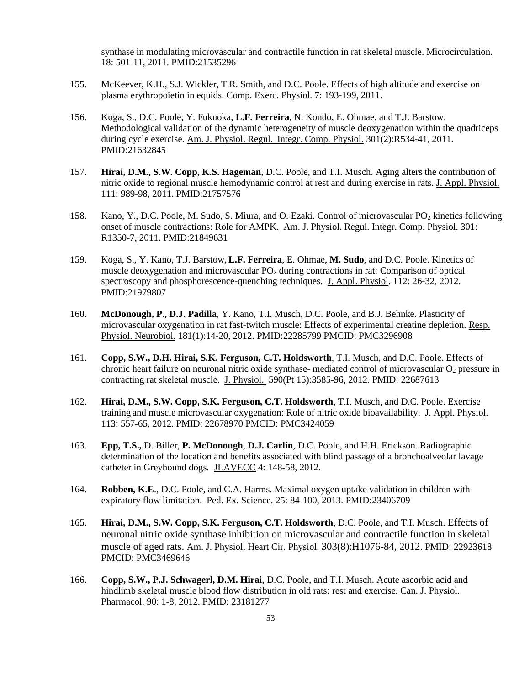synthase in modulating microvascular and contractile function in rat skeletal muscle. Microcirculation. 18: 501-11, 2011. PMID:21535296

- 155. McKeever, K.H., S.J. Wickler, T.R. Smith, and D.C. Poole. Effects of high altitude and exercise on plasma erythropoietin in equids. Comp. Exerc. Physiol. 7: 193-199, 2011.
- 156. Koga, S., D.C. Poole, Y. Fukuoka, **L.F. Ferreira**, N. Kondo, E. Ohmae, and T.J. Barstow. Methodological validation of the dynamic heterogeneity of muscle deoxygenation within the quadriceps during cycle exercise. Am. J. Physiol. Regul. Integr. Comp. Physiol. 301(2):R534-41, 2011. PMID:21632845
- 157. **Hirai, D.M., S.W. Copp, K.S. Hageman**, D.C. Poole, and T.I. Musch. Aging alters the contribution of nitric oxide to regional muscle hemodynamic control at rest and during exercise in rats. J. Appl. Physiol. 111: 989-98, 2011. PMID:21757576
- 158. Kano, Y., D.C. Poole, M. Sudo, S. Miura, and O. Ezaki. Control of microvascular PO<sub>2</sub> kinetics following onset of muscle contractions: Role for AMPK. Am. J. Physiol. Regul. Integr. Comp. Physiol. 301: R1350-7, 2011. PMID:21849631
- 159. Koga, S., Y. Kano, T.J. Barstow,**L.F. Ferreira**, E. Ohmae, **M. Sudo**, and D.C. Poole. Kinetics of muscle deoxygenation and microvascular  $PO<sub>2</sub>$  during contractions in rat: Comparison of optical spectroscopy and phosphorescence-quenching techniques. J. Appl. Physiol. 112: 26-32, 2012. PMID:21979807
- 160. **McDonough, P., D.J. Padilla**, Y. Kano, T.I. Musch, D.C. Poole, and B.J. Behnke. Plasticity of microvascular oxygenation in rat fast-twitch muscle: Effects of experimental creatine depletion. Resp. Physiol. Neurobiol. 181(1):14-20, 2012. PMID:22285799 PMCID: PMC3296908
- 161. **Copp, S.W., D.H. Hirai, S.K. Ferguson, C.T. Holdsworth**, T.I. Musch, and D.C. Poole. Effects of chronic heart failure on neuronal nitric oxide synthase- mediated control of microvascular  $O_2$  pressure in contracting rat skeletal muscle. J. Physiol. 590(Pt 15):3585-96, 2012. PMID: 22687613
- 162. **Hirai, D.M., S.W. Copp, S.K. Ferguson, C.T. Holdsworth**, T.I. Musch, and D.C. Poole. Exercise training and muscle microvascular oxygenation: Role of nitric oxide bioavailability. J. Appl. Physiol. 113: 557-65, 2012. PMID: 22678970 PMCID: PMC3424059
- 163. **Epp, T.S.,** D. Biller, **P. McDonough**, **D.J. Carlin**, D.C. Poole, and H.H. Erickson. Radiographic determination of the location and benefits associated with blind passage of a bronchoalveolar lavage catheter in Greyhound dogs. JLAVECC 4: 148-58, 2012.
- 164. **Robben, K.E**., D.C. Poole, and C.A. Harms. Maximal oxygen uptake validation in children with expiratory flow limitation. Ped. Ex. Science. 25: 84-100, 2013. PMID:23406709
- 165. **Hirai, D.M., S.W. Copp, S.K. Ferguson, C.T. Holdsworth**, D.C. Poole, and T.I. Musch. Effects of neuronal nitric oxide synthase inhibition on microvascular and contractile function in skeletal muscle of aged rats. Am. J. Physiol. Heart Cir. Physiol. 303(8):H1076-84, 2012. PMID: 22923618 PMCID: PMC3469646
- 166. **Copp, S.W., P.J. Schwagerl, D.M. Hirai**, D.C. Poole, and T.I. Musch. Acute ascorbic acid and hindlimb skeletal muscle blood flow distribution in old rats: rest and exercise. Can. J. Physiol. Pharmacol. 90: 1-8, 2012. PMID: 23181277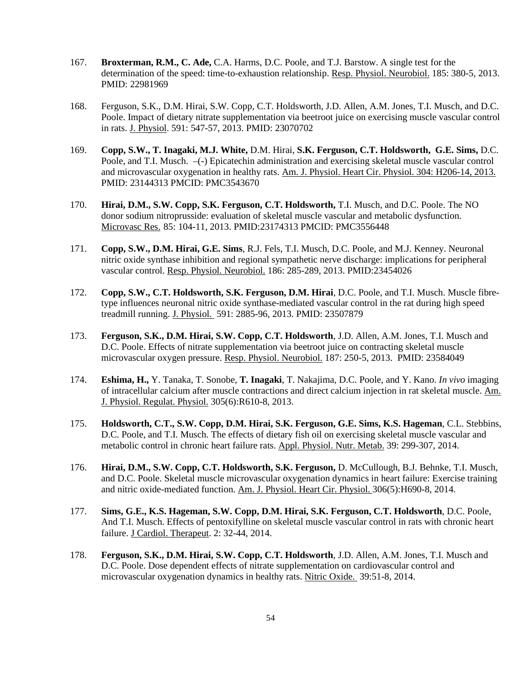- 167. **Broxterman, R.M., C. Ade,** C.A. Harms, D.C. Poole, and T.J. Barstow. A single test for the determination of the speed: time-to-exhaustion relationship. Resp. Physiol. Neurobiol. 185: 380-5, 2013. PMID: 22981969
- 168. Ferguson, S.K., D.M. Hirai, S.W. Copp, C.T. Holdsworth, J.D. Allen, A.M. Jones, T.I. Musch, and D.C. Poole. Impact of dietary nitrate supplementation via beetroot juice on exercising muscle vascular control in rats. J. Physiol. 591: 547-57, 2013. PMID: 23070702
- 169. **Copp, S.W., T. Inagaki, M.J. White,** D.M. Hirai, **S.K. Ferguson, C.T. Holdsworth, G.E. Sims,** D.C. Poole, and T.I. Musch. –(-) Epicatechin administration and exercising skeletal muscle vascular control and microvascular oxygenation in healthy rats. Am. J. Physiol. Heart Cir. Physiol. 304: H206-14, 2013. PMID: 23144313 PMCID: PMC3543670
- 170. **Hirai, D.M., S.W. Copp, S.K. Ferguson, C.T. Holdsworth,** T.I. Musch, and D.C. Poole. The NO donor sodium nitroprusside: evaluation of skeletal muscle vascular and metabolic dysfunction. Microvasc Res. 85: 104-11, 2013. PMID:23174313 PMCID: PMC3556448
- 171. **Copp, S.W., D.M. Hirai, G.E. Sims**, R.J. Fels, T.I. Musch, D.C. Poole, and M.J. Kenney. Neuronal nitric oxide synthase inhibition and regional sympathetic nerve discharge: implications for peripheral vascular control. Resp. Physiol. Neurobiol. 186: 285-289, 2013. PMID:23454026
- 172. **Copp, S.W., C.T. Holdsworth, S.K. Ferguson, D.M. Hirai**, D.C. Poole, and T.I. Musch. Muscle fibretype influences neuronal nitric oxide synthase-mediated vascular control in the rat during high speed treadmill running. J. Physiol. 591: 2885-96, 2013. PMID: 23507879
- 173. **Ferguson, S.K., D.M. Hirai, S.W. Copp, C.T. Holdsworth**, J.D. Allen, A.M. Jones, T.I. Musch and D.C. Poole. Effects of nitrate supplementation via beetroot juice on contracting skeletal muscle microvascular oxygen pressure. Resp. Physiol. Neurobiol. 187: 250-5, 2013. PMID: 23584049
- 174. **Eshima, H.,** Y. Tanaka, T. Sonobe, **T. Inagaki**, T. Nakajima, D.C. Poole, and Y. Kano. *In vivo* imaging of intracellular calcium after muscle contractions and direct calcium injection in rat skeletal muscle. Am. J. Physiol. Regulat. Physiol. 305(6):R610-8, 2013.
- 175. **Holdsworth, C.T., S.W. Copp, D.M. Hirai, S.K. Ferguson, G.E. Sims, K.S. Hageman**, C.L. Stebbins, D.C. Poole, and T.I. Musch. The effects of dietary fish oil on exercising skeletal muscle vascular and metabolic control in chronic heart failure rats. Appl. Physiol. Nutr. Metab. 39: 299-307, 2014.
- 176. **Hirai, D.M., S.W. Copp, C.T. Holdsworth, S.K. Ferguson,** D. McCullough, B.J. Behnke, T.I. Musch, and D.C. Poole. Skeletal muscle microvascular oxygenation dynamics in heart failure: Exercise training and nitric oxide-mediated function. Am. J. Physiol. Heart Cir. Physiol. 306(5):H690-8, 2014.
- 177. **Sims, G.E., K.S. Hageman, S.W. Copp, D.M. Hirai, S.K. Ferguson, C.T. Holdsworth**, D.C. Poole, And T.I. Musch. Effects of pentoxifylline on skeletal muscle vascular control in rats with chronic heart failure. J Cardiol. Therapeut. 2: 32-44, 2014.
- 178. **Ferguson, S.K., D.M. Hirai, S.W. Copp, C.T. Holdsworth**, J.D. Allen, A.M. Jones, T.I. Musch and D.C. Poole. Dose dependent effects of nitrate supplementation on cardiovascular control and microvascular oxygenation dynamics in healthy rats. Nitric Oxide. 39:51-8, 2014.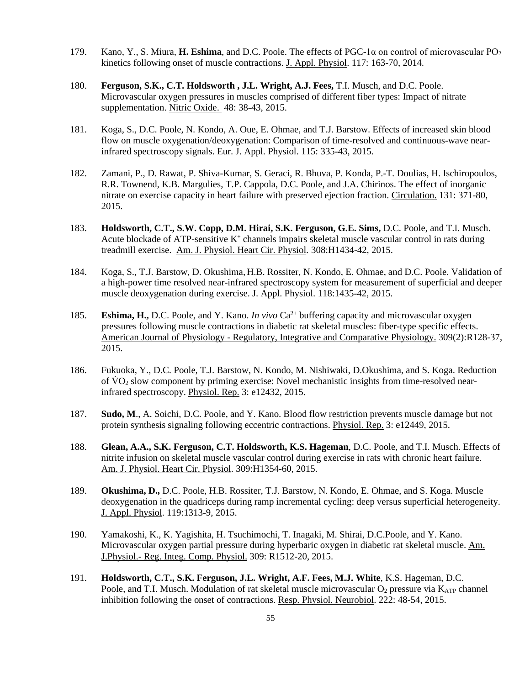- 179. Kano, Y., S. Miura, **H. Eshima**, and D.C. Poole. The effects of PGC-1α on control of microvascular PO<sup>2</sup> kinetics following onset of muscle contractions. J. Appl. Physiol. 117: 163-70, 2014.
- 180. **Ferguson, S.K., C.T. Holdsworth , J.L. Wright, A.J. Fees,** T.I. Musch, and D.C. Poole. Microvascular oxygen pressures in muscles comprised of different fiber types: Impact of nitrate supplementation. Nitric Oxide. 48: 38-43, 2015.
- 181. Koga, S., D.C. Poole, N. Kondo, A. Oue, E. Ohmae, and T.J. Barstow. Effects of increased skin blood flow on muscle oxygenation/deoxygenation: Comparison of time-resolved and continuous-wave nearinfrared spectroscopy signals. Eur. J. Appl. Physiol. 115: 335-43, 2015.
- 182. Zamani, P., D. Rawat, P. Shiva-Kumar, S. Geraci, R. Bhuva, P. Konda, P.-T. Doulias, H. Ischiropoulos, R.R. Townend, K.B. Margulies, T.P. Cappola, D.C. Poole, and J.A. Chirinos. The effect of inorganic nitrate on exercise capacity in heart failure with preserved ejection fraction. Circulation. 131: 371-80, 2015.
- 183. **Holdsworth, C.T., S.W. Copp, D.M. Hirai, S.K. Ferguson, G.E. Sims,** D.C. Poole, and T.I. Musch. Acute blockade of ATP-sensitive  $K^+$  channels impairs skeletal muscle vascular control in rats during treadmill exercise. Am. J. Physiol. Heart Cir. Physiol. 308:H1434-42, 2015.
- 184. Koga, S., T.J. Barstow, D. Okushima, H.B. Rossiter, N. Kondo, E. Ohmae, and D.C. Poole. Validation of a high-power time resolved near-infrared spectroscopy system for measurement of superficial and deeper muscle deoxygenation during exercise. J. Appl. Physiol. 118:1435-42, 2015.
- 185. **Eshima, H.,** D.C. Poole, and Y. Kano. *In vivo* Ca<sup>2+</sup> buffering capacity and microvascular oxygen pressures following muscle contractions in diabetic rat skeletal muscles: fiber-type specific effects. American Journal of Physiology - Regulatory, Integrative and Comparative Physiology. 309(2):R128-37, 2015.
- 186. Fukuoka, Y., D.C. Poole, T.J. Barstow, N. Kondo, M. Nishiwaki, D.Okushima, and S. Koga. Reduction of  $\rm\dot{VO}_2$  slow component by priming exercise: Novel mechanistic insights from time-resolved nearinfrared spectroscopy. Physiol. Rep. 3: e12432, 2015.
- 187. **Sudo, M**., A. Soichi, D.C. Poole, and Y. Kano. Blood flow restriction prevents muscle damage but not protein synthesis signaling following eccentric contractions. Physiol. Rep. 3: e12449, 2015.
- 188. **Glean, A.A., S.K. Ferguson, C.T. Holdsworth, K.S. Hageman**, D.C. Poole, and T.I. Musch. Effects of nitrite infusion on skeletal muscle vascular control during exercise in rats with chronic heart failure. Am. J. Physiol. Heart Cir. Physiol. 309:H1354-60, 2015.
- 189. **Okushima, D.,** D.C. Poole, H.B. Rossiter, T.J. Barstow, N. Kondo, E. Ohmae, and S. Koga. Muscle deoxygenation in the quadriceps during ramp incremental cycling: deep versus superficial heterogeneity. J. Appl. Physiol. 119:1313-9, 2015.
- 190. Yamakoshi, K., K. Yagishita, H. Tsuchimochi, T. Inagaki, M. Shirai, D.C.Poole, and Y. Kano. Microvascular oxygen partial pressure during hyperbaric oxygen in diabetic rat skeletal muscle. Am. J.Physiol.- Reg. Integ. Comp. Physiol. 309: R1512-20, 2015.
- 191. **Holdsworth, C.T., S.K. Ferguson, J.L. Wright, A.F. Fees, M.J. White**, K.S. Hageman, D.C. Poole, and T.I. Musch. Modulation of rat skeletal muscle microvascular  $O_2$  pressure via  $K_{ATP}$  channel inhibition following the onset of contractions. Resp. Physiol. Neurobiol. 222: 48-54, 2015.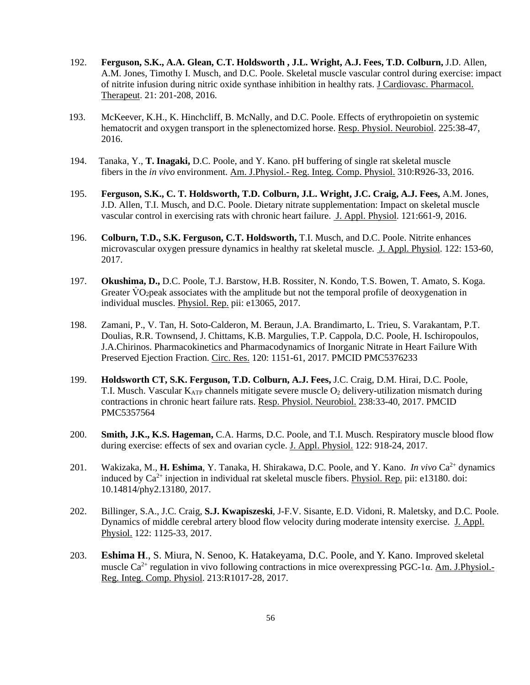- 192. **Ferguson, S.K., A.A. Glean, C.T. Holdsworth , J.L. Wright, A.J. Fees, T.D. Colburn,** J.D. Allen, A.M. Jones, Timothy I. Musch, and D.C. Poole. Skeletal muscle vascular control during exercise: impact of nitrite infusion during nitric oxide synthase inhibition in healthy rats. J Cardiovasc. Pharmacol. Therapeut. 21: 201-208, 2016.
- 193. McKeever, K.H., K. Hinchcliff, B. McNally, and D.C. Poole. Effects of erythropoietin on systemic hematocrit and oxygen transport in the splenectomized horse. Resp. Physiol. Neurobiol. 225:38-47, 2016.
- 194. Tanaka, Y., **T. Inagaki,** D.C. Poole, and Y. Kano. pH buffering of single rat skeletal muscle fibers in the *in vivo* environment. Am. J.Physiol.- Reg. Integ. Comp. Physiol. 310:R926-33, 2016.
- 195. **Ferguson, S.K., C. T. Holdsworth, T.D. Colburn, J.L. Wright, J.C. Craig, A.J. Fees,** A.M. Jones, J.D. Allen, T.I. Musch, and D.C. Poole. Dietary nitrate supplementation: Impact on skeletal muscle vascular control in exercising rats with chronic heart failure. J. Appl. Physiol. 121:661-9, 2016.
- 196. **Colburn, T.D., S.K. Ferguson, C.T. Holdsworth,** T.I. Musch, and D.C. Poole. Nitrite enhances microvascular oxygen pressure dynamics in healthy rat skeletal muscle. J. Appl. Physiol. 122: 153-60, 2017.
- 197. **Okushima, D.,** D.C. Poole, T.J. Barstow, H.B. Rossiter, N. Kondo, T.S. Bowen, T. Amato, S. Koga. Greater  $VO<sub>2</sub>peak$  associates with the amplitude but not the temporal profile of deoxygenation in individual muscles. Physiol. Rep. pii: e13065, 2017.
- 198. Zamani, P., V. Tan, H. Soto-Calderon, M. Beraun, J.A. Brandimarto, L. Trieu, S. Varakantam, P.T. Doulias, R.R. Townsend, J. Chittams, K.B. Margulies, T.P. Cappola, D.C. Poole, H. Ischiropoulos, J.A.Chirinos. Pharmacokinetics and Pharmacodynamics of Inorganic Nitrate in Heart Failure With Preserved Ejection Fraction. Circ. Res. 120: 1151-61, 2017. PMCID PMC5376233
- 199. **Holdsworth CT, S.K. Ferguson, T.D. Colburn, A.J. Fees,** J.C. Craig, D.M. Hirai, D.C. Poole, T.I. Musch. Vascular  $K_{ATP}$  channels mitigate severe muscle  $O_2$  delivery-utilization mismatch during contractions in chronic heart failure rats. Resp. Physiol. Neurobiol. 238:33-40, 2017. PMCID PMC5357564
- 200. **Smith, J.K., K.S. Hageman,** C.A. Harms, D.C. Poole, and T.I. Musch. Respiratory muscle blood flow during exercise: effects of sex and ovarian cycle. J. Appl. Physiol. 122: 918-24, 2017.
- 201. Wakizaka, M., **H. Eshima**, Y. Tanaka, H. Shirakawa, D.C. Poole, and Y. Kano. *In vivo* Ca<sup>2+</sup> dynamics induced by  $Ca^{2+}$  injection in individual rat skeletal muscle fibers. Physiol. Rep. pii: e13180. doi: 10.14814/phy2.13180, 2017.
- 202. Billinger, S.A., J.C. Craig, **S.J. Kwapiszeski**, J-F.V. Sisante, E.D. Vidoni, R. Maletsky, and D.C. Poole. Dynamics of middle cerebral artery blood flow velocity during moderate intensity exercise. J. Appl. Physiol. 122: 1125-33, 2017.
- 203. **Eshima H**., S. Miura, N. Senoo, K. Hatakeyama, D.C. Poole, and Y. Kano. Improved skeletal muscle Ca<sup>2+</sup> regulation in vivo following contractions in mice overexpressing PGC-1 $\alpha$ . Am. J.Physiol.-Reg. Integ. Comp. Physiol. 213:R1017-28, 2017.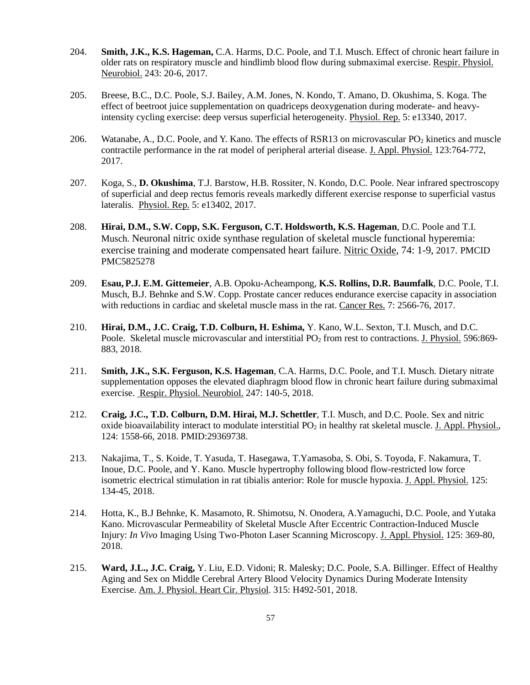- 204. **Smith, J.K., K.S. Hageman,** C.A. Harms, D.C. Poole, and T.I. Musch. Effect of chronic heart failure in older rats on respiratory muscle and hindlimb blood flow during submaximal exercise. Respir. Physiol. Neurobiol. 243: 20-6, 2017.
- 205. Breese, B.C., D.C. Poole, S.J. Bailey, A.M. Jones, N. Kondo, T. Amano, D. Okushima, S. Koga. The effect of beetroot juice supplementation on quadriceps deoxygenation during moderate- and heavyintensity cycling exercise: deep versus superficial heterogeneity. Physiol. Rep. 5: e13340, 2017.
- 206. Watanabe, A., D.C. Poole, and Y. Kano. The effects of RSR13 on microvascular PO<sub>2</sub> kinetics and muscle contractile performance in the rat model of peripheral arterial disease. J. Appl. Physiol. 123:764-772, 2017.
- 207. Koga, S., **D. Okushima**, T.J. Barstow, H.B. Rossiter, N. Kondo, D.C. Poole. Near infrared spectroscopy of superficial and deep rectus femoris reveals markedly different exercise response to superficial vastus lateralis. Physiol. Rep. 5: e13402, 2017.
- 208. **Hirai, D.M., S.W. Copp, S.K. Ferguson, C.T. Holdsworth, K.S. Hageman**, D.C. Poole and T.I. Musch. Neuronal nitric oxide synthase regulation of skeletal muscle functional hyperemia: exercise training and moderate compensated heart failure. Nitric Oxide, 74: 1-9, 2017. PMCID PMC5825278
- 209. **Esau, P.J. E.M. Gittemeier**, A.B. Opoku-Acheampong, **K.S. Rollins, D.R. Baumfalk**, D.C. Poole, T.I. Musch, B.J. Behnke and S.W. Copp. Prostate cancer reduces endurance exercise capacity in association with reductions in cardiac and skeletal muscle mass in the rat. Cancer Res. 7: 2566-76, 2017.
- 210. **Hirai, D.M., J.C. Craig, T.D. Colburn, H. Eshima,** Y. Kano, W.L. Sexton, T.I. Musch, and D.C. Poole. Skeletal muscle microvascular and interstitial PO<sub>2</sub> from rest to contractions. J. Physiol. 596:869-883, 2018.
- 211. **Smith, J.K., S.K. Ferguson, K.S. Hageman**, C.A. Harms, D.C. Poole, and T.I. Musch. Dietary nitrate supplementation opposes the elevated diaphragm blood flow in chronic heart failure during submaximal exercise. Respir. Physiol. Neurobiol. 247: 140-5, 2018.
- 212. **Craig, J.C., T.D. Colburn, D.M. Hirai, M.J. Schettler**, T.I. Musch, and D.C. Poole. Sex and nitric oxide bioavailability interact to modulate interstitial PO<sub>2</sub> in healthy rat skeletal muscle. J. Appl. Physiol., 124: 1558-66, 2018. PMID:29369738.
- 213. Nakajima, T., S. Koide, T. Yasuda, T. Hasegawa, T.Yamasoba, S. Obi, S. Toyoda, F. Nakamura, T. Inoue, D.C. Poole, and Y. Kano. Muscle hypertrophy following blood flow-restricted low force isometric electrical stimulation in rat tibialis anterior: Role for muscle hypoxia. J. Appl. Physiol. 125: 134-45, 2018.
- 214. Hotta, K., B.J Behnke, K. Masamoto, R. Shimotsu, N. Onodera, A.Yamaguchi, D.C. Poole, and Yutaka Kano. Microvascular Permeability of Skeletal Muscle After Eccentric Contraction-Induced Muscle Injury: *In Vivo* Imaging Using Two-Photon Laser Scanning Microscopy. J. Appl. Physiol. 125: 369-80, 2018.
- 215. **Ward, J.L., J.C. Craig,** Y. Liu, E.D. Vidoni; R. Malesky; D.C. Poole, S.A. Billinger. Effect of Healthy Aging and Sex on Middle Cerebral Artery Blood Velocity Dynamics During Moderate Intensity Exercise. Am. J. Physiol. Heart Cir. Physiol. 315: H492-501, 2018.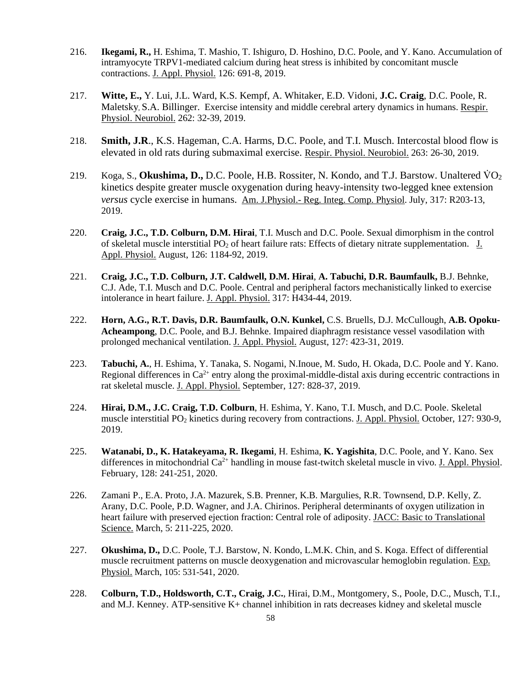- 216. **Ikegami, R.,** H. Eshima, T. Mashio, T. Ishiguro, D. Hoshino, D.C. Poole, and Y. Kano. Accumulation of intramyocyte TRPV1-mediated calcium during heat stress is inhibited by concomitant muscle contractions. J. Appl. Physiol. 126: 691-8, 2019.
- 217. **Witte, E.,** Y. Lui, J.L. Ward, K.S. Kempf, A. Whitaker, E.D. Vidoni, **J.C. Craig**, D.C. Poole, R. Maletsky, S.A. Billinger. Exercise intensity and middle cerebral artery dynamics in humans. Respir. Physiol. Neurobiol. 262: 32-39, 2019.
- 218. **Smith, J.R**., K.S. Hageman, C.A. Harms, D.C. Poole, and T.I. Musch. Intercostal blood flow is elevated in old rats during submaximal exercise. Respir. Physiol. Neurobiol. 263: 26-30, 2019.
- 219. Koga, S., **Okushima, D.,** D.C. Poole, H.B. Rossiter, N. Kondo, and T.J. Barstow. Unaltered VO<sub>2</sub> kinetics despite greater muscle oxygenation during heavy-intensity two-legged knee extension *versus* cycle exercise in humans. Am. J.Physiol.- Reg. Integ. Comp. Physiol. July, 317: R203-13, 2019.
- 220. **Craig, J.C., T.D. Colburn, D.M. Hirai**, T.I. Musch and D.C. Poole. Sexual dimorphism in the control of skeletal muscle interstitial PO2 of heart failure rats: Effects of dietary nitrate supplementation. J. Appl. Physiol. August, 126: 1184-92, 2019.
- 221. **Craig, J.C., T.D. Colburn, J.T. Caldwell, D.M. Hirai**, **A. Tabuchi, D.R. Baumfaulk,** B.J. Behnke, C.J. Ade, T.I. Musch and D.C. Poole. Central and peripheral factors mechanistically linked to exercise intolerance in heart failure. J. Appl. Physiol. 317: H434-44, 2019.
- 222. **Horn, A.G., R.T. Davis, D.R. Baumfaulk, O.N. Kunkel,** C.S. Bruells, D.J. McCullough, **A.B. Opoku-Acheampong**, D.C. Poole, and B.J. Behnke. Impaired diaphragm resistance vessel vasodilation with prolonged mechanical ventilation. J. Appl. Physiol. August, 127: 423-31, 2019.
- 223. **Tabuchi, A.**, H. Eshima, Y. Tanaka, S. Nogami, N.Inoue, M. Sudo, H. Okada, D.C. Poole and Y. Kano. Regional differences in  $Ca^{2+}$  entry along the proximal-middle-distal axis during eccentric contractions in rat skeletal muscle. J. Appl. Physiol. September, 127: 828-37, 2019.
- 224. **Hirai, D.M., J.C. Craig, T.D. Colburn**, H. Eshima, Y. Kano, T.I. Musch, and D.C. Poole. Skeletal muscle interstitial PO<sub>2</sub> kinetics during recovery from contractions. J. Appl. Physiol. October, 127: 930-9, 2019.
- 225. **Watanabi, D., K. Hatakeyama, R. Ikegami**, H. Eshima, **K. Yagishita**, D.C. Poole, and Y. Kano. Sex differences in mitochondrial Ca<sup>2+</sup> handling in mouse fast-twitch skeletal muscle in vivo. J. Appl. Physiol. February, 128: 241-251, 2020.
- 226. Zamani P., E.A. Proto, J.A. Mazurek, S.B. Prenner, K.B. Margulies, R.R. Townsend, D.P. Kelly, Z. Arany, D.C. Poole, P.D. Wagner, and J.A. Chirinos. Peripheral determinants of oxygen utilization in heart failure with preserved ejection fraction: Central role of adiposity. JACC: Basic to Translational Science. March, 5: 211-225, 2020.
- 227. **Okushima, D.,** D.C. Poole, T.J. Barstow, N. Kondo, L.M.K. Chin, and S. Koga. Effect of differential muscle recruitment patterns on muscle deoxygenation and microvascular hemoglobin regulation. Exp. Physiol. March, 105: 531-541, 2020.
- 228. **Colburn, T.D., Holdsworth, C.T., Craig, J.C.**, Hirai, D.M., Montgomery, S., Poole, D.C., Musch, T.I., and M.J. Kenney. ATP-sensitive K+ channel inhibition in rats decreases kidney and skeletal muscle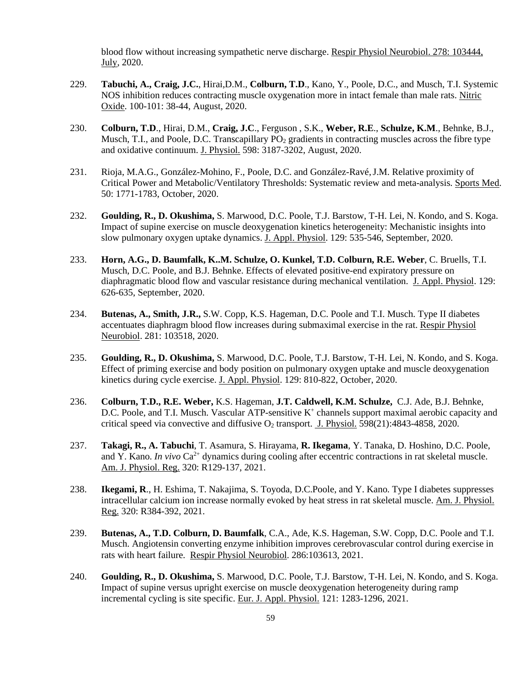blood flow without increasing sympathetic nerve discharge. Respir Physiol Neurobiol. 278: 103444, July, 2020.

- 229. **Tabuchi, A., Craig, J.C.**, Hirai,D.M., **Colburn, T.D**., Kano, Y., Poole, D.C., and Musch, T.I. Systemic NOS inhibition reduces contracting muscle oxygenation more in intact female than male rats. Nitric Oxide. 100-101: 38-44, August, 2020.
- 230. **Colburn, T.D**., Hirai, D.M., **Craig, J.C**., Ferguson , S.K., **Weber, R.E**., **Schulze, K.M**., Behnke, B.J., Musch, T.I., and Poole, D.C. Transcapillary  $PO<sub>2</sub>$  gradients in contracting muscles across the fibre type and oxidative continuum. J. Physiol. 598: 3187-3202, August, 2020.
- 231. Rioja, M.A.G., González-Mohino, F., Poole, D.C. and González-Ravé,J.M. Relative proximity of Critical Power and Metabolic/Ventilatory Thresholds: Systematic review and meta-analysis. Sports Med. 50: 1771-1783, October, 2020.
- 232. **Goulding, R., D. Okushima,** S. Marwood, D.C. Poole, T.J. Barstow, T-H. Lei, N. Kondo, and S. Koga. Impact of supine exercise on muscle deoxygenation kinetics heterogeneity: Mechanistic insights into slow pulmonary oxygen uptake dynamics. J. Appl. Physiol. 129: 535-546, September, 2020.
- 233. **Horn, A.G., D. Baumfalk, K..M. Schulze, O. Kunkel, T.D. Colburn, R.E. Weber**, C. Bruells, T.I. Musch, D.C. Poole, and B.J. Behnke. Effects of elevated positive-end expiratory pressure on diaphragmatic blood flow and vascular resistance during mechanical ventilation. J. Appl. Physiol. 129: 626-635, September, 2020.
- 234. **Butenas, A., Smith, J.R.,** S.W. Copp, K.S. Hageman, D.C. Poole and T.I. Musch. Type II diabetes accentuates diaphragm blood flow increases during submaximal exercise in the rat. Respir Physiol Neurobiol. 281: 103518, 2020.
- 235. **Goulding, R., D. Okushima,** S. Marwood, D.C. Poole, T.J. Barstow, T-H. Lei, N. Kondo, and S. Koga. Effect of priming exercise and body position on pulmonary oxygen uptake and muscle deoxygenation kinetics during cycle exercise. J. Appl. Physiol. 129: 810-822, October, 2020.
- 236. **Colburn, T.D., R.E. Weber,** K.S. Hageman, **J.T. Caldwell, K.M. Schulze,** C.J. Ade, B.J. Behnke, D.C. Poole, and T.I. Musch. Vascular ATP-sensitive K<sup>+</sup> channels support maximal aerobic capacity and critical speed via convective and diffusive  $O_2$  transport. J. Physiol. 598(21):4843-4858, 2020.
- 237. **Takagi, R., A. Tabuchi**, T. Asamura, S. Hirayama, **R. Ikegama**, Y. Tanaka, D. Hoshino, D.C. Poole, and Y. Kano. *In vivo* Ca<sup>2+</sup> dynamics during cooling after eccentric contractions in rat skeletal muscle. Am. J. Physiol. Reg. 320: R129-137, 2021.
- 238. **Ikegami, R**., H. Eshima, T. Nakajima, S. Toyoda, D.C.Poole, and Y. Kano. Type I diabetes suppresses intracellular calcium ion increase normally evoked by heat stress in rat skeletal muscle. Am. J. Physiol. Reg. 320: R384-392, 2021.
- 239. **Butenas, A., T.D. Colburn, D. Baumfalk**, C.A., Ade, K.S. Hageman, S.W. Copp, D.C. Poole and T.I. Musch. Angiotensin converting enzyme inhibition improves cerebrovascular control during exercise in rats with heart failure. Respir Physiol Neurobiol. 286:103613, 2021.
- 240. **Goulding, R., D. Okushima,** S. Marwood, D.C. Poole, T.J. Barstow, T-H. Lei, N. Kondo, and S. Koga. Impact of supine versus upright exercise on muscle deoxygenation heterogeneity during ramp incremental cycling is site specific. Eur. J. Appl. Physiol. 121: 1283-1296, 2021.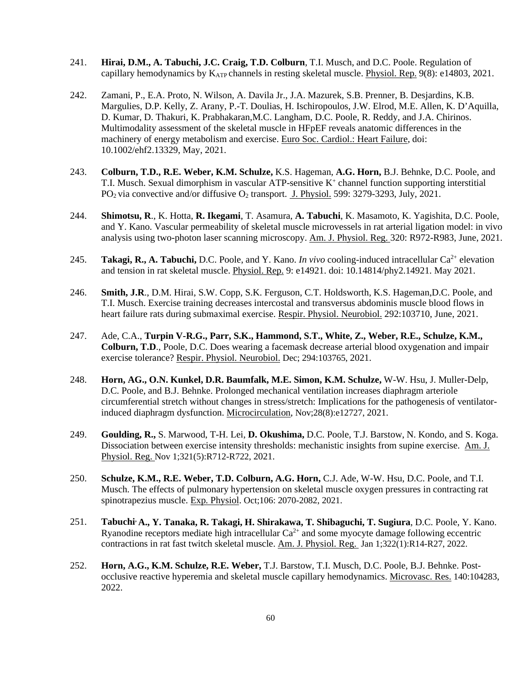- 241. **Hirai, D.M., A. Tabuchi, J.C. Craig, T.D. Colburn**, T.I. Musch, and D.C. Poole. Regulation of capillary hemodynamics by  $K_{ATP}$  channels in resting skeletal muscle. Physiol. Rep. 9(8): e14803, 2021.
- 242. Zamani, P., E.A. Proto, N. Wilson, A. Davila Jr., J.A. Mazurek, S.B. Prenner, B. Desjardins, K.B. Margulies, D.P. Kelly, Z. Arany, P.-T. Doulias, H. Ischiropoulos, J.W. Elrod, M.E. Allen, K. D'Aquilla, D. Kumar, D. Thakuri, K. Prabhakaran,M.C. Langham, D.C. Poole, R. Reddy, and J.A. Chirinos. Multimodality assessment of the skeletal muscle in HFpEF reveals anatomic differences in the machinery of energy metabolism and exercise. Euro Soc. Cardiol.: Heart Failure, doi: 10.1002/ehf2.13329, May, 2021.
- 243. **Colburn, T.D., R.E. Weber, K.M. Schulze,** K.S. Hageman, **A.G. Horn,** B.J. Behnke, D.C. Poole, and T.I. Musch. Sexual dimorphism in vascular ATP-sensitive  $K^+$  channel function supporting interstitial  $PO<sub>2</sub>$  via convective and/or diffusive  $O<sub>2</sub>$  transport. J. Physiol. 599: 3279-3293, July, 2021.
- 244. **Shimotsu, R**., K. Hotta, **R. Ikegami**, T. Asamura, **A. Tabuchi**, K. Masamoto, K. Yagishita, D.C. Poole, and Y. Kano. Vascular permeability of skeletal muscle microvessels in rat arterial ligation model: in vivo analysis using two-photon laser scanning microscopy. Am. J. Physiol. Reg. 320: R972-R983, June, 2021.
- 245. **Takagi, R., A. Tabuchi,** D.C. Poole, and Y. Kano. *In vivo* cooling-induced intracellular Ca<sup>2+</sup> elevation and tension in rat skeletal muscle. Physiol. Rep. 9: e14921. doi: 10.14814/phy2.14921. May 2021.
- 246. **Smith, J.R**., D.M. Hirai, S.W. Copp, S.K. Ferguson, C.T. Holdsworth, K.S. Hageman,D.C. Poole, and T.I. Musch. Exercise training decreases intercostal and transversus abdominis muscle blood flows in heart failure rats during submaximal exercise. Respir. Physiol. Neurobiol. 292:103710, June, 2021.
- 247. Ade, C.A., **Turpin V-R.G., Parr, S.K., Hammond, S.T., White, Z., Weber, R.E., Schulze, K.M., Colburn, T.D**., Poole, D.C. Does wearing a facemask decrease arterial blood oxygenation and impair exercise tolerance? Respir. Physiol. Neurobiol. Dec; 294:103765, 2021.
- 248. **Horn, AG., O.N. Kunkel, D.R. Baumfalk, M.E. Simon, K.M. Schulze,** W-W. Hsu, J. Muller-Delp, D.C. Poole, and B.J. Behnke. Prolonged mechanical ventilation increases diaphragm arteriole circumferential stretch without changes in stress/stretch: Implications for the pathogenesis of ventilatorinduced diaphragm dysfunction. Microcirculation, Nov;28(8):e12727, 2021.
- 249. **Goulding, R.,** S. Marwood, T-H. Lei, **D. Okushima,** D.C. Poole, T.J. Barstow, N. Kondo, and S. Koga. Dissociation between exercise intensity thresholds: mechanistic insights from supine exercise. Am. J. Physiol. Reg. Nov 1;321(5):R712-R722, 2021.
- 250. **Schulze, K.M., R.E. Weber, T.D. Colburn, A.G. Horn,** C.J. Ade, W-W. Hsu, D.C. Poole, and T.I. Musch. The effects of pulmonary hypertension on skeletal muscle oxygen pressures in contracting rat spinotrapezius muscle. Exp. Physiol. Oct;106: 2070-2082, 2021.
- 251. **Tabuchi, A., Y. Tanaka, R. Takagi, H. Shirakawa, T. Shibaguchi, T. Sugiura**, D.C. Poole, Y. Kano. Ryanodine receptors mediate high intracellular  $Ca^{2+}$  and some myocyte damage following eccentric contractions in rat fast twitch skeletal muscle. Am. J. Physiol. Reg. Jan 1;322(1):R14-R27, 2022.
- 252. **Horn, A.G., K.M. Schulze, R.E. Weber,** T.J. Barstow, T.I. Musch, D.C. Poole, B.J. Behnke. Postocclusive reactive hyperemia and skeletal muscle capillary hemodynamics. Microvasc. Res. 140:104283, 2022.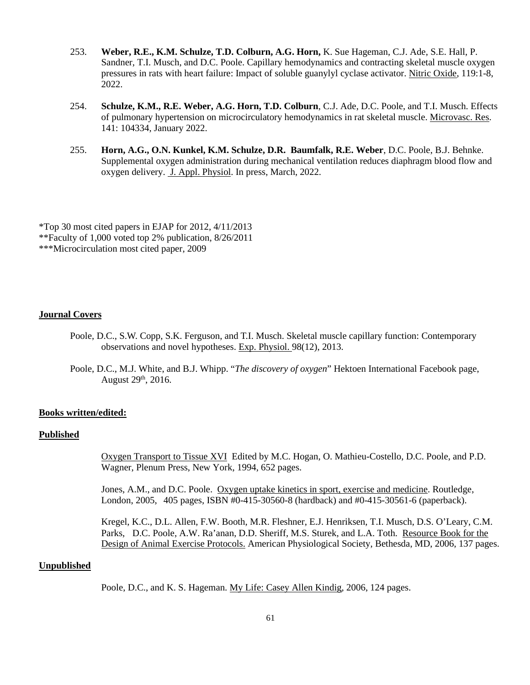- 253. **Weber, R.E., K.M. Schulze, T.D. Colburn, A.G. Horn,** K. Sue Hageman, C.J. Ade, S.E. Hall, P. Sandner, T.I. Musch, and D.C. Poole. Capillary hemodynamics and contracting skeletal muscle oxygen pressures in rats with heart failure: Impact of soluble guanylyl cyclase activator. Nitric Oxide, 119:1-8, 2022.
- 254. **Schulze, K.M., R.E. Weber, A.G. Horn, T.D. Colburn**, C.J. Ade, D.C. Poole, and T.I. Musch. Effects of pulmonary hypertension on microcirculatory hemodynamics in rat skeletal muscle. Microvasc. Res. 141: 104334, January 2022.
- 255. **Horn, A.G., O.N. Kunkel, K.M. Schulze, D.R. Baumfalk, R.E. Weber**, D.C. Poole, B.J. Behnke. Supplemental oxygen administration during mechanical ventilation reduces diaphragm blood flow and oxygen delivery. J. Appl. Physiol. In press, March, 2022.

\*Top 30 most cited papers in EJAP for 2012, 4/11/2013 \*\*Faculty of 1,000 voted top 2% publication, 8/26/2011 \*\*\*Microcirculation most cited paper, 2009

### **Journal Covers**

- Poole, D.C., S.W. Copp, S.K. Ferguson, and T.I. Musch. Skeletal muscle capillary function: Contemporary observations and novel hypotheses. Exp. Physiol. 98(12), 2013.
- Poole, D.C., M.J. White, and B.J. Whipp. "*The discovery of oxygen*" Hektoen International Facebook page, August  $29<sup>th</sup>$ , 2016.

#### **Books written/edited:**

#### **Published**

 Oxygen Transport to Tissue XVIEdited by M.C. Hogan, O. Mathieu-Costello, D.C. Poole, and P.D. Wagner, Plenum Press, New York, 1994, 652 pages.

 Jones, A.M., and D.C. Poole. Oxygen uptake kinetics in sport, exercise and medicine. Routledge, London, 2005, 405 pages, ISBN #0-415-30560-8 (hardback) and #0-415-30561-6 (paperback).

 Kregel, K.C., D.L. Allen, F.W. Booth, M.R. Fleshner, E.J. Henriksen, T.I. Musch, D.S. O'Leary, C.M. Parks, D.C. Poole, A.W. Ra'anan, D.D. Sheriff, M.S. Sturek, and L.A. Toth. Resource Book for the Design of Animal Exercise Protocols. American Physiological Society, Bethesda, MD, 2006, 137 pages.

# **Unpublished**

Poole, D.C., and K. S. Hageman. My Life: Casey Allen Kindig, 2006, 124 pages.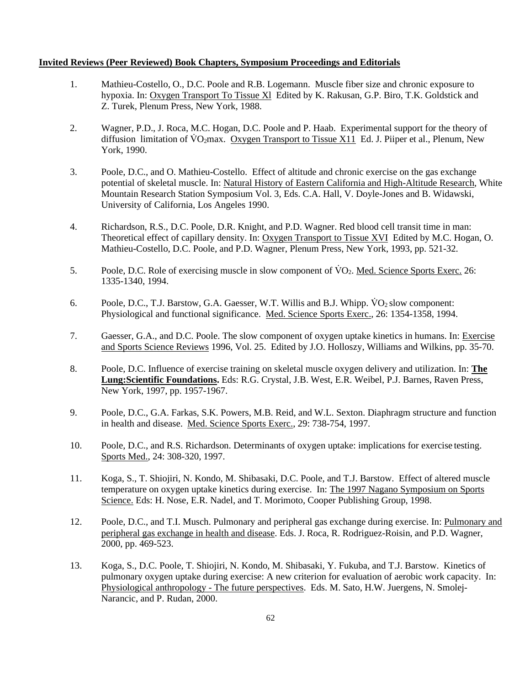### **Invited Reviews (Peer Reviewed) Book Chapters, Symposium Proceedings and Editorials**

- 1. Mathieu-Costello, O., D.C. Poole and R.B. Logemann. Muscle fiber size and chronic exposure to hypoxia. In: Oxygen Transport To Tissue Xl Edited by K. Rakusan, G.P. Biro, T.K. Goldstick and Z. Turek, Plenum Press, New York, 1988.
- 2. Wagner, P.D., J. Roca, M.C. Hogan, D.C. Poole and P. Haab. Experimental support for the theory of diffusion limitation of  $\rm\ddot{V}O_2$  max. Oxygen Transport to Tissue X11 Ed. J. Piiper et al., Plenum, New York, 1990.
- 3. Poole, D.C., and O. Mathieu-Costello. Effect of altitude and chronic exercise on the gas exchange potential of skeletal muscle. In: Natural History of Eastern California and High-Altitude Research, White Mountain Research Station Symposium Vol. 3, Eds. C.A. Hall, V. Doyle-Jones and B. Widawski, University of California, Los Angeles 1990.
- 4. Richardson, R.S., D.C. Poole, D.R. Knight, and P.D. Wagner. Red blood cell transit time in man: Theoretical effect of capillary density. In: Oxygen Transport to Tissue XVIEdited by M.C. Hogan, O. Mathieu-Costello, D.C. Poole, and P.D. Wagner, Plenum Press, New York, 1993, pp. 521-32.
- 5. Poole, D.C. Role of exercising muscle in slow component of  $\overline{VQ_2}$ . Med. Science Sports Exerc. 26: 1335-1340, 1994.
- 6. Poole, D.C., T.J. Barstow, G.A. Gaesser, W.T. Willis and B.J. Whipp. VO<sub>2</sub> slow component: Physiological and functional significance. Med. Science Sports Exerc., 26: 1354-1358, 1994.
- 7. Gaesser, G.A., and D.C. Poole. The slow component of oxygen uptake kinetics in humans. In: Exercise and Sports Science Reviews 1996, Vol. 25. Edited by J.O. Holloszy, Williams and Wilkins, pp. 35-70.
- 8. Poole, D.C. Influence of exercise training on skeletal muscle oxygen delivery and utilization. In: **The Lung:Scientific Foundations.** Eds: R.G. Crystal, J.B. West, E.R. Weibel, P.J. Barnes, Raven Press, New York, 1997, pp. 1957-1967.
- 9. Poole, D.C., G.A. Farkas, S.K. Powers, M.B. Reid, and W.L. Sexton. Diaphragm structure and function in health and disease. Med. Science Sports Exerc., 29: 738-754, 1997.
- 10. Poole, D.C., and R.S. Richardson. Determinants of oxygen uptake: implications for exercise testing. Sports Med., 24: 308-320, 1997.
- 11. Koga, S., T. Shiojiri, N. Kondo, M. Shibasaki, D.C. Poole, and T.J. Barstow. Effect of altered muscle temperature on oxygen uptake kinetics during exercise. In: The 1997 Nagano Symposium on Sports Science. Eds: H. Nose, E.R. Nadel, and T. Morimoto, Cooper Publishing Group, 1998.
- 12. Poole, D.C., and T.I. Musch. Pulmonary and peripheral gas exchange during exercise. In: Pulmonary and peripheral gas exchange in health and disease. Eds. J. Roca, R. Rodriguez-Roisin, and P.D. Wagner, 2000, pp. 469-523.
- 13. Koga, S., D.C. Poole, T. Shiojiri, N. Kondo, M. Shibasaki, Y. Fukuba, and T.J. Barstow. Kinetics of pulmonary oxygen uptake during exercise: A new criterion for evaluation of aerobic work capacity. In: Physiological anthropology - The future perspectives. Eds. M. Sato, H.W. Juergens, N. Smolej- Narancic, and P. Rudan, 2000.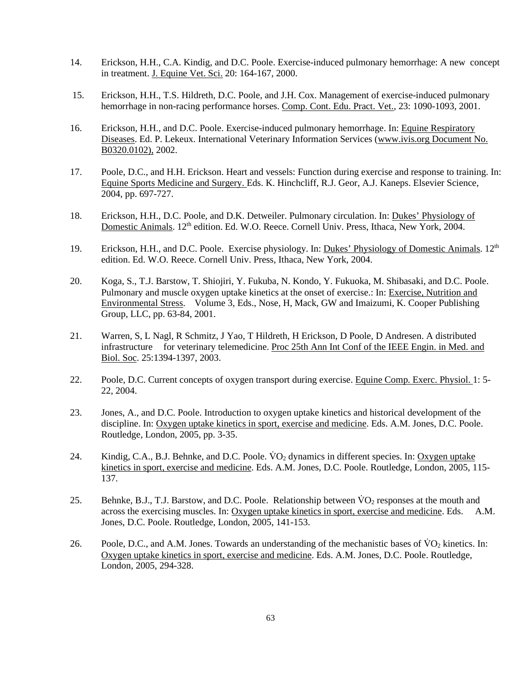- 14. Erickson, H.H., C.A. Kindig, and D.C. Poole. Exercise-induced pulmonary hemorrhage: A new concept in treatment. J. Equine Vet. Sci. 20: 164-167, 2000.
- 15. Erickson, H.H., T.S. Hildreth, D.C. Poole, and J.H. Cox. Management of exercise-induced pulmonary hemorrhage in non-racing performance horses. Comp. Cont. Edu. Pract. Vet., 23: 1090-1093, 2001.
- 16. Erickson, H.H., and D.C. Poole. Exercise-induced pulmonary hemorrhage. In: Equine Respiratory Diseases. Ed. P. Lekeux. International Veterinary Information Services (www.ivis.org Document No. B0320.0102), 2002.
- 17. Poole, D.C., and H.H. Erickson. Heart and vessels: Function during exercise and response to training. In: Equine Sports Medicine and Surgery. Eds. K. Hinchcliff, R.J. Geor, A.J. Kaneps. Elsevier Science, 2004, pp. 697-727.
- 18. Erickson, H.H., D.C. Poole, and D.K. Detweiler. Pulmonary circulation. In: Dukes' Physiology of Domestic Animals. 12<sup>th</sup> edition. Ed. W.O. Reece. Cornell Univ. Press, Ithaca, New York, 2004.
- 19. Erickson, H.H., and D.C. Poole. Exercise physiology. In: Dukes' Physiology of Domestic Animals.  $12^{th}$ edition. Ed. W.O. Reece. Cornell Univ. Press, Ithaca, New York, 2004.
- 20. Koga, S., T.J. Barstow, T. Shiojiri, Y. Fukuba, N. Kondo, Y. Fukuoka, M. Shibasaki, and D.C. Poole. Pulmonary and muscle oxygen uptake kinetics at the onset of exercise.: In: Exercise, Nutrition and Environmental Stress. Volume 3, Eds., Nose, H, Mack, GW and Imaizumi, K. Cooper Publishing Group, LLC, pp. 63-84, 2001.
- 21. Warren, S, L Nagl, R Schmitz, J Yao, T Hildreth, H Erickson, D Poole, D Andresen. A distributed infrastructure for veterinary telemedicine. Proc 25th Ann Int Conf of the IEEE Engin. in Med. and Biol. Soc. 25:1394-1397, 2003.
- 22. Poole, D.C. Current concepts of oxygen transport during exercise. Equine Comp. Exerc. Physiol. 1: 5- 22, 2004.
- 23. Jones, A., and D.C. Poole. Introduction to oxygen uptake kinetics and historical development of the discipline. In: Oxygen uptake kinetics in sport, exercise and medicine. Eds. A.M. Jones, D.C. Poole. Routledge, London, 2005, pp. 3-35.
- 24. Kindig, C.A., B.J. Behnke, and D.C. Poole. VO<sub>2</sub> dynamics in different species. In: Oxygen uptake kinetics in sport, exercise and medicine. Eds. A.M. Jones, D.C. Poole. Routledge, London, 2005, 115- 137.
- 25. Behnke, B.J., T.J. Barstow, and D.C. Poole. Relationship between  $\rm\ddot{V}O_{2}$  responses at the mouth and across the exercising muscles. In: Oxygen uptake kinetics in sport, exercise and medicine. Eds. A.M. Jones, D.C. Poole. Routledge, London, 2005, 141-153.
- 26. Poole, D.C., and A.M. Jones. Towards an understanding of the mechanistic bases of  $\rm VO_2$  kinetics. In: Oxygen uptake kinetics in sport, exercise and medicine. Eds. A.M. Jones, D.C. Poole. Routledge, London, 2005, 294-328.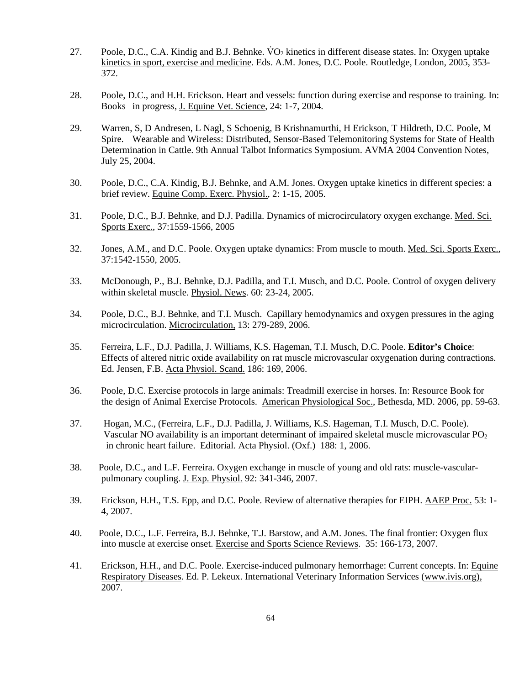- 27. Poole, D.C., C.A. Kindig and B.J. Behnke. VO<sub>2</sub> kinetics in different disease states. In: Oxygen uptake kinetics in sport, exercise and medicine. Eds. A.M. Jones, D.C. Poole. Routledge, London, 2005, 353- 372.
- 28. Poole, D.C., and H.H. Erickson. Heart and vessels: function during exercise and response to training. In: Books in progress, J. Equine Vet. Science, 24: 1-7, 2004.
- 29. Warren, S, D Andresen, L Nagl, S Schoenig, B Krishnamurthi, H Erickson, T Hildreth, D.C. Poole, M Spire. Wearable and Wireless: Distributed, Sensor-Based Telemonitoring Systems for State of Health Determination in Cattle. 9th Annual Talbot Informatics Symposium. AVMA 2004 Convention Notes, July 25, 2004.
- 30. Poole, D.C., C.A. Kindig, B.J. Behnke, and A.M. Jones. Oxygen uptake kinetics in different species: a brief review. Equine Comp. Exerc. Physiol., 2: 1-15, 2005.
- 31. Poole, D.C., B.J. Behnke, and D.J. Padilla. Dynamics of microcirculatory oxygen exchange. Med. Sci. Sports Exerc., 37:1559-1566, 2005
- 32. Jones, A.M., and D.C. Poole. Oxygen uptake dynamics: From muscle to mouth. Med. Sci. Sports Exerc., 37:1542-1550, 2005.
- 33. McDonough, P., B.J. Behnke, D.J. Padilla, and T.I. Musch, and D.C. Poole. Control of oxygen delivery within skeletal muscle. Physiol. News. 60: 23-24, 2005.
- 34. Poole, D.C., B.J. Behnke, and T.I. Musch. Capillary hemodynamics and oxygen pressures in the aging microcirculation. Microcirculation, 13: 279-289, 2006.
- 35. Ferreira, L.F., D.J. Padilla, J. Williams, K.S. Hageman, T.I. Musch, D.C. Poole. **Editor's Choice**: Effects of altered nitric oxide availability on rat muscle microvascular oxygenation during contractions. Ed. Jensen, F.B. Acta Physiol. Scand. 186: 169, 2006.
- 36. Poole, D.C. Exercise protocols in large animals: Treadmill exercise in horses. In: Resource Book for the design of Animal Exercise Protocols. American Physiological Soc., Bethesda, MD. 2006, pp. 59-63.
- 37. Hogan, M.C., (Ferreira, L.F., D.J. Padilla, J. Williams, K.S. Hageman, T.I. Musch, D.C. Poole). Vascular NO availability is an important determinant of impaired skeletal muscle microvascular  $PO<sub>2</sub>$ in chronic heart failure. Editorial. Acta Physiol. (Oxf.) 188: 1, 2006.
- 38. Poole, D.C., and L.F. Ferreira. Oxygen exchange in muscle of young and old rats: muscle-vascular pulmonary coupling. J. Exp. Physiol. 92: 341-346, 2007.
- 39. Erickson, H.H., T.S. Epp, and D.C. Poole. Review of alternative therapies for EIPH. AAEP Proc. 53: 1- 4, 2007.
- 40. Poole, D.C., L.F. Ferreira, B.J. Behnke, T.J. Barstow, and A.M. Jones. The final frontier: Oxygen flux into muscle at exercise onset. Exercise and Sports Science Reviews. 35: 166-173, 2007.
- 41. Erickson, H.H., and D.C. Poole. Exercise-induced pulmonary hemorrhage: Current concepts. In: Equine Respiratory Diseases. Ed. P. Lekeux. International Veterinary Information Services (www.ivis.org), 2007.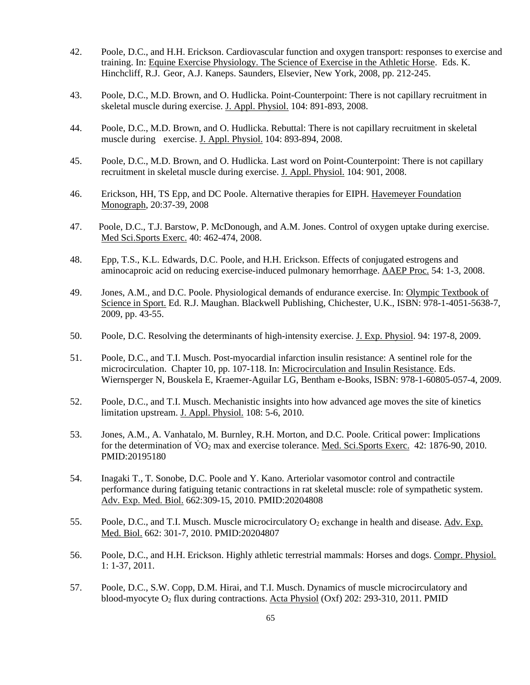- 42. Poole, D.C., and H.H. Erickson. Cardiovascular function and oxygen transport: responses to exercise and training. In: Equine Exercise Physiology. The Science of Exercise in the Athletic Horse. Eds. K. Hinchcliff, R.J. Geor, A.J. Kaneps. Saunders, Elsevier, New York, 2008, pp. 212-245.
- 43. Poole, D.C., M.D. Brown, and O. Hudlicka. Point-Counterpoint: There is not capillary recruitment in skeletal muscle during exercise. J. Appl. Physiol. 104: 891-893, 2008.
- 44. Poole, D.C., M.D. Brown, and O. Hudlicka. Rebuttal: There is not capillary recruitment in skeletal muscle during exercise. J. Appl. Physiol. 104: 893-894, 2008.
- 45. Poole, D.C., M.D. Brown, and O. Hudlicka. Last word on Point-Counterpoint: There is not capillary recruitment in skeletal muscle during exercise. J. Appl. Physiol. 104: 901, 2008.
- 46. Erickson, HH, TS Epp, and DC Poole. Alternative therapies for EIPH. Havemeyer Foundation Monograph, 20:37-39, 2008
- 47. Poole, D.C., T.J. Barstow, P. McDonough, and A.M. Jones. Control of oxygen uptake during exercise. Med Sci.Sports Exerc. 40: 462-474, 2008.
- 48. Epp, T.S., K.L. Edwards, D.C. Poole, and H.H. Erickson. Effects of conjugated estrogens and aminocaproic acid on reducing exercise-induced pulmonary hemorrhage. AAEP Proc. 54: 1-3, 2008.
- 49. Jones, A.M., and D.C. Poole. Physiological demands of endurance exercise. In: Olympic Textbook of Science in Sport. Ed. R.J. Maughan. Blackwell Publishing, Chichester, U.K., ISBN: 978-1-4051-5638-7, 2009, pp. 43-55.
- 50. Poole, D.C. Resolving the determinants of high-intensity exercise. J. Exp. Physiol. 94: 197-8, 2009.
- 51. Poole, D.C., and T.I. Musch. Post-myocardial infarction insulin resistance: A sentinel role for the microcirculation. Chapter 10, pp. 107-118. In: Microcirculation and Insulin Resistance. Eds. Wiernsperger N, Bouskela E, Kraemer-Aguilar LG, Bentham e-Books, ISBN: 978-1-60805-057-4, 2009.
- 52. Poole, D.C., and T.I. Musch. Mechanistic insights into how advanced age moves the site of kinetics limitation upstream. J. Appl. Physiol. 108: 5-6, 2010.
- 53. Jones, A.M., A. Vanhatalo, M. Burnley, R.H. Morton, and D.C. Poole. Critical power: Implications for the determination of  $\rm\dot{VO}_{2}$  max and exercise tolerance. Med. Sci.Sports Exerc. 42: 1876-90, 2010. PMID:20195180
- 54. Inagaki T., T. Sonobe, D.C. Poole and Y. Kano. Arteriolar vasomotor control and contractile performance during fatiguing tetanic contractions in rat skeletal muscle: role of sympathetic system. Adv. Exp. Med. Biol. 662:309-15, 2010. PMID:20204808
- 55. Poole, D.C., and T.I. Musch. Muscle microcirculatory  $O_2$  exchange in health and disease. Adv. Exp. Med. Biol. 662: 301-7, 2010. PMID:20204807
- 56. Poole, D.C., and H.H. Erickson. Highly athletic terrestrial mammals: Horses and dogs. Compr. Physiol. 1: 1-37, 2011.
- 57. Poole, D.C., S.W. Copp, D.M. Hirai, and T.I. Musch. Dynamics of muscle microcirculatory and blood-myocyte  $O_2$  flux during contractions. Acta Physiol (Oxf) 202: 293-310, 2011. PMID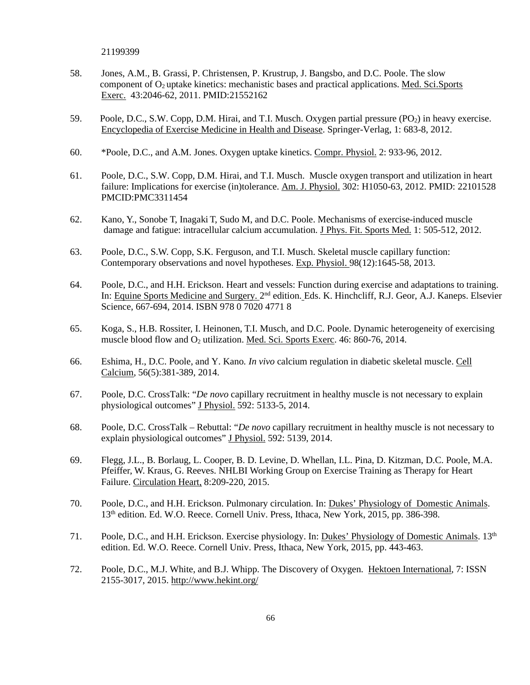21199399

- 58. Jones, A.M., B. Grassi, P. Christensen, P. Krustrup, J. Bangsbo, and D.C. Poole. The slow component of  $O_2$  uptake kinetics: mechanistic bases and practical applications. Med. Sci.Sports Exerc. 43:2046-62, 2011. PMID:21552162
- 59. Poole, D.C., S.W. Copp, D.M. Hirai, and T.I. Musch. Oxygen partial pressure (PO<sub>2</sub>) in heavy exercise. Encyclopedia of Exercise Medicine in Health and Disease. Springer-Verlag, 1: 683-8, 2012.
- 60. \*Poole, D.C., and A.M. Jones. Oxygen uptake kinetics. Compr. Physiol. 2: 933-96, 2012.
- 61. Poole, D.C., S.W. Copp, D.M. Hirai, and T.I. Musch. Muscle oxygen transport and utilization in heart failure: Implications for exercise (in)tolerance. Am. J. Physiol. 302: H1050-63, 2012. PMID: 22101528 PMCID:PMC3311454
- 62. Kano, Y., Sonobe T, Inagaki T, Sudo M, and D.C. Poole. Mechanisms of exercise-induced muscle damage and fatigue: intracellular calcium accumulation. J Phys. Fit. Sports Med. 1: 505-512, 2012.
- 63. Poole, D.C., S.W. Copp, S.K. Ferguson, and T.I. Musch. Skeletal muscle capillary function: Contemporary observations and novel hypotheses. Exp. Physiol. 98(12):1645-58, 2013.
- 64. Poole, D.C., and H.H. Erickson. Heart and vessels: Function during exercise and adaptations to training. In: Equine Sports Medicine and Surgery. 2nd edition. Eds. K. Hinchcliff, R.J. Geor, A.J. Kaneps. Elsevier Science, 667-694, 2014. ISBN 978 0 7020 4771 8
- 65. Koga, S., H.B. Rossiter, I. Heinonen, T.I. Musch, and D.C. Poole. Dynamic heterogeneity of exercising muscle blood flow and  $O_2$  utilization. Med. Sci. Sports Exerc. 46: 860-76, 2014.
- 66. Eshima, H., D.C. Poole, and Y. Kano*. In vivo* calcium regulation in diabetic skeletal muscle. Cell Calcium, 56(5):381-389, 2014.
- 67. Poole, D.C. CrossTalk: "*De novo* capillary recruitment in healthy muscle is not necessary to explain physiological outcomes" J Physiol. 592: 5133-5, 2014.
- 68. Poole, D.C. CrossTalk Rebuttal: "*De novo* capillary recruitment in healthy muscle is not necessary to explain physiological outcomes" J Physiol. 592: 5139, 2014.
- 69. Flegg, J.L., B. Borlaug, L. Cooper, B. D. Levine, D. Whellan, I.L. Pina, D. Kitzman, D.C. Poole, M.A. Pfeiffer, W. Kraus, G. Reeves. NHLBI Working Group on Exercise Training as Therapy for Heart Failure. Circulation Heart, 8:209-220, 2015.
- 70. Poole, D.C., and H.H. Erickson. Pulmonary circulation. In: Dukes' Physiology of Domestic Animals. 13<sup>th</sup> edition. Ed. W.O. Reece. Cornell Univ. Press, Ithaca, New York, 2015, pp. 386-398.
- 71. Poole, D.C., and H.H. Erickson. Exercise physiology. In: Dukes' Physiology of Domestic Animals. 13<sup>th</sup> edition. Ed. W.O. Reece. Cornell Univ. Press, Ithaca, New York, 2015, pp. 443-463.
- 72. Poole, D.C., M.J. White, and B.J. Whipp. The Discovery of Oxygen. Hektoen International, 7: ISSN 2155-3017, 2015. http://www.hekint.org/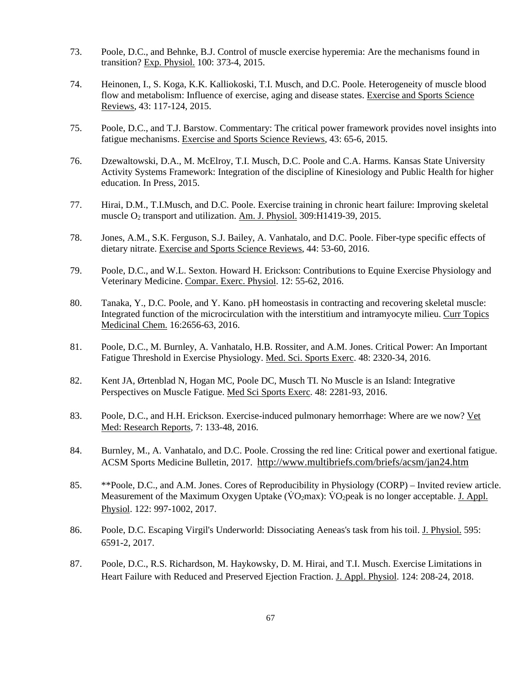- 73. Poole, D.C., and Behnke, B.J. Control of muscle exercise hyperemia: Are the mechanisms found in transition? Exp. Physiol. 100: 373-4, 2015.
- 74. Heinonen, I., S. Koga, K.K. Kalliokoski, T.I. Musch, and D.C. Poole. Heterogeneity of muscle blood flow and metabolism: Influence of exercise, aging and disease states. Exercise and Sports Science Reviews, 43: 117-124, 2015.
- 75. Poole, D.C., and T.J. Barstow. Commentary: The critical power framework provides novel insights into fatigue mechanisms. Exercise and Sports Science Reviews, 43: 65-6, 2015.
- 76. Dzewaltowski, D.A., M. McElroy, T.I. Musch, D.C. Poole and C.A. Harms. Kansas State University Activity Systems Framework: Integration of the discipline of Kinesiology and Public Health for higher education. In Press, 2015.
- 77. Hirai, D.M., T.I.Musch, and D.C. Poole. Exercise training in chronic heart failure: Improving skeletal muscle O2 transport and utilization. Am. J. Physiol. 309:H1419-39, 2015.
- 78. Jones, A.M., S.K. Ferguson, S.J. Bailey, A. Vanhatalo, and D.C. Poole. Fiber-type specific effects of dietary nitrate. Exercise and Sports Science Reviews, 44: 53-60, 2016.
- 79. Poole, D.C., and W.L. Sexton. Howard H. Erickson: Contributions to Equine Exercise Physiology and Veterinary Medicine. Compar. Exerc. Physiol. 12: 55-62, 2016.
- 80. Tanaka, Y., D.C. Poole, and Y. Kano. pH homeostasis in contracting and recovering skeletal muscle: Integrated function of the microcirculation with the interstitium and intramyocyte milieu. Curr Topics Medicinal Chem. 16:2656-63, 2016.
- 81. Poole, D.C., M. Burnley, A. Vanhatalo, H.B. Rossiter, and A.M. Jones. Critical Power: An Important Fatigue Threshold in Exercise Physiology. Med. Sci. Sports Exerc. 48: 2320-34, 2016.
- 82. Kent JA, Ørtenblad N, Hogan MC, Poole DC, Musch TI. No Muscle is an Island: Integrative Perspectives on Muscle Fatigue. Med Sci Sports Exerc. 48: 2281-93, 2016.
- 83. Poole, D.C., and H.H. Erickson. Exercise-induced pulmonary hemorrhage: Where are we now? Vet Med: Research Reports, 7: 133-48, 2016.
- 84. Burnley, M., A. Vanhatalo, and D.C. Poole. Crossing the red line: Critical power and exertional fatigue. ACSM Sports Medicine Bulletin, 2017. http://www.multibriefs.com/briefs/acsm/jan24.htm
- 85. \*\*Poole, D.C., and A.M. Jones. Cores of Reproducibility in Physiology (CORP) Invited review article. Measurement of the Maximum Oxygen Uptake ( $\overline{VQ_2}$ max):  $\overline{VQ_2}$ peak is no longer acceptable. J. Appl. Physiol. 122: 997-1002, 2017.
- 86. Poole, D.C. Escaping Virgil's Underworld: Dissociating Aeneas's task from his toil. J. Physiol. 595: 6591-2, 2017.
- 87. Poole, D.C., R.S. Richardson, M. Haykowsky, D. M. Hirai, and T.I. Musch. Exercise Limitations in Heart Failure with Reduced and Preserved Ejection Fraction. J. Appl. Physiol. 124: 208-24, 2018.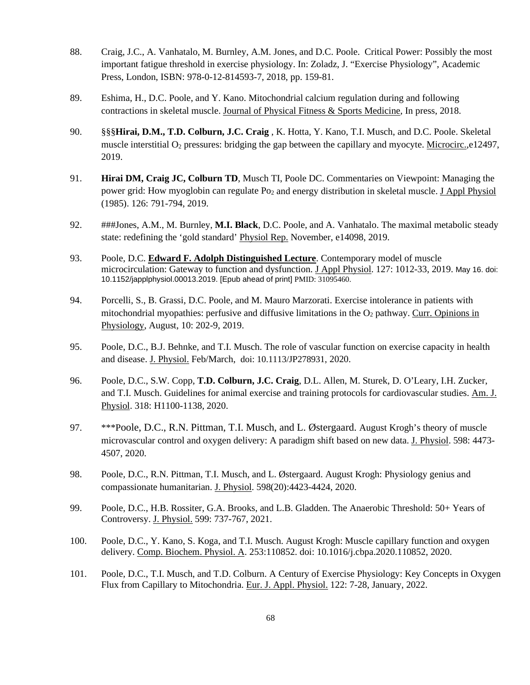- 88. Craig, J.C., A. Vanhatalo, M. Burnley, A.M. Jones, and D.C. Poole. Critical Power: Possibly the most important fatigue threshold in exercise physiology. In: Zoladz, J. "Exercise Physiology", Academic Press, London, ISBN: 978-0-12-814593-7, 2018, pp. 159-81.
- 89. Eshima, H., D.C. Poole, and Y. Kano. Mitochondrial calcium regulation during and following contractions in skeletal muscle. Journal of Physical Fitness & Sports Medicine, In press, 2018.
- 90. §§§**Hirai, D.M., T.D. Colburn, J.C. Craig** , K. Hotta, Y. Kano, T.I. Musch, and D.C. Poole. Skeletal muscle interstitial  $O_2$  pressures: bridging the gap between the capillary and myocyte. Microcirc.,e12497, 2019.
- 91. **Hirai DM, Craig JC, Colburn TD**, Musch TI, Poole DC. Commentaries on Viewpoint: Managing the power grid: How myoglobin can regulate Po<sub>2</sub> and energy distribution in skeletal muscle. J Appl Physiol (1985). 126: 791-794, 2019.
- 92. ###Jones, A.M., M. Burnley, **M.I. Black**, D.C. Poole, and A. Vanhatalo. The maximal metabolic steady state: redefining the 'gold standard' Physiol Rep. November, e14098, 2019.
- 93. Poole, D.C. **Edward F. Adolph Distinguished Lecture**. Contemporary model of muscle microcirculation: Gateway to function and dysfunction. J Appl Physiol. 127: 1012-33, 2019. May 16. doi: 10.1152/japplphysiol.00013.2019. [Epub ahead of print] PMID: 31095460.
- 94. Porcelli, S., B. Grassi, D.C. Poole, and M. Mauro Marzorati. Exercise intolerance in patients with mitochondrial myopathies: perfusive and diffusive limitations in the  $O<sub>2</sub>$  pathway. Curr. Opinions in Physiology, August, 10: 202-9, 2019.
- 95. Poole, D.C., B.J. Behnke, and T.I. Musch. The role of vascular function on exercise capacity in health and disease. J. Physiol. Feb/March, doi: 10.1113/JP278931, 2020.
- 96. Poole, D.C., S.W. Copp, **T.D. Colburn, J.C. Craig**, D.L. Allen, M. Sturek, D. O'Leary, I.H. Zucker, and T.I. Musch. Guidelines for animal exercise and training protocols for cardiovascular studies. Am. J. Physiol. 318: H1100-1138, 2020.
- 97. \*\*\*Poole, D.C., R.N. Pittman, T.I. Musch, and L. Østergaard. August Krogh's theory of muscle microvascular control and oxygen delivery: A paradigm shift based on new data. J. Physiol. 598: 4473- 4507, 2020.
- 98. Poole, D.C., R.N. Pittman, T.I. Musch, and L. Østergaard. August Krogh: Physiology genius and compassionate humanitarian. J. Physiol. 598(20):4423-4424, 2020.
- 99. Poole, D.C., H.B. Rossiter, G.A. Brooks, and L.B. Gladden. The Anaerobic Threshold: 50+ Years of Controversy. J. Physiol. 599: 737-767, 2021.
- 100. Poole, D.C., Y. Kano, S. Koga, and T.I. Musch. August Krogh: Muscle capillary function and oxygen delivery. Comp. Biochem. Physiol. A. 253:110852. doi: 10.1016/j.cbpa.2020.110852, 2020.
- 101. Poole, D.C., T.I. Musch, and T.D. Colburn. A Century of Exercise Physiology: Key Concepts in Oxygen Flux from Capillary to Mitochondria. Eur. J. Appl. Physiol. 122: 7-28, January, 2022.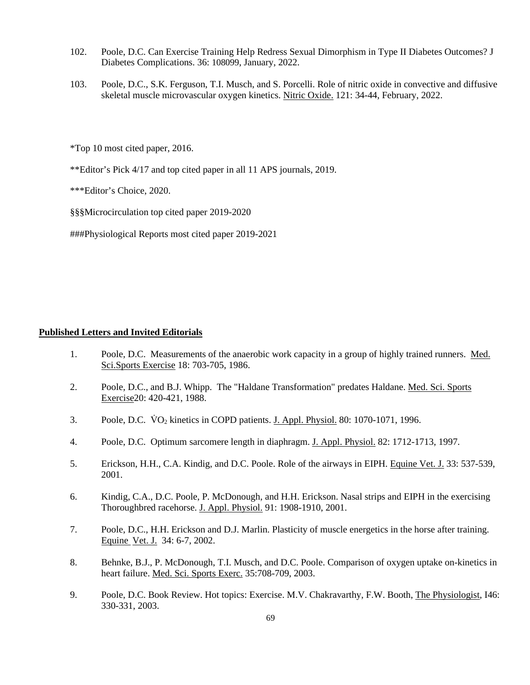- 102. Poole, D.C. Can Exercise Training Help Redress Sexual Dimorphism in Type II Diabetes Outcomes? J Diabetes Complications. 36: 108099, January, 2022.
- 103. Poole, D.C., S.K. Ferguson, T.I. Musch, and S. Porcelli. Role of nitric oxide in convective and diffusive skeletal muscle microvascular oxygen kinetics. Nitric Oxide. 121: 34-44, February, 2022.

\*Top 10 most cited paper, 2016.

\*\*Editor's Pick 4/17 and top cited paper in all 11 APS journals, 2019.

\*\*\*Editor's Choice, 2020.

§§§Microcirculation top cited paper 2019-2020

###Physiological Reports most cited paper 2019-2021

## **Published Letters and Invited Editorials**

- 1. Poole, D.C. Measurements of the anaerobic work capacity in a group of highly trained runners. Med. Sci.Sports Exercise 18: 703-705, 1986.
- 2. Poole, D.C., and B.J. Whipp. The "Haldane Transformation" predates Haldane. Med. Sci. Sports Exercise20: 420-421, 1988.
- 3. Poole, D.C.  $\overline{VQ_2}$  kinetics in COPD patients. J. Appl. Physiol. 80: 1070-1071, 1996.
- 4. Poole, D.C. Optimum sarcomere length in diaphragm. J. Appl. Physiol. 82: 1712-1713, 1997.
- 5. Erickson, H.H., C.A. Kindig, and D.C. Poole. Role of the airways in EIPH. Equine Vet. J. 33: 537-539, 2001.
- 6. Kindig, C.A., D.C. Poole, P. McDonough, and H.H. Erickson. Nasal strips and EIPH in the exercising Thoroughbred racehorse. J. Appl. Physiol. 91: 1908-1910, 2001.
- 7. Poole, D.C., H.H. Erickson and D.J. Marlin. Plasticity of muscle energetics in the horse after training. Equine Vet. J. 34: 6-7, 2002.
- 8. Behnke, B.J., P. McDonough, T.I. Musch, and D.C. Poole. Comparison of oxygen uptake on-kinetics in heart failure. Med. Sci. Sports Exerc. 35:708-709, 2003.
- 9. Poole, D.C. Book Review. Hot topics: Exercise. M.V. Chakravarthy, F.W. Booth, The Physiologist, I46: 330-331, 2003.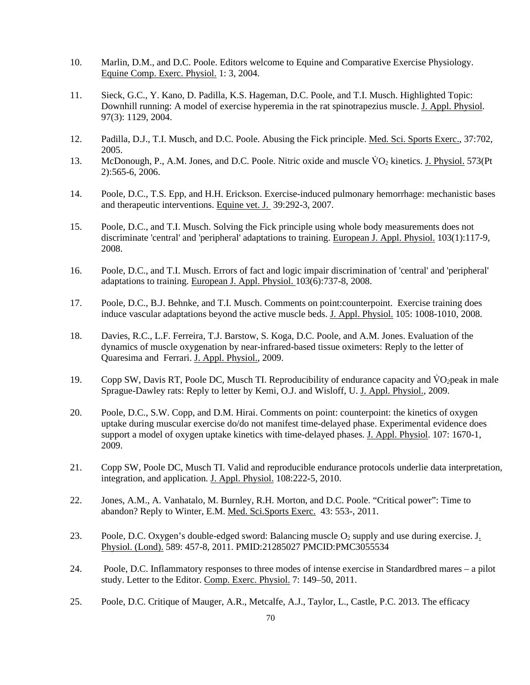- 10. Marlin, D.M., and D.C. Poole. Editors welcome to Equine and Comparative Exercise Physiology. Equine Comp. Exerc. Physiol. 1: 3, 2004.
- 11. Sieck, G.C., Y. Kano, D. Padilla, K.S. Hageman, D.C. Poole, and T.I. Musch. Highlighted Topic: Downhill running: A model of exercise hyperemia in the rat spinotrapezius muscle. J. Appl. Physiol. 97(3): 1129, 2004.
- 12. Padilla, D.J., T.I. Musch, and D.C. Poole. Abusing the Fick principle. Med. Sci. Sports Exerc., 37:702, 2005.
- 13. McDonough, P., A.M. Jones, and D.C. Poole. Nitric oxide and muscle  $\rm \dot{V}O_{2}$  kinetics. J. Physiol. 573(Pt 2):565-6, 2006.
- 14. Poole, D.C., T.S. Epp, and H.H. Erickson. Exercise-induced pulmonary hemorrhage: mechanistic bases and therapeutic interventions. Equine vet. J. 39:292-3, 2007.
- 15. Poole, D.C., and T.I. Musch. Solving the Fick principle using whole body measurements does not discriminate 'central' and 'peripheral' adaptations to training. European J. Appl. Physiol. 103(1):117-9, 2008.
- 16. Poole, D.C., and T.I. Musch. Errors of fact and logic impair discrimination of 'central' and 'peripheral' adaptations to training. European J. Appl. Physiol. 103(6):737-8, 2008.
- 17. Poole, D.C., B.J. Behnke, and T.I. Musch. Comments on point:counterpoint. Exercise training does induce vascular adaptations beyond the active muscle beds. J. Appl. Physiol. 105: 1008-1010, 2008.
- 18. Davies, R.C., L.F. Ferreira, T.J. Barstow, S. Koga, D.C. Poole, and A.M. Jones. Evaluation of the dynamics of muscle oxygenation by near-infrared-based tissue oximeters: Reply to the letter of Quaresima and Ferrari. J. Appl. Physiol., 2009.
- 19. Copp SW, Davis RT, Poole DC, Musch TI. Reproducibility of endurance capacity and V̇ O*2*peak in male Sprague-Dawley rats: Reply to letter by Kemi, O.J. and Wisloff, U. J. Appl. Physiol., 2009.
- 20. Poole, D.C., S.W. Copp, and D.M. Hirai. Comments on point: counterpoint: the kinetics of oxygen uptake during muscular exercise do/do not manifest time-delayed phase. Experimental evidence does support a model of oxygen uptake kinetics with time-delayed phases. J. Appl. Physiol. 107: 1670-1, 2009.
- 21. Copp SW, Poole DC, Musch TI. Valid and reproducible endurance protocols underlie data interpretation, integration, and application. J. Appl. Physiol. 108:222-5, 2010.
- 22. Jones, A.M., A. Vanhatalo, M. Burnley, R.H. Morton, and D.C. Poole. "Critical power": Time to abandon? Reply to Winter, E.M. Med. Sci.Sports Exerc. 43: 553-, 2011.
- 23. Poole, D.C. Oxygen's double-edged sword: Balancing muscle  $O_2$  supply and use during exercise. J. Physiol. (Lond). 589: 457-8, 2011. PMID:21285027 PMCID:PMC3055534
- 24. Poole, D.C. Inflammatory responses to three modes of intense exercise in Standardbred mares a pilot study. Letter to the Editor. Comp. Exerc. Physiol. 7: 149–50, 2011.
- 25. Poole, D.C. Critique of Mauger, A.R., Metcalfe, A.J., Taylor, L., Castle, P.C. 2013. The efficacy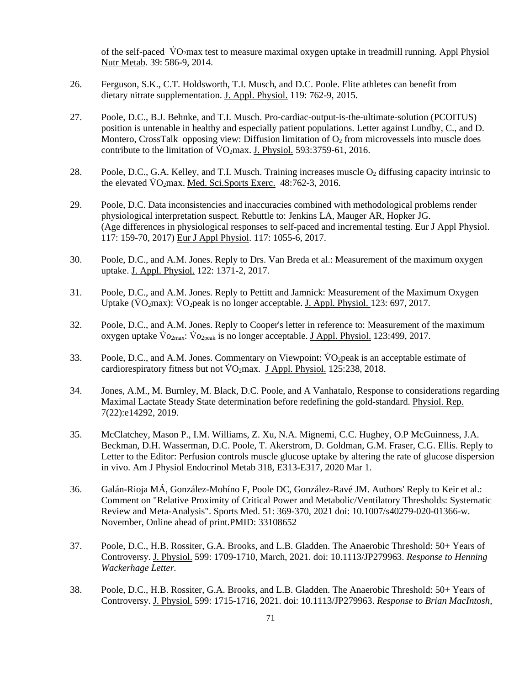of the self-paced  $\overline{VQ_2}$  max test to measure maximal oxygen uptake in treadmill running. Appl Physiol Nutr Metab. 39: 586-9, 2014.

- 26. Ferguson, S.K., C.T. Holdsworth, T.I. Musch, and D.C. Poole. Elite athletes can benefit from dietary nitrate supplementation. J. Appl. Physiol. 119: 762-9, 2015.
- 27.Poole, D.C., B.J. Behnke, and T.I. Musch. Pro-cardiac-output-is-the-ultimate-solution (PCOITUS) position is untenable in healthy and especially patient populations. Letter against Lundby, C., and D. Montero, CrossTalk opposing view: Diffusion limitation of  $O<sub>2</sub>$  from microvessels into muscle does contribute to the limitation of  $\overline{VQ_2}$  max. J. Physiol. 593:3759-61, 2016.
- 28. Poole, D.C., G.A. Kelley, and T.I. Musch. Training increases muscle O<sub>2</sub> diffusing capacity intrinsic to the elevated  $\dot{V}O_2$  max. Med. Sci. Sports Exerc. 48:762-3, 2016.
- 29. Poole, D.C. Data inconsistencies and inaccuracies combined with methodological problems render physiological interpretation suspect. Rebuttle to: Jenkins LA, Mauger AR, Hopker JG. (Age differences in physiological responses to self-paced and incremental testing. Eur J Appl Physiol. 117: 159-70, 2017) Eur J Appl Physiol. 117: 1055-6, 2017.
- 30. Poole, D.C., and A.M. Jones. Reply to Drs. Van Breda et al.: Measurement of the maximum oxygen uptake. J. Appl. Physiol. 122: 1371-2, 2017.
- 31. Poole, D.C., and A.M. Jones. Reply to Pettitt and Jamnick: Measurement of the Maximum Oxygen Uptake ( $\overline{V}O_2$ max):  $\overline{V}O_2$ peak is no longer acceptable. J. Appl. Physiol. 123: 697, 2017.
- 32. Poole, D.C., and A.M. Jones. Reply to Cooper's letter in reference to: Measurement of the maximum oxygen uptake  $\rm{Vo}_{2\rm{max}}$ :  $\rm{Vo}_{2\rm{peak}}$  is no longer acceptable. J Appl. Physiol. 123:499, 2017.
- 33. Poole, D.C., and A.M. Jones. Commentary on Viewpoint: VO<sub>2</sub>peak is an acceptable estimate of cardiorespiratory fitness but not  $\rm \ddot{V}O_2$  max. J Appl. Physiol. 125:238, 2018.
- 34. Jones, A.M., M. Burnley, M. Black, D.C. Poole, and A Vanhatalo, Response to considerations regarding Maximal Lactate Steady State determination before redefining the gold-standard. Physiol. Rep. 7(22):e14292, 2019.
- 35. McClatchey, Mason P., I.M. Williams, Z. Xu, N.A. Mignemi, C.C. Hughey, O.P McGuinness, J.A. Beckman, D.H. Wasserman, D.C. Poole, T. Akerstrom, D. Goldman, G.M. Fraser, C.G. Ellis. Reply to Letter to the Editor: Perfusion controls muscle glucose uptake by altering the rate of glucose dispersion in vivo. Am J Physiol Endocrinol Metab 318, E313-E317, 2020 Mar 1.
- 36. Galán-Rioja MÁ, González-Mohíno F, Poole DC, González-Ravé JM. Authors' Reply to Keir et al.: Comment on "Relative Proximity of Critical Power and Metabolic/Ventilatory Thresholds: Systematic Review and Meta-Analysis". Sports Med. 51: 369-370, 2021 doi: 10.1007/s40279-020-01366-w. November, Online ahead of print.PMID: 33108652
- 37. Poole, D.C., H.B. Rossiter, G.A. Brooks, and L.B. Gladden. The Anaerobic Threshold: 50+ Years of Controversy. J. Physiol. 599: 1709-1710, March, 2021. doi: 10.1113/JP279963. *Response to Henning Wackerhage Letter.*
- 38. Poole, D.C., H.B. Rossiter, G.A. Brooks, and L.B. Gladden. The Anaerobic Threshold: 50+ Years of Controversy. J. Physiol. 599: 1715-1716, 2021. doi: 10.1113/JP279963. *Response to Brian MacIntosh,*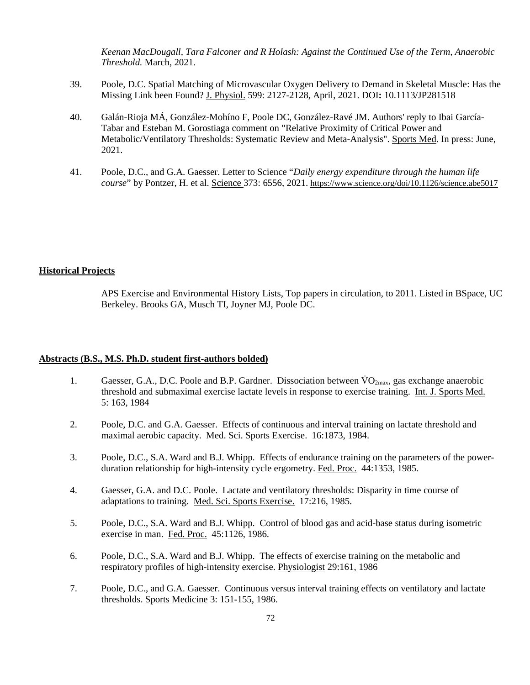*Keenan MacDougall, Tara Falconer and R Holash: Against the Continued Use of the Term, Anaerobic Threshold.* March, 2021.

- 39. Poole, D.C. Spatial Matching of Microvascular Oxygen Delivery to Demand in Skeletal Muscle: Has the Missing Link been Found? J. Physiol. 599: 2127-2128, April, 2021. DOI**:** 10.1113/JP281518
- 40. Galán-Rioja MÁ, González-Mohíno F, Poole DC, González-Ravé JM. Authors' reply to Ibai García-Tabar and Esteban M. Gorostiaga comment on "Relative Proximity of Critical Power and Metabolic/Ventilatory Thresholds: Systematic Review and Meta-Analysis". Sports Med. In press: June, 2021.
- 41. Poole, D.C., and G.A. Gaesser. Letter to Science "*Daily energy expenditure through the human life course*" by Pontzer, H. et al. Science 373: 6556, 2021. https://www.science.org/doi/10.1126/science.abe5017

#### **Historical Projects**

APS Exercise and Environmental History Lists, Top papers in circulation, to 2011. Listed in BSpace, UC Berkeley. Brooks GA, Musch TI, Joyner MJ, Poole DC.

#### **Abstracts (B.S., M.S. Ph.D. student first-authors bolded)**

- 1. Gaesser, G.A., D.C. Poole and B.P. Gardner. Dissociation between  $\rm \dot{V}O_{2max}$ , gas exchange anaerobic threshold and submaximal exercise lactate levels in response to exercise training. Int. J. Sports Med. 5: 163, 1984
- 2. Poole, D.C. and G.A. Gaesser. Effects of continuous and interval training on lactate threshold and maximal aerobic capacity. Med. Sci. Sports Exercise. 16:1873, 1984.
- 3. Poole, D.C., S.A. Ward and B.J. Whipp. Effects of endurance training on the parameters of the power duration relationship for high-intensity cycle ergometry. Fed. Proc. 44:1353, 1985.
- 4. Gaesser, G.A. and D.C. Poole. Lactate and ventilatory thresholds: Disparity in time course of adaptations to training. Med. Sci. Sports Exercise. 17:216, 1985.
- 5. Poole, D.C., S.A. Ward and B.J. Whipp. Control of blood gas and acid-base status during isometric exercise in man. Fed. Proc. 45:1126, 1986.
- 6. Poole, D.C., S.A. Ward and B.J. Whipp. The effects of exercise training on the metabolic and respiratory profiles of high-intensity exercise. Physiologist 29:161, 1986
- 7. Poole, D.C., and G.A. Gaesser. Continuous versus interval training effects on ventilatory and lactate thresholds. Sports Medicine 3: 151-155, 1986.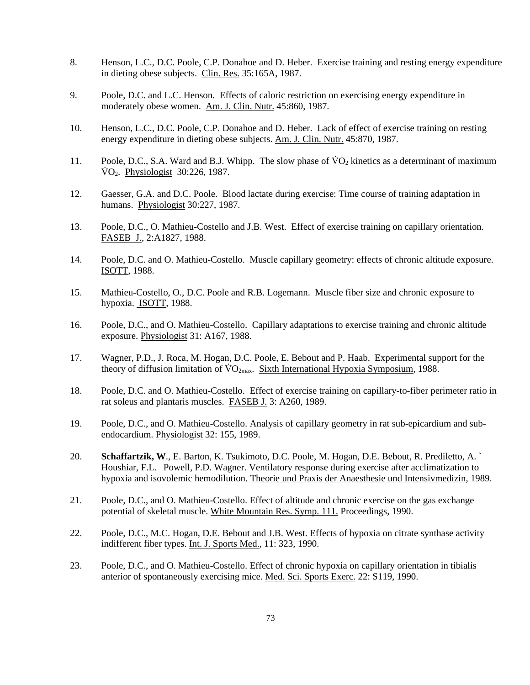- 8. Henson, L.C., D.C. Poole, C.P. Donahoe and D. Heber. Exercise training and resting energy expenditure in dieting obese subjects. Clin. Res. 35:165A, 1987.
- 9. Poole, D.C. and L.C. Henson. Effects of caloric restriction on exercising energy expenditure in moderately obese women. Am. J. Clin. Nutr. 45:860, 1987.
- 10. Henson, L.C., D.C. Poole, C.P. Donahoe and D. Heber. Lack of effect of exercise training on resting energy expenditure in dieting obese subjects. Am. J. Clin. Nutr. 45:870, 1987.
- 11. Poole, D.C., S.A. Ward and B.J. Whipp. The slow phase of  $\rm \dot{V}O_{2}$  kinetics as a determinant of maximum  $\text{VO}_2$ . Physiologist 30:226, 1987.
- 12. Gaesser, G.A. and D.C. Poole. Blood lactate during exercise: Time course of training adaptation in humans. Physiologist 30:227, 1987.
- 13. Poole, D.C., O. Mathieu-Costello and J.B. West. Effect of exercise training on capillary orientation. FASEB J., 2:A1827, 1988.
- 14. Poole, D.C. and O. Mathieu-Costello. Muscle capillary geometry: effects of chronic altitude exposure. ISOTT, 1988.
- 15. Mathieu-Costello, O., D.C. Poole and R.B. Logemann. Muscle fiber size and chronic exposure to hypoxia. ISOTT, 1988.
- 16. Poole, D.C., and O. Mathieu-Costello. Capillary adaptations to exercise training and chronic altitude exposure. Physiologist 31: A167, 1988.
- 17. Wagner, P.D., J. Roca, M. Hogan, D.C. Poole, E. Bebout and P. Haab. Experimental support for the theory of diffusion limitation of  $\rm \dot{VO}_{2max}$ . Sixth International Hypoxia Symposium, 1988.
- 18. Poole, D.C. and O. Mathieu-Costello. Effect of exercise training on capillary-to-fiber perimeter ratio in rat soleus and plantaris muscles. FASEB J. 3: A260, 1989.
- 19. Poole, D.C., and O. Mathieu-Costello. Analysis of capillary geometry in rat sub-epicardium and sub endocardium. Physiologist 32: 155, 1989.
- 20. **Schaffartzik, W**., E. Barton, K. Tsukimoto, D.C. Poole, M. Hogan, D.E. Bebout, R. Prediletto, A. ` Houshiar, F.L. Powell, P.D. Wagner. Ventilatory response during exercise after acclimatization to hypoxia and isovolemic hemodilution. Theorie und Praxis der Anaesthesie und Intensivmedizin, 1989.
- 21. Poole, D.C., and O. Mathieu-Costello. Effect of altitude and chronic exercise on the gas exchange potential of skeletal muscle. White Mountain Res. Symp. 111. Proceedings, 1990.
- 22. Poole, D.C., M.C. Hogan, D.E. Bebout and J.B. West. Effects of hypoxia on citrate synthase activity indifferent fiber types. Int. J. Sports Med., 11: 323, 1990.
- 23. Poole, D.C., and O. Mathieu-Costello. Effect of chronic hypoxia on capillary orientation in tibialis anterior of spontaneously exercising mice. Med. Sci. Sports Exerc. 22: S119, 1990.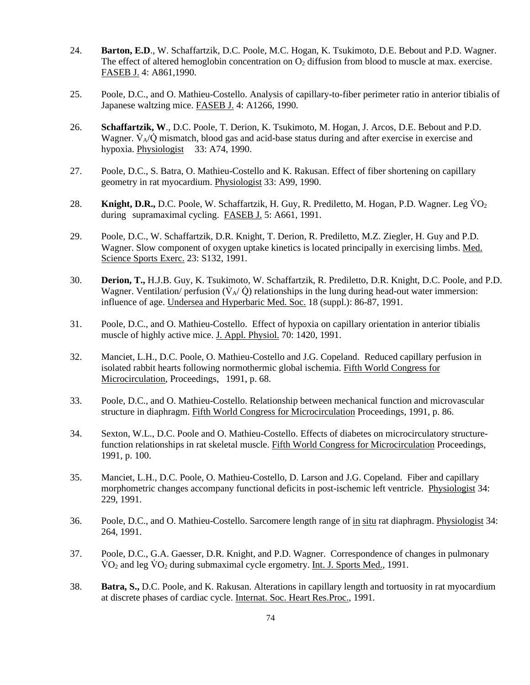- 24. **Barton, E.D**., W. Schaffartzik, D.C. Poole, M.C. Hogan, K. Tsukimoto, D.E. Bebout and P.D. Wagner. The effect of altered hemoglobin concentration on  $O_2$  diffusion from blood to muscle at max. exercise. FASEB J. 4: A861,1990.
- 25. Poole, D.C., and O. Mathieu-Costello. Analysis of capillary-to-fiber perimeter ratio in anterior tibialis of Japanese waltzing mice. FASEB J. 4: A1266, 1990.
- 26. **Schaffartzik, W**., D.C. Poole, T. Derion, K. Tsukimoto, M. Hogan, J. Arcos, D.E. Bebout and P.D. Wagner.  $\dot{V}_A/\dot{Q}$  mismatch, blood gas and acid-base status during and after exercise in exercise and hypoxia. Physiologist 33: A74, 1990.
- 27. Poole, D.C., S. Batra, O. Mathieu-Costello and K. Rakusan. Effect of fiber shortening on capillary geometry in rat myocardium. Physiologist 33: A99, 1990.
- 28. **Knight, D.R.,** D.C. Poole, W. Schaffartzik, H. Guy, R. Prediletto, M. Hogan, P.D. Wagner. Leg VO<sub>2</sub> during supramaximal cycling. FASEB J. 5: A661, 1991.
- 29. Poole, D.C., W. Schaffartzik, D.R. Knight, T. Derion, R. Prediletto, M.Z. Ziegler, H. Guy and P.D. Wagner. Slow component of oxygen uptake kinetics is located principally in exercising limbs. Med. Science Sports Exerc. 23: S132, 1991.
- 30. **Derion, T.,** H.J.B. Guy, K. Tsukimoto, W. Schaffartzik, R. Prediletto, D.R. Knight, D.C. Poole, and P.D. Wagner. Ventilation/ perfusion  $(\dot{V}_{A}/\dot{Q})$  relationships in the lung during head-out water immersion: influence of age. Undersea and Hyperbaric Med. Soc. 18 (suppl.): 86-87, 1991.
- 31. Poole, D.C., and O. Mathieu-Costello. Effect of hypoxia on capillary orientation in anterior tibialis muscle of highly active mice. J. Appl. Physiol. 70: 1420, 1991.
- 32. Manciet, L.H., D.C. Poole, O. Mathieu-Costello and J.G. Copeland. Reduced capillary perfusion in isolated rabbit hearts following normothermic global ischemia. Fifth World Congress for Microcirculation, Proceedings, 1991, p. 68.
- 33. Poole, D.C., and O. Mathieu-Costello. Relationship between mechanical function and microvascular structure in diaphragm. Fifth World Congress for Microcirculation Proceedings, 1991, p. 86.
- 34. Sexton, W.L., D.C. Poole and O. Mathieu-Costello. Effects of diabetes on microcirculatory structure function relationships in rat skeletal muscle. Fifth World Congress for Microcirculation Proceedings, 1991, p. 100.
- 35. Manciet, L.H., D.C. Poole, O. Mathieu-Costello, D. Larson and J.G. Copeland. Fiber and capillary morphometric changes accompany functional deficits in post-ischemic left ventricle. Physiologist 34: 229, 1991.
- 36. Poole, D.C., and O. Mathieu-Costello. Sarcomere length range of in situ rat diaphragm. Physiologist 34: 264, 1991.
- 37. Poole, D.C., G.A. Gaesser, D.R. Knight, and P.D. Wagner. Correspondence of changes in pulmonary  $\rm\dot{VO}_2$  and leg  $\rm\dot{VO}_2$  during submaximal cycle ergometry. Int. J. Sports Med., 1991.
- 38. **Batra, S.,** D.C. Poole, and K. Rakusan. Alterations in capillary length and tortuosity in rat myocardium at discrete phases of cardiac cycle. Internat. Soc. Heart Res.Proc., 1991.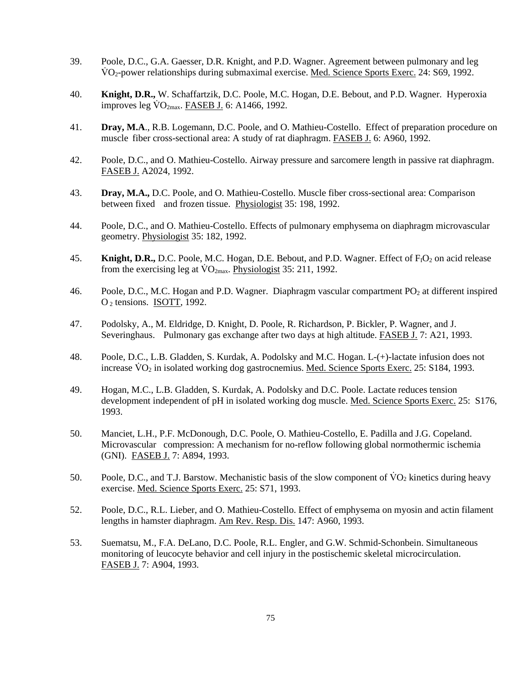- 39. Poole, D.C., G.A. Gaesser, D.R. Knight, and P.D. Wagner. Agreement between pulmonary and leg VO<sub>2</sub>-power relationships during submaximal exercise. Med. Science Sports Exerc. 24: S69, 1992.
- 40. **Knight, D.R.,** W. Schaffartzik, D.C. Poole, M.C. Hogan, D.E. Bebout, and P.D. Wagner. Hyperoxia improves leg  $\rm \dot{V}O_{2max}$ . FASEB J. 6: A1466, 1992.
- 41. **Dray, M.A**., R.B. Logemann, D.C. Poole, and O. Mathieu-Costello. Effect of preparation procedure on muscle fiber cross-sectional area: A study of rat diaphragm. FASEB J. 6: A960, 1992.
- 42. Poole, D.C., and O. Mathieu-Costello. Airway pressure and sarcomere length in passive rat diaphragm. FASEB J. A2024, 1992.
- 43. **Dray, M.A.,** D.C. Poole, and O. Mathieu-Costello. Muscle fiber cross-sectional area: Comparison between fixed and frozen tissue. Physiologist 35: 198, 1992.
- 44. Poole, D.C., and O. Mathieu-Costello. Effects of pulmonary emphysema on diaphragm microvascular geometry. Physiologist 35: 182, 1992.
- 45. **Knight, D.R.,** D.C. Poole, M.C. Hogan, D.E. Bebout, and P.D. Wagner. Effect of F<sub>1</sub>O<sub>2</sub> on acid release from the exercising leg at  $\rm \ddot{V}O_{2max}$ . Physiologist 35: 211, 1992.
- 46. Poole, D.C., M.C. Hogan and P.D. Wagner. Diaphragm vascular compartment PO<sub>2</sub> at different inspired O 2 tensions. ISOTT, 1992.
- 47. Podolsky, A., M. Eldridge, D. Knight, D. Poole, R. Richardson, P. Bickler, P. Wagner, and J. Severinghaus. Pulmonary gas exchange after two days at high altitude. FASEB J. 7: A21, 1993.
- 48. Poole, D.C., L.B. Gladden, S. Kurdak, A. Podolsky and M.C. Hogan. L-(+)-lactate infusion does not increase  $\rm \dot{VO}_2$  in isolated working dog gastrocnemius. Med. Science Sports Exerc. 25: S184, 1993.
- 49. Hogan, M.C., L.B. Gladden, S. Kurdak, A. Podolsky and D.C. Poole. Lactate reduces tension development independent of pH in isolated working dog muscle. Med. Science Sports Exerc. 25: S176, 1993.
- 50. Manciet, L.H., P.F. McDonough, D.C. Poole, O. Mathieu-Costello, E. Padilla and J.G. Copeland. Microvascular compression: A mechanism for no-reflow following global normothermic ischemia (GNI). FASEB J. 7: A894, 1993.
- 50. Poole, D.C., and T.J. Barstow. Mechanistic basis of the slow component of  $\rm VO_2$  kinetics during heavy exercise. Med. Science Sports Exerc. 25: S71, 1993.
- 52. Poole, D.C., R.L. Lieber, and O. Mathieu-Costello. Effect of emphysema on myosin and actin filament lengths in hamster diaphragm. Am Rev. Resp. Dis. 147: A960, 1993.
- 53. Suematsu, M., F.A. DeLano, D.C. Poole, R.L. Engler, and G.W. Schmid-Schonbein. Simultaneous monitoring of leucocyte behavior and cell injury in the postischemic skeletal microcirculation. FASEB J. 7: A904, 1993.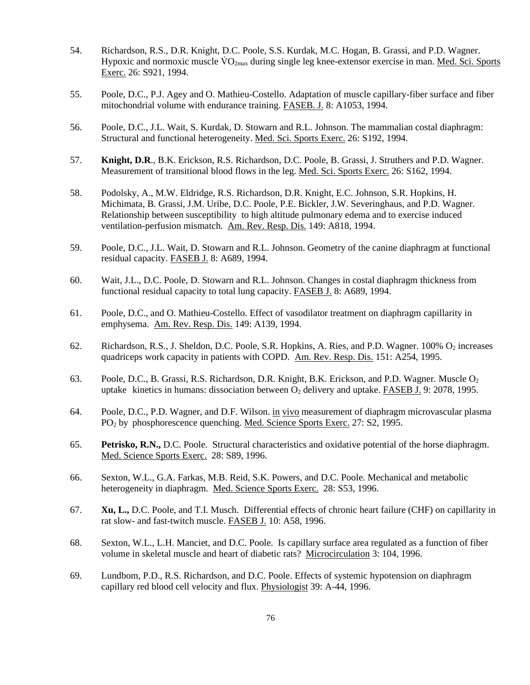- 54. Richardson, R.S., D.R. Knight, D.C. Poole, S.S. Kurdak, M.C. Hogan, B. Grassi, and P.D. Wagner. Hypoxic and normoxic muscle  $\rm \dot{V}O_{2max}$  during single leg knee-extensor exercise in man. Med. Sci. Sports Exerc. 26: S921, 1994.
- 55. Poole, D.C., P.J. Agey and O. Mathieu-Costello. Adaptation of muscle capillary-fiber surface and fiber mitochondrial volume with endurance training. FASEB. J. 8: A1053, 1994.
- 56. Poole, D.C., J.L. Wait, S. Kurdak, D. Stowarn and R.L. Johnson. The mammalian costal diaphragm: Structural and functional heterogeneity. Med. Sci. Sports Exerc. 26: S192, 1994.
- 57. **Knight, D.R**., B.K. Erickson, R.S. Richardson, D.C. Poole, B. Grassi, J. Struthers and P.D. Wagner. Measurement of transitional blood flows in the leg. Med. Sci. Sports Exerc. 26: S162, 1994.
- 58. Podolsky, A., M.W. Eldridge, R.S. Richardson, D.R. Knight, E.C. Johnson, S.R. Hopkins, H. Michimata, B. Grassi, J.M. Uribe, D.C. Poole, P.E. Bickler, J.W. Severinghaus, and P.D. Wagner. Relationship between susceptibility to high altitude pulmonary edema and to exercise induced ventilation-perfusion mismatch. Am. Rev. Resp. Dis. 149: A818, 1994.
- 59. Poole, D.C., J.L. Wait, D. Stowarn and R.L. Johnson. Geometry of the canine diaphragm at functional residual capacity. FASEB J. 8: A689, 1994.
- 60. Wait, J.L., D.C. Poole, D. Stowarn and R.L. Johnson. Changes in costal diaphragm thickness from functional residual capacity to total lung capacity. FASEB J. 8: A689, 1994.
- 61. Poole, D.C., and O. Mathieu-Costello. Effect of vasodilator treatment on diaphragm capillarity in emphysema. Am. Rev. Resp. Dis. 149: A139, 1994.
- 62. Richardson, R.S., J. Sheldon, D.C. Poole, S.R. Hopkins, A. Ries, and P.D. Wagner. 100% O<sub>2</sub> increases quadriceps work capacity in patients with COPD. Am. Rev. Resp. Dis. 151: A254, 1995.
- 63. Poole, D.C., B. Grassi, R.S. Richardson, D.R. Knight, B.K. Erickson, and P.D. Wagner. Muscle O2 uptake kinetics in humans: dissociation between O2 delivery and uptake. FASEB J. 9: 2078, 1995.
- 64. Poole, D.C., P.D. Wagner, and D.F. Wilson. in vivo measurement of diaphragm microvascular plasma PO2 by phosphorescence quenching. Med. Science Sports Exerc. 27: S2, 1995.
- 65. **Petrisko, R.N.,** D.C. Poole. Structural characteristics and oxidative potential of the horse diaphragm. Med. Science Sports Exerc. 28: S89, 1996.
- 66. Sexton, W.L., G.A. Farkas, M.B. Reid, S.K. Powers, and D.C. Poole. Mechanical and metabolic heterogeneity in diaphragm. Med. Science Sports Exerc. 28: S53, 1996.
- 67. **Xu, L.,** D.C. Poole, and T.I. Musch. Differential effects of chronic heart failure (CHF) on capillarity in rat slow- and fast-twitch muscle. FASEB J. 10: A58, 1996.
- 68. Sexton, W.L., L.H. Manciet, and D.C. Poole. Is capillary surface area regulated as a function of fiber volume in skeletal muscle and heart of diabetic rats? Microcirculation 3: 104, 1996.
- 69. Lundbom, P.D., R.S. Richardson, and D.C. Poole. Effects of systemic hypotension on diaphragm capillary red blood cell velocity and flux. Physiologist 39: A-44, 1996.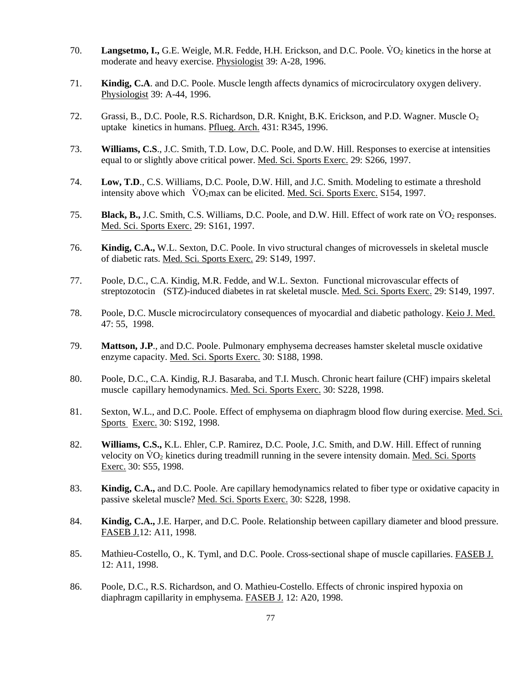- 70. **Langsetmo, I.,** G.E. Weigle, M.R. Fedde, H.H. Erickson, and D.C. Poole. V̇ O2 kinetics in the horse at moderate and heavy exercise. Physiologist 39: A-28, 1996.
- 71. **Kindig, C.A**. and D.C. Poole. Muscle length affects dynamics of microcirculatory oxygen delivery. Physiologist 39: A-44, 1996.
- 72. Grassi, B., D.C. Poole, R.S. Richardson, D.R. Knight, B.K. Erickson, and P.D. Wagner. Muscle O2 uptake kinetics in humans. Pflueg. Arch. 431: R345, 1996.
- 73. **Williams, C.S**., J.C. Smith, T.D. Low, D.C. Poole, and D.W. Hill. Responses to exercise at intensities equal to or slightly above critical power. Med. Sci. Sports Exerc. 29: S266, 1997.
- 74. **Low, T.D**., C.S. Williams, D.C. Poole, D.W. Hill, and J.C. Smith. Modeling to estimate a threshold intensity above which VO<sub>2</sub>max can be elicited. Med. Sci. Sports Exerc. S154, 1997.
- 75. **Black, B.,** J.C. Smith, C.S. Williams, D.C. Poole, and D.W. Hill. Effect of work rate on  $\rm \ddot{O}_2$  responses. Med. Sci. Sports Exerc. 29: S161, 1997.
- 76. **Kindig, C.A.,** W.L. Sexton, D.C. Poole. In vivo structural changes of microvessels in skeletal muscle of diabetic rats. Med. Sci. Sports Exerc. 29: S149, 1997.
- 77. Poole, D.C., C.A. Kindig, M.R. Fedde, and W.L. Sexton. Functional microvascular effects of streptozotocin (STZ)-induced diabetes in rat skeletal muscle. Med. Sci. Sports Exerc. 29: S149, 1997.
- 78. Poole, D.C. Muscle microcirculatory consequences of myocardial and diabetic pathology. Keio J. Med. 47: 55, 1998.
- 79. **Mattson, J.P**., and D.C. Poole. Pulmonary emphysema decreases hamster skeletal muscle oxidative enzyme capacity. Med. Sci. Sports Exerc. 30: S188, 1998.
- 80. Poole, D.C., C.A. Kindig, R.J. Basaraba, and T.I. Musch. Chronic heart failure (CHF) impairs skeletal muscle capillary hemodynamics. Med. Sci. Sports Exerc. 30: S228, 1998.
- 81. Sexton, W.L., and D.C. Poole. Effect of emphysema on diaphragm blood flow during exercise. Med. Sci. Sports Exerc. 30: S192, 1998.
- 82. **Williams, C.S.,** K.L. Ehler, C.P. Ramirez, D.C. Poole, J.C. Smith, and D.W. Hill. Effect of running velocity on  $\rm VO_2$  kinetics during treadmill running in the severe intensity domain. Med. Sci. Sports Exerc. 30: S55, 1998.
- 83. **Kindig, C.A.,** and D.C. Poole. Are capillary hemodynamics related to fiber type or oxidative capacity in passive skeletal muscle? Med. Sci. Sports Exerc. 30: S228, 1998.
- 84. **Kindig, C.A.,** J.E. Harper, and D.C. Poole. Relationship between capillary diameter and blood pressure. FASEB J.12: A11, 1998.
- 85. Mathieu-Costello, O., K. Tyml, and D.C. Poole. Cross-sectional shape of muscle capillaries. FASEB J. 12: A11, 1998.
- 86. Poole, D.C., R.S. Richardson, and O. Mathieu-Costello. Effects of chronic inspired hypoxia on diaphragm capillarity in emphysema. FASEB J. 12: A20, 1998.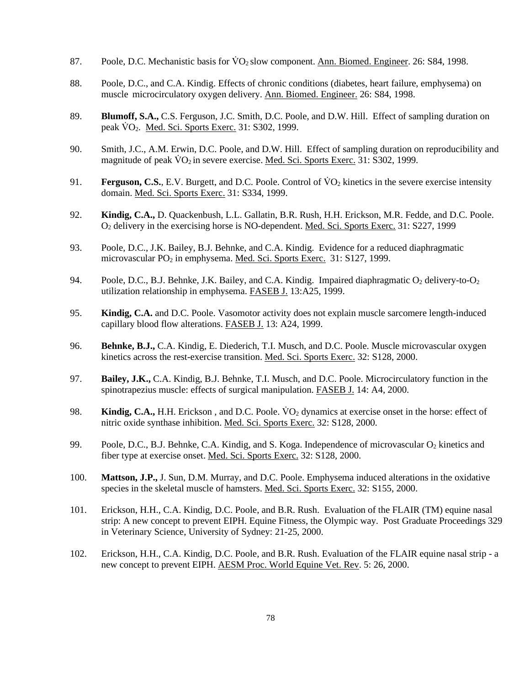- 87. Poole, D.C. Mechanistic basis for  $\rm \dot{V}O_{2}$  slow component. Ann. Biomed. Engineer. 26: S84, 1998.
- 88. Poole, D.C., and C.A. Kindig. Effects of chronic conditions (diabetes, heart failure, emphysema) on muscle microcirculatory oxygen delivery. Ann. Biomed. Engineer. 26: S84, 1998.
- 89. **Blumoff, S.A.,** C.S. Ferguson, J.C. Smith, D.C. Poole, and D.W. Hill. Effect of sampling duration on peak  $\dot{V}O_2$ . Med. Sci. Sports Exerc. 31: S302, 1999.
- 90. Smith, J.C., A.M. Erwin, D.C. Poole, and D.W. Hill. Effect of sampling duration on reproducibility and magnitude of peak  $\rm\acute{VO}_2$  in severe exercise. Med. Sci. Sports Exerc. 31: S302, 1999.
- 91. **Ferguson, C.S.**, E.V. Burgett, and D.C. Poole. Control of VO<sub>2</sub> kinetics in the severe exercise intensity domain. Med. Sci. Sports Exerc. 31: S334, 1999.
- 92. **Kindig, C.A.,** D. Quackenbush, L.L. Gallatin, B.R. Rush, H.H. Erickson, M.R. Fedde, and D.C. Poole. O2 delivery in the exercising horse is NO-dependent. Med. Sci. Sports Exerc. 31: S227, 1999
- 93. Poole, D.C., J.K. Bailey, B.J. Behnke, and C.A. Kindig. Evidence for a reduced diaphragmatic microvascular PO<sub>2</sub> in emphysema. Med. Sci. Sports Exerc. 31: S127, 1999.
- 94. Poole, D.C., B.J. Behnke, J.K. Bailey, and C.A. Kindig. Impaired diaphragmatic  $O_2$  delivery-to- $O_2$ utilization relationship in emphysema. FASEB J. 13:A25, 1999.
- 95. **Kindig, C.A.** and D.C. Poole. Vasomotor activity does not explain muscle sarcomere length-induced capillary blood flow alterations. FASEB J. 13: A24, 1999.
- 96. **Behnke, B.J.,** C.A. Kindig, E. Diederich, T.I. Musch, and D.C. Poole. Muscle microvascular oxygen kinetics across the rest-exercise transition. Med. Sci. Sports Exerc. 32: S128, 2000.
- 97. **Bailey, J.K.,** C.A. Kindig, B.J. Behnke, T.I. Musch, and D.C. Poole. Microcirculatory function in the spinotrapezius muscle: effects of surgical manipulation. **FASEB J.** 14: A4, 2000.
- 98. **Kindig, C.A.,** H.H. Erickson, and D.C. Poole. VO<sub>2</sub> dynamics at exercise onset in the horse: effect of nitric oxide synthase inhibition. Med. Sci. Sports Exerc. 32: S128, 2000.
- 99. Poole, D.C., B.J. Behnke, C.A. Kindig, and S. Koga. Independence of microvascular  $O_2$  kinetics and fiber type at exercise onset. Med. Sci. Sports Exerc. 32: S128, 2000.
- 100. **Mattson, J.P.,** J. Sun, D.M. Murray, and D.C. Poole. Emphysema induced alterations in the oxidative species in the skeletal muscle of hamsters. Med. Sci. Sports Exerc. 32: S155, 2000.
- 101. Erickson, H.H., C.A. Kindig, D.C. Poole, and B.R. Rush. Evaluation of the FLAIR (TM) equine nasal strip: A new concept to prevent EIPH. Equine Fitness, the Olympic way. Post Graduate Proceedings 329 in Veterinary Science, University of Sydney: 21-25, 2000.
- 102. Erickson, H.H., C.A. Kindig, D.C. Poole, and B.R. Rush. Evaluation of the FLAIR equine nasal strip a new concept to prevent EIPH. AESM Proc. World Equine Vet. Rev. 5: 26, 2000.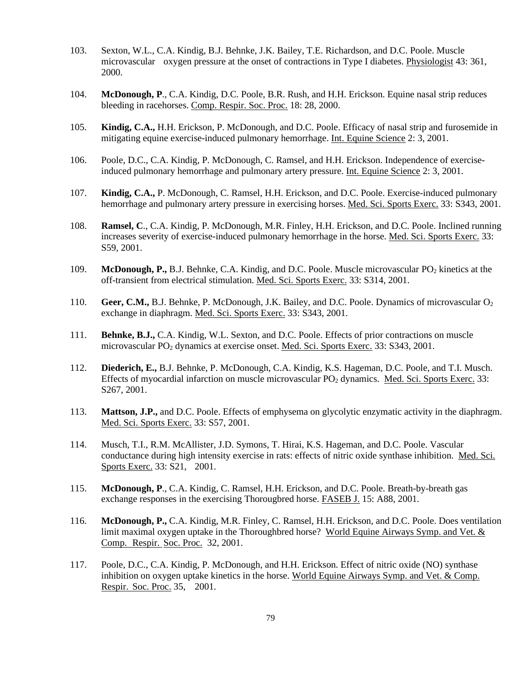- 103. Sexton, W.L., C.A. Kindig, B.J. Behnke, J.K. Bailey, T.E. Richardson, and D.C. Poole. Muscle microvascular oxygen pressure at the onset of contractions in Type I diabetes. Physiologist 43: 361, 2000.
- 104. **McDonough, P**., C.A. Kindig, D.C. Poole, B.R. Rush, and H.H. Erickson. Equine nasal strip reduces bleeding in racehorses. Comp. Respir. Soc. Proc. 18: 28, 2000.
- 105. **Kindig, C.A.,** H.H. Erickson, P. McDonough, and D.C. Poole. Efficacy of nasal strip and furosemide in mitigating equine exercise-induced pulmonary hemorrhage. Int. Equine Science 2: 3, 2001.
- 106. Poole, D.C., C.A. Kindig, P. McDonough, C. Ramsel, and H.H. Erickson. Independence of exercise induced pulmonary hemorrhage and pulmonary artery pressure. Int. Equine Science 2: 3, 2001.
- 107. **Kindig, C.A.,** P. McDonough, C. Ramsel, H.H. Erickson, and D.C. Poole. Exercise-induced pulmonary hemorrhage and pulmonary artery pressure in exercising horses. Med. Sci. Sports Exerc. 33: S343, 2001.
- 108. **Ramsel, C**., C.A. Kindig, P. McDonough, M.R. Finley, H.H. Erickson, and D.C. Poole. Inclined running increases severity of exercise-induced pulmonary hemorrhage in the horse. Med. Sci. Sports Exerc. 33: S59, 2001.
- 109. **McDonough, P.,** B.J. Behnke, C.A. Kindig, and D.C. Poole. Muscle microvascular PO<sub>2</sub> kinetics at the off-transient from electrical stimulation. Med. Sci. Sports Exerc. 33: S314, 2001.
- 110. **Geer, C.M.,** B.J. Behnke, P. McDonough, J.K. Bailey, and D.C. Poole. Dynamics of microvascular O2 exchange in diaphragm. Med. Sci. Sports Exerc. 33: S343, 2001.
- 111. **Behnke, B.J.,** C.A. Kindig, W.L. Sexton, and D.C. Poole. Effects of prior contractions on muscle microvascular PO2 dynamics at exercise onset. Med. Sci. Sports Exerc. 33: S343, 2001.
- 112. **Diederich, E.,** B.J. Behnke, P. McDonough, C.A. Kindig, K.S. Hageman, D.C. Poole, and T.I. Musch. Effects of myocardial infarction on muscle microvascular PO<sub>2</sub> dynamics. Med. Sci. Sports Exerc. 33: S267, 2001.
- 113. **Mattson, J.P.,** and D.C. Poole. Effects of emphysema on glycolytic enzymatic activity in the diaphragm. Med. Sci. Sports Exerc. 33: S57, 2001.
- 114. Musch, T.I., R.M. McAllister, J.D. Symons, T. Hirai, K.S. Hageman, and D.C. Poole. Vascular conductance during high intensity exercise in rats: effects of nitric oxide synthase inhibition. Med. Sci. Sports Exerc. 33: S21, 2001.
- 115. **McDonough, P**., C.A. Kindig, C. Ramsel, H.H. Erickson, and D.C. Poole. Breath-by-breath gas exchange responses in the exercising Thorougbred horse. FASEB J. 15: A88, 2001.
- 116. **McDonough, P.,** C.A. Kindig, M.R. Finley, C. Ramsel, H.H. Erickson, and D.C. Poole. Does ventilation limit maximal oxygen uptake in the Thoroughbred horse? World Equine Airways Symp. and Vet. & Comp. Respir. Soc. Proc. 32, 2001.
- 117. Poole, D.C., C.A. Kindig, P. McDonough, and H.H. Erickson. Effect of nitric oxide (NO) synthase inhibition on oxygen uptake kinetics in the horse. World Equine Airways Symp. and Vet. & Comp. Respir. Soc. Proc. 35, 2001.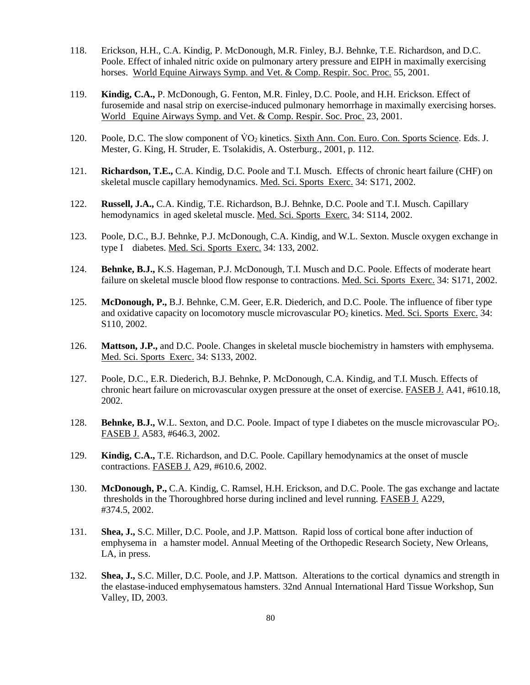- 118. Erickson, H.H., C.A. Kindig, P. McDonough, M.R. Finley, B.J. Behnke, T.E. Richardson, and D.C. Poole. Effect of inhaled nitric oxide on pulmonary artery pressure and EIPH in maximally exercising horses. World Equine Airways Symp. and Vet. & Comp. Respir. Soc. Proc. 55, 2001.
- 119. **Kindig, C.A.,** P. McDonough, G. Fenton, M.R. Finley, D.C. Poole, and H.H. Erickson. Effect of furosemide and nasal strip on exercise-induced pulmonary hemorrhage in maximally exercising horses. World Equine Airways Symp. and Vet. & Comp. Respir. Soc. Proc. 23, 2001.
- 120. Poole, D.C. The slow component of  $\text{VO}_2$  kinetics. Sixth Ann. Con. Euro. Con. Sports Science. Eds. J. Mester, G. King, H. Struder, E. Tsolakidis, A. Osterburg., 2001, p. 112.
- 121. **Richardson, T.E.,** C.A. Kindig, D.C. Poole and T.I. Musch. Effects of chronic heart failure (CHF) on skeletal muscle capillary hemodynamics. Med. Sci. Sports Exerc. 34: S171, 2002.
- 122. **Russell, J.A.,** C.A. Kindig, T.E. Richardson, B.J. Behnke, D.C. Poole and T.I. Musch. Capillary hemodynamics in aged skeletal muscle. Med. Sci. Sports Exerc. 34: S114, 2002.
- 123. Poole, D.C., B.J. Behnke, P.J. McDonough, C.A. Kindig, and W.L. Sexton. Muscle oxygen exchange in type I diabetes. Med. Sci. Sports Exerc. 34: 133, 2002.
- 124. **Behnke, B.J.,** K.S. Hageman, P.J. McDonough, T.I. Musch and D.C. Poole. Effects of moderate heart failure on skeletal muscle blood flow response to contractions. Med. Sci. Sports Exerc. 34: S171, 2002.
- 125. **McDonough, P.,** B.J. Behnke, C.M. Geer, E.R. Diederich, and D.C. Poole. The influence of fiber type and oxidative capacity on locomotory muscle microvascular PO<sub>2</sub> kinetics. Med. Sci. Sports Exerc. 34: S110, 2002.
- 126. **Mattson, J.P.,** and D.C. Poole. Changes in skeletal muscle biochemistry in hamsters with emphysema. Med. Sci. Sports Exerc. 34: S133, 2002.
- 127. Poole, D.C., E.R. Diederich, B.J. Behnke, P. McDonough, C.A. Kindig, and T.I. Musch. Effects of chronic heart failure on microvascular oxygen pressure at the onset of exercise. FASEB J. A41, #610.18, 2002.
- 128. **Behnke, B.J.,** W.L. Sexton, and D.C. Poole. Impact of type I diabetes on the muscle microvascular PO2. FASEB J. A583, #646.3, 2002.
- 129. **Kindig, C.A.,** T.E. Richardson, and D.C. Poole. Capillary hemodynamics at the onset of muscle contractions. FASEB J. A29, #610.6, 2002.
- 130. **McDonough, P.,** C.A. Kindig, C. Ramsel, H.H. Erickson, and D.C. Poole. The gas exchange and lactate thresholds in the Thoroughbred horse during inclined and level running. FASEB J. A229, #374.5, 2002.
- 131. **Shea, J.,** S.C. Miller, D.C. Poole, and J.P. Mattson. Rapid loss of cortical bone after induction of emphysema in a hamster model. Annual Meeting of the Orthopedic Research Society, New Orleans, LA, in press.
- 132. **Shea, J.,** S.C. Miller, D.C. Poole, and J.P. Mattson. Alterations to the cortical dynamics and strength in the elastase-induced emphysematous hamsters. 32nd Annual International Hard Tissue Workshop, Sun Valley, ID, 2003.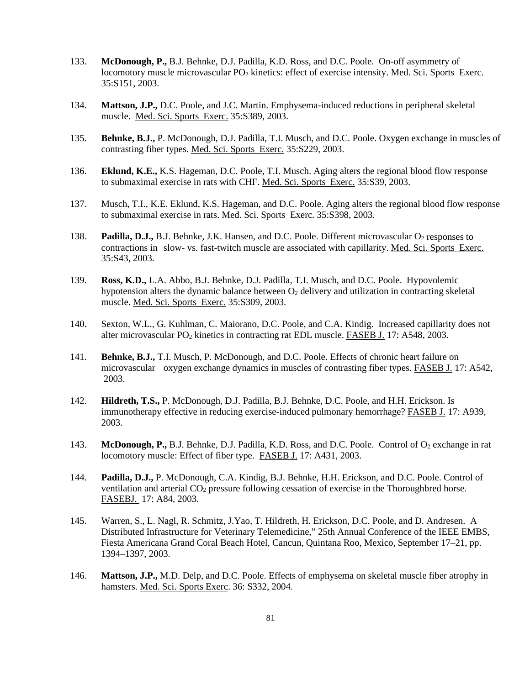- 133. **McDonough, P.,** B.J. Behnke, D.J. Padilla, K.D. Ross, and D.C. Poole. On-off asymmetry of locomotory muscle microvascular PO<sub>2</sub> kinetics: effect of exercise intensity. Med. Sci. Sports Exerc. 35:S151, 2003.
- 134. **Mattson, J.P.,** D.C. Poole, and J.C. Martin. Emphysema-induced reductions in peripheral skeletal muscle. Med. Sci. Sports Exerc. 35:S389, 2003.
- 135. **Behnke, B.J.,** P. McDonough, D.J. Padilla, T.I. Musch, and D.C. Poole. Oxygen exchange in muscles of contrasting fiber types. Med. Sci. Sports Exerc. 35:S229, 2003.
- 136. **Eklund, K.E.,** K.S. Hageman, D.C. Poole, T.I. Musch. Aging alters the regional blood flow response to submaximal exercise in rats with CHF. Med. Sci. Sports Exerc. 35:S39, 2003.
- 137. Musch, T.I., K.E. Eklund, K.S. Hageman, and D.C. Poole. Aging alters the regional blood flow response to submaximal exercise in rats. Med. Sci. Sports Exerc. 35:S398, 2003.
- 138. **Padilla, D.J.,** B.J. Behnke, J.K. Hansen, and D.C. Poole. Different microvascular O<sub>2</sub> responses to contractions in slow- vs. fast-twitch muscle are associated with capillarity. Med. Sci. Sports Exerc. 35:S43, 2003.
- 139. **Ross, K.D.,** L.A. Abbo, B.J. Behnke, D.J. Padilla, T.I. Musch, and D.C. Poole. Hypovolemic hypotension alters the dynamic balance between  $O<sub>2</sub>$  delivery and utilization in contracting skeletal muscle. Med. Sci. Sports Exerc. 35:S309, 2003.
- 140. Sexton, W.L., G. Kuhlman, C. Maiorano, D.C. Poole, and C.A. Kindig. Increased capillarity does not alter microvascular PO<sub>2</sub> kinetics in contracting rat EDL muscle. FASEB J. 17: A548, 2003.
- 141. **Behnke, B.J.,** T.I. Musch, P. McDonough, and D.C. Poole. Effects of chronic heart failure on microvascular oxygen exchange dynamics in muscles of contrasting fiber types. FASEB J. 17: A542, 2003.
- 142. **Hildreth, T.S.,** P. McDonough, D.J. Padilla, B.J. Behnke, D.C. Poole, and H.H. Erickson. Is immunotherapy effective in reducing exercise-induced pulmonary hemorrhage? FASEB J. 17: A939, 2003.
- 143. **McDonough, P.,** B.J. Behnke, D.J. Padilla, K.D. Ross, and D.C. Poole. Control of O<sub>2</sub> exchange in rat locomotory muscle: Effect of fiber type. FASEB J. 17: A431, 2003.
- 144. **Padilla, D.J.,** P. McDonough, C.A. Kindig, B.J. Behnke, H.H. Erickson, and D.C. Poole. Control of ventilation and arterial  $CO<sub>2</sub>$  pressure following cessation of exercise in the Thoroughbred horse. FASEBJ. 17: A84, 2003.
- 145. Warren, S., L. Nagl, R. Schmitz, J.Yao, T. Hildreth, H. Erickson, D.C. Poole, and D. Andresen. A Distributed Infrastructure for Veterinary Telemedicine," 25th Annual Conference of the IEEE EMBS, Fiesta Americana Grand Coral Beach Hotel, Cancun, Quintana Roo, Mexico, September 17–21, pp. 1394–1397, 2003.
- 146. **Mattson, J.P.,** M.D. Delp, and D.C. Poole. Effects of emphysema on skeletal muscle fiber atrophy in hamsters. Med. Sci. Sports Exerc. 36: S332, 2004.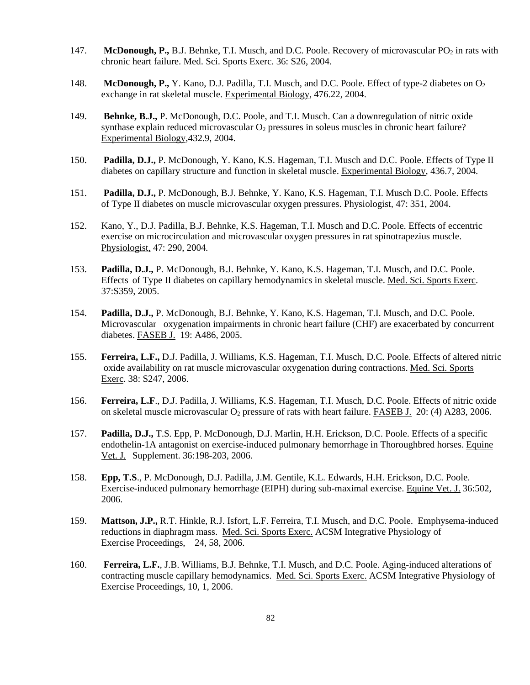- 147. **McDonough, P.,** B.J. Behnke, T.I. Musch, and D.C. Poole. Recovery of microvascular PO<sub>2</sub> in rats with chronic heart failure. Med. Sci. Sports Exerc. 36: S26, 2004.
- 148. **McDonough, P.,** Y. Kano, D.J. Padilla, T.I. Musch, and D.C. Poole. Effect of type-2 diabetes on O<sub>2</sub> exchange in rat skeletal muscle. Experimental Biology, 476.22, 2004.
- 149. **Behnke, B.J.,** P. McDonough, D.C. Poole, and T.I. Musch. Can a downregulation of nitric oxide synthase explain reduced microvascular  $O_2$  pressures in soleus muscles in chronic heart failure? Experimental Biology,432.9, 2004.
- 150. **Padilla, D.J.,** P. McDonough, Y. Kano, K.S. Hageman, T.I. Musch and D.C. Poole. Effects of Type II diabetes on capillary structure and function in skeletal muscle. Experimental Biology, 436.7, 2004.
- 151. **Padilla, D.J.,** P. McDonough, B.J. Behnke, Y. Kano, K.S. Hageman, T.I. Musch D.C. Poole. Effects of Type II diabetes on muscle microvascular oxygen pressures. Physiologist, 47: 351, 2004.
- 152. Kano, Y., D.J. Padilla, B.J. Behnke, K.S. Hageman, T.I. Musch and D.C. Poole. Effects of eccentric exercise on microcirculation and microvascular oxygen pressures in rat spinotrapezius muscle. Physiologist, 47: 290, 2004.
- 153. **Padilla, D.J.,** P. McDonough, B.J. Behnke, Y. Kano, K.S. Hageman, T.I. Musch, and D.C. Poole. Effects of Type II diabetes on capillary hemodynamics in skeletal muscle. Med. Sci. Sports Exerc. 37:S359, 2005.
- 154. **Padilla, D.J.,** P. McDonough, B.J. Behnke, Y. Kano, K.S. Hageman, T.I. Musch, and D.C. Poole. Microvascular oxygenation impairments in chronic heart failure (CHF) are exacerbated by concurrent diabetes. FASEB J. 19: A486, 2005.
- 155. **Ferreira, L.F.,** D.J. Padilla, J. Williams, K.S. Hageman, T.I. Musch, D.C. Poole. Effects of altered nitric oxide availability on rat muscle microvascular oxygenation during contractions. Med. Sci. Sports Exerc. 38: S247, 2006.
- 156. **Ferreira, L.F**., D.J. Padilla, J. Williams, K.S. Hageman, T.I. Musch, D.C. Poole. Effects of nitric oxide on skeletal muscle microvascular  $O_2$  pressure of rats with heart failure. FASEB J. 20: (4) A283, 2006.
- 157. **Padilla, D.J.,** T.S. Epp, P. McDonough, D.J. Marlin, H.H. Erickson, D.C. Poole. Effects of a specific endothelin-1A antagonist on exercise-induced pulmonary hemorrhage in Thoroughbred horses. Equine Vet. J. Supplement. 36:198-203, 2006.
- 158. **Epp, T.S**., P. McDonough, D.J. Padilla, J.M. Gentile, K.L. Edwards, H.H. Erickson, D.C. Poole. Exercise-induced pulmonary hemorrhage (EIPH) during sub-maximal exercise. Equine Vet. J. 36:502, 2006.
- 159. **Mattson, J.P.,** R.T. Hinkle, R.J. Isfort, L.F. Ferreira, T.I. Musch, and D.C. Poole. Emphysema-induced reductions in diaphragm mass. Med. Sci. Sports Exerc. ACSM Integrative Physiology of Exercise Proceedings, 24, 58, 2006.
- 160. **Ferreira, L.F.**, J.B. Williams, B.J. Behnke, T.I. Musch, and D.C. Poole. Aging-induced alterations of contracting muscle capillary hemodynamics. Med. Sci. Sports Exerc. ACSM Integrative Physiology of Exercise Proceedings, 10, 1, 2006.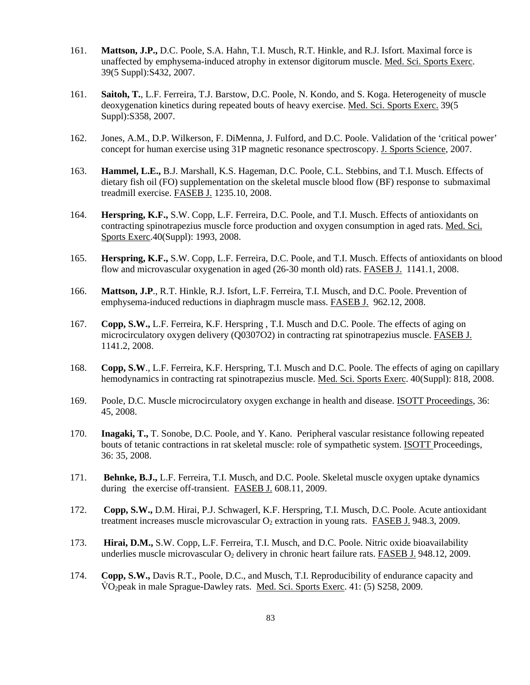- 161. **Mattson, J.P.,** D.C. Poole, S.A. Hahn, T.I. Musch, R.T. Hinkle, and R.J. Isfort. Maximal force is unaffected by emphysema-induced atrophy in extensor digitorum muscle. Med. Sci. Sports Exerc. 39(5 Suppl):S432, 2007.
- 161. **Saitoh, T.**, L.F. Ferreira, T.J. Barstow, D.C. Poole, N. Kondo, and S. Koga. Heterogeneity of muscle deoxygenation kinetics during repeated bouts of heavy exercise. Med. Sci. Sports Exerc. 39(5 Suppl):S358, 2007.
- 162. Jones, A.M., D.P. Wilkerson, F. DiMenna, J. Fulford, and D.C. Poole. Validation of the 'critical power' concept for human exercise using 31P magnetic resonance spectroscopy. J. Sports Science, 2007.
- 163. **Hammel, L.E.,** B.J. Marshall, K.S. Hageman, D.C. Poole, C.L. Stebbins, and T.I. Musch. Effects of dietary fish oil (FO) supplementation on the skeletal muscle blood flow (BF) response to submaximal treadmill exercise. FASEB J. 1235.10, 2008.
- 164. **Herspring, K.F.,** S.W. Copp, L.F. Ferreira, D.C. Poole, and T.I. Musch. Effects of antioxidants on contracting spinotrapezius muscle force production and oxygen consumption in aged rats. Med. Sci. Sports Exerc.40(Suppl): 1993, 2008.
- 165. **Herspring, K.F.,** S.W. Copp, L.F. Ferreira, D.C. Poole, and T.I. Musch. Effects of antioxidants on blood flow and microvascular oxygenation in aged (26-30 month old) rats. FASEB J. 1141.1, 2008.
- 166. **Mattson, J.P**., R.T. Hinkle, R.J. Isfort, L.F. Ferreira, T.I. Musch, and D.C. Poole. Prevention of emphysema-induced reductions in diaphragm muscle mass. FASEB J. 962.12, 2008.
- 167. **Copp, S.W.,** L.F. Ferreira, K.F. Herspring , T.I. Musch and D.C. Poole. The effects of aging on microcirculatory oxygen delivery (Q0307O2) in contracting rat spinotrapezius muscle. FASEB J. 1141.2, 2008.
- 168. **Copp, S.W**., L.F. Ferreira, K.F. Herspring, T.I. Musch and D.C. Poole. The effects of aging on capillary hemodynamics in contracting rat spinotrapezius muscle. Med. Sci. Sports Exerc. 40(Suppl): 818, 2008.
- 169. Poole, D.C. Muscle microcirculatory oxygen exchange in health and disease. ISOTT Proceedings, 36: 45, 2008.
- 170. **Inagaki, T.,** T. Sonobe, D.C. Poole, and Y. Kano. Peripheral vascular resistance following repeated bouts of tetanic contractions in rat skeletal muscle: role of sympathetic system. ISOTT Proceedings, 36: 35, 2008.
- 171. **Behnke, B.J.,** L.F. Ferreira, T.I. Musch, and D.C. Poole. Skeletal muscle oxygen uptake dynamics during the exercise off-transient. FASEB J. 608.11, 2009.
- 172. **Copp, S.W.,** D.M. Hirai, P.J. Schwagerl, K.F. Herspring, T.I. Musch, D.C. Poole. Acute antioxidant treatment increases muscle microvascular  $O_2$  extraction in young rats. FASEB J. 948.3, 2009.
- 173. **Hirai, D.M.,** S.W. Copp, L.F. Ferreira, T.I. Musch, and D.C. Poole. Nitric oxide bioavailability underlies muscle microvascular  $O_2$  delivery in chronic heart failure rats. FASEB J. 948.12, 2009.
- 174. **Copp, S.W.,** Davis R.T., Poole, D.C., and Musch, T.I. Reproducibility of endurance capacity and VO<sub>2</sub> peak in male Sprague-Dawley rats. Med. Sci. Sports Exerc. 41: (5) S258, 2009.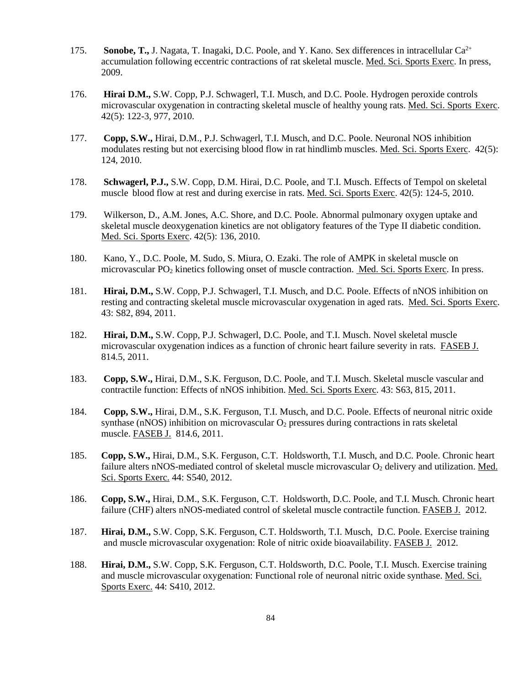- 175. **Sonobe, T.,** J. Nagata, T. Inagaki, D.C. Poole, and Y. Kano. Sex differences in intracellular Ca<sup>2+</sup> accumulation following eccentric contractions of rat skeletal muscle. Med. Sci. Sports Exerc. In press, 2009.
- 176. **Hirai D.M.,** S.W. Copp, P.J. Schwagerl, T.I. Musch, and D.C. Poole. Hydrogen peroxide controls microvascular oxygenation in contracting skeletal muscle of healthy young rats. Med. Sci. Sports Exerc. 42(5): 122-3, 977, 2010.
- 177. **Copp, S.W.,** Hirai, D.M., P.J. Schwagerl, T.I. Musch, and D.C. Poole. Neuronal NOS inhibition modulates resting but not exercising blood flow in rat hindlimb muscles. Med. Sci. Sports Exerc. 42(5): 124, 2010.
- 178. **Schwagerl, P.J.,** S.W. Copp, D.M. Hirai, D.C. Poole, and T.I. Musch. Effects of Tempol on skeletal muscle blood flow at rest and during exercise in rats. Med. Sci. Sports Exerc. 42(5): 124-5, 2010.
- 179. Wilkerson, D., A.M. Jones, A.C. Shore, and D.C. Poole. Abnormal pulmonary oxygen uptake and skeletal muscle deoxygenation kinetics are not obligatory features of the Type II diabetic condition. Med. Sci. Sports Exerc. 42(5): 136, 2010.
- 180. Kano, Y., D.C. Poole, M. Sudo, S. Miura, O. Ezaki. The role of AMPK in skeletal muscle on microvascular PO2 kinetics following onset of muscle contraction. Med. Sci. Sports Exerc. In press.
- 181. **Hirai, D.M.,** S.W. Copp, P.J. Schwagerl, T.I. Musch, and D.C. Poole. Effects of nNOS inhibition on resting and contracting skeletal muscle microvascular oxygenation in aged rats. Med. Sci. Sports Exerc. 43: S82, 894, 2011.
- 182. **Hirai, D.M.,** S.W. Copp, P.J. Schwagerl, D.C. Poole, and T.I. Musch. Novel skeletal muscle microvascular oxygenation indices as a function of chronic heart failure severity in rats. FASEB J. 814.5, 2011.
- 183. **Copp, S.W.,** Hirai, D.M., S.K. Ferguson, D.C. Poole, and T.I. Musch. Skeletal muscle vascular and contractile function: Effects of nNOS inhibition. Med. Sci. Sports Exerc. 43: S63, 815, 2011.
- 184. **Copp, S.W.,** Hirai, D.M., S.K. Ferguson, T.I. Musch, and D.C. Poole. Effects of neuronal nitric oxide synthase ( $nNOS$ ) inhibition on microvascular  $O<sub>2</sub>$  pressures during contractions in rats skeletal muscle. FASEB J. 814.6, 2011.
- 185. **Copp, S.W.,** Hirai, D.M., S.K. Ferguson, C.T. Holdsworth, T.I. Musch, and D.C. Poole. Chronic heart failure alters nNOS-mediated control of skeletal muscle microvascular O<sub>2</sub> delivery and utilization. Med. Sci. Sports Exerc. 44: S540, 2012.
- 186. **Copp, S.W.,** Hirai, D.M., S.K. Ferguson, C.T. Holdsworth, D.C. Poole, and T.I. Musch. Chronic heart failure (CHF) alters nNOS-mediated control of skeletal muscle contractile function. FASEB J. 2012.
- 187. **Hirai, D.M.,** S.W. Copp, S.K. Ferguson, C.T. Holdsworth, T.I. Musch, D.C. Poole. Exercise training and muscle microvascular oxygenation: Role of nitric oxide bioavailability. FASEB J. 2012.
- 188. **Hirai, D.M.,** S.W. Copp, S.K. Ferguson, C.T. Holdsworth, D.C. Poole, T.I. Musch. Exercise training and muscle microvascular oxygenation: Functional role of neuronal nitric oxide synthase. Med. Sci. Sports Exerc. 44: S410, 2012.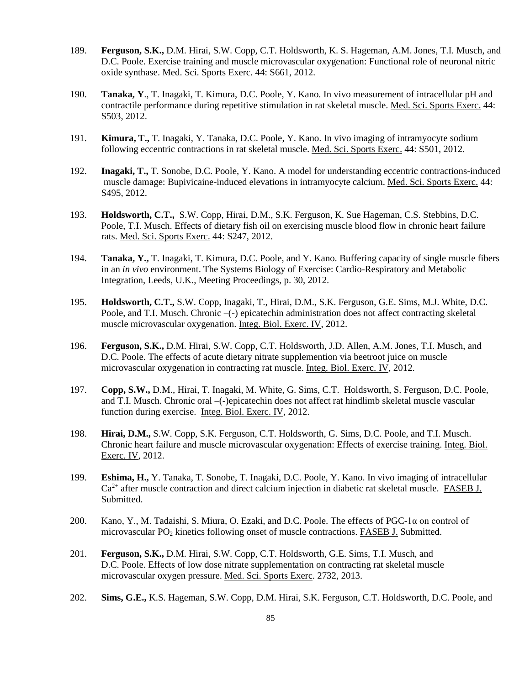- 189. **Ferguson, S.K.,** D.M. Hirai, S.W. Copp, C.T. Holdsworth, K. S. Hageman, A.M. Jones, T.I. Musch, and D.C. Poole. Exercise training and muscle microvascular oxygenation: Functional role of neuronal nitric oxide synthase. Med. Sci. Sports Exerc. 44: S661, 2012.
- 190. **Tanaka, Y**., T. Inagaki, T. Kimura, D.C. Poole, Y. Kano. In vivo measurement of intracellular pH and contractile performance during repetitive stimulation in rat skeletal muscle. Med. Sci. Sports Exerc. 44: S503, 2012.
- 191. **Kimura, T.,** T. Inagaki, Y. Tanaka, D.C. Poole, Y. Kano. In vivo imaging of intramyocyte sodium following eccentric contractions in rat skeletal muscle. Med. Sci. Sports Exerc. 44: S501, 2012.
- 192. **Inagaki, T.,** T. Sonobe, D.C. Poole, Y. Kano. A model for understanding eccentric contractions-induced muscle damage: Bupivicaine-induced elevations in intramyocyte calcium. Med. Sci. Sports Exerc. 44: S495, 2012.
- 193. **Holdsworth, C.T.,** S.W. Copp, Hirai, D.M., S.K. Ferguson, K. Sue Hageman, C.S. Stebbins, D.C. Poole, T.I. Musch. Effects of dietary fish oil on exercising muscle blood flow in chronic heart failure rats. Med. Sci. Sports Exerc. 44: S247, 2012.
- 194. **Tanaka, Y.,** T. Inagaki, T. Kimura, D.C. Poole, and Y. Kano. Buffering capacity of single muscle fibers in an *in vivo* environment. The Systems Biology of Exercise: Cardio-Respiratory and Metabolic Integration, Leeds, U.K., Meeting Proceedings, p. 30, 2012.
- 195. **Holdsworth, C.T.,** S.W. Copp, Inagaki, T., Hirai, D.M., S.K. Ferguson, G.E. Sims, M.J. White, D.C. Poole, and T.I. Musch. Chronic -(-) epicatechin administration does not affect contracting skeletal muscle microvascular oxygenation. Integ. Biol. Exerc. IV, 2012.
- 196. **Ferguson, S.K.,** D.M. Hirai, S.W. Copp, C.T. Holdsworth, J.D. Allen, A.M. Jones, T.I. Musch, and D.C. Poole. The effects of acute dietary nitrate supplemention via beetroot juice on muscle microvascular oxygenation in contracting rat muscle. Integ. Biol. Exerc. IV, 2012.
- 197. **Copp, S.W.,** D.M., Hirai, T. Inagaki, M. White, G. Sims, C.T. Holdsworth, S. Ferguson, D.C. Poole, and T.I. Musch. Chronic oral –(-)epicatechin does not affect rat hindlimb skeletal muscle vascular function during exercise. Integ. Biol. Exerc. IV, 2012.
- 198. **Hirai, D.M.,** S.W. Copp, S.K. Ferguson, C.T. Holdsworth, G. Sims, D.C. Poole, and T.I. Musch. Chronic heart failure and muscle microvascular oxygenation: Effects of exercise training. Integ. Biol. Exerc. IV, 2012.
- 199. **Eshima, H.,** Y. Tanaka, T. Sonobe, T. Inagaki, D.C. Poole, Y. Kano. In vivo imaging of intracellular  $Ca<sup>2+</sup>$  after muscle contraction and direct calcium injection in diabetic rat skeletal muscle. FASEB J. Submitted.
- 200. Kano, Y., M. Tadaishi, S. Miura, O. Ezaki, and D.C. Poole. The effects of PGC-1α on control of microvascular PO2 kinetics following onset of muscle contractions. FASEB J. Submitted.
- 201. **Ferguson, S.K.,** D.M. Hirai, S.W. Copp, C.T. Holdsworth, G.E. Sims, T.I. Musch, and D.C. Poole. Effects of low dose nitrate supplementation on contracting rat skeletal muscle microvascular oxygen pressure. Med. Sci. Sports Exerc. 2732, 2013.
- 202. **Sims, G.E.,** K.S. Hageman, S.W. Copp, D.M. Hirai, S.K. Ferguson, C.T. Holdsworth, D.C. Poole, and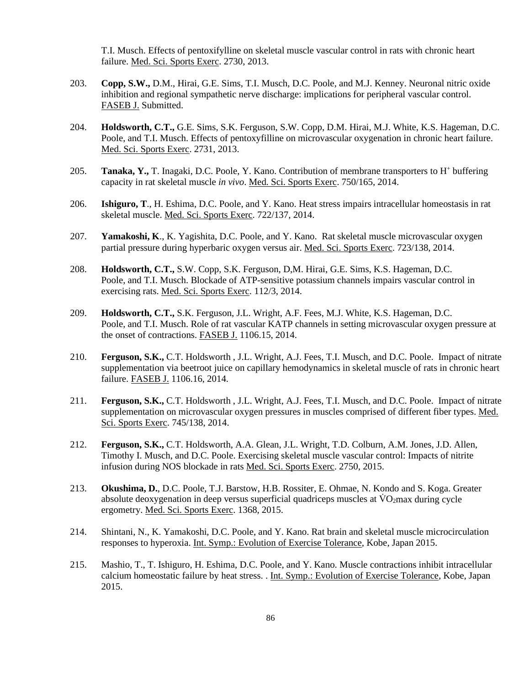T.I. Musch. Effects of pentoxifylline on skeletal muscle vascular control in rats with chronic heart failure. Med. Sci. Sports Exerc. 2730, 2013.

- 203. **Copp, S.W.,** D.M., Hirai, G.E. Sims, T.I. Musch, D.C. Poole, and M.J. Kenney. Neuronal nitric oxide inhibition and regional sympathetic nerve discharge: implications for peripheral vascular control. FASEB J. Submitted.
- 204. **Holdsworth, C.T.,** G.E. Sims, S.K. Ferguson, S.W. Copp, D.M. Hirai, M.J. White, K.S. Hageman, D.C. Poole, and T.I. Musch. Effects of pentoxyfilline on microvascular oxygenation in chronic heart failure. Med. Sci. Sports Exerc. 2731, 2013.
- 205. Tanaka, Y., T. Inagaki, D.C. Poole, Y. Kano. Contribution of membrane transporters to H<sup>+</sup> buffering capacity in rat skeletal muscle *in vivo*. Med. Sci. Sports Exerc. 750/165, 2014.
- 206. **Ishiguro, T**., H. Eshima, D.C. Poole, and Y. Kano. Heat stress impairs intracellular homeostasis in rat skeletal muscle. Med. Sci. Sports Exerc. 722/137, 2014.
- 207. **Yamakoshi, K**., K. Yagishita, D.C. Poole, and Y. Kano. Rat skeletal muscle microvascular oxygen partial pressure during hyperbaric oxygen versus air. Med. Sci. Sports Exerc. 723/138, 2014.
- 208. **Holdsworth, C.T.,** S.W. Copp, S.K. Ferguson, D,M. Hirai, G.E. Sims, K.S. Hageman, D.C. Poole, and T.I. Musch. Blockade of ATP-sensitive potassium channels impairs vascular control in exercising rats. Med. Sci. Sports Exerc. 112/3, 2014.
- 209. **Holdsworth, C.T.,** S.K. Ferguson, J.L. Wright, A.F. Fees, M.J. White, K.S. Hageman, D.C. Poole, and T.I. Musch. Role of rat vascular KATP channels in setting microvascular oxygen pressure at the onset of contractions. FASEB J. 1106.15, 2014.
- 210. **Ferguson, S.K.,** C.T. Holdsworth , J.L. Wright, A.J. Fees, T.I. Musch, and D.C. Poole. Impact of nitrate supplementation via beetroot juice on capillary hemodynamics in skeletal muscle of rats in chronic heart failure. FASEB J. 1106.16, 2014.
- 211. **Ferguson, S.K.,** C.T. Holdsworth , J.L. Wright, A.J. Fees, T.I. Musch, and D.C. Poole. Impact of nitrate supplementation on microvascular oxygen pressures in muscles comprised of different fiber types. Med. Sci. Sports Exerc. 745/138, 2014.
- 212. **Ferguson, S.K.,** C.T. Holdsworth, A.A. Glean, J.L. Wright, T.D. Colburn, A.M. Jones, J.D. Allen, Timothy I. Musch, and D.C. Poole. Exercising skeletal muscle vascular control: Impacts of nitrite infusion during NOS blockade in rats Med. Sci. Sports Exerc. 2750, 2015.
- 213. **Okushima, D.**, D.C. Poole, T.J. Barstow, H.B. Rossiter, E. Ohmae, N. Kondo and S. Koga. Greater absolute deoxygenation in deep versus superficial quadriceps muscles at  $\rm\ddot{V}O_2$  max during cycle ergometry. Med. Sci. Sports Exerc. 1368, 2015.
- 214. Shintani, N., K. Yamakoshi, D.C. Poole, and Y. Kano. Rat brain and skeletal muscle microcirculation responses to hyperoxia. Int. Symp.: Evolution of Exercise Tolerance, Kobe, Japan 2015.
- 215. Mashio, T., T. Ishiguro, H. Eshima, D.C. Poole, and Y. Kano. Muscle contractions inhibit intracellular calcium homeostatic failure by heat stress. . Int. Symp.: Evolution of Exercise Tolerance, Kobe, Japan 2015.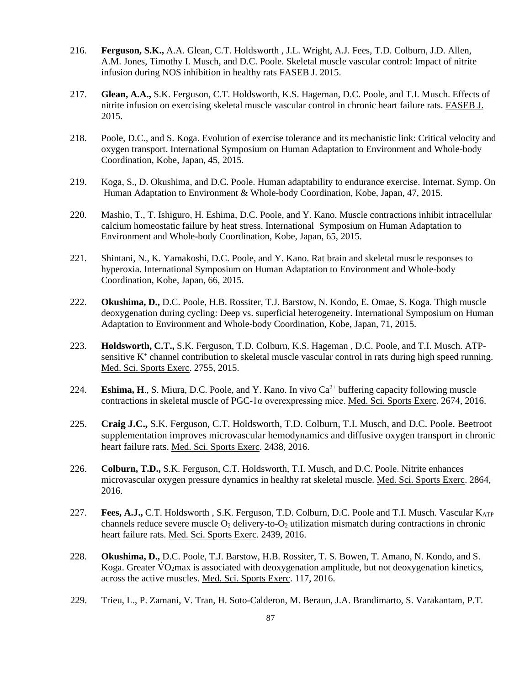- 216. **Ferguson, S.K.,** A.A. Glean, C.T. Holdsworth , J.L. Wright, A.J. Fees, T.D. Colburn, J.D. Allen, A.M. Jones, Timothy I. Musch, and D.C. Poole. Skeletal muscle vascular control: Impact of nitrite infusion during NOS inhibition in healthy rats FASEB J. 2015.
- 217. **Glean, A.A.,** S.K. Ferguson, C.T. Holdsworth, K.S. Hageman, D.C. Poole, and T.I. Musch. Effects of nitrite infusion on exercising skeletal muscle vascular control in chronic heart failure rats. FASEB J. 2015.
- 218. Poole, D.C., and S. Koga. Evolution of exercise tolerance and its mechanistic link: Critical velocity and oxygen transport. International Symposium on Human Adaptation to Environment and Whole-body Coordination, Kobe, Japan, 45, 2015.
- 219. Koga, S., D. Okushima, and D.C. Poole. Human adaptability to endurance exercise. Internat. Symp. On Human Adaptation to Environment & Whole-body Coordination, Kobe, Japan, 47, 2015.
- 220. Mashio, T., T. Ishiguro, H. Eshima, D.C. Poole, and Y. Kano. Muscle contractions inhibit intracellular calcium homeostatic failure by heat stress. International Symposium on Human Adaptation to Environment and Whole-body Coordination, Kobe, Japan, 65, 2015.
- 221. Shintani, N., K. Yamakoshi, D.C. Poole, and Y. Kano. Rat brain and skeletal muscle responses to hyperoxia. International Symposium on Human Adaptation to Environment and Whole-body Coordination, Kobe, Japan, 66, 2015.
- 222. **Okushima, D.,** D.C. Poole, H.B. Rossiter, T.J. Barstow, N. Kondo, E. Omae, S. Koga. Thigh muscle deoxygenation during cycling: Deep vs. superficial heterogeneity. International Symposium on Human Adaptation to Environment and Whole-body Coordination, Kobe, Japan, 71, 2015.
- 223. **Holdsworth, C.T.,** S.K. Ferguson, T.D. Colburn, K.S. Hageman , D.C. Poole, and T.I. Musch. ATPsensitive  $K^+$  channel contribution to skeletal muscle vascular control in rats during high speed running. Med. Sci. Sports Exerc. 2755, 2015.
- 224. **Eshima, H.**, S. Miura, D.C. Poole, and Y. Kano. In vivo  $Ca^{2+}$  buffering capacity following muscle contractions in skeletal muscle of PGC-1α overexpressing mice. Med. Sci. Sports Exerc. 2674, 2016.
- 225. **Craig J.C.,** S.K. Ferguson, C.T. Holdsworth, T.D. Colburn, T.I. Musch, and D.C. Poole. Beetroot supplementation improves microvascular hemodynamics and diffusive oxygen transport in chronic heart failure rats. Med. Sci. Sports Exerc. 2438, 2016.
- 226. **Colburn, T.D.,** S.K. Ferguson, C.T. Holdsworth, T.I. Musch, and D.C. Poole. Nitrite enhances microvascular oxygen pressure dynamics in healthy rat skeletal muscle. Med. Sci. Sports Exerc. 2864, 2016.
- 227. **Fees, A.J.,** C.T. Holdsworth , S.K. Ferguson, T.D. Colburn, D.C. Poole and T.I. Musch. Vascular K<sub>ATP</sub> channels reduce severe muscle  $O_2$  delivery-to- $O_2$  utilization mismatch during contractions in chronic heart failure rats. Med. Sci. Sports Exerc. 2439, 2016.
- 228. **Okushima, D.,** D.C. Poole, T.J. Barstow, H.B. Rossiter, T. S. Bowen, T. Amano, N. Kondo, and S. Koga. Greater  $\rm\dot{V}O_2$ max is associated with deoxygenation amplitude, but not deoxygenation kinetics, across the active muscles. Med. Sci. Sports Exerc. 117, 2016.
- 229. Trieu, L., P. Zamani, V. Tran, H. Soto-Calderon, M. Beraun, J.A. Brandimarto, S. Varakantam, P.T.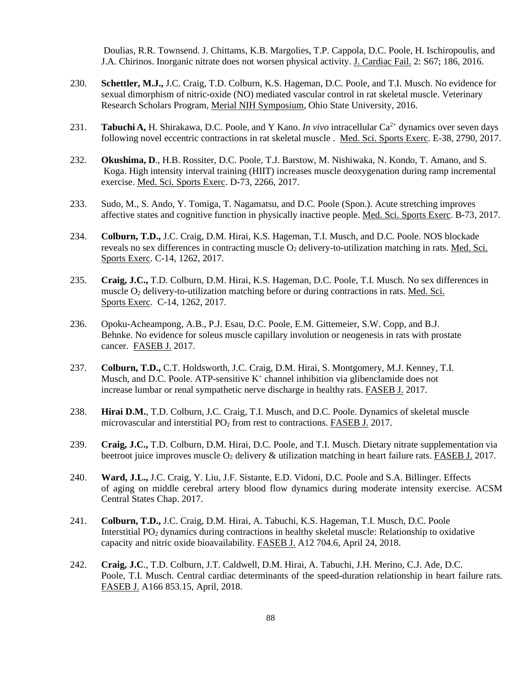Doulias, R.R. Townsend. J. Chittams, K.B. Margolies, T.P. Cappola, D.C. Poole, H. Ischiropoulis, and J.A. Chirinos. Inorganic nitrate does not worsen physical activity. J. Cardiac Fail. 2: S67; 186, 2016.

- 230. **Schettler, M.J.,** J.C. Craig, T.D. Colburn, K.S. Hageman, D.C. Poole, and T.I. Musch. No evidence for sexual dimorphism of nitric-oxide (NO) mediated vascular control in rat skeletal muscle. Veterinary Research Scholars Program, Merial NIH Symposium, Ohio State University, 2016.
- 231. **Tabuchi A,** H. Shirakawa, D.C. Poole, and Y Kano. *In vivo* intracellular Ca<sup>2+</sup> dynamics over seven days following novel eccentric contractions in rat skeletal muscle . Med. Sci. Sports Exerc. E-38, 2790, 2017.
- 232. **Okushima, D**., H.B. Rossiter, D.C. Poole, T.J. Barstow, M. Nishiwaka, N. Kondo, T. Amano, and S. Koga. High intensity interval training (HIIT) increases muscle deoxygenation during ramp incremental exercise. Med. Sci. Sports Exerc. D-73, 2266, 2017.
- 233. Sudo, M., S. Ando, Y. Tomiga, T. Nagamatsu, and D.C. Poole (Spon.). Acute stretching improves affective states and cognitive function in physically inactive people. Med. Sci. Sports Exerc. B-73, 2017.
- 234. **Colburn, T.D.,** J.C. Craig, D.M. Hirai, K.S. Hageman, T.I. Musch, and D.C. Poole. NOS blockade reveals no sex differences in contracting muscle  $O_2$  delivery-to-utilization matching in rats. Med. Sci. Sports Exerc. C-14, 1262, 2017.
- 235. **Craig, J.C.,** T.D. Colburn, D.M. Hirai, K.S. Hageman, D.C. Poole, T.I. Musch. No sex differences in muscle O2 delivery-to-utilization matching before or during contractions in rats. Med. Sci. Sports Exerc. C-14, 1262, 2017.
- 236. Opoku-Acheampong, A.B., P.J. Esau, D.C. Poole, E.M. Gittemeier, S.W. Copp, and B.J. Behnke. No evidence for soleus muscle capillary involution or neogenesis in rats with prostate cancer. FASEB J. 2017.
- 237. **Colburn, T.D.,** C.T. Holdsworth, J.C. Craig, D.M. Hirai, S. Montgomery, M.J. Kenney, T.I. Musch, and D.C. Poole. ATP-sensitive  $K^+$  channel inhibition via glibenclamide does not increase lumbar or renal sympathetic nerve discharge in healthy rats. FASEB J. 2017.
- 238. **Hirai D.M.**, T.D. Colburn, J.C. Craig, T.I. Musch, and D.C. Poole. Dynamics of skeletal muscle microvascular and interstitial PO<sub>2</sub> from rest to contractions. FASEB J. 2017.
- 239. **Craig, J.C.,** T.D. Colburn, D.M. Hirai, D.C. Poole, and T.I. Musch. Dietary nitrate supplementation via beetroot juice improves muscle  $O_2$  delivery  $\&$  utilization matching in heart failure rats. FASEB J. 2017.
- 240. **Ward, J.L.,** J.C. Craig, Y. Liu, J.F. Sistante, E.D. Vidoni, D.C. Poole and S.A. Billinger. Effects of aging on middle cerebral artery blood flow dynamics during moderate intensity exercise. ACSM Central States Chap. 2017.
- 241. **Colburn, T.D.,** J.C. Craig, D.M. Hirai, A. Tabuchi, K.S. Hageman, T.I. Musch, D.C. Poole Interstitial PO2 dynamics during contractions in healthy skeletal muscle: Relationship to oxidative capacity and nitric oxide bioavailability. FASEB J. A12 704.6, April 24, 2018.
- 242. **Craig, J.C**., T.D. Colburn, J.T. Caldwell, D.M. Hirai, A. Tabuchi, J.H. Merino, C.J. Ade, D.C. Poole, T.I. Musch. Central cardiac determinants of the speed-duration relationship in heart failure rats. FASEB J. A166 853.15, April, 2018.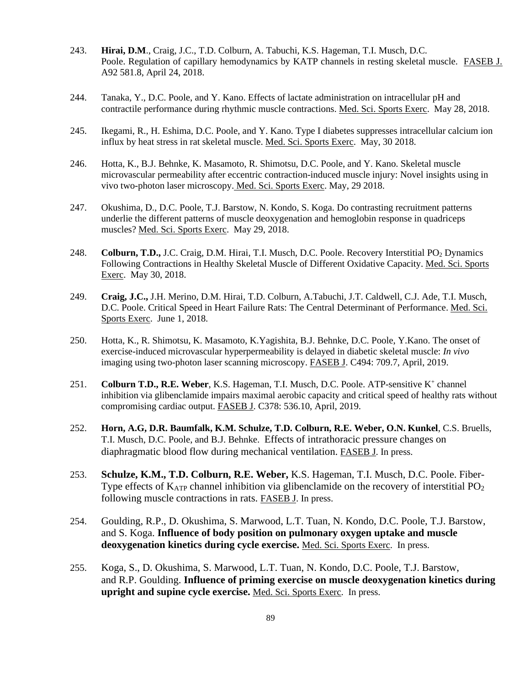- 243. **Hirai, D.M**., Craig, J.C., T.D. Colburn, A. Tabuchi, K.S. Hageman, T.I. Musch, D.C. Poole. Regulation of capillary hemodynamics by KATP channels in resting skeletal muscle. FASEB J. A92 581.8, April 24, 2018.
- 244. Tanaka, Y., D.C. Poole, and Y. Kano. Effects of lactate administration on intracellular pH and contractile performance during rhythmic muscle contractions. Med. Sci. Sports Exerc. May 28, 2018.
- 245. Ikegami, R., H. Eshima, D.C. Poole, and Y. Kano. Type I diabetes suppresses intracellular calcium ion influx by heat stress in rat skeletal muscle. Med. Sci. Sports Exerc. May, 30 2018.
- 246. Hotta, K., B.J. Behnke, K. Masamoto, R. Shimotsu, D.C. Poole, and Y. Kano. Skeletal muscle microvascular permeability after eccentric contraction-induced muscle injury: Novel insights using in vivo two-photon laser microscopy. Med. Sci. Sports Exerc. May, 29 2018.
- 247. Okushima, D., D.C. Poole, T.J. Barstow, N. Kondo, S. Koga. Do contrasting recruitment patterns underlie the different patterns of muscle deoxygenation and hemoglobin response in quadriceps muscles? Med. Sci. Sports Exerc. May 29, 2018.
- 248. **Colburn, T.D.,** J.C. Craig, D.M. Hirai, T.I. Musch, D.C. Poole. Recovery Interstitial PO<sub>2</sub> Dynamics Following Contractions in Healthy Skeletal Muscle of Different Oxidative Capacity. Med. Sci. Sports Exerc. May 30, 2018.
- 249. **Craig, J.C.,** J.H. Merino, D.M. Hirai, T.D. Colburn, A.Tabuchi, J.T. Caldwell, C.J. Ade, T.I. Musch, D.C. Poole. Critical Speed in Heart Failure Rats: The Central Determinant of Performance. Med. Sci. Sports Exerc. June 1, 2018.
- 250. Hotta, K., R. Shimotsu, K. Masamoto, K.Yagishita, B.J. Behnke, D.C. Poole, Y.Kano. The onset of exercise-induced microvascular hyperpermeability is delayed in diabetic skeletal muscle: *In vivo* imaging using two-photon laser scanning microscopy. FASEB J. C494: 709.7, April, 2019.
- 251. **Colburn T.D., R.E. Weber**, K.S. Hageman, T.I. Musch, D.C. Poole. ATP-sensitive K+ channel inhibition via glibenclamide impairs maximal aerobic capacity and critical speed of healthy rats without compromising cardiac output. FASEB J. C378: 536.10, April, 2019.
- 252. **Horn, A.G, D.R. Baumfalk, K.M. Schulze, T.D. Colburn, R.E. Weber, O.N. Kunkel**, C.S. Bruells, T.I. Musch, D.C. Poole, and B.J. Behnke. Effects of intrathoracic pressure changes on diaphragmatic blood flow during mechanical ventilation. FASEB J. In press.
- 253. **Schulze, K.M., T.D. Colburn, R.E. Weber,** K.S. Hageman, T.I. Musch, D.C. Poole. Fiber-Type effects of  $K_{ATP}$  channel inhibition via glibenclamide on the recovery of interstitial  $PO<sub>2</sub>$ following muscle contractions in rats. FASEB J. In press.
- 254. Goulding, R.P., D. Okushima, S. Marwood, L.T. Tuan, N. Kondo, D.C. Poole, T.J. Barstow, and S. Koga. **Influence of body position on pulmonary oxygen uptake and muscle deoxygenation kinetics during cycle exercise.** Med. Sci. Sports Exerc. In press.
- 255. Koga, S., D. Okushima, S. Marwood, L.T. Tuan, N. Kondo, D.C. Poole, T.J. Barstow, and R.P. Goulding. **Influence of priming exercise on muscle deoxygenation kinetics during upright and supine cycle exercise.** Med. Sci. Sports Exerc. In press.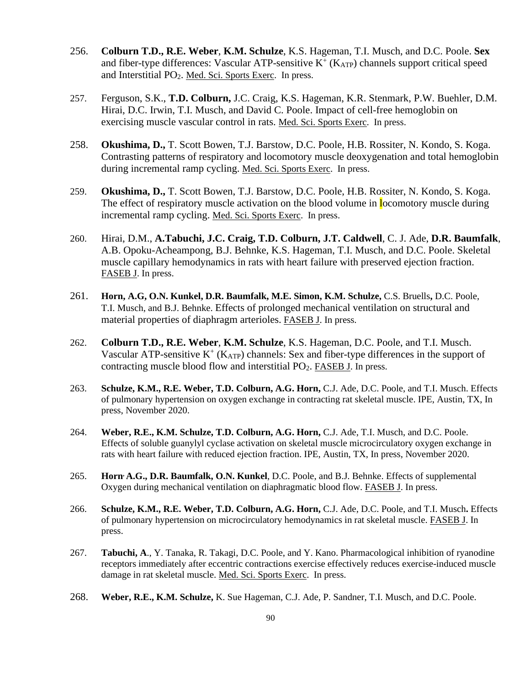- 256. **Colburn T.D., R.E. Weber**, **K.M. Schulze**, K.S. Hageman, T.I. Musch, and D.C. Poole. **Sex** and fiber-type differences: Vascular ATP-sensitive  $K^+(K_{ATP})$  channels support critical speed and Interstitial PO2. Med. Sci. Sports Exerc. In press.
- 257. Ferguson, S.K., **T.D. Colburn,** J.C. Craig, K.S. Hageman, K.R. Stenmark, P.W. Buehler, D.M. Hirai, D.C. Irwin, T.I. Musch, and David C. Poole. Impact of cell-free hemoglobin on exercising muscle vascular control in rats. Med. Sci. Sports Exerc. In press.
- 258. **Okushima, D.,** T. Scott Bowen, T.J. Barstow, D.C. Poole, H.B. Rossiter, N. Kondo, S. Koga. Contrasting patterns of respiratory and locomotory muscle deoxygenation and total hemoglobin during incremental ramp cycling. Med. Sci. Sports Exerc. In press.
- 259. **Okushima, D.,** T. Scott Bowen, T.J. Barstow, D.C. Poole, H.B. Rossiter, N. Kondo, S. Koga. The effect of respiratory muscle activation on the blood volume in **l**ocomotory muscle during incremental ramp cycling. Med. Sci. Sports Exerc. In press.
- 260. Hirai, D.M., **A.Tabuchi, J.C. Craig, T.D. Colburn, J.T. Caldwell**, C. J. Ade, **D.R. Baumfalk**, A.B. Opoku-Acheampong, B.J. Behnke, K.S. Hageman, T.I. Musch, and D.C. Poole. Skeletal muscle capillary hemodynamics in rats with heart failure with preserved ejection fraction. FASEB J. In press.
- 261. **Horn, A.G, O.N. Kunkel, D.R. Baumfalk, M.E. Simon, K.M. Schulze,** C.S. Bruells**,** D.C. Poole, T.I. Musch, and B.J. Behnke. Effects of prolonged mechanical ventilation on structural and material properties of diaphragm arterioles. FASEB J. In press.
- 262. **Colburn T.D., R.E. Weber**, **K.M. Schulze**, K.S. Hageman, D.C. Poole, and T.I. Musch. Vascular ATP-sensitive  $K^+(K_{ATP})$  channels: Sex and fiber-type differences in the support of contracting muscle blood flow and interstitial PO2. FASEB J. In press.
- 263. **Schulze, K.M., R.E. Weber, T.D. Colburn, A.G. Horn,** C.J. Ade, D.C. Poole, and T.I. Musch. Effects of pulmonary hypertension on oxygen exchange in contracting rat skeletal muscle. IPE, Austin, TX, In press, November 2020.
- 264. **Weber, R.E., K.M. Schulze, T.D. Colburn, A.G. Horn,** C.J. Ade, T.I. Musch, and D.C. Poole. Effects of soluble guanylyl cyclase activation on skeletal muscle microcirculatory oxygen exchange in rats with heart failure with reduced ejection fraction. IPE, Austin, TX, In press, November 2020.
- 265. **Horn, A.G., D.R. Baumfalk, O.N. Kunkel**, D.C. Poole, and B.J. Behnke. Effects of supplemental Oxygen during mechanical ventilation on diaphragmatic blood flow. FASEB J. In press.
- 266. **Schulze, K.M., R.E. Weber, T.D. Colburn, A.G. Horn,** C.J. Ade, D.C. Poole, and T.I. Musch**.** Effects of pulmonary hypertension on microcirculatory hemodynamics in rat skeletal muscle. FASEB J. In press.
- 267. **Tabuchi, A**., Y. Tanaka, R. Takagi, D.C. Poole, and Y. Kano. Pharmacological inhibition of ryanodine receptors immediately after eccentric contractions exercise effectively reduces exercise-induced muscle damage in rat skeletal muscle. Med. Sci. Sports Exerc. In press.
- 268. **Weber, R.E., K.M. Schulze,** K. Sue Hageman, C.J. Ade, P. Sandner, T.I. Musch, and D.C. Poole.